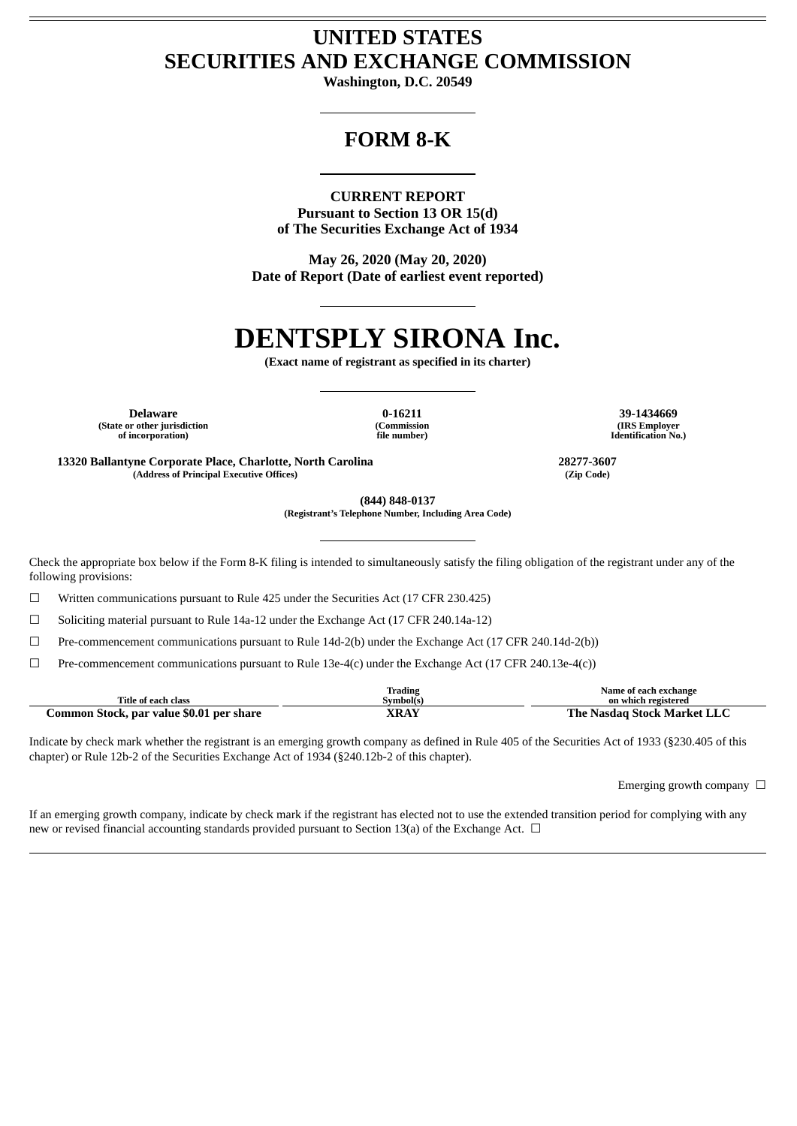## **UNITED STATES SECURITIES AND EXCHANGE COMMISSION**

**Washington, D.C. 20549**

# **FORM 8-K**

**CURRENT REPORT Pursuant to Section 13 OR 15(d) of The Securities Exchange Act of 1934**

**May 26, 2020 (May 20, 2020) Date of Report (Date of earliest event reported)**

# **DENTSPLY SIRONA Inc.**

**(Exact name of registrant as specified in its charter)**

**Delaware 0-16211 39-1434669 (State or other jurisdiction of incorporation)**

**(Commission file number)**

**(IRS Employer Identification No.)**

**13320 Ballantyne Corporate Place, Charlotte, North Carolina 28277-3607 (Address of Principal Executive Offices) (Zip Code)**

**(844) 848-0137 (Registrant's Telephone Number, Including Area Code)**

Check the appropriate box below if the Form 8-K filing is intended to simultaneously satisfy the filing obligation of the registrant under any of the following provisions:

☐ Written communications pursuant to Rule 425 under the Securities Act (17 CFR 230.425)

☐ Soliciting material pursuant to Rule 14a-12 under the Exchange Act (17 CFR 240.14a-12)

 $\Box$  Pre-commencement communications pursuant to Rule 14d-2(b) under the Exchange Act (17 CFR 240.14d-2(b))

☐ Pre-commencement communications pursuant to Rule 13e-4(c) under the Exchange Act (17 CFR 240.13e-4(c))

|                                          | trading       | Name of each exchange            |
|------------------------------------------|---------------|----------------------------------|
| Title of each class                      | Svmbol(s)     | on which registered              |
| Common Stock, par value \$0.01 per share | VD AV<br>AKAI | Nasdag Stock Market LLC<br>The . |

Indicate by check mark whether the registrant is an emerging growth company as defined in Rule 405 of the Securities Act of 1933 (§230.405 of this chapter) or Rule 12b-2 of the Securities Exchange Act of 1934 (§240.12b-2 of this chapter).

Emerging growth company  $\Box$ 

If an emerging growth company, indicate by check mark if the registrant has elected not to use the extended transition period for complying with any new or revised financial accounting standards provided pursuant to Section 13(a) of the Exchange Act.  $\Box$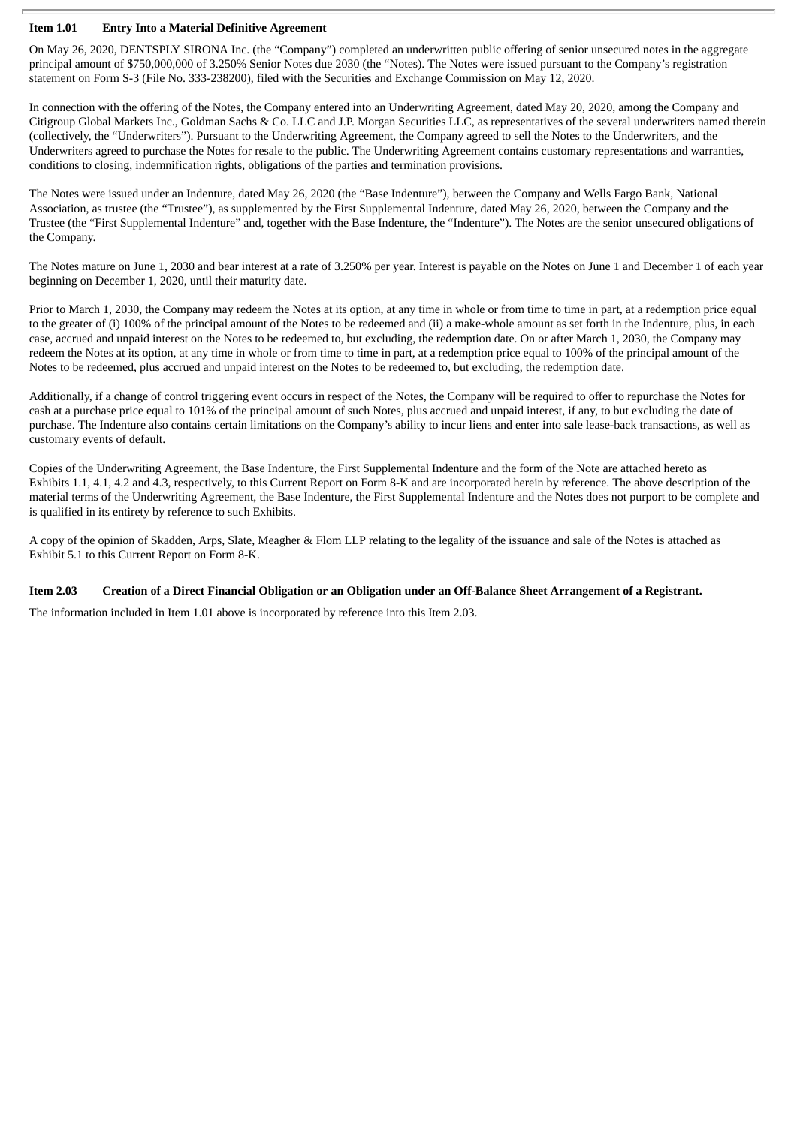## **Item 1.01 Entry Into a Material Definitive Agreement**

On May 26, 2020, DENTSPLY SIRONA Inc. (the "Company") completed an underwritten public offering of senior unsecured notes in the aggregate principal amount of \$750,000,000 of 3.250% Senior Notes due 2030 (the "Notes). The Notes were issued pursuant to the Company's registration statement on Form S-3 (File No. 333-238200), filed with the Securities and Exchange Commission on May 12, 2020.

In connection with the offering of the Notes, the Company entered into an Underwriting Agreement, dated May 20, 2020, among the Company and Citigroup Global Markets Inc., Goldman Sachs & Co. LLC and J.P. Morgan Securities LLC, as representatives of the several underwriters named therein (collectively, the "Underwriters"). Pursuant to the Underwriting Agreement, the Company agreed to sell the Notes to the Underwriters, and the Underwriters agreed to purchase the Notes for resale to the public. The Underwriting Agreement contains customary representations and warranties, conditions to closing, indemnification rights, obligations of the parties and termination provisions.

The Notes were issued under an Indenture, dated May 26, 2020 (the "Base Indenture"), between the Company and Wells Fargo Bank, National Association, as trustee (the "Trustee"), as supplemented by the First Supplemental Indenture, dated May 26, 2020, between the Company and the Trustee (the "First Supplemental Indenture" and, together with the Base Indenture, the "Indenture"). The Notes are the senior unsecured obligations of the Company.

The Notes mature on June 1, 2030 and bear interest at a rate of 3.250% per year. Interest is payable on the Notes on June 1 and December 1 of each year beginning on December 1, 2020, until their maturity date.

Prior to March 1, 2030, the Company may redeem the Notes at its option, at any time in whole or from time to time in part, at a redemption price equal to the greater of (i) 100% of the principal amount of the Notes to be redeemed and (ii) a make-whole amount as set forth in the Indenture, plus, in each case, accrued and unpaid interest on the Notes to be redeemed to, but excluding, the redemption date. On or after March 1, 2030, the Company may redeem the Notes at its option, at any time in whole or from time to time in part, at a redemption price equal to 100% of the principal amount of the Notes to be redeemed, plus accrued and unpaid interest on the Notes to be redeemed to, but excluding, the redemption date.

Additionally, if a change of control triggering event occurs in respect of the Notes, the Company will be required to offer to repurchase the Notes for cash at a purchase price equal to 101% of the principal amount of such Notes, plus accrued and unpaid interest, if any, to but excluding the date of purchase. The Indenture also contains certain limitations on the Company's ability to incur liens and enter into sale lease-back transactions, as well as customary events of default.

Copies of the Underwriting Agreement, the Base Indenture, the First Supplemental Indenture and the form of the Note are attached hereto as Exhibits 1.1, 4.1, 4.2 and 4.3, respectively, to this Current Report on Form 8-K and are incorporated herein by reference. The above description of the material terms of the Underwriting Agreement, the Base Indenture, the First Supplemental Indenture and the Notes does not purport to be complete and is qualified in its entirety by reference to such Exhibits.

A copy of the opinion of Skadden, Arps, Slate, Meagher & Flom LLP relating to the legality of the issuance and sale of the Notes is attached as Exhibit 5.1 to this Current Report on Form 8-K.

## Item 2.03 Creation of a Direct Financial Obligation or an Obligation under an Off-Balance Sheet Arrangement of a Registrant.

The information included in Item 1.01 above is incorporated by reference into this Item 2.03.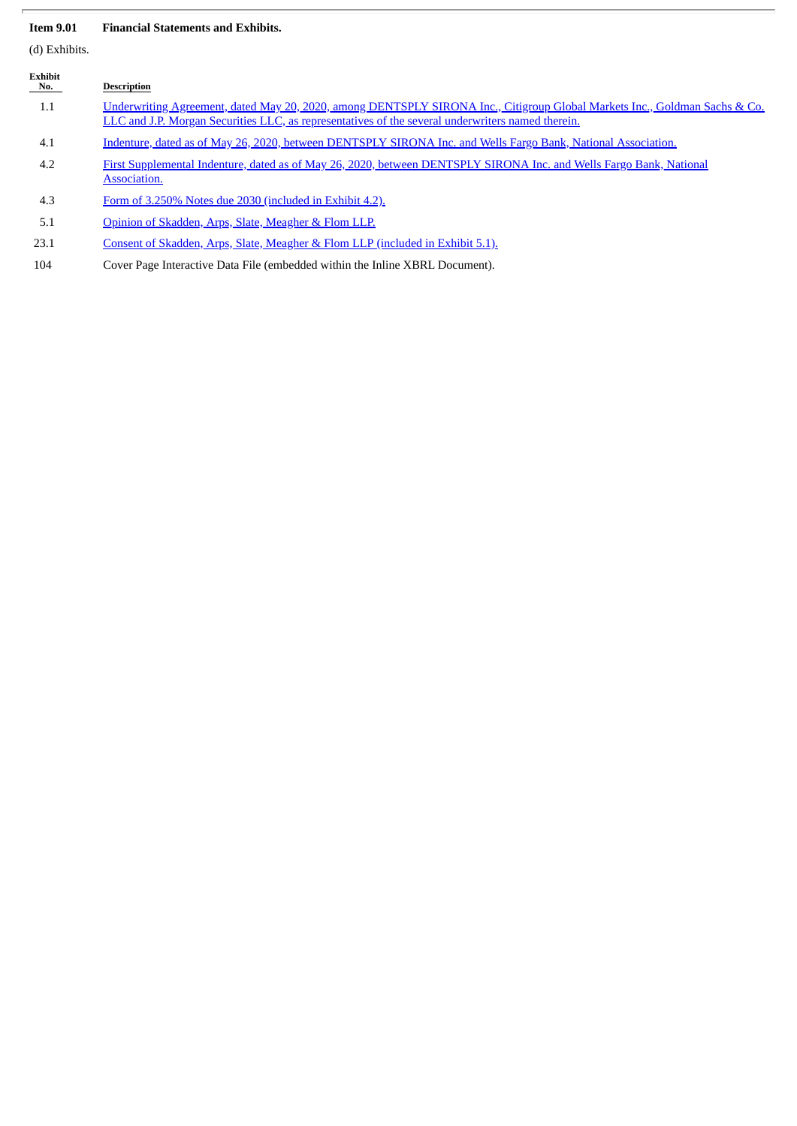## **Item 9.01 Financial Statements and Exhibits.**

(d) Exhibits.

| Exhibit<br>No. | <b>Description</b>                                                                                                                                                                                                              |
|----------------|---------------------------------------------------------------------------------------------------------------------------------------------------------------------------------------------------------------------------------|
| 1.1            | Underwriting Agreement, dated May 20, 2020, among DENTSPLY SIRONA Inc., Citigroup Global Markets Inc., Goldman Sachs & Co.<br>LLC and J.P. Morgan Securities LLC, as representatives of the several underwriters named therein. |
| 4.1            | Indenture, dated as of May 26, 2020, between DENTSPLY SIRONA Inc. and Wells Fargo Bank, National Association.                                                                                                                   |
| 4.2            | First Supplemental Indenture, dated as of May 26, 2020, between DENTSPLY SIRONA Inc. and Wells Fargo Bank, National<br>Association.                                                                                             |
| 4.3            | Form of 3.250% Notes due 2030 (included in Exhibit 4.2).                                                                                                                                                                        |
| 5.1            | Opinion of Skadden, Arps, Slate, Meagher & Flom LLP.                                                                                                                                                                            |
| 23.1           | Consent of Skadden, Arps, Slate, Meagher & Flom LLP (included in Exhibit 5.1).                                                                                                                                                  |

104 Cover Page Interactive Data File (embedded within the Inline XBRL Document).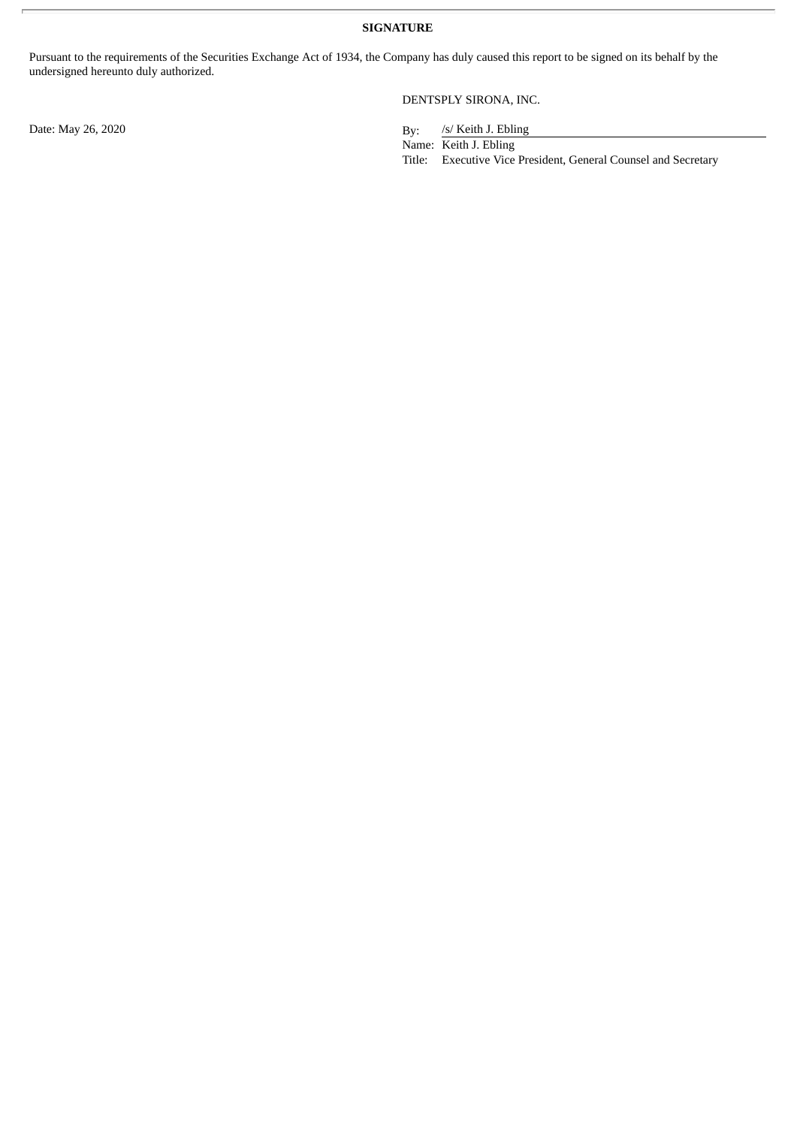**SIGNATURE**

Pursuant to the requirements of the Securities Exchange Act of 1934, the Company has duly caused this report to be signed on its behalf by the undersigned hereunto duly authorized.

DENTSPLY SIRONA, INC.

/s/ Keith J. Ebling

Name: Keith J. Ebling

Title: Executive Vice President, General Counsel and Secretary

Date: May 26, 2020 By: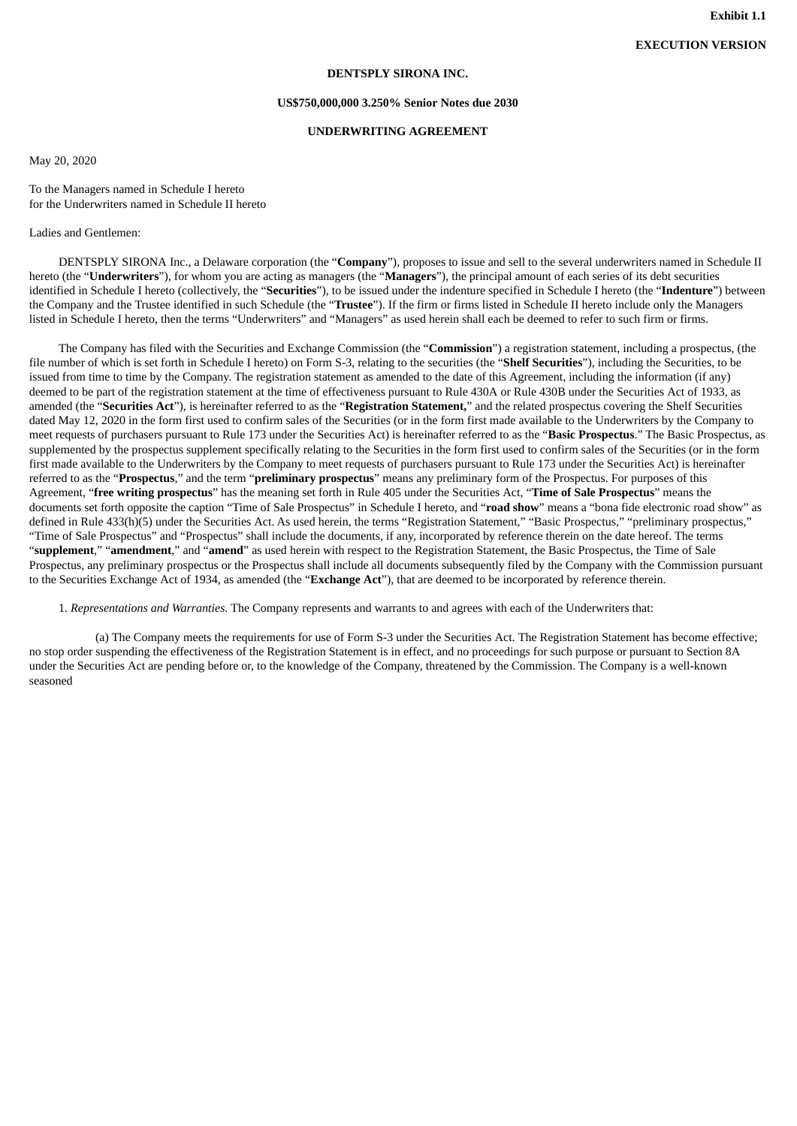#### **DENTSPLY SIRONA INC.**

#### **US\$750,000,000 3.250% Senior Notes due 2030**

## **UNDERWRITING AGREEMENT**

<span id="page-4-0"></span>May 20, 2020

To the Managers named in Schedule I hereto for the Underwriters named in Schedule II hereto

Ladies and Gentlemen:

DENTSPLY SIRONA Inc., a Delaware corporation (the "**Company**"), proposes to issue and sell to the several underwriters named in Schedule II hereto (the "**Underwriters**"), for whom you are acting as managers (the "**Managers**"), the principal amount of each series of its debt securities identified in Schedule I hereto (collectively, the "**Securities**"), to be issued under the indenture specified in Schedule I hereto (the "**Indenture**") between the Company and the Trustee identified in such Schedule (the "**Trustee**"). If the firm or firms listed in Schedule II hereto include only the Managers listed in Schedule I hereto, then the terms "Underwriters" and "Managers" as used herein shall each be deemed to refer to such firm or firms.

The Company has filed with the Securities and Exchange Commission (the "**Commission**") a registration statement, including a prospectus, (the file number of which is set forth in Schedule I hereto) on Form S-3, relating to the securities (the "**Shelf Securities**"), including the Securities, to be issued from time to time by the Company. The registration statement as amended to the date of this Agreement, including the information (if any) deemed to be part of the registration statement at the time of effectiveness pursuant to Rule 430A or Rule 430B under the Securities Act of 1933, as amended (the "**Securities Act**"), is hereinafter referred to as the "**Registration Statement,**" and the related prospectus covering the Shelf Securities dated May 12, 2020 in the form first used to confirm sales of the Securities (or in the form first made available to the Underwriters by the Company to meet requests of purchasers pursuant to Rule 173 under the Securities Act) is hereinafter referred to as the "**Basic Prospectus**." The Basic Prospectus, as supplemented by the prospectus supplement specifically relating to the Securities in the form first used to confirm sales of the Securities (or in the form first made available to the Underwriters by the Company to meet requests of purchasers pursuant to Rule 173 under the Securities Act) is hereinafter referred to as the "**Prospectus**," and the term "**preliminary prospectus**" means any preliminary form of the Prospectus. For purposes of this Agreement, "**free writing prospectus**" has the meaning set forth in Rule 405 under the Securities Act, "**Time of Sale Prospectus**" means the documents set forth opposite the caption "Time of Sale Prospectus" in Schedule I hereto, and "**road show**" means a "bona fide electronic road show" as defined in Rule 433(h)(5) under the Securities Act. As used herein, the terms "Registration Statement," "Basic Prospectus," "preliminary prospectus," "Time of Sale Prospectus" and "Prospectus" shall include the documents, if any, incorporated by reference therein on the date hereof. The terms "**supplement**," "**amendment**," and "**amend**" as used herein with respect to the Registration Statement, the Basic Prospectus, the Time of Sale Prospectus, any preliminary prospectus or the Prospectus shall include all documents subsequently filed by the Company with the Commission pursuant to the Securities Exchange Act of 1934, as amended (the "**Exchange Act**"), that are deemed to be incorporated by reference therein.

1. *Representations and Warranties*. The Company represents and warrants to and agrees with each of the Underwriters that:

(a) The Company meets the requirements for use of Form S-3 under the Securities Act. The Registration Statement has become effective; no stop order suspending the effectiveness of the Registration Statement is in effect, and no proceedings for such purpose or pursuant to Section 8A under the Securities Act are pending before or, to the knowledge of the Company, threatened by the Commission. The Company is a well-known seasoned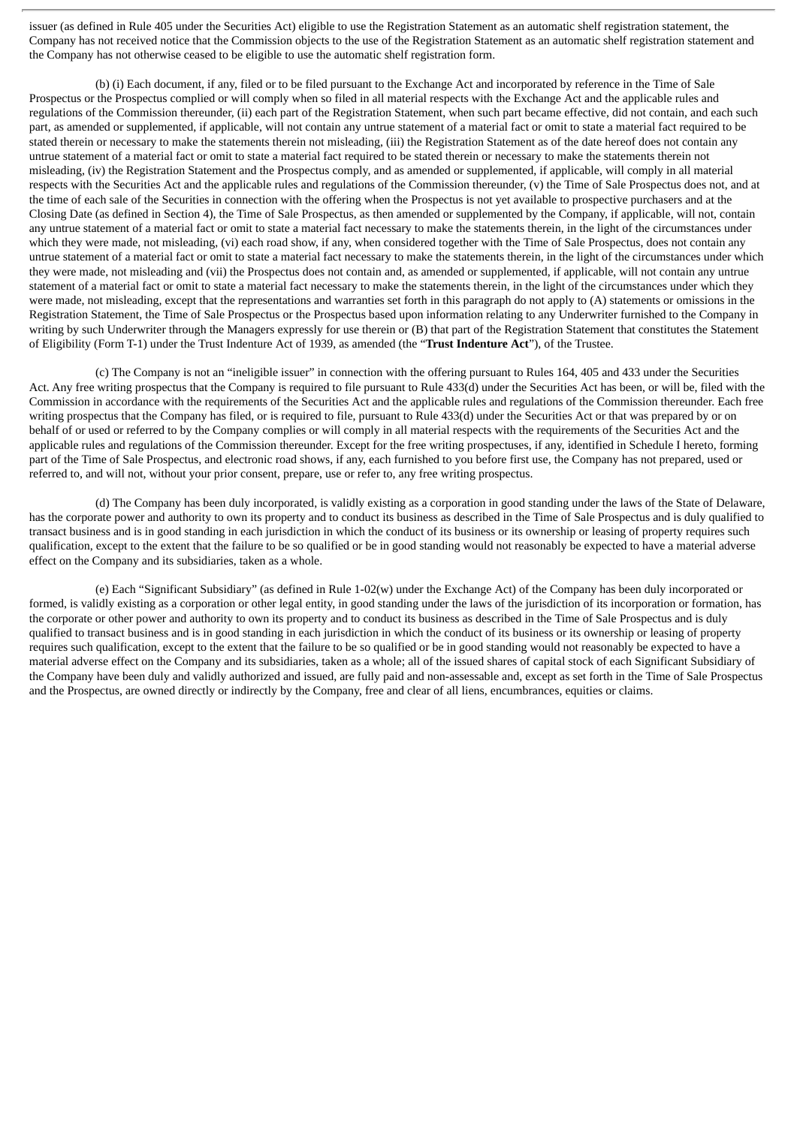issuer (as defined in Rule 405 under the Securities Act) eligible to use the Registration Statement as an automatic shelf registration statement, the Company has not received notice that the Commission objects to the use of the Registration Statement as an automatic shelf registration statement and the Company has not otherwise ceased to be eligible to use the automatic shelf registration form.

(b) (i) Each document, if any, filed or to be filed pursuant to the Exchange Act and incorporated by reference in the Time of Sale Prospectus or the Prospectus complied or will comply when so filed in all material respects with the Exchange Act and the applicable rules and regulations of the Commission thereunder, (ii) each part of the Registration Statement, when such part became effective, did not contain, and each such part, as amended or supplemented, if applicable, will not contain any untrue statement of a material fact or omit to state a material fact required to be stated therein or necessary to make the statements therein not misleading, (iii) the Registration Statement as of the date hereof does not contain any untrue statement of a material fact or omit to state a material fact required to be stated therein or necessary to make the statements therein not misleading, (iv) the Registration Statement and the Prospectus comply, and as amended or supplemented, if applicable, will comply in all material respects with the Securities Act and the applicable rules and regulations of the Commission thereunder, (v) the Time of Sale Prospectus does not, and at the time of each sale of the Securities in connection with the offering when the Prospectus is not yet available to prospective purchasers and at the Closing Date (as defined in Section 4), the Time of Sale Prospectus, as then amended or supplemented by the Company, if applicable, will not, contain any untrue statement of a material fact or omit to state a material fact necessary to make the statements therein, in the light of the circumstances under which they were made, not misleading, (vi) each road show, if any, when considered together with the Time of Sale Prospectus, does not contain any untrue statement of a material fact or omit to state a material fact necessary to make the statements therein, in the light of the circumstances under which they were made, not misleading and (vii) the Prospectus does not contain and, as amended or supplemented, if applicable, will not contain any untrue statement of a material fact or omit to state a material fact necessary to make the statements therein, in the light of the circumstances under which they were made, not misleading, except that the representations and warranties set forth in this paragraph do not apply to (A) statements or omissions in the Registration Statement, the Time of Sale Prospectus or the Prospectus based upon information relating to any Underwriter furnished to the Company in writing by such Underwriter through the Managers expressly for use therein or (B) that part of the Registration Statement that constitutes the Statement of Eligibility (Form T-1) under the Trust Indenture Act of 1939, as amended (the "**Trust Indenture Act**"), of the Trustee.

(c) The Company is not an "ineligible issuer" in connection with the offering pursuant to Rules 164, 405 and 433 under the Securities Act. Any free writing prospectus that the Company is required to file pursuant to Rule 433(d) under the Securities Act has been, or will be, filed with the Commission in accordance with the requirements of the Securities Act and the applicable rules and regulations of the Commission thereunder. Each free writing prospectus that the Company has filed, or is required to file, pursuant to Rule 433(d) under the Securities Act or that was prepared by or on behalf of or used or referred to by the Company complies or will comply in all material respects with the requirements of the Securities Act and the applicable rules and regulations of the Commission thereunder. Except for the free writing prospectuses, if any, identified in Schedule I hereto, forming part of the Time of Sale Prospectus, and electronic road shows, if any, each furnished to you before first use, the Company has not prepared, used or referred to, and will not, without your prior consent, prepare, use or refer to, any free writing prospectus.

(d) The Company has been duly incorporated, is validly existing as a corporation in good standing under the laws of the State of Delaware, has the corporate power and authority to own its property and to conduct its business as described in the Time of Sale Prospectus and is duly qualified to transact business and is in good standing in each jurisdiction in which the conduct of its business or its ownership or leasing of property requires such qualification, except to the extent that the failure to be so qualified or be in good standing would not reasonably be expected to have a material adverse effect on the Company and its subsidiaries, taken as a whole.

(e) Each "Significant Subsidiary" (as defined in Rule 1-02(w) under the Exchange Act) of the Company has been duly incorporated or formed, is validly existing as a corporation or other legal entity, in good standing under the laws of the jurisdiction of its incorporation or formation, has the corporate or other power and authority to own its property and to conduct its business as described in the Time of Sale Prospectus and is duly qualified to transact business and is in good standing in each jurisdiction in which the conduct of its business or its ownership or leasing of property requires such qualification, except to the extent that the failure to be so qualified or be in good standing would not reasonably be expected to have a material adverse effect on the Company and its subsidiaries, taken as a whole; all of the issued shares of capital stock of each Significant Subsidiary of the Company have been duly and validly authorized and issued, are fully paid and non-assessable and, except as set forth in the Time of Sale Prospectus and the Prospectus, are owned directly or indirectly by the Company, free and clear of all liens, encumbrances, equities or claims.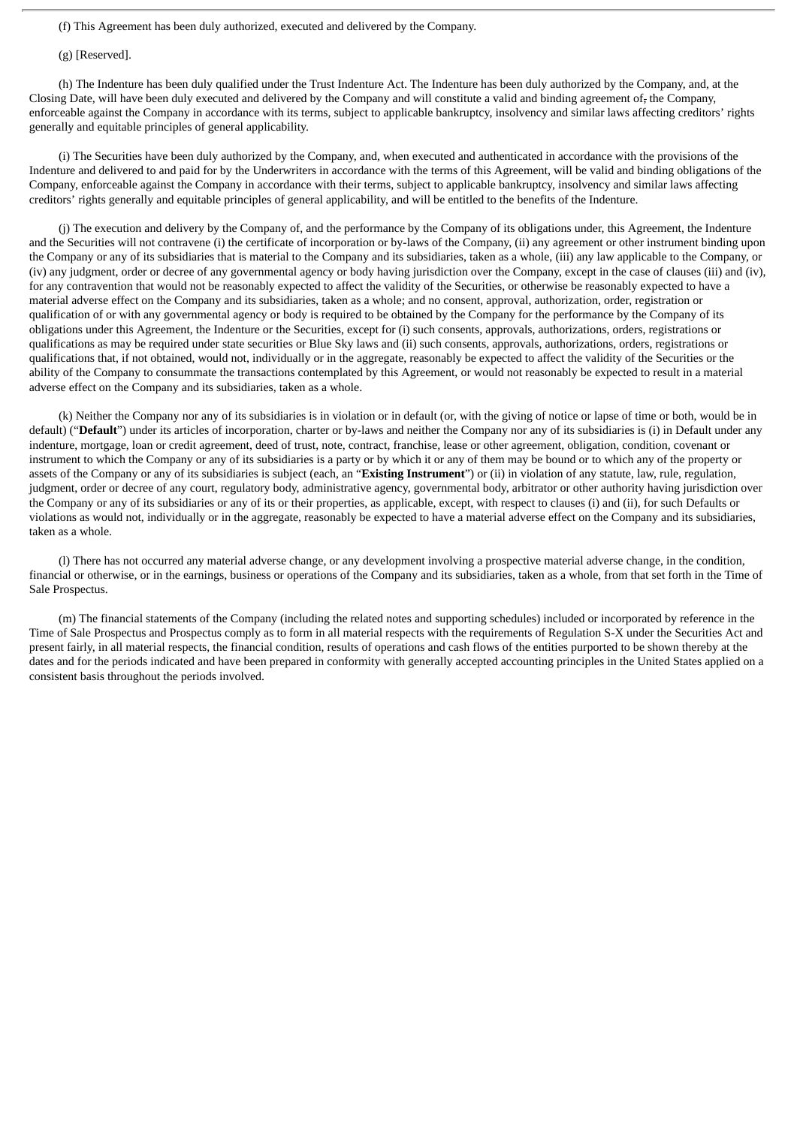(f) This Agreement has been duly authorized, executed and delivered by the Company.

(g) [Reserved].

(h) The Indenture has been duly qualified under the Trust Indenture Act. The Indenture has been duly authorized by the Company, and, at the Closing Date, will have been duly executed and delivered by the Company and will constitute a valid and binding agreement of, the Company, enforceable against the Company in accordance with its terms, subject to applicable bankruptcy, insolvency and similar laws affecting creditors' rights generally and equitable principles of general applicability.

(i) The Securities have been duly authorized by the Company, and, when executed and authenticated in accordance with the provisions of the Indenture and delivered to and paid for by the Underwriters in accordance with the terms of this Agreement, will be valid and binding obligations of the Company, enforceable against the Company in accordance with their terms, subject to applicable bankruptcy, insolvency and similar laws affecting creditors' rights generally and equitable principles of general applicability, and will be entitled to the benefits of the Indenture.

(j) The execution and delivery by the Company of, and the performance by the Company of its obligations under, this Agreement, the Indenture and the Securities will not contravene (i) the certificate of incorporation or by-laws of the Company, (ii) any agreement or other instrument binding upon the Company or any of its subsidiaries that is material to the Company and its subsidiaries, taken as a whole, (iii) any law applicable to the Company, or (iv) any judgment, order or decree of any governmental agency or body having jurisdiction over the Company, except in the case of clauses (iii) and (iv), for any contravention that would not be reasonably expected to affect the validity of the Securities, or otherwise be reasonably expected to have a material adverse effect on the Company and its subsidiaries, taken as a whole; and no consent, approval, authorization, order, registration or qualification of or with any governmental agency or body is required to be obtained by the Company for the performance by the Company of its obligations under this Agreement, the Indenture or the Securities, except for (i) such consents, approvals, authorizations, orders, registrations or qualifications as may be required under state securities or Blue Sky laws and (ii) such consents, approvals, authorizations, orders, registrations or qualifications that, if not obtained, would not, individually or in the aggregate, reasonably be expected to affect the validity of the Securities or the ability of the Company to consummate the transactions contemplated by this Agreement, or would not reasonably be expected to result in a material adverse effect on the Company and its subsidiaries, taken as a whole.

(k) Neither the Company nor any of its subsidiaries is in violation or in default (or, with the giving of notice or lapse of time or both, would be in default) ("Default") under its articles of incorporation, charter or by-laws and neither the Company nor any of its subsidiaries is (i) in Default under any indenture, mortgage, loan or credit agreement, deed of trust, note, contract, franchise, lease or other agreement, obligation, condition, covenant or instrument to which the Company or any of its subsidiaries is a party or by which it or any of them may be bound or to which any of the property or assets of the Company or any of its subsidiaries is subject (each, an "**Existing Instrument**") or (ii) in violation of any statute, law, rule, regulation, judgment, order or decree of any court, regulatory body, administrative agency, governmental body, arbitrator or other authority having jurisdiction over the Company or any of its subsidiaries or any of its or their properties, as applicable, except, with respect to clauses (i) and (ii), for such Defaults or violations as would not, individually or in the aggregate, reasonably be expected to have a material adverse effect on the Company and its subsidiaries, taken as a whole.

(l) There has not occurred any material adverse change, or any development involving a prospective material adverse change, in the condition, financial or otherwise, or in the earnings, business or operations of the Company and its subsidiaries, taken as a whole, from that set forth in the Time of Sale Prospectus.

(m) The financial statements of the Company (including the related notes and supporting schedules) included or incorporated by reference in the Time of Sale Prospectus and Prospectus comply as to form in all material respects with the requirements of Regulation S-X under the Securities Act and present fairly, in all material respects, the financial condition, results of operations and cash flows of the entities purported to be shown thereby at the dates and for the periods indicated and have been prepared in conformity with generally accepted accounting principles in the United States applied on a consistent basis throughout the periods involved.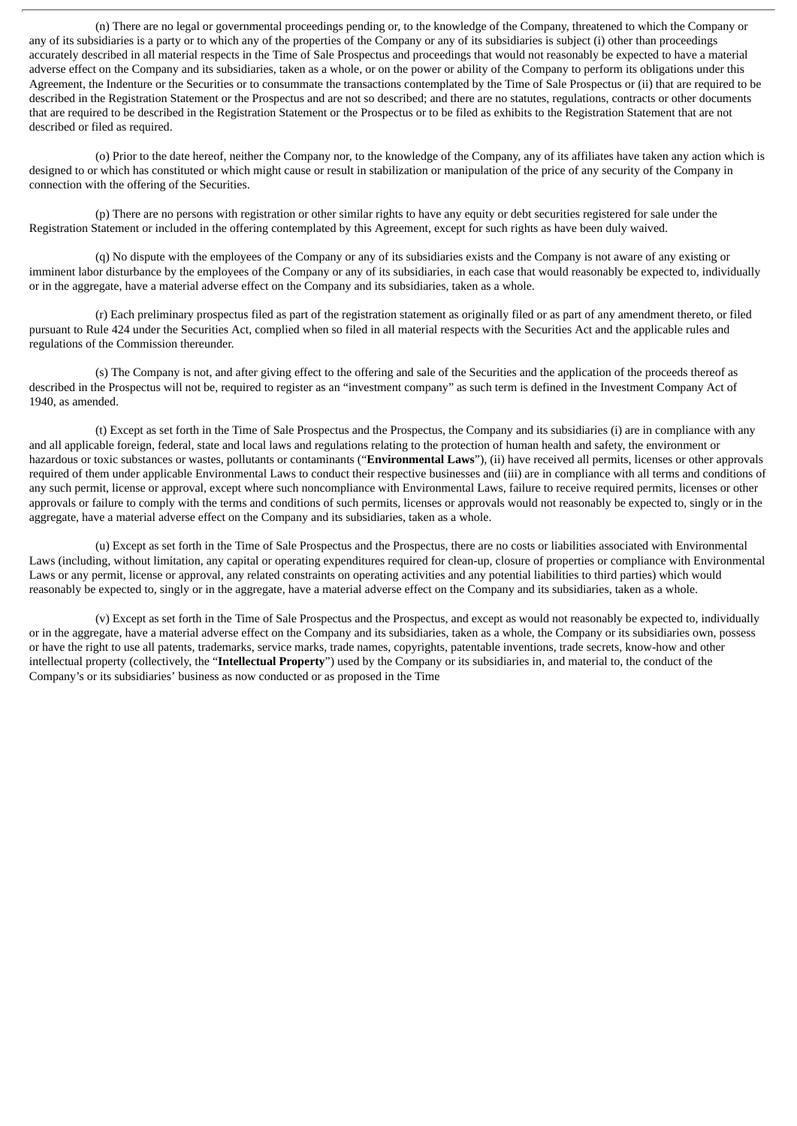(n) There are no legal or governmental proceedings pending or, to the knowledge of the Company, threatened to which the Company or any of its subsidiaries is a party or to which any of the properties of the Company or any of its subsidiaries is subject (i) other than proceedings accurately described in all material respects in the Time of Sale Prospectus and proceedings that would not reasonably be expected to have a material adverse effect on the Company and its subsidiaries, taken as a whole, or on the power or ability of the Company to perform its obligations under this Agreement, the Indenture or the Securities or to consummate the transactions contemplated by the Time of Sale Prospectus or (ii) that are required to be described in the Registration Statement or the Prospectus and are not so described; and there are no statutes, regulations, contracts or other documents that are required to be described in the Registration Statement or the Prospectus or to be filed as exhibits to the Registration Statement that are not described or filed as required.

(o) Prior to the date hereof, neither the Company nor, to the knowledge of the Company, any of its affiliates have taken any action which is designed to or which has constituted or which might cause or result in stabilization or manipulation of the price of any security of the Company in connection with the offering of the Securities.

(p) There are no persons with registration or other similar rights to have any equity or debt securities registered for sale under the Registration Statement or included in the offering contemplated by this Agreement, except for such rights as have been duly waived.

(q) No dispute with the employees of the Company or any of its subsidiaries exists and the Company is not aware of any existing or imminent labor disturbance by the employees of the Company or any of its subsidiaries, in each case that would reasonably be expected to, individually or in the aggregate, have a material adverse effect on the Company and its subsidiaries, taken as a whole.

(r) Each preliminary prospectus filed as part of the registration statement as originally filed or as part of any amendment thereto, or filed pursuant to Rule 424 under the Securities Act, complied when so filed in all material respects with the Securities Act and the applicable rules and regulations of the Commission thereunder.

(s) The Company is not, and after giving effect to the offering and sale of the Securities and the application of the proceeds thereof as described in the Prospectus will not be, required to register as an "investment company" as such term is defined in the Investment Company Act of 1940, as amended.

(t) Except as set forth in the Time of Sale Prospectus and the Prospectus, the Company and its subsidiaries (i) are in compliance with any and all applicable foreign, federal, state and local laws and regulations relating to the protection of human health and safety, the environment or hazardous or toxic substances or wastes, pollutants or contaminants ("**Environmental Laws**"), (ii) have received all permits, licenses or other approvals required of them under applicable Environmental Laws to conduct their respective businesses and (iii) are in compliance with all terms and conditions of any such permit, license or approval, except where such noncompliance with Environmental Laws, failure to receive required permits, licenses or other approvals or failure to comply with the terms and conditions of such permits, licenses or approvals would not reasonably be expected to, singly or in the aggregate, have a material adverse effect on the Company and its subsidiaries, taken as a whole.

(u) Except as set forth in the Time of Sale Prospectus and the Prospectus, there are no costs or liabilities associated with Environmental Laws (including, without limitation, any capital or operating expenditures required for clean-up, closure of properties or compliance with Environmental Laws or any permit, license or approval, any related constraints on operating activities and any potential liabilities to third parties) which would reasonably be expected to, singly or in the aggregate, have a material adverse effect on the Company and its subsidiaries, taken as a whole.

(v) Except as set forth in the Time of Sale Prospectus and the Prospectus, and except as would not reasonably be expected to, individually or in the aggregate, have a material adverse effect on the Company and its subsidiaries, taken as a whole, the Company or its subsidiaries own, possess or have the right to use all patents, trademarks, service marks, trade names, copyrights, patentable inventions, trade secrets, know-how and other intellectual property (collectively, the "**Intellectual Property**") used by the Company or its subsidiaries in, and material to, the conduct of the Company's or its subsidiaries' business as now conducted or as proposed in the Time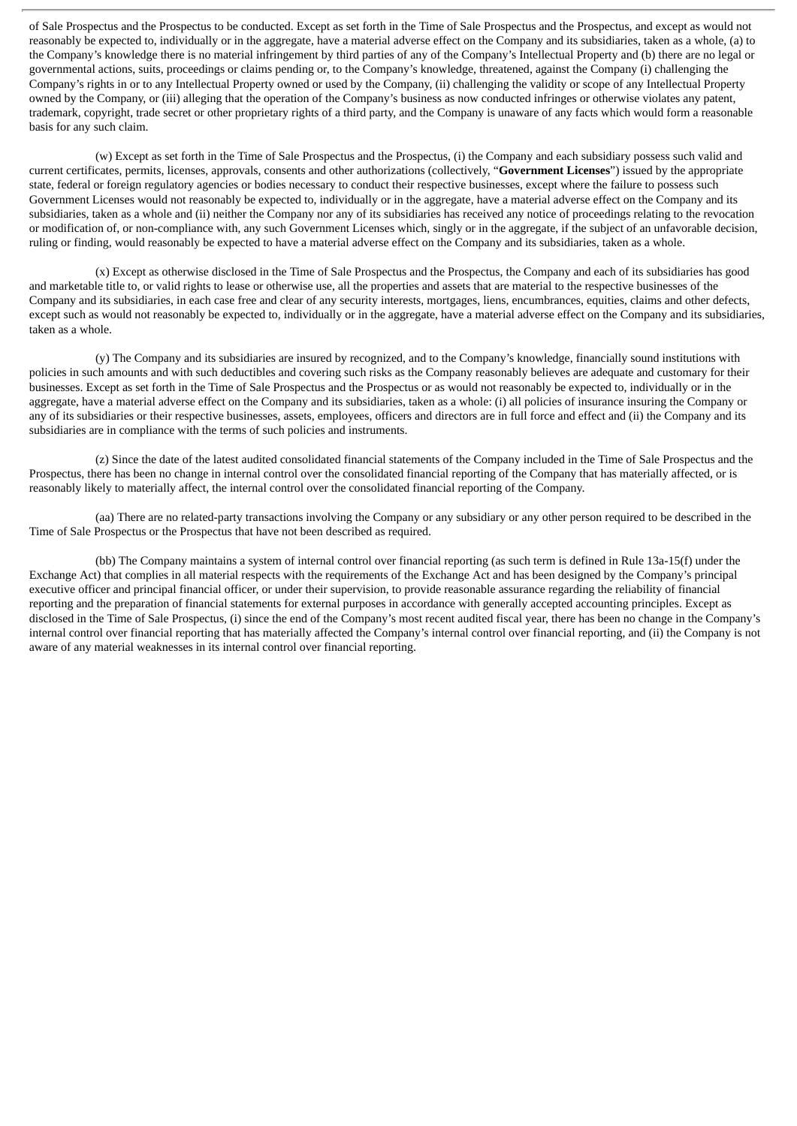of Sale Prospectus and the Prospectus to be conducted. Except as set forth in the Time of Sale Prospectus and the Prospectus, and except as would not reasonably be expected to, individually or in the aggregate, have a material adverse effect on the Company and its subsidiaries, taken as a whole, (a) to the Company's knowledge there is no material infringement by third parties of any of the Company's Intellectual Property and (b) there are no legal or governmental actions, suits, proceedings or claims pending or, to the Company's knowledge, threatened, against the Company (i) challenging the Company's rights in or to any Intellectual Property owned or used by the Company, (ii) challenging the validity or scope of any Intellectual Property owned by the Company, or (iii) alleging that the operation of the Company's business as now conducted infringes or otherwise violates any patent, trademark, copyright, trade secret or other proprietary rights of a third party, and the Company is unaware of any facts which would form a reasonable basis for any such claim.

(w) Except as set forth in the Time of Sale Prospectus and the Prospectus, (i) the Company and each subsidiary possess such valid and current certificates, permits, licenses, approvals, consents and other authorizations (collectively, "**Government Licenses**") issued by the appropriate state, federal or foreign regulatory agencies or bodies necessary to conduct their respective businesses, except where the failure to possess such Government Licenses would not reasonably be expected to, individually or in the aggregate, have a material adverse effect on the Company and its subsidiaries, taken as a whole and (ii) neither the Company nor any of its subsidiaries has received any notice of proceedings relating to the revocation or modification of, or non-compliance with, any such Government Licenses which, singly or in the aggregate, if the subject of an unfavorable decision, ruling or finding, would reasonably be expected to have a material adverse effect on the Company and its subsidiaries, taken as a whole.

(x) Except as otherwise disclosed in the Time of Sale Prospectus and the Prospectus, the Company and each of its subsidiaries has good and marketable title to, or valid rights to lease or otherwise use, all the properties and assets that are material to the respective businesses of the Company and its subsidiaries, in each case free and clear of any security interests, mortgages, liens, encumbrances, equities, claims and other defects, except such as would not reasonably be expected to, individually or in the aggregate, have a material adverse effect on the Company and its subsidiaries, taken as a whole.

(y) The Company and its subsidiaries are insured by recognized, and to the Company's knowledge, financially sound institutions with policies in such amounts and with such deductibles and covering such risks as the Company reasonably believes are adequate and customary for their businesses. Except as set forth in the Time of Sale Prospectus and the Prospectus or as would not reasonably be expected to, individually or in the aggregate, have a material adverse effect on the Company and its subsidiaries, taken as a whole: (i) all policies of insurance insuring the Company or any of its subsidiaries or their respective businesses, assets, employees, officers and directors are in full force and effect and (ii) the Company and its subsidiaries are in compliance with the terms of such policies and instruments.

(z) Since the date of the latest audited consolidated financial statements of the Company included in the Time of Sale Prospectus and the Prospectus, there has been no change in internal control over the consolidated financial reporting of the Company that has materially affected, or is reasonably likely to materially affect, the internal control over the consolidated financial reporting of the Company.

(aa) There are no related-party transactions involving the Company or any subsidiary or any other person required to be described in the Time of Sale Prospectus or the Prospectus that have not been described as required.

(bb) The Company maintains a system of internal control over financial reporting (as such term is defined in Rule 13a-15(f) under the Exchange Act) that complies in all material respects with the requirements of the Exchange Act and has been designed by the Company's principal executive officer and principal financial officer, or under their supervision, to provide reasonable assurance regarding the reliability of financial reporting and the preparation of financial statements for external purposes in accordance with generally accepted accounting principles. Except as disclosed in the Time of Sale Prospectus, (i) since the end of the Company's most recent audited fiscal year, there has been no change in the Company's internal control over financial reporting that has materially affected the Company's internal control over financial reporting, and (ii) the Company is not aware of any material weaknesses in its internal control over financial reporting.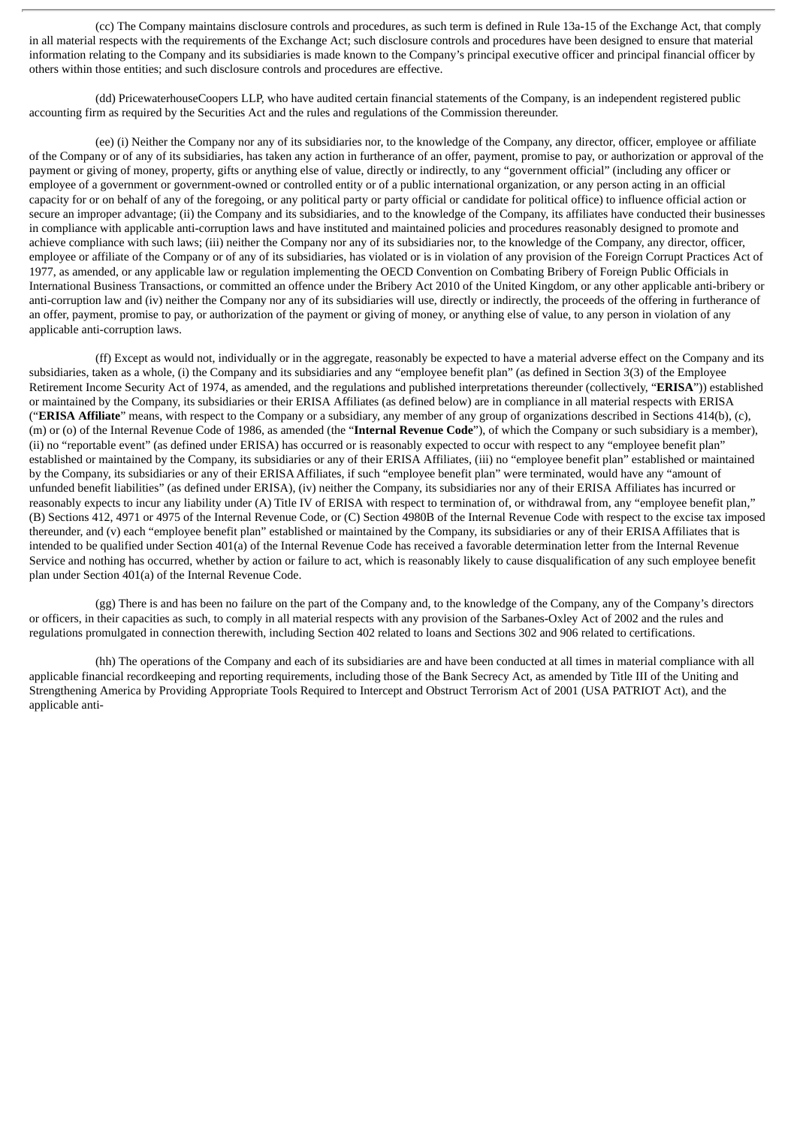(cc) The Company maintains disclosure controls and procedures, as such term is defined in Rule 13a-15 of the Exchange Act, that comply in all material respects with the requirements of the Exchange Act; such disclosure controls and procedures have been designed to ensure that material information relating to the Company and its subsidiaries is made known to the Company's principal executive officer and principal financial officer by others within those entities; and such disclosure controls and procedures are effective.

(dd) PricewaterhouseCoopers LLP, who have audited certain financial statements of the Company, is an independent registered public accounting firm as required by the Securities Act and the rules and regulations of the Commission thereunder.

(ee) (i) Neither the Company nor any of its subsidiaries nor, to the knowledge of the Company, any director, officer, employee or affiliate of the Company or of any of its subsidiaries, has taken any action in furtherance of an offer, payment, promise to pay, or authorization or approval of the payment or giving of money, property, gifts or anything else of value, directly or indirectly, to any "government official" (including any officer or employee of a government or government-owned or controlled entity or of a public international organization, or any person acting in an official capacity for or on behalf of any of the foregoing, or any political party or party official or candidate for political office) to influence official action or secure an improper advantage; (ii) the Company and its subsidiaries, and to the knowledge of the Company, its affiliates have conducted their businesses in compliance with applicable anti-corruption laws and have instituted and maintained policies and procedures reasonably designed to promote and achieve compliance with such laws; (iii) neither the Company nor any of its subsidiaries nor, to the knowledge of the Company, any director, officer, employee or affiliate of the Company or of any of its subsidiaries, has violated or is in violation of any provision of the Foreign Corrupt Practices Act of 1977, as amended, or any applicable law or regulation implementing the OECD Convention on Combating Bribery of Foreign Public Officials in International Business Transactions, or committed an offence under the Bribery Act 2010 of the United Kingdom, or any other applicable anti-bribery or anti-corruption law and (iv) neither the Company nor any of its subsidiaries will use, directly or indirectly, the proceeds of the offering in furtherance of an offer, payment, promise to pay, or authorization of the payment or giving of money, or anything else of value, to any person in violation of any applicable anti-corruption laws.

(ff) Except as would not, individually or in the aggregate, reasonably be expected to have a material adverse effect on the Company and its subsidiaries, taken as a whole, (i) the Company and its subsidiaries and any "employee benefit plan" (as defined in Section 3(3) of the Employee Retirement Income Security Act of 1974, as amended, and the regulations and published interpretations thereunder (collectively, "**ERISA**")) established or maintained by the Company, its subsidiaries or their ERISA Affiliates (as defined below) are in compliance in all material respects with ERISA ("**ERISA Affiliate**" means, with respect to the Company or a subsidiary, any member of any group of organizations described in Sections 414(b), (c), (m) or (o) of the Internal Revenue Code of 1986, as amended (the "**Internal Revenue Code**"), of which the Company or such subsidiary is a member), (ii) no "reportable event" (as defined under ERISA) has occurred or is reasonably expected to occur with respect to any "employee benefit plan" established or maintained by the Company, its subsidiaries or any of their ERISA Affiliates, (iii) no "employee benefit plan" established or maintained by the Company, its subsidiaries or any of their ERISAAffiliates, if such "employee benefit plan" were terminated, would have any "amount of unfunded benefit liabilities" (as defined under ERISA), (iv) neither the Company, its subsidiaries nor any of their ERISA Affiliates has incurred or reasonably expects to incur any liability under (A) Title IV of ERISA with respect to termination of, or withdrawal from, any "employee benefit plan," (B) Sections 412, 4971 or 4975 of the Internal Revenue Code, or (C) Section 4980B of the Internal Revenue Code with respect to the excise tax imposed thereunder, and (v) each "employee benefit plan" established or maintained by the Company, its subsidiaries or any of their ERISAAffiliates that is intended to be qualified under Section 401(a) of the Internal Revenue Code has received a favorable determination letter from the Internal Revenue Service and nothing has occurred, whether by action or failure to act, which is reasonably likely to cause disqualification of any such employee benefit plan under Section 401(a) of the Internal Revenue Code.

(gg) There is and has been no failure on the part of the Company and, to the knowledge of the Company, any of the Company's directors or officers, in their capacities as such, to comply in all material respects with any provision of the Sarbanes-Oxley Act of 2002 and the rules and regulations promulgated in connection therewith, including Section 402 related to loans and Sections 302 and 906 related to certifications.

(hh) The operations of the Company and each of its subsidiaries are and have been conducted at all times in material compliance with all applicable financial recordkeeping and reporting requirements, including those of the Bank Secrecy Act, as amended by Title III of the Uniting and Strengthening America by Providing Appropriate Tools Required to Intercept and Obstruct Terrorism Act of 2001 (USA PATRIOT Act), and the applicable anti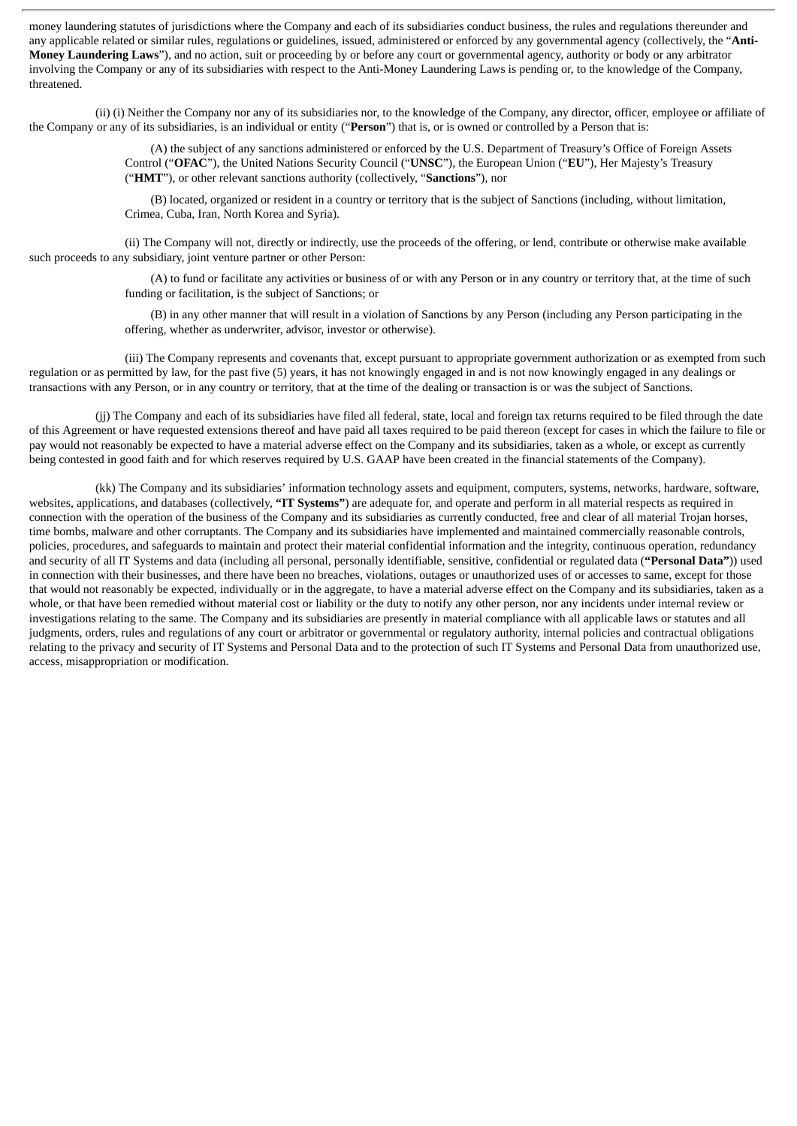money laundering statutes of jurisdictions where the Company and each of its subsidiaries conduct business, the rules and regulations thereunder and any applicable related or similar rules, regulations or guidelines, issued, administered or enforced by any governmental agency (collectively, the "**Anti-Money Laundering Laws**"), and no action, suit or proceeding by or before any court or governmental agency, authority or body or any arbitrator involving the Company or any of its subsidiaries with respect to the Anti-Money Laundering Laws is pending or, to the knowledge of the Company, threatened.

(ii) (i) Neither the Company nor any of its subsidiaries nor, to the knowledge of the Company, any director, officer, employee or affiliate of the Company or any of its subsidiaries, is an individual or entity ("**Person**") that is, or is owned or controlled by a Person that is:

> (A) the subject of any sanctions administered or enforced by the U.S. Department of Treasury's Office of Foreign Assets Control ("**OFAC**"), the United Nations Security Council ("**UNSC**"), the European Union ("**EU**"), Her Majesty's Treasury ("**HMT**"), or other relevant sanctions authority (collectively, "**Sanctions**"), nor

(B) located, organized or resident in a country or territory that is the subject of Sanctions (including, without limitation, Crimea, Cuba, Iran, North Korea and Syria).

(ii) The Company will not, directly or indirectly, use the proceeds of the offering, or lend, contribute or otherwise make available such proceeds to any subsidiary, joint venture partner or other Person:

> (A) to fund or facilitate any activities or business of or with any Person or in any country or territory that, at the time of such funding or facilitation, is the subject of Sanctions; or

(B) in any other manner that will result in a violation of Sanctions by any Person (including any Person participating in the offering, whether as underwriter, advisor, investor or otherwise).

(iii) The Company represents and covenants that, except pursuant to appropriate government authorization or as exempted from such regulation or as permitted by law, for the past five (5) years, it has not knowingly engaged in and is not now knowingly engaged in any dealings or transactions with any Person, or in any country or territory, that at the time of the dealing or transaction is or was the subject of Sanctions.

(jj) The Company and each of its subsidiaries have filed all federal, state, local and foreign tax returns required to be filed through the date of this Agreement or have requested extensions thereof and have paid all taxes required to be paid thereon (except for cases in which the failure to file or pay would not reasonably be expected to have a material adverse effect on the Company and its subsidiaries, taken as a whole, or except as currently being contested in good faith and for which reserves required by U.S. GAAP have been created in the financial statements of the Company).

(kk) The Company and its subsidiaries' information technology assets and equipment, computers, systems, networks, hardware, software, websites, applications, and databases (collectively, **"IT Systems"**) are adequate for, and operate and perform in all material respects as required in connection with the operation of the business of the Company and its subsidiaries as currently conducted, free and clear of all material Trojan horses, time bombs, malware and other corruptants. The Company and its subsidiaries have implemented and maintained commercially reasonable controls, policies, procedures, and safeguards to maintain and protect their material confidential information and the integrity, continuous operation, redundancy and security of all IT Systems and data (including all personal, personally identifiable, sensitive, confidential or regulated data (**"Personal Data"**)) used in connection with their businesses, and there have been no breaches, violations, outages or unauthorized uses of or accesses to same, except for those that would not reasonably be expected, individually or in the aggregate, to have a material adverse effect on the Company and its subsidiaries, taken as a whole, or that have been remedied without material cost or liability or the duty to notify any other person, nor any incidents under internal review or investigations relating to the same. The Company and its subsidiaries are presently in material compliance with all applicable laws or statutes and all judgments, orders, rules and regulations of any court or arbitrator or governmental or regulatory authority, internal policies and contractual obligations relating to the privacy and security of IT Systems and Personal Data and to the protection of such IT Systems and Personal Data from unauthorized use, access, misappropriation or modification.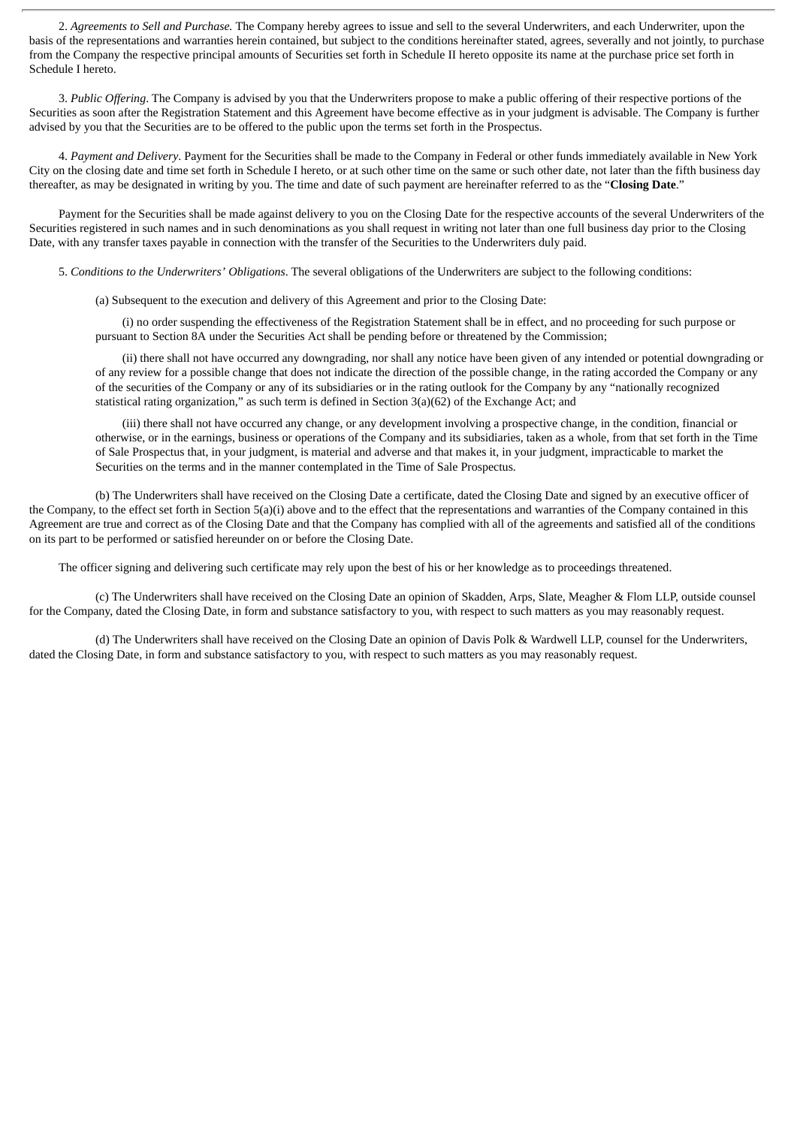2. *Agreements to Sell and Purchase.* The Company hereby agrees to issue and sell to the several Underwriters, and each Underwriter, upon the basis of the representations and warranties herein contained, but subject to the conditions hereinafter stated, agrees, severally and not jointly, to purchase from the Company the respective principal amounts of Securities set forth in Schedule II hereto opposite its name at the purchase price set forth in Schedule I hereto.

3. *Public Offering*. The Company is advised by you that the Underwriters propose to make a public offering of their respective portions of the Securities as soon after the Registration Statement and this Agreement have become effective as in your judgment is advisable. The Company is further advised by you that the Securities are to be offered to the public upon the terms set forth in the Prospectus.

4. *Payment and Delivery*. Payment for the Securities shall be made to the Company in Federal or other funds immediately available in New York City on the closing date and time set forth in Schedule I hereto, or at such other time on the same or such other date, not later than the fifth business day thereafter, as may be designated in writing by you. The time and date of such payment are hereinafter referred to as the "**Closing Date**."

Payment for the Securities shall be made against delivery to you on the Closing Date for the respective accounts of the several Underwriters of the Securities registered in such names and in such denominations as you shall request in writing not later than one full business day prior to the Closing Date, with any transfer taxes payable in connection with the transfer of the Securities to the Underwriters duly paid.

5. *Conditions to the Underwriters' Obligations*. The several obligations of the Underwriters are subject to the following conditions:

(a) Subsequent to the execution and delivery of this Agreement and prior to the Closing Date:

(i) no order suspending the effectiveness of the Registration Statement shall be in effect, and no proceeding for such purpose or pursuant to Section 8A under the Securities Act shall be pending before or threatened by the Commission;

(ii) there shall not have occurred any downgrading, nor shall any notice have been given of any intended or potential downgrading or of any review for a possible change that does not indicate the direction of the possible change, in the rating accorded the Company or any of the securities of the Company or any of its subsidiaries or in the rating outlook for the Company by any "nationally recognized statistical rating organization," as such term is defined in Section 3(a)(62) of the Exchange Act; and

(iii) there shall not have occurred any change, or any development involving a prospective change, in the condition, financial or otherwise, or in the earnings, business or operations of the Company and its subsidiaries, taken as a whole, from that set forth in the Time of Sale Prospectus that, in your judgment, is material and adverse and that makes it, in your judgment, impracticable to market the Securities on the terms and in the manner contemplated in the Time of Sale Prospectus.

(b) The Underwriters shall have received on the Closing Date a certificate, dated the Closing Date and signed by an executive officer of the Company, to the effect set forth in Section 5(a)(i) above and to the effect that the representations and warranties of the Company contained in this Agreement are true and correct as of the Closing Date and that the Company has complied with all of the agreements and satisfied all of the conditions on its part to be performed or satisfied hereunder on or before the Closing Date.

The officer signing and delivering such certificate may rely upon the best of his or her knowledge as to proceedings threatened.

(c) The Underwriters shall have received on the Closing Date an opinion of Skadden, Arps, Slate, Meagher & Flom LLP, outside counsel for the Company, dated the Closing Date, in form and substance satisfactory to you, with respect to such matters as you may reasonably request.

(d) The Underwriters shall have received on the Closing Date an opinion of Davis Polk & Wardwell LLP, counsel for the Underwriters, dated the Closing Date, in form and substance satisfactory to you, with respect to such matters as you may reasonably request.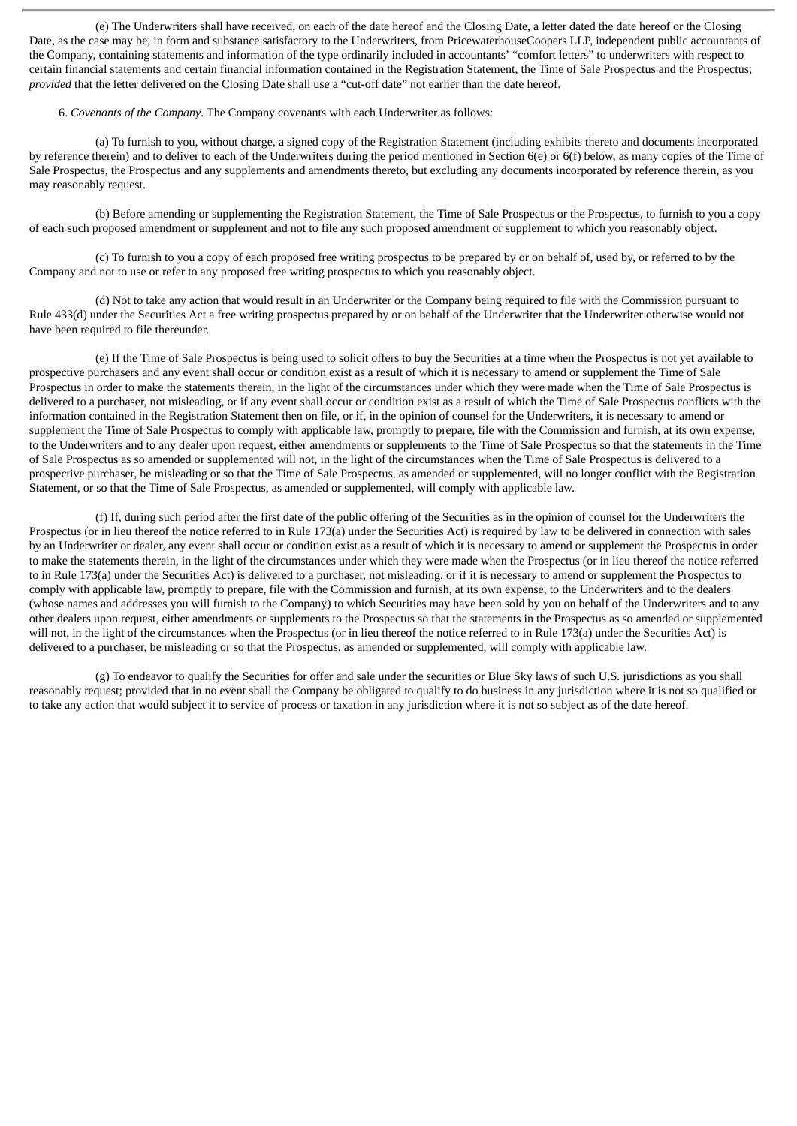(e) The Underwriters shall have received, on each of the date hereof and the Closing Date, a letter dated the date hereof or the Closing Date, as the case may be, in form and substance satisfactory to the Underwriters, from PricewaterhouseCoopers LLP, independent public accountants of the Company, containing statements and information of the type ordinarily included in accountants' "comfort letters" to underwriters with respect to certain financial statements and certain financial information contained in the Registration Statement, the Time of Sale Prospectus and the Prospectus; *provided* that the letter delivered on the Closing Date shall use a "cut-off date" not earlier than the date hereof.

6. *Covenants of the Company*. The Company covenants with each Underwriter as follows:

(a) To furnish to you, without charge, a signed copy of the Registration Statement (including exhibits thereto and documents incorporated by reference therein) and to deliver to each of the Underwriters during the period mentioned in Section 6(e) or 6(f) below, as many copies of the Time of Sale Prospectus, the Prospectus and any supplements and amendments thereto, but excluding any documents incorporated by reference therein, as you may reasonably request.

(b) Before amending or supplementing the Registration Statement, the Time of Sale Prospectus or the Prospectus, to furnish to you a copy of each such proposed amendment or supplement and not to file any such proposed amendment or supplement to which you reasonably object.

(c) To furnish to you a copy of each proposed free writing prospectus to be prepared by or on behalf of, used by, or referred to by the Company and not to use or refer to any proposed free writing prospectus to which you reasonably object.

(d) Not to take any action that would result in an Underwriter or the Company being required to file with the Commission pursuant to Rule 433(d) under the Securities Act a free writing prospectus prepared by or on behalf of the Underwriter that the Underwriter otherwise would not have been required to file thereunder.

(e) If the Time of Sale Prospectus is being used to solicit offers to buy the Securities at a time when the Prospectus is not yet available to prospective purchasers and any event shall occur or condition exist as a result of which it is necessary to amend or supplement the Time of Sale Prospectus in order to make the statements therein, in the light of the circumstances under which they were made when the Time of Sale Prospectus is delivered to a purchaser, not misleading, or if any event shall occur or condition exist as a result of which the Time of Sale Prospectus conflicts with the information contained in the Registration Statement then on file, or if, in the opinion of counsel for the Underwriters, it is necessary to amend or supplement the Time of Sale Prospectus to comply with applicable law, promptly to prepare, file with the Commission and furnish, at its own expense, to the Underwriters and to any dealer upon request, either amendments or supplements to the Time of Sale Prospectus so that the statements in the Time of Sale Prospectus as so amended or supplemented will not, in the light of the circumstances when the Time of Sale Prospectus is delivered to a prospective purchaser, be misleading or so that the Time of Sale Prospectus, as amended or supplemented, will no longer conflict with the Registration Statement, or so that the Time of Sale Prospectus, as amended or supplemented, will comply with applicable law.

(f) If, during such period after the first date of the public offering of the Securities as in the opinion of counsel for the Underwriters the Prospectus (or in lieu thereof the notice referred to in Rule 173(a) under the Securities Act) is required by law to be delivered in connection with sales by an Underwriter or dealer, any event shall occur or condition exist as a result of which it is necessary to amend or supplement the Prospectus in order to make the statements therein, in the light of the circumstances under which they were made when the Prospectus (or in lieu thereof the notice referred to in Rule 173(a) under the Securities Act) is delivered to a purchaser, not misleading, or if it is necessary to amend or supplement the Prospectus to comply with applicable law, promptly to prepare, file with the Commission and furnish, at its own expense, to the Underwriters and to the dealers (whose names and addresses you will furnish to the Company) to which Securities may have been sold by you on behalf of the Underwriters and to any other dealers upon request, either amendments or supplements to the Prospectus so that the statements in the Prospectus as so amended or supplemented will not, in the light of the circumstances when the Prospectus (or in lieu thereof the notice referred to in Rule 173(a) under the Securities Act) is delivered to a purchaser, be misleading or so that the Prospectus, as amended or supplemented, will comply with applicable law.

(g) To endeavor to qualify the Securities for offer and sale under the securities or Blue Sky laws of such U.S. jurisdictions as you shall reasonably request; provided that in no event shall the Company be obligated to qualify to do business in any jurisdiction where it is not so qualified or to take any action that would subject it to service of process or taxation in any jurisdiction where it is not so subject as of the date hereof.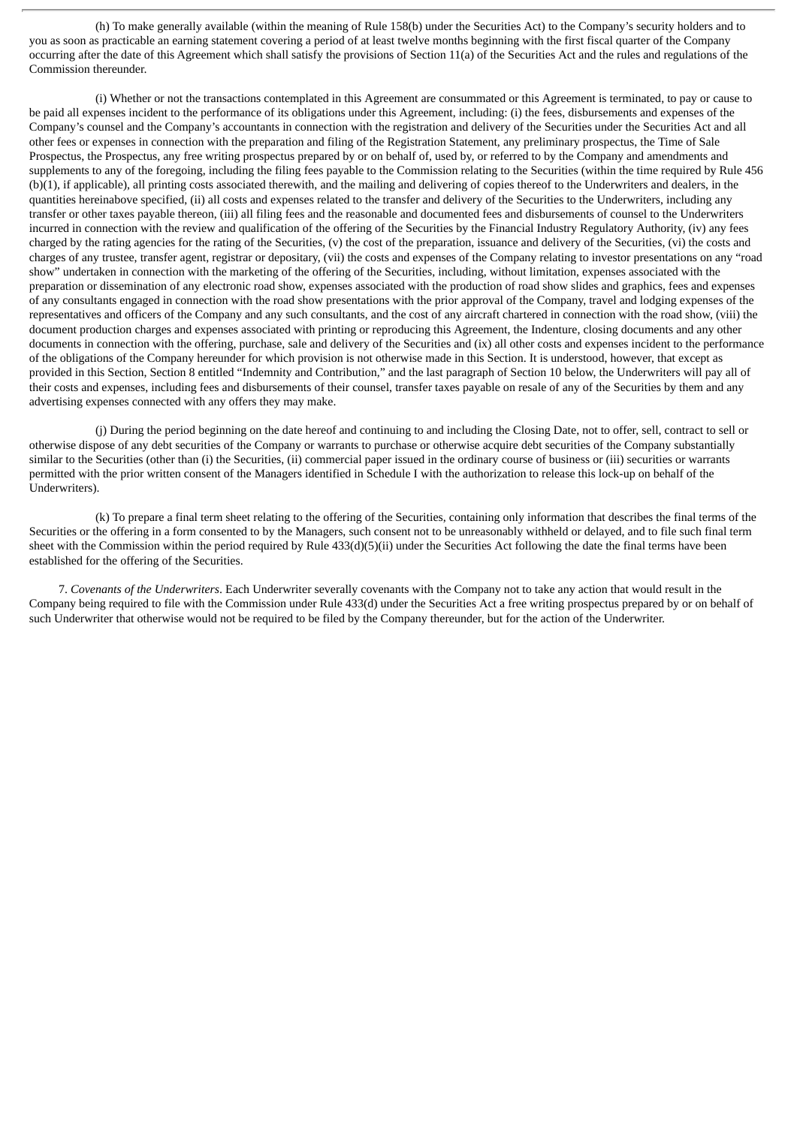(h) To make generally available (within the meaning of Rule 158(b) under the Securities Act) to the Company's security holders and to you as soon as practicable an earning statement covering a period of at least twelve months beginning with the first fiscal quarter of the Company occurring after the date of this Agreement which shall satisfy the provisions of Section 11(a) of the Securities Act and the rules and regulations of the Commission thereunder.

(i) Whether or not the transactions contemplated in this Agreement are consummated or this Agreement is terminated, to pay or cause to be paid all expenses incident to the performance of its obligations under this Agreement, including: (i) the fees, disbursements and expenses of the Company's counsel and the Company's accountants in connection with the registration and delivery of the Securities under the Securities Act and all other fees or expenses in connection with the preparation and filing of the Registration Statement, any preliminary prospectus, the Time of Sale Prospectus, the Prospectus, any free writing prospectus prepared by or on behalf of, used by, or referred to by the Company and amendments and supplements to any of the foregoing, including the filing fees payable to the Commission relating to the Securities (within the time required by Rule 456 (b)(1), if applicable), all printing costs associated therewith, and the mailing and delivering of copies thereof to the Underwriters and dealers, in the quantities hereinabove specified, (ii) all costs and expenses related to the transfer and delivery of the Securities to the Underwriters, including any transfer or other taxes payable thereon, (iii) all filing fees and the reasonable and documented fees and disbursements of counsel to the Underwriters incurred in connection with the review and qualification of the offering of the Securities by the Financial Industry Regulatory Authority, (iv) any fees charged by the rating agencies for the rating of the Securities, (v) the cost of the preparation, issuance and delivery of the Securities, (vi) the costs and charges of any trustee, transfer agent, registrar or depositary, (vii) the costs and expenses of the Company relating to investor presentations on any "road show" undertaken in connection with the marketing of the offering of the Securities, including, without limitation, expenses associated with the preparation or dissemination of any electronic road show, expenses associated with the production of road show slides and graphics, fees and expenses of any consultants engaged in connection with the road show presentations with the prior approval of the Company, travel and lodging expenses of the representatives and officers of the Company and any such consultants, and the cost of any aircraft chartered in connection with the road show, (viii) the document production charges and expenses associated with printing or reproducing this Agreement, the Indenture, closing documents and any other documents in connection with the offering, purchase, sale and delivery of the Securities and (ix) all other costs and expenses incident to the performance of the obligations of the Company hereunder for which provision is not otherwise made in this Section. It is understood, however, that except as provided in this Section, Section 8 entitled "Indemnity and Contribution," and the last paragraph of Section 10 below, the Underwriters will pay all of their costs and expenses, including fees and disbursements of their counsel, transfer taxes payable on resale of any of the Securities by them and any advertising expenses connected with any offers they may make.

(j) During the period beginning on the date hereof and continuing to and including the Closing Date, not to offer, sell, contract to sell or otherwise dispose of any debt securities of the Company or warrants to purchase or otherwise acquire debt securities of the Company substantially similar to the Securities (other than (i) the Securities, (ii) commercial paper issued in the ordinary course of business or (iii) securities or warrants permitted with the prior written consent of the Managers identified in Schedule I with the authorization to release this lock-up on behalf of the Underwriters).

(k) To prepare a final term sheet relating to the offering of the Securities, containing only information that describes the final terms of the Securities or the offering in a form consented to by the Managers, such consent not to be unreasonably withheld or delayed, and to file such final term sheet with the Commission within the period required by Rule 433(d)(5)(ii) under the Securities Act following the date the final terms have been established for the offering of the Securities.

7. *Covenants of the Underwriters*. Each Underwriter severally covenants with the Company not to take any action that would result in the Company being required to file with the Commission under Rule 433(d) under the Securities Act a free writing prospectus prepared by or on behalf of such Underwriter that otherwise would not be required to be filed by the Company thereunder, but for the action of the Underwriter.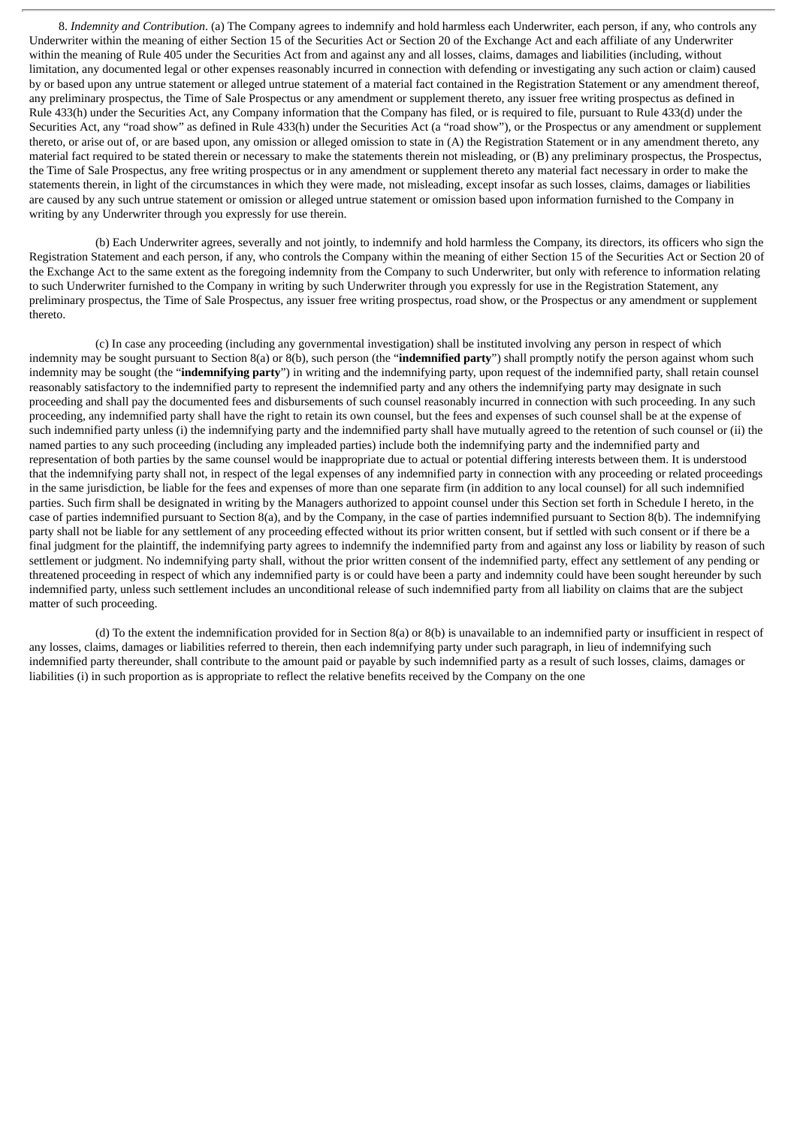8. *Indemnity and Contribution*. (a) The Company agrees to indemnify and hold harmless each Underwriter, each person, if any, who controls any Underwriter within the meaning of either Section 15 of the Securities Act or Section 20 of the Exchange Act and each affiliate of any Underwriter within the meaning of Rule 405 under the Securities Act from and against any and all losses, claims, damages and liabilities (including, without limitation, any documented legal or other expenses reasonably incurred in connection with defending or investigating any such action or claim) caused by or based upon any untrue statement or alleged untrue statement of a material fact contained in the Registration Statement or any amendment thereof, any preliminary prospectus, the Time of Sale Prospectus or any amendment or supplement thereto, any issuer free writing prospectus as defined in Rule 433(h) under the Securities Act, any Company information that the Company has filed, or is required to file, pursuant to Rule 433(d) under the Securities Act, any "road show" as defined in Rule 433(h) under the Securities Act (a "road show"), or the Prospectus or any amendment or supplement thereto, or arise out of, or are based upon, any omission or alleged omission to state in (A) the Registration Statement or in any amendment thereto, any material fact required to be stated therein or necessary to make the statements therein not misleading, or (B) any preliminary prospectus, the Prospectus, the Time of Sale Prospectus, any free writing prospectus or in any amendment or supplement thereto any material fact necessary in order to make the statements therein, in light of the circumstances in which they were made, not misleading, except insofar as such losses, claims, damages or liabilities are caused by any such untrue statement or omission or alleged untrue statement or omission based upon information furnished to the Company in writing by any Underwriter through you expressly for use therein.

(b) Each Underwriter agrees, severally and not jointly, to indemnify and hold harmless the Company, its directors, its officers who sign the Registration Statement and each person, if any, who controls the Company within the meaning of either Section 15 of the Securities Act or Section 20 of the Exchange Act to the same extent as the foregoing indemnity from the Company to such Underwriter, but only with reference to information relating to such Underwriter furnished to the Company in writing by such Underwriter through you expressly for use in the Registration Statement, any preliminary prospectus, the Time of Sale Prospectus, any issuer free writing prospectus, road show, or the Prospectus or any amendment or supplement thereto.

(c) In case any proceeding (including any governmental investigation) shall be instituted involving any person in respect of which indemnity may be sought pursuant to Section 8(a) or 8(b), such person (the "**indemnified party**") shall promptly notify the person against whom such indemnity may be sought (the "**indemnifying party**") in writing and the indemnifying party, upon request of the indemnified party, shall retain counsel reasonably satisfactory to the indemnified party to represent the indemnified party and any others the indemnifying party may designate in such proceeding and shall pay the documented fees and disbursements of such counsel reasonably incurred in connection with such proceeding. In any such proceeding, any indemnified party shall have the right to retain its own counsel, but the fees and expenses of such counsel shall be at the expense of such indemnified party unless (i) the indemnifying party and the indemnified party shall have mutually agreed to the retention of such counsel or (ii) the named parties to any such proceeding (including any impleaded parties) include both the indemnifying party and the indemnified party and representation of both parties by the same counsel would be inappropriate due to actual or potential differing interests between them. It is understood that the indemnifying party shall not, in respect of the legal expenses of any indemnified party in connection with any proceeding or related proceedings in the same jurisdiction, be liable for the fees and expenses of more than one separate firm (in addition to any local counsel) for all such indemnified parties. Such firm shall be designated in writing by the Managers authorized to appoint counsel under this Section set forth in Schedule I hereto, in the case of parties indemnified pursuant to Section 8(a), and by the Company, in the case of parties indemnified pursuant to Section 8(b). The indemnifying party shall not be liable for any settlement of any proceeding effected without its prior written consent, but if settled with such consent or if there be a final judgment for the plaintiff, the indemnifying party agrees to indemnify the indemnified party from and against any loss or liability by reason of such settlement or judgment. No indemnifying party shall, without the prior written consent of the indemnified party, effect any settlement of any pending or threatened proceeding in respect of which any indemnified party is or could have been a party and indemnity could have been sought hereunder by such indemnified party, unless such settlement includes an unconditional release of such indemnified party from all liability on claims that are the subject matter of such proceeding.

(d) To the extent the indemnification provided for in Section 8(a) or 8(b) is unavailable to an indemnified party or insufficient in respect of any losses, claims, damages or liabilities referred to therein, then each indemnifying party under such paragraph, in lieu of indemnifying such indemnified party thereunder, shall contribute to the amount paid or payable by such indemnified party as a result of such losses, claims, damages or liabilities (i) in such proportion as is appropriate to reflect the relative benefits received by the Company on the one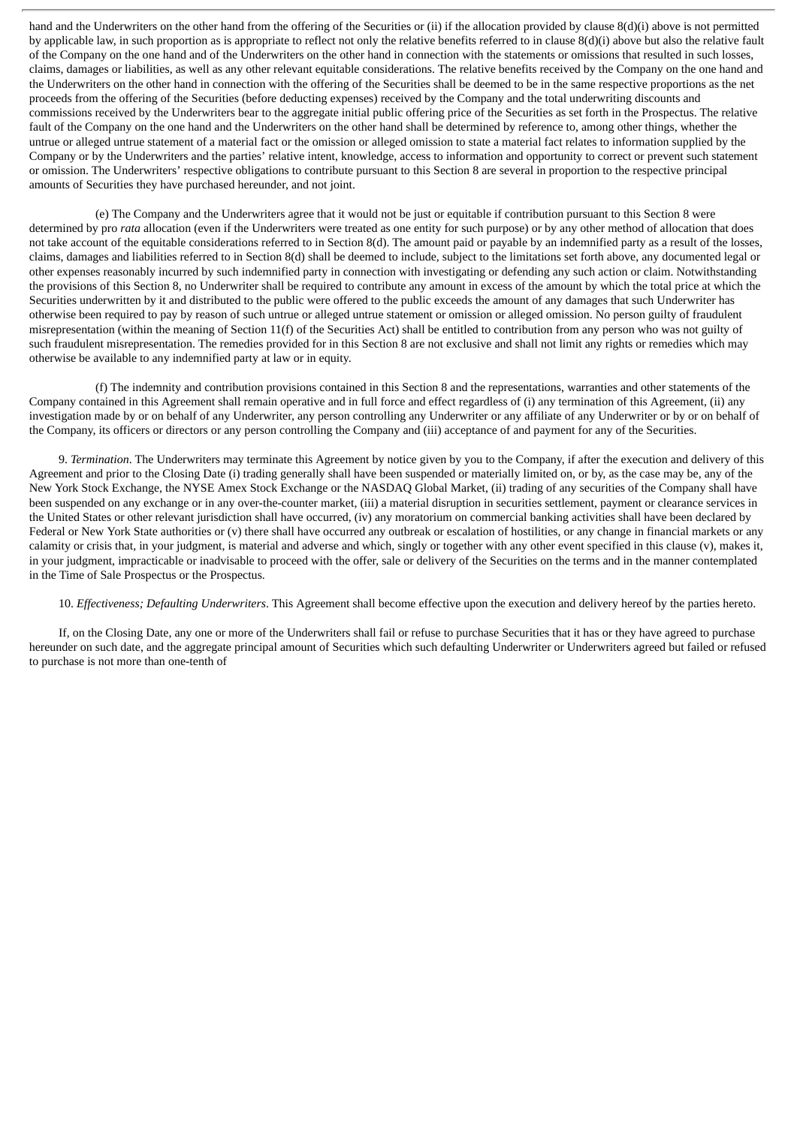hand and the Underwriters on the other hand from the offering of the Securities or (ii) if the allocation provided by clause 8(d)(i) above is not permitted by applicable law, in such proportion as is appropriate to reflect not only the relative benefits referred to in clause 8(d)(i) above but also the relative fault of the Company on the one hand and of the Underwriters on the other hand in connection with the statements or omissions that resulted in such losses, claims, damages or liabilities, as well as any other relevant equitable considerations. The relative benefits received by the Company on the one hand and the Underwriters on the other hand in connection with the offering of the Securities shall be deemed to be in the same respective proportions as the net proceeds from the offering of the Securities (before deducting expenses) received by the Company and the total underwriting discounts and commissions received by the Underwriters bear to the aggregate initial public offering price of the Securities as set forth in the Prospectus. The relative fault of the Company on the one hand and the Underwriters on the other hand shall be determined by reference to, among other things, whether the untrue or alleged untrue statement of a material fact or the omission or alleged omission to state a material fact relates to information supplied by the Company or by the Underwriters and the parties' relative intent, knowledge, access to information and opportunity to correct or prevent such statement or omission. The Underwriters' respective obligations to contribute pursuant to this Section 8 are several in proportion to the respective principal amounts of Securities they have purchased hereunder, and not joint.

(e) The Company and the Underwriters agree that it would not be just or equitable if contribution pursuant to this Section 8 were determined by pro *rata* allocation (even if the Underwriters were treated as one entity for such purpose) or by any other method of allocation that does not take account of the equitable considerations referred to in Section 8(d). The amount paid or payable by an indemnified party as a result of the losses, claims, damages and liabilities referred to in Section 8(d) shall be deemed to include, subject to the limitations set forth above, any documented legal or other expenses reasonably incurred by such indemnified party in connection with investigating or defending any such action or claim. Notwithstanding the provisions of this Section 8, no Underwriter shall be required to contribute any amount in excess of the amount by which the total price at which the Securities underwritten by it and distributed to the public were offered to the public exceeds the amount of any damages that such Underwriter has otherwise been required to pay by reason of such untrue or alleged untrue statement or omission or alleged omission. No person guilty of fraudulent misrepresentation (within the meaning of Section 11(f) of the Securities Act) shall be entitled to contribution from any person who was not guilty of such fraudulent misrepresentation. The remedies provided for in this Section 8 are not exclusive and shall not limit any rights or remedies which may otherwise be available to any indemnified party at law or in equity.

(f) The indemnity and contribution provisions contained in this Section 8 and the representations, warranties and other statements of the Company contained in this Agreement shall remain operative and in full force and effect regardless of (i) any termination of this Agreement, (ii) any investigation made by or on behalf of any Underwriter, any person controlling any Underwriter or any affiliate of any Underwriter or by or on behalf of the Company, its officers or directors or any person controlling the Company and (iii) acceptance of and payment for any of the Securities.

9. *Termination*. The Underwriters may terminate this Agreement by notice given by you to the Company, if after the execution and delivery of this Agreement and prior to the Closing Date (i) trading generally shall have been suspended or materially limited on, or by, as the case may be, any of the New York Stock Exchange, the NYSE Amex Stock Exchange or the NASDAQ Global Market, (ii) trading of any securities of the Company shall have been suspended on any exchange or in any over-the-counter market, (iii) a material disruption in securities settlement, payment or clearance services in the United States or other relevant jurisdiction shall have occurred, (iv) any moratorium on commercial banking activities shall have been declared by Federal or New York State authorities or (v) there shall have occurred any outbreak or escalation of hostilities, or any change in financial markets or any calamity or crisis that, in your judgment, is material and adverse and which, singly or together with any other event specified in this clause (v), makes it, in your judgment, impracticable or inadvisable to proceed with the offer, sale or delivery of the Securities on the terms and in the manner contemplated in the Time of Sale Prospectus or the Prospectus.

## 10. *Effectiveness; Defaulting Underwriters*. This Agreement shall become effective upon the execution and delivery hereof by the parties hereto.

If, on the Closing Date, any one or more of the Underwriters shall fail or refuse to purchase Securities that it has or they have agreed to purchase hereunder on such date, and the aggregate principal amount of Securities which such defaulting Underwriter or Underwriters agreed but failed or refused to purchase is not more than one-tenth of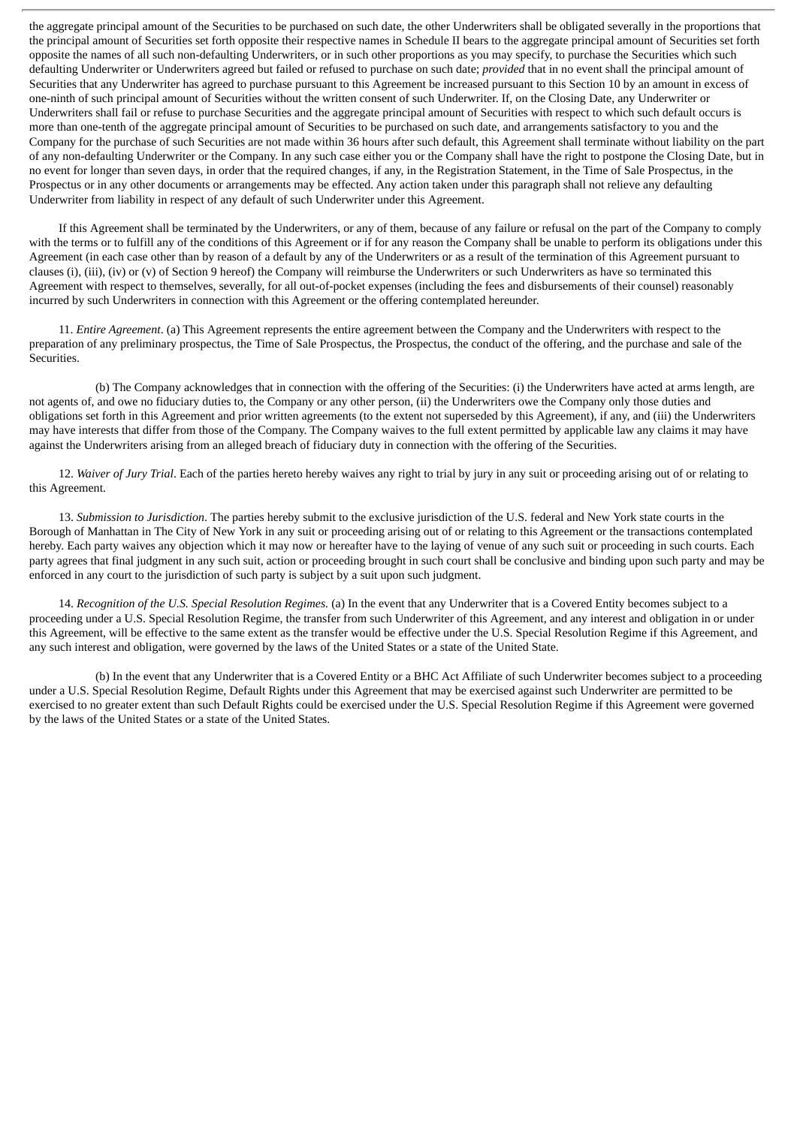the aggregate principal amount of the Securities to be purchased on such date, the other Underwriters shall be obligated severally in the proportions that the principal amount of Securities set forth opposite their respective names in Schedule II bears to the aggregate principal amount of Securities set forth opposite the names of all such non-defaulting Underwriters, or in such other proportions as you may specify, to purchase the Securities which such defaulting Underwriter or Underwriters agreed but failed or refused to purchase on such date; *provided* that in no event shall the principal amount of Securities that any Underwriter has agreed to purchase pursuant to this Agreement be increased pursuant to this Section 10 by an amount in excess of one-ninth of such principal amount of Securities without the written consent of such Underwriter. If, on the Closing Date, any Underwriter or Underwriters shall fail or refuse to purchase Securities and the aggregate principal amount of Securities with respect to which such default occurs is more than one-tenth of the aggregate principal amount of Securities to be purchased on such date, and arrangements satisfactory to you and the Company for the purchase of such Securities are not made within 36 hours after such default, this Agreement shall terminate without liability on the part of any non-defaulting Underwriter or the Company. In any such case either you or the Company shall have the right to postpone the Closing Date, but in no event for longer than seven days, in order that the required changes, if any, in the Registration Statement, in the Time of Sale Prospectus, in the Prospectus or in any other documents or arrangements may be effected. Any action taken under this paragraph shall not relieve any defaulting Underwriter from liability in respect of any default of such Underwriter under this Agreement.

If this Agreement shall be terminated by the Underwriters, or any of them, because of any failure or refusal on the part of the Company to comply with the terms or to fulfill any of the conditions of this Agreement or if for any reason the Company shall be unable to perform its obligations under this Agreement (in each case other than by reason of a default by any of the Underwriters or as a result of the termination of this Agreement pursuant to clauses (i), (iii), (iv) or (v) of Section 9 hereof) the Company will reimburse the Underwriters or such Underwriters as have so terminated this Agreement with respect to themselves, severally, for all out-of-pocket expenses (including the fees and disbursements of their counsel) reasonably incurred by such Underwriters in connection with this Agreement or the offering contemplated hereunder.

11. *Entire Agreement*. (a) This Agreement represents the entire agreement between the Company and the Underwriters with respect to the preparation of any preliminary prospectus, the Time of Sale Prospectus, the Prospectus, the conduct of the offering, and the purchase and sale of the Securities.

(b) The Company acknowledges that in connection with the offering of the Securities: (i) the Underwriters have acted at arms length, are not agents of, and owe no fiduciary duties to, the Company or any other person, (ii) the Underwriters owe the Company only those duties and obligations set forth in this Agreement and prior written agreements (to the extent not superseded by this Agreement), if any, and (iii) the Underwriters may have interests that differ from those of the Company. The Company waives to the full extent permitted by applicable law any claims it may have against the Underwriters arising from an alleged breach of fiduciary duty in connection with the offering of the Securities.

12. *Waiver of Jury Trial*. Each of the parties hereto hereby waives any right to trial by jury in any suit or proceeding arising out of or relating to this Agreement.

13. *Submission to Jurisdiction*. The parties hereby submit to the exclusive jurisdiction of the U.S. federal and New York state courts in the Borough of Manhattan in The City of New York in any suit or proceeding arising out of or relating to this Agreement or the transactions contemplated hereby. Each party waives any objection which it may now or hereafter have to the laying of venue of any such suit or proceeding in such courts. Each party agrees that final judgment in any such suit, action or proceeding brought in such court shall be conclusive and binding upon such party and may be enforced in any court to the jurisdiction of such party is subject by a suit upon such judgment.

14. *Recognition of the U.S. Special Resolution Regimes.* (a) In the event that any Underwriter that is a Covered Entity becomes subject to a proceeding under a U.S. Special Resolution Regime, the transfer from such Underwriter of this Agreement, and any interest and obligation in or under this Agreement, will be effective to the same extent as the transfer would be effective under the U.S. Special Resolution Regime if this Agreement, and any such interest and obligation, were governed by the laws of the United States or a state of the United State.

(b) In the event that any Underwriter that is a Covered Entity or a BHC Act Affiliate of such Underwriter becomes subject to a proceeding under a U.S. Special Resolution Regime, Default Rights under this Agreement that may be exercised against such Underwriter are permitted to be exercised to no greater extent than such Default Rights could be exercised under the U.S. Special Resolution Regime if this Agreement were governed by the laws of the United States or a state of the United States.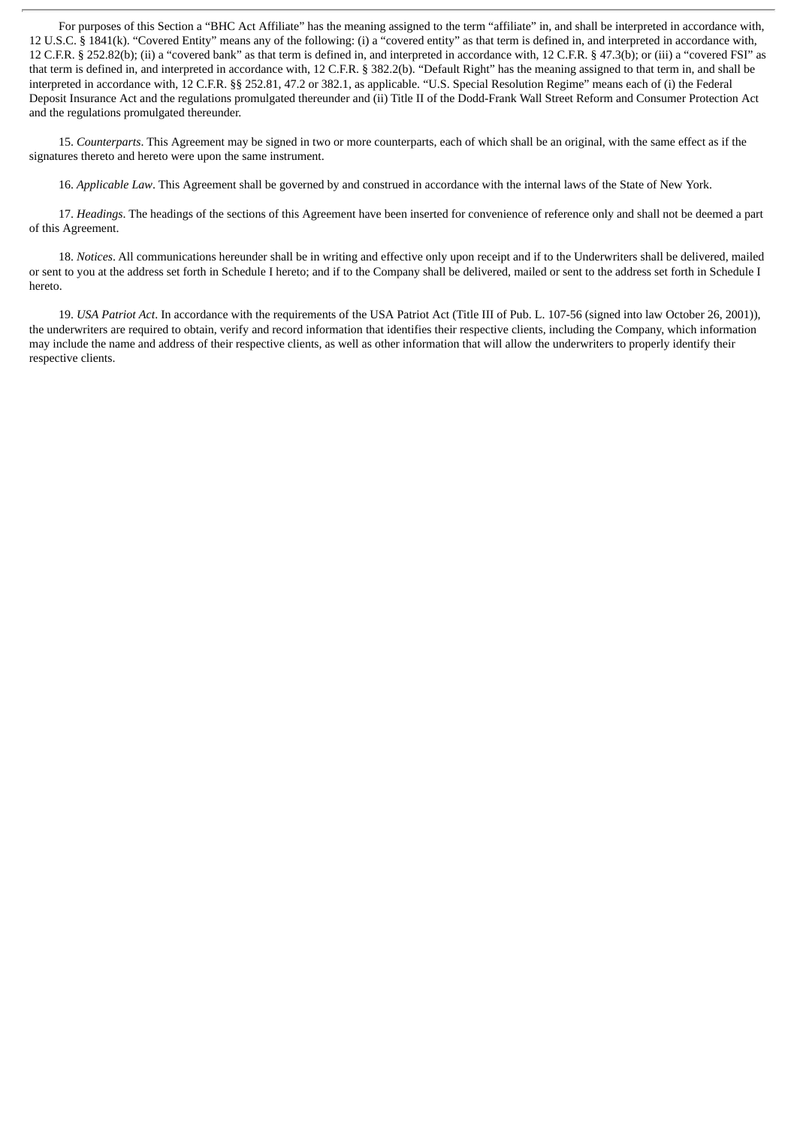For purposes of this Section a "BHC Act Affiliate" has the meaning assigned to the term "affiliate" in, and shall be interpreted in accordance with, 12 U.S.C. § 1841(k). "Covered Entity" means any of the following: (i) a "covered entity" as that term is defined in, and interpreted in accordance with, 12 C.F.R. § 252.82(b); (ii) a "covered bank" as that term is defined in, and interpreted in accordance with, 12 C.F.R. § 47.3(b); or (iii) a "covered FSI" as that term is defined in, and interpreted in accordance with, 12 C.F.R. § 382.2(b). "Default Right" has the meaning assigned to that term in, and shall be interpreted in accordance with, 12 C.F.R. §§ 252.81, 47.2 or 382.1, as applicable. "U.S. Special Resolution Regime" means each of (i) the Federal Deposit Insurance Act and the regulations promulgated thereunder and (ii) Title II of the Dodd-Frank Wall Street Reform and Consumer Protection Act and the regulations promulgated thereunder.

15. *Counterparts*. This Agreement may be signed in two or more counterparts, each of which shall be an original, with the same effect as if the signatures thereto and hereto were upon the same instrument.

16. *Applicable Law*. This Agreement shall be governed by and construed in accordance with the internal laws of the State of New York.

17. *Headings*. The headings of the sections of this Agreement have been inserted for convenience of reference only and shall not be deemed a part of this Agreement.

18. *Notices*. All communications hereunder shall be in writing and effective only upon receipt and if to the Underwriters shall be delivered, mailed or sent to you at the address set forth in Schedule I hereto; and if to the Company shall be delivered, mailed or sent to the address set forth in Schedule I hereto.

19. *USA Patriot Act*. In accordance with the requirements of the USA Patriot Act (Title III of Pub. L. 107-56 (signed into law October 26, 2001)), the underwriters are required to obtain, verify and record information that identifies their respective clients, including the Company, which information may include the name and address of their respective clients, as well as other information that will allow the underwriters to properly identify their respective clients.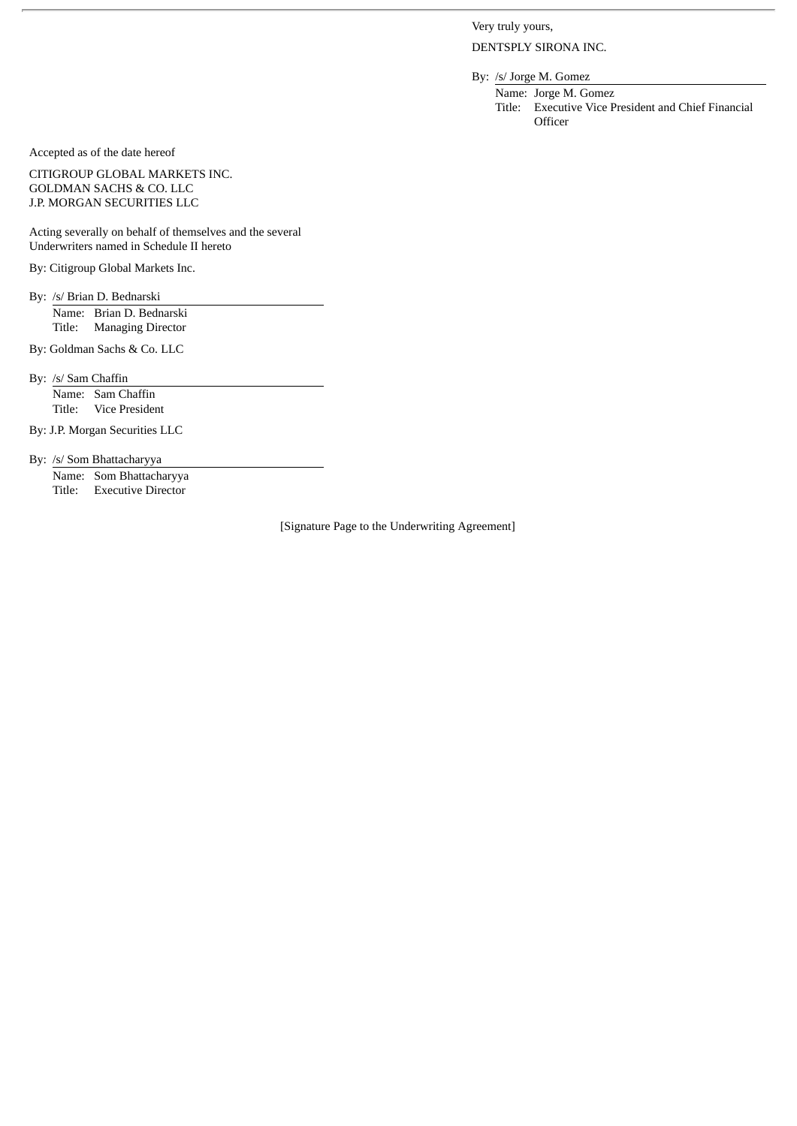Very truly yours,

DENTSPLY SIRONA INC.

By: /s/ Jorge M. Gomez Name: Jorge M. Gomez

Title: Executive Vice President and Chief Financial **Officer** 

Accepted as of the date hereof

CITIGROUP GLOBAL MARKETS INC. GOLDMAN SACHS & CO. LLC J.P. MORGAN SECURITIES LLC

Acting severally on behalf of themselves and the several Underwriters named in Schedule II hereto

By: Citigroup Global Markets Inc.

By: /s/ Brian D. Bednarski Name: Brian D. Bednarski Title: Managing Director

By: Goldman Sachs & Co. LLC

By: /s/ Sam Chaffin

Name: Sam Chaffin Title: Vice President

By: J.P. Morgan Securities LLC

By: /s/ Som Bhattacharyya

Name: Som Bhattacharyya Title: Executive Director

[Signature Page to the Underwriting Agreement]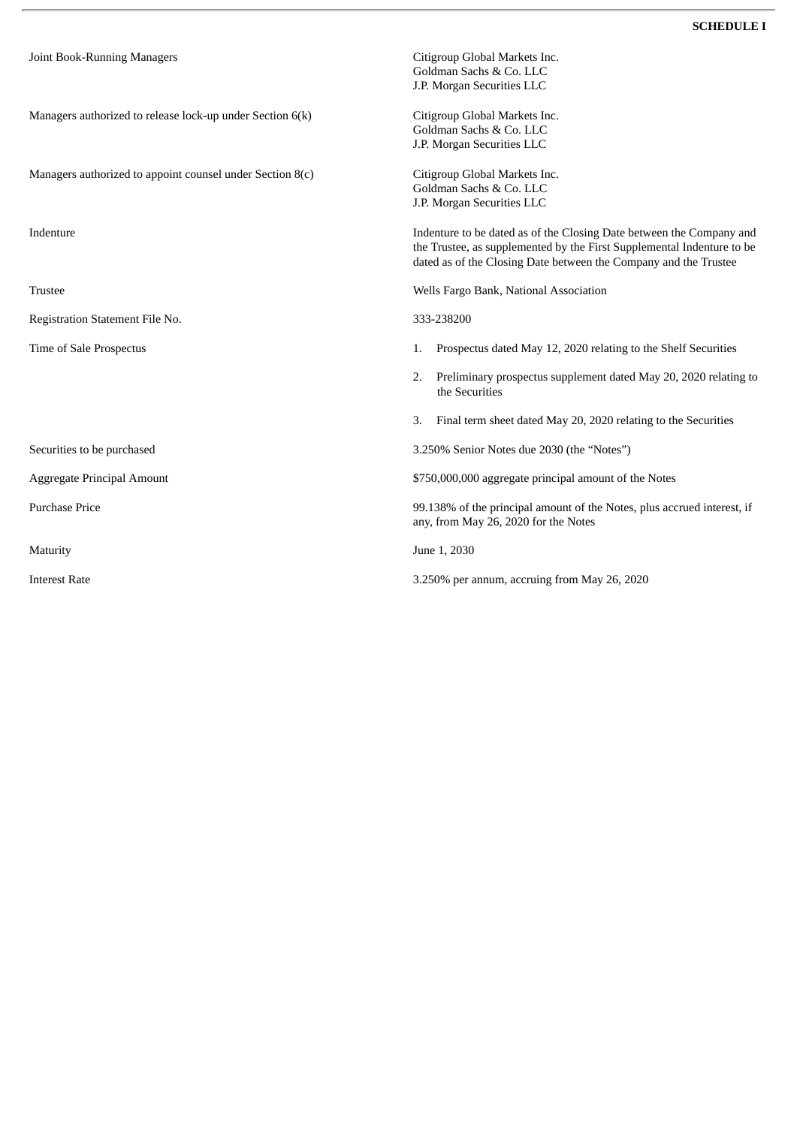| Joint Book-Running Managers                                 | Citigroup Global Markets Inc.<br>Goldman Sachs & Co. LLC<br>J.P. Morgan Securities LLC                                                                                                                             |  |
|-------------------------------------------------------------|--------------------------------------------------------------------------------------------------------------------------------------------------------------------------------------------------------------------|--|
| Managers authorized to release lock-up under Section 6(k)   | Citigroup Global Markets Inc.<br>Goldman Sachs & Co. LLC<br>J.P. Morgan Securities LLC                                                                                                                             |  |
| Managers authorized to appoint counsel under Section $8(c)$ | Citigroup Global Markets Inc.<br>Goldman Sachs & Co. LLC<br>J.P. Morgan Securities LLC                                                                                                                             |  |
| Indenture                                                   | Indenture to be dated as of the Closing Date between the Company and<br>the Trustee, as supplemented by the First Supplemental Indenture to be<br>dated as of the Closing Date between the Company and the Trustee |  |
| <b>Trustee</b>                                              | Wells Fargo Bank, National Association                                                                                                                                                                             |  |
| Registration Statement File No.                             | 333-238200                                                                                                                                                                                                         |  |
| Time of Sale Prospectus                                     | Prospectus dated May 12, 2020 relating to the Shelf Securities<br>1.                                                                                                                                               |  |
|                                                             | Preliminary prospectus supplement dated May 20, 2020 relating to<br>2.<br>the Securities                                                                                                                           |  |
|                                                             | Final term sheet dated May 20, 2020 relating to the Securities<br>3.                                                                                                                                               |  |
| Securities to be purchased                                  | 3.250% Senior Notes due 2030 (the "Notes")                                                                                                                                                                         |  |
| Aggregate Principal Amount                                  | \$750,000,000 aggregate principal amount of the Notes                                                                                                                                                              |  |
| <b>Purchase Price</b>                                       | 99.138% of the principal amount of the Notes, plus accrued interest, if<br>any, from May 26, 2020 for the Notes                                                                                                    |  |
| Maturity                                                    | June 1, 2030                                                                                                                                                                                                       |  |
| <b>Interest Rate</b>                                        | 3.250% per annum, accruing from May 26, 2020                                                                                                                                                                       |  |

 $\bar{r}$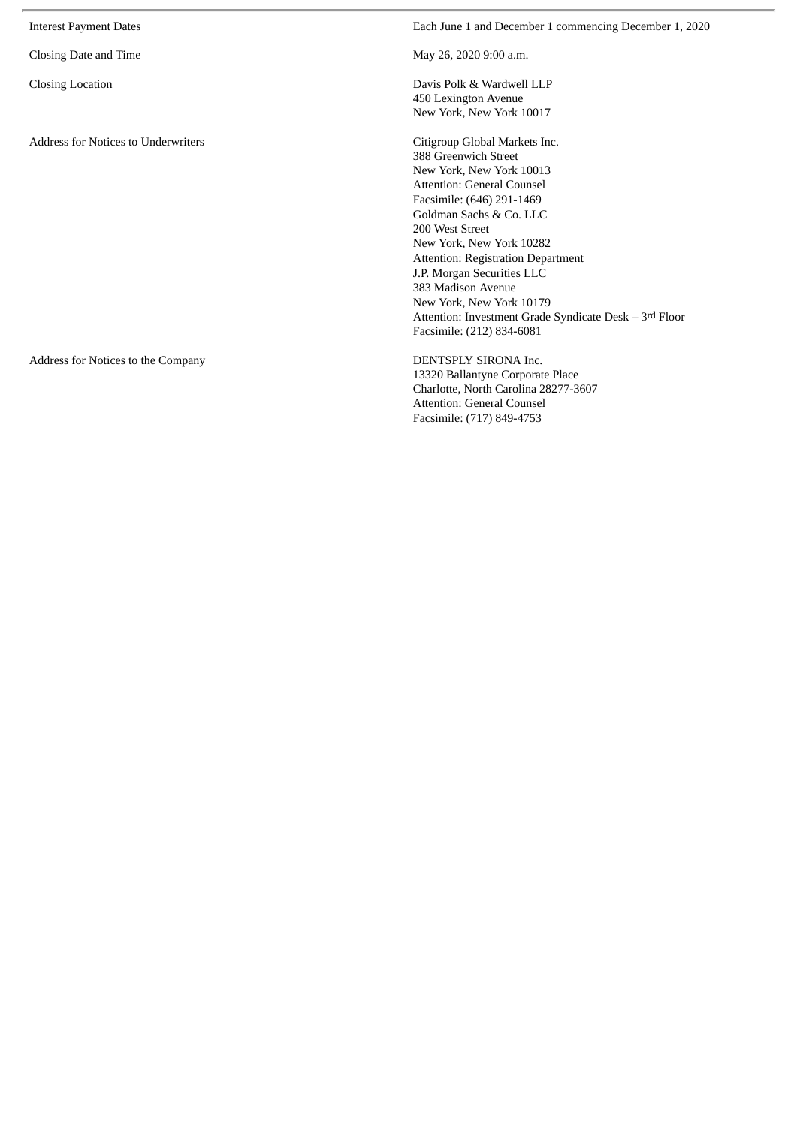| <b>Interest Payment Dates</b>              | Each June 1 and December 1 commencing December 1, 2020                                                                                                                                                                                                                                                                                                                                                                                     |
|--------------------------------------------|--------------------------------------------------------------------------------------------------------------------------------------------------------------------------------------------------------------------------------------------------------------------------------------------------------------------------------------------------------------------------------------------------------------------------------------------|
| Closing Date and Time                      | May 26, 2020 9:00 a.m.                                                                                                                                                                                                                                                                                                                                                                                                                     |
| <b>Closing Location</b>                    | Davis Polk & Wardwell LLP<br>450 Lexington Avenue<br>New York, New York 10017                                                                                                                                                                                                                                                                                                                                                              |
| <b>Address for Notices to Underwriters</b> | Citigroup Global Markets Inc.<br>388 Greenwich Street<br>New York, New York 10013<br>Attention: General Counsel<br>Facsimile: (646) 291-1469<br>Goldman Sachs & Co. LLC<br>200 West Street<br>New York, New York 10282<br><b>Attention: Registration Department</b><br>J.P. Morgan Securities LLC<br>383 Madison Avenue<br>New York, New York 10179<br>Attention: Investment Grade Syndicate Desk – 3rd Floor<br>Facsimile: (212) 834-6081 |
| Address for Notices to the Company         | DENTSPLY SIRONA Inc.<br>13320 Ballantyne Corporate Place<br>Charlotte, North Carolina 28277-3607<br><b>Attention: General Counsel</b><br>Facsimile: (717) 849-4753                                                                                                                                                                                                                                                                         |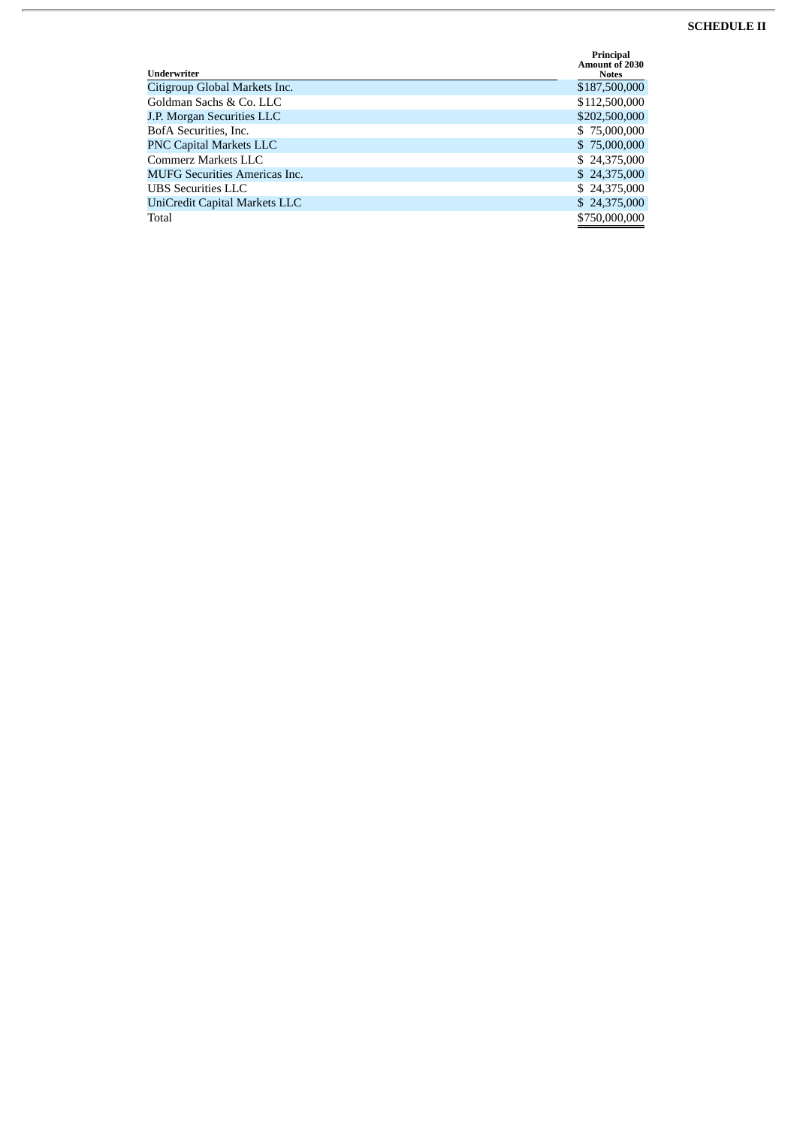## **SCHEDULE II**

| Underwriter                          | Principal<br><b>Amount of 2030</b><br><b>Notes</b> |
|--------------------------------------|----------------------------------------------------|
| Citigroup Global Markets Inc.        | \$187,500,000                                      |
| Goldman Sachs & Co. LLC              | \$112,500,000                                      |
| J.P. Morgan Securities LLC           | \$202,500,000                                      |
| BofA Securities, Inc.                | \$75,000,000                                       |
| <b>PNC Capital Markets LLC</b>       | \$75,000,000                                       |
| Commerz Markets LLC                  | \$24,375,000                                       |
| <b>MUFG Securities Americas Inc.</b> | \$24,375,000                                       |
| <b>UBS</b> Securities LLC            | \$24,375,000                                       |
| UniCredit Capital Markets LLC        | \$24,375,000                                       |
| Total                                | \$750,000,000                                      |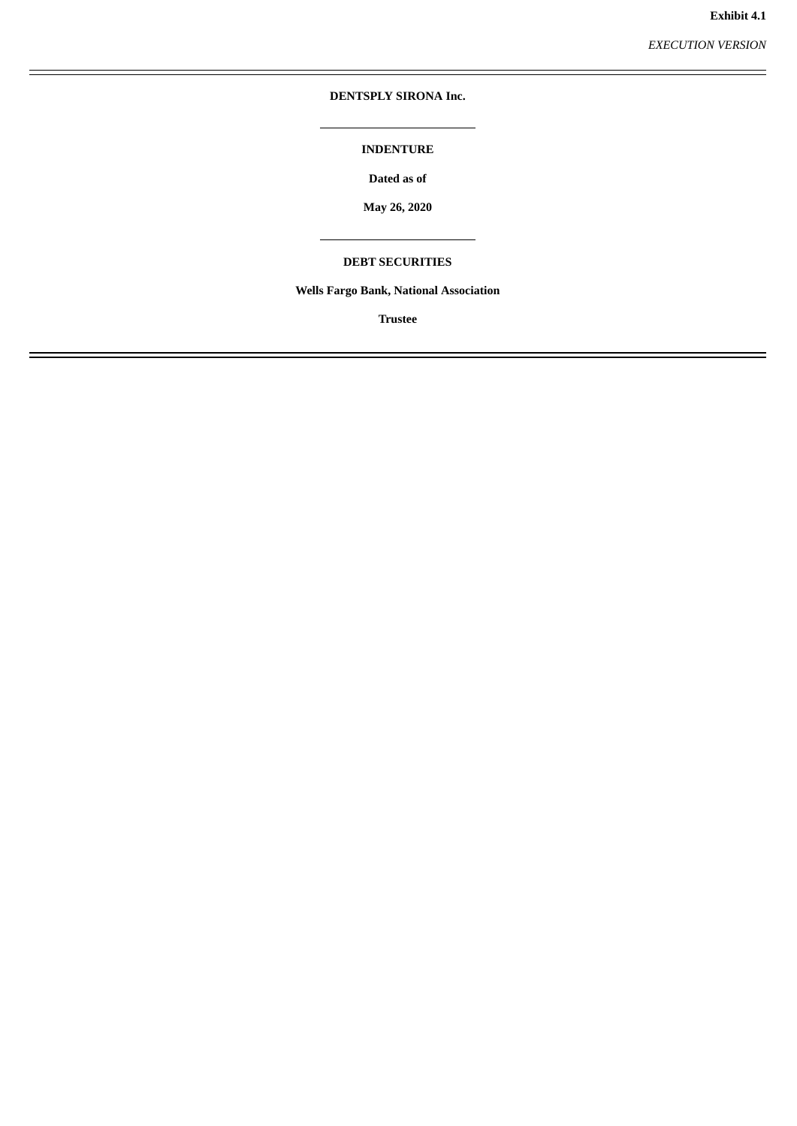*EXECUTION VERSION*

## <span id="page-22-0"></span>**DENTSPLY SIRONA Inc.**

## **INDENTURE**

**Dated as of**

**May 26, 2020**

## **DEBT SECURITIES**

## **Wells Fargo Bank, National Association**

**Trustee**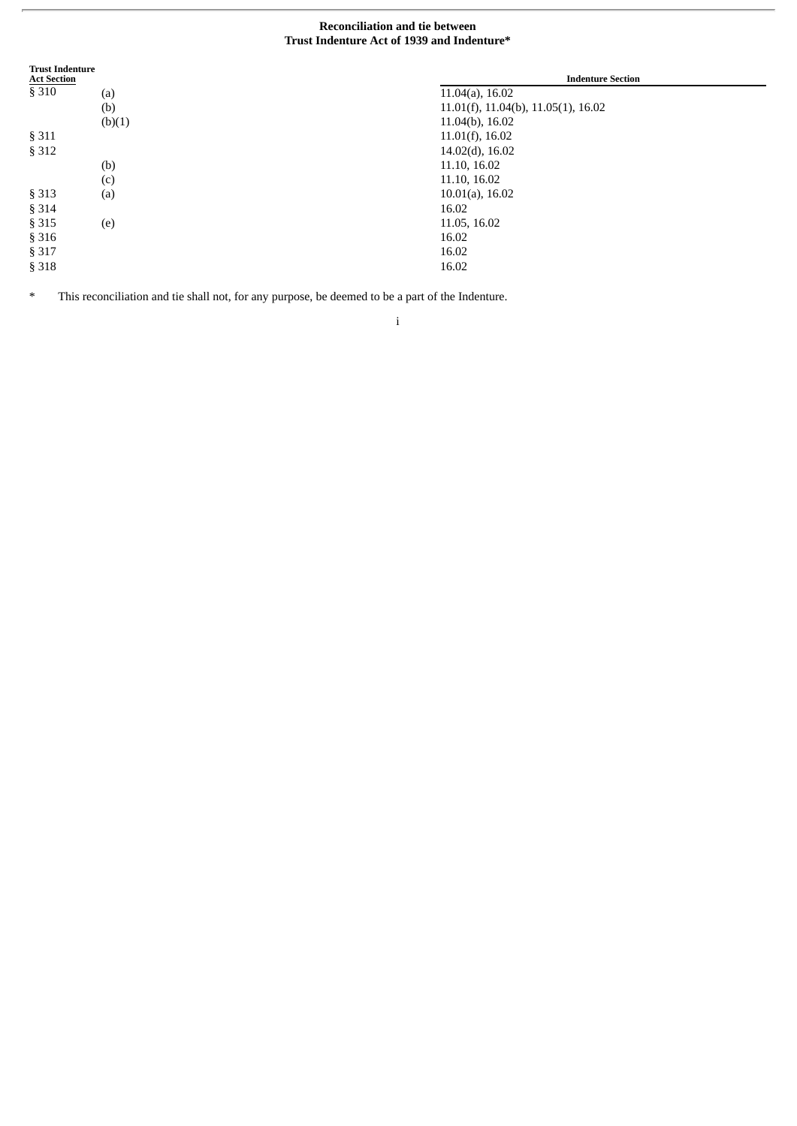## **Reconciliation and tie between Trust Indenture Act of 1939 and Indenture\***

| <b>Trust Indenture</b><br><b>Act Section</b> |        | <b>Indenture Section</b>                       |
|----------------------------------------------|--------|------------------------------------------------|
| § 310                                        | (a)    | $11.04(a)$ , 16.02                             |
|                                              | (b)    | $11.01(f)$ , $11.04(b)$ , $11.05(1)$ , $16.02$ |
|                                              | (b)(1) | 11.04(b), 16.02                                |
| §311                                         |        | $11.01(f)$ , 16.02                             |
| § 312                                        |        | $14.02(d)$ , 16.02                             |
|                                              | (b)    | 11.10, 16.02                                   |
|                                              | (c)    | 11.10, 16.02                                   |
| §313                                         | (a)    | $10.01(a)$ , 16.02                             |
| § 314                                        |        | 16.02                                          |
| §315                                         | (e)    | 11.05, 16.02                                   |
| §316                                         |        | 16.02                                          |
| § 317                                        |        | 16.02                                          |
| §318                                         |        | 16.02                                          |

\* This reconciliation and tie shall not, for any purpose, be deemed to be a part of the Indenture.

i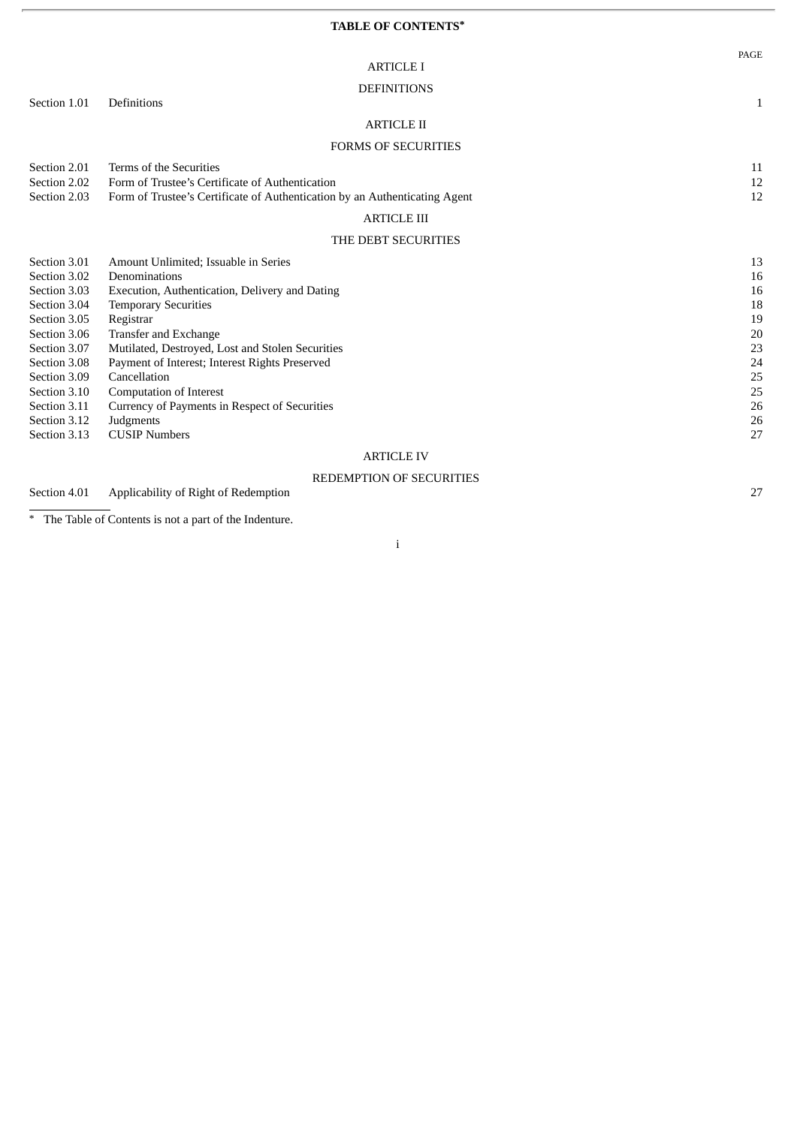## **TABLE OF CONTENTS\***

PAGE

|                                                                                                                                                                                                              | <b>DEFINITIONS</b>                                                                                                                                                                                                                                                                                                                                                                                                  |                                                                            |
|--------------------------------------------------------------------------------------------------------------------------------------------------------------------------------------------------------------|---------------------------------------------------------------------------------------------------------------------------------------------------------------------------------------------------------------------------------------------------------------------------------------------------------------------------------------------------------------------------------------------------------------------|----------------------------------------------------------------------------|
| Section 1.01                                                                                                                                                                                                 | <b>Definitions</b>                                                                                                                                                                                                                                                                                                                                                                                                  | 1                                                                          |
|                                                                                                                                                                                                              | <b>ARTICLE II</b>                                                                                                                                                                                                                                                                                                                                                                                                   |                                                                            |
|                                                                                                                                                                                                              | <b>FORMS OF SECURITIES</b>                                                                                                                                                                                                                                                                                                                                                                                          |                                                                            |
| Section 2.01<br>Section 2.02<br>Section 2.03                                                                                                                                                                 | Terms of the Securities<br>Form of Trustee's Certificate of Authentication<br>Form of Trustee's Certificate of Authentication by an Authenticating Agent                                                                                                                                                                                                                                                            | 11<br>12<br>12                                                             |
|                                                                                                                                                                                                              | <b>ARTICLE III</b>                                                                                                                                                                                                                                                                                                                                                                                                  |                                                                            |
|                                                                                                                                                                                                              | THE DEBT SECURITIES                                                                                                                                                                                                                                                                                                                                                                                                 |                                                                            |
| Section 3.01<br>Section 3.02<br>Section 3.03<br>Section 3.04<br>Section 3.05<br>Section 3.06<br>Section 3.07<br>Section 3.08<br>Section 3.09<br>Section 3.10<br>Section 3.11<br>Section 3.12<br>Section 3.13 | Amount Unlimited; Issuable in Series<br>Denominations<br>Execution, Authentication, Delivery and Dating<br><b>Temporary Securities</b><br>Registrar<br>Transfer and Exchange<br>Mutilated, Destroyed, Lost and Stolen Securities<br>Payment of Interest; Interest Rights Preserved<br>Cancellation<br>Computation of Interest<br>Currency of Payments in Respect of Securities<br>Judgments<br><b>CUSIP Numbers</b> | 13<br>16<br>16<br>18<br>19<br>20<br>23<br>24<br>25<br>25<br>26<br>26<br>27 |
|                                                                                                                                                                                                              | <b>ARTICLE IV</b>                                                                                                                                                                                                                                                                                                                                                                                                   |                                                                            |

## REDEMPTION OF SECURITIES

Section 4.01 Applicability of Right of Redemption 27

\* The Table of Contents is not a part of the Indenture.

i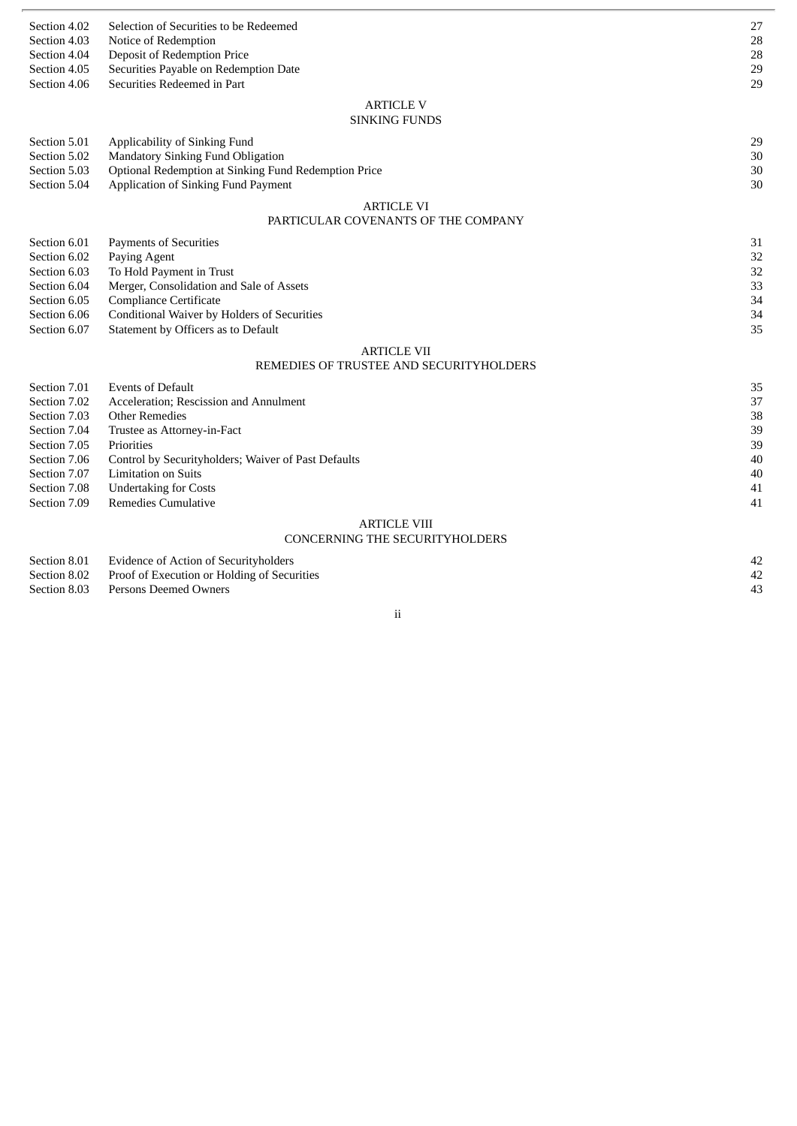| Section 4.02                 | Selection of Securities to be Redeemed                               | 27       |
|------------------------------|----------------------------------------------------------------------|----------|
| Section 4.03                 | Notice of Redemption                                                 | 28       |
| Section 4.04                 | Deposit of Redemption Price                                          | 28<br>29 |
| Section 4.05<br>Section 4.06 | Securities Payable on Redemption Date<br>Securities Redeemed in Part | 29       |
|                              |                                                                      |          |
|                              | <b>ARTICLE V</b>                                                     |          |
|                              | <b>SINKING FUNDS</b>                                                 |          |
| Section 5.01                 | Applicability of Sinking Fund                                        | 29       |
| Section 5.02                 | Mandatory Sinking Fund Obligation                                    | 30       |
| Section 5.03                 | Optional Redemption at Sinking Fund Redemption Price                 | 30       |
| Section 5.04                 | Application of Sinking Fund Payment                                  | 30       |
|                              | <b>ARTICLE VI</b>                                                    |          |
|                              | PARTICULAR COVENANTS OF THE COMPANY                                  |          |
| Section 6.01                 | <b>Payments of Securities</b>                                        | 31       |
| Section 6.02                 | Paying Agent                                                         | 32       |
| Section 6.03                 | To Hold Payment in Trust                                             | 32       |
| Section 6.04                 | Merger, Consolidation and Sale of Assets                             | 33       |
| Section 6.05                 | <b>Compliance Certificate</b>                                        | 34       |
| Section 6.06                 | Conditional Waiver by Holders of Securities                          | 34       |
| Section 6.07                 | Statement by Officers as to Default                                  | 35       |
|                              | <b>ARTICLE VII</b>                                                   |          |
|                              | REMEDIES OF TRUSTEE AND SECURITYHOLDERS                              |          |
| Section 7.01                 | <b>Events of Default</b>                                             | 35       |
| Section 7.02                 | Acceleration; Rescission and Annulment                               | 37       |
| Section 7.03                 | <b>Other Remedies</b>                                                | 38       |
| Section 7.04                 | Trustee as Attorney-in-Fact                                          | 39       |
| Section 7.05                 | Priorities                                                           | 39       |
| Section 7.06                 | Control by Securityholders; Waiver of Past Defaults                  | 40       |
| Section 7.07                 | <b>Limitation on Suits</b>                                           | 40       |
| Section 7.08                 | <b>Undertaking for Costs</b>                                         | 41       |
| Section 7.09                 | Remedies Cumulative                                                  | 41       |
|                              | <b>ARTICLE VIII</b>                                                  |          |
|                              | <b>CONCERNING THE SECURITYHOLDERS</b>                                |          |
| Section 8.01                 | <b>Evidence of Action of Securityholders</b>                         | 42       |
| Section 8.02                 | Proof of Execution or Holding of Securities                          | 42       |

- 
- Section 8.03 Persons Deemed Owners 43

ii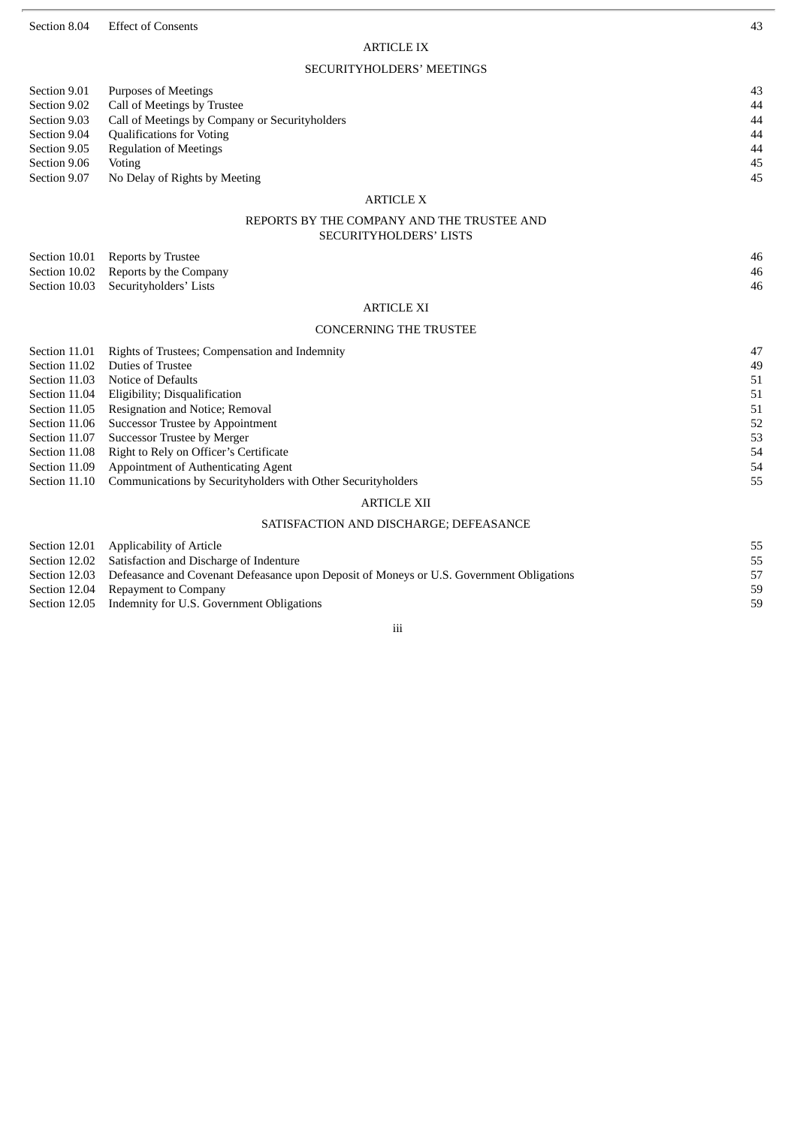Section 8.04 Effect of Consents 43

## ARTICLE IX

## SECURITYHOLDERS' MEETINGS

| Section 9.01 | Purposes of Meetings                           | 43 |
|--------------|------------------------------------------------|----|
| Section 9.02 | Call of Meetings by Trustee                    | 44 |
| Section 9.03 | Call of Meetings by Company or Securityholders | 44 |
| Section 9.04 | <b>Qualifications for Voting</b>               | 44 |
| Section 9.05 | Regulation of Meetings                         | 44 |
| Section 9.06 | Voting                                         | 45 |
| Section 9.07 | No Delay of Rights by Meeting                  | 45 |
|              |                                                |    |

## ARTICLE X

## REPORTS BY THE COMPANY AND THE TRUSTEE AND SECURITYHOLDERS' LISTS

| Section 10.01 Reports by Trustee     | 46 |
|--------------------------------------|----|
| Section 10.02 Reports by the Company | 46 |
| Section 10.03 Securityholders' Lists | 46 |

## ARTICLE XI

## CONCERNING THE TRUSTEE

| Section 11.01 | Rights of Trustees; Compensation and Indemnity               | 47 |
|---------------|--------------------------------------------------------------|----|
| Section 11.02 | Duties of Trustee                                            | 49 |
| Section 11.03 | Notice of Defaults                                           | 51 |
| Section 11.04 | Eligibility; Disqualification                                | 51 |
| Section 11.05 | Resignation and Notice; Removal                              | 51 |
| Section 11.06 | Successor Trustee by Appointment                             | 52 |
| Section 11.07 | Successor Trustee by Merger                                  | 53 |
| Section 11.08 | Right to Rely on Officer's Certificate                       | 54 |
| Section 11.09 | Appointment of Authenticating Agent                          | 54 |
| Section 11.10 | Communications by Securityholders with Other Securityholders | 55 |
|               | ARTICLE XII                                                  |    |

## SATISFACTION AND DISCHARGE; DEFEASANCE

Section 12.01 Applicability of Article 55<br>
Section 12.02 Satisfaction and Discharge of Indenture 55 Section 12.02 Satisfaction and Discharge of Indenture

Section 12.03 Defeasance and Covenant Defeasance upon Deposit of Moneys or U.S. Government Obligations 57

Section 12.04 Repayment to Company 59

Section 12.05 Indemnity for U.S. Government Obligations 59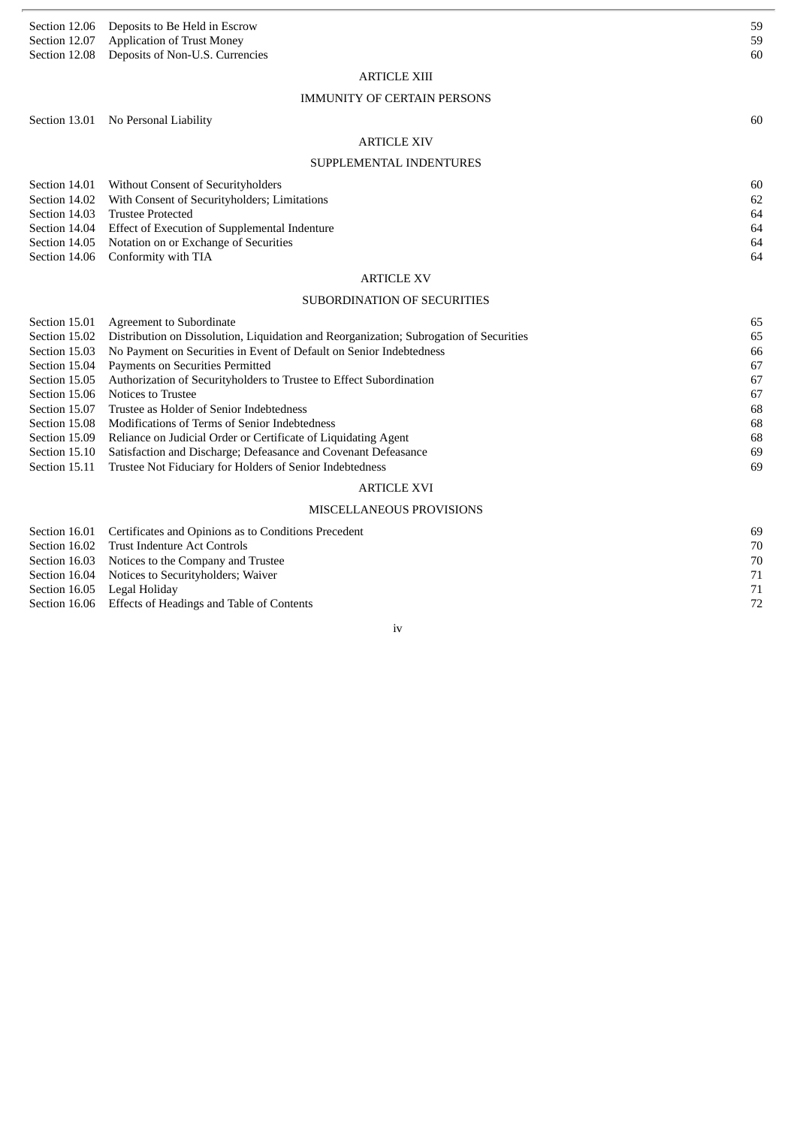| Section 12.06                  | Deposits to Be Held in Escrow                                                                                   | 59       |  |
|--------------------------------|-----------------------------------------------------------------------------------------------------------------|----------|--|
| Section 12.07<br>Section 12.08 | <b>Application of Trust Money</b><br>Deposits of Non-U.S. Currencies                                            | 59<br>60 |  |
|                                |                                                                                                                 |          |  |
|                                | <b>ARTICLE XIII</b>                                                                                             |          |  |
|                                | <b>IMMUNITY OF CERTAIN PERSONS</b>                                                                              |          |  |
|                                | Section 13.01 No Personal Liability                                                                             | 60       |  |
|                                | <b>ARTICLE XIV</b>                                                                                              |          |  |
|                                | SUPPLEMENTAL INDENTURES                                                                                         |          |  |
|                                |                                                                                                                 |          |  |
| Section 14.01                  | <b>Without Consent of Securityholders</b>                                                                       | 60       |  |
| Section 14.02<br>Section 14.03 | With Consent of Securityholders; Limitations<br><b>Trustee Protected</b>                                        | 62<br>64 |  |
| Section 14.04                  | Effect of Execution of Supplemental Indenture                                                                   | 64       |  |
| Section 14.05                  | Notation on or Exchange of Securities                                                                           | 64       |  |
| Section 14.06                  | Conformity with TIA                                                                                             | 64       |  |
|                                | <b>ARTICLE XV</b>                                                                                               |          |  |
| SUBORDINATION OF SECURITIES    |                                                                                                                 |          |  |
| Section 15.01                  | Agreement to Subordinate                                                                                        | 65       |  |
| Section 15.02                  | Distribution on Dissolution, Liquidation and Reorganization; Subrogation of Securities                          | 65       |  |
| Section 15.03                  | No Payment on Securities in Event of Default on Senior Indebtedness                                             | 66       |  |
| Section 15.04                  | Payments on Securities Permitted                                                                                | 67       |  |
| Section 15.05                  | Authorization of Securityholders to Trustee to Effect Subordination                                             | 67       |  |
| Section 15.06                  | Notices to Trustee                                                                                              | 67       |  |
| Section 15.07                  | Trustee as Holder of Senior Indebtedness                                                                        | 68       |  |
| Section 15.08<br>Section 15.09 | Modifications of Terms of Senior Indebtedness<br>Reliance on Judicial Order or Certificate of Liquidating Agent | 68<br>68 |  |
| Section 15.10                  | Satisfaction and Discharge; Defeasance and Covenant Defeasance                                                  | 69       |  |
| Section 15.11                  | Trustee Not Fiduciary for Holders of Senior Indebtedness                                                        | 69       |  |
|                                | <b>ARTICLE XVI</b>                                                                                              |          |  |
|                                | <b>MISCELLANEOUS PROVISIONS</b>                                                                                 |          |  |
| Section 16.01                  | Certificates and Opinions as to Conditions Precedent                                                            | 69       |  |
| Section 16.02                  | <b>Trust Indenture Act Controls</b>                                                                             | 70       |  |
| Section 16.03                  | Notices to the Company and Trustee                                                                              | 70       |  |

Section 16.04 Notices to Securityholders; Waiver 71

Section 16.05 Legal Holiday 71

Section 16.06 Effects of Headings and Table of Contents 72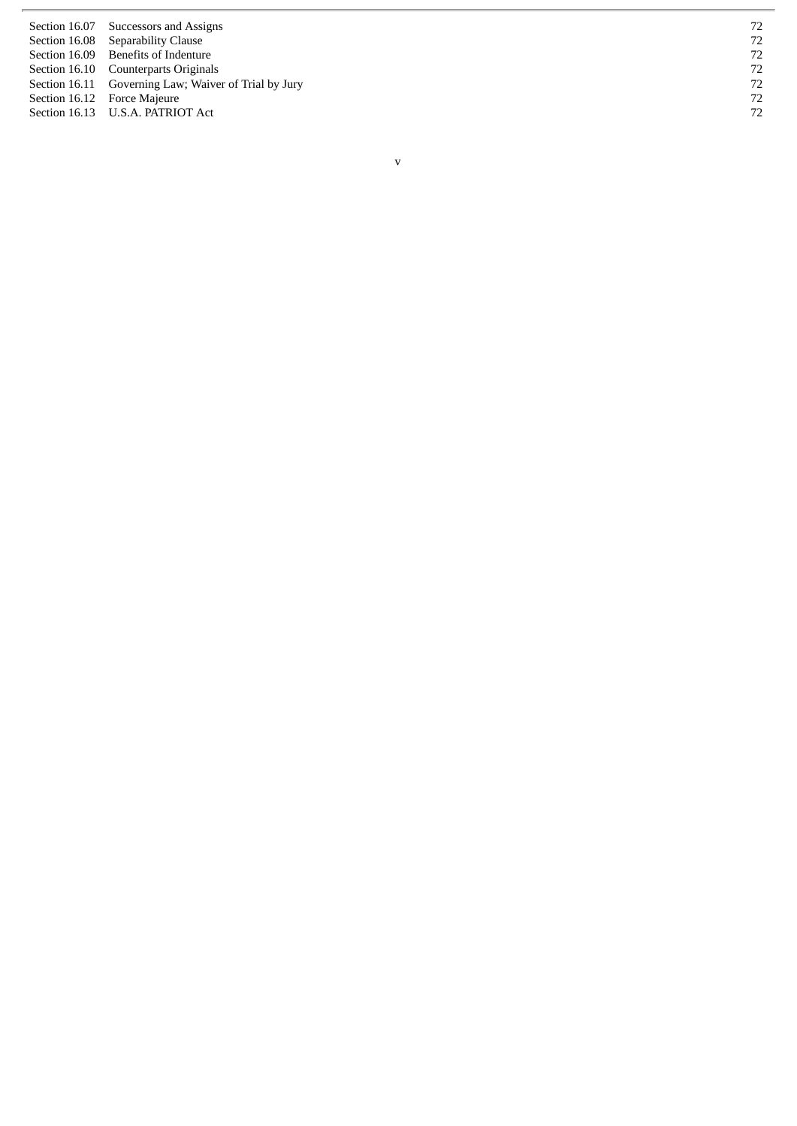| Section 16.07 Successors and Assigns                 | 72 |
|------------------------------------------------------|----|
| Section 16.08 Separability Clause                    | 72 |
| Section 16.09 Benefits of Indenture                  | 72 |
| Section 16.10 Counterparts Originals                 | 72 |
| Section 16.11 Governing Law; Waiver of Trial by Jury | 72 |
| Section 16.12 Force Majeure                          | 72 |
| Section 16.13 U.S.A. PATRIOT Act                     | 72 |
|                                                      |    |

v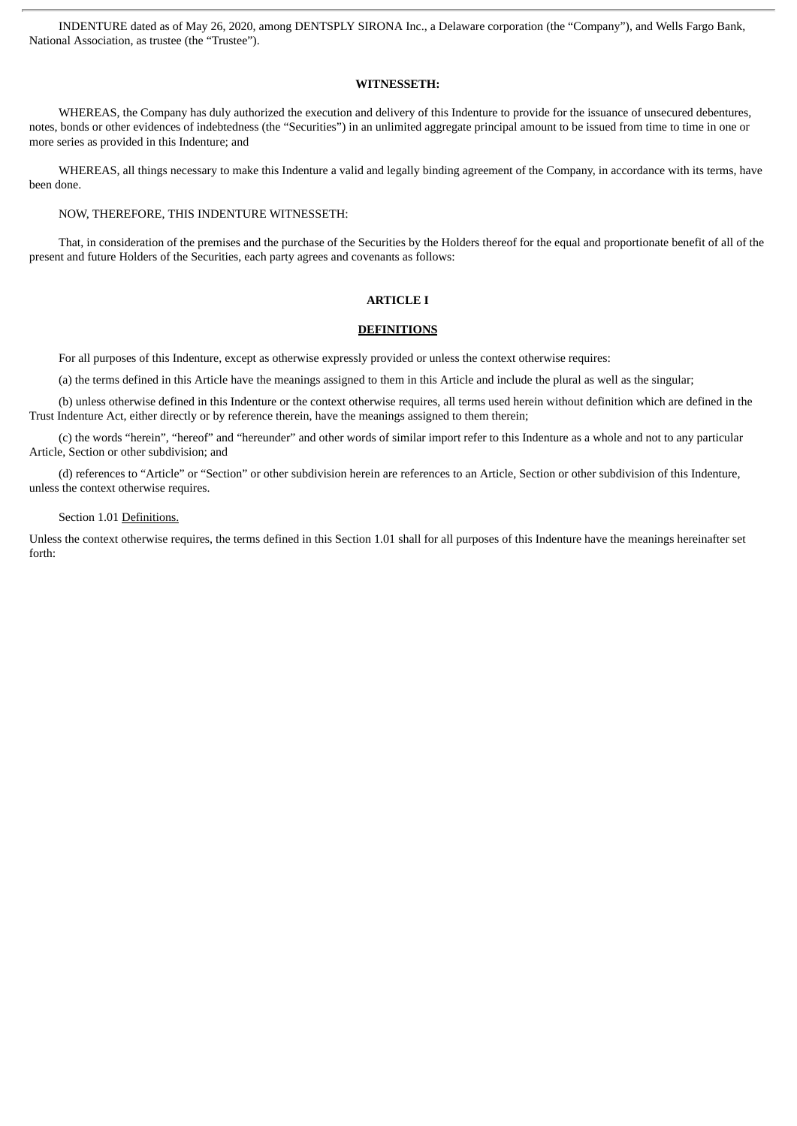INDENTURE dated as of May 26, 2020, among DENTSPLY SIRONA Inc., a Delaware corporation (the "Company"), and Wells Fargo Bank, National Association, as trustee (the "Trustee").

## **WITNESSETH:**

WHEREAS, the Company has duly authorized the execution and delivery of this Indenture to provide for the issuance of unsecured debentures. notes, bonds or other evidences of indebtedness (the "Securities") in an unlimited aggregate principal amount to be issued from time to time in one or more series as provided in this Indenture; and

WHEREAS, all things necessary to make this Indenture a valid and legally binding agreement of the Company, in accordance with its terms, have been done.

NOW, THEREFORE, THIS INDENTURE WITNESSETH:

That, in consideration of the premises and the purchase of the Securities by the Holders thereof for the equal and proportionate benefit of all of the present and future Holders of the Securities, each party agrees and covenants as follows:

## **ARTICLE I**

## **DEFINITIONS**

For all purposes of this Indenture, except as otherwise expressly provided or unless the context otherwise requires:

(a) the terms defined in this Article have the meanings assigned to them in this Article and include the plural as well as the singular;

(b) unless otherwise defined in this Indenture or the context otherwise requires, all terms used herein without definition which are defined in the Trust Indenture Act, either directly or by reference therein, have the meanings assigned to them therein;

(c) the words "herein", "hereof" and "hereunder" and other words of similar import refer to this Indenture as a whole and not to any particular Article, Section or other subdivision; and

(d) references to "Article" or "Section" or other subdivision herein are references to an Article, Section or other subdivision of this Indenture, unless the context otherwise requires.

## Section 1.01 Definitions.

Unless the context otherwise requires, the terms defined in this Section 1.01 shall for all purposes of this Indenture have the meanings hereinafter set forth: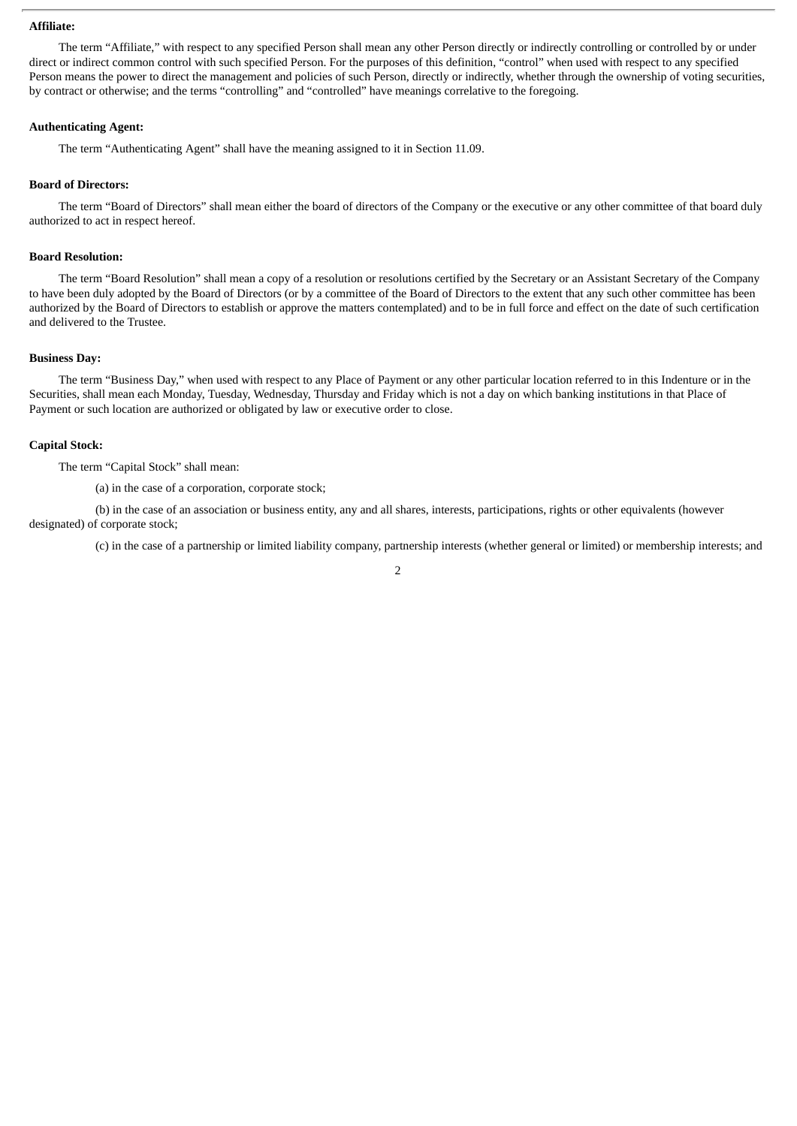## **Affiliate:**

The term "Affiliate," with respect to any specified Person shall mean any other Person directly or indirectly controlling or controlled by or under direct or indirect common control with such specified Person. For the purposes of this definition, "control" when used with respect to any specified Person means the power to direct the management and policies of such Person, directly or indirectly, whether through the ownership of voting securities, by contract or otherwise; and the terms "controlling" and "controlled" have meanings correlative to the foregoing.

## **Authenticating Agent:**

The term "Authenticating Agent" shall have the meaning assigned to it in Section 11.09.

## **Board of Directors:**

The term "Board of Directors" shall mean either the board of directors of the Company or the executive or any other committee of that board duly authorized to act in respect hereof.

## **Board Resolution:**

The term "Board Resolution" shall mean a copy of a resolution or resolutions certified by the Secretary or an Assistant Secretary of the Company to have been duly adopted by the Board of Directors (or by a committee of the Board of Directors to the extent that any such other committee has been authorized by the Board of Directors to establish or approve the matters contemplated) and to be in full force and effect on the date of such certification and delivered to the Trustee.

## **Business Day:**

The term "Business Day," when used with respect to any Place of Payment or any other particular location referred to in this Indenture or in the Securities, shall mean each Monday, Tuesday, Wednesday, Thursday and Friday which is not a day on which banking institutions in that Place of Payment or such location are authorized or obligated by law or executive order to close.

## **Capital Stock:**

The term "Capital Stock" shall mean:

(a) in the case of a corporation, corporate stock;

(b) in the case of an association or business entity, any and all shares, interests, participations, rights or other equivalents (however designated) of corporate stock;

(c) in the case of a partnership or limited liability company, partnership interests (whether general or limited) or membership interests; and

2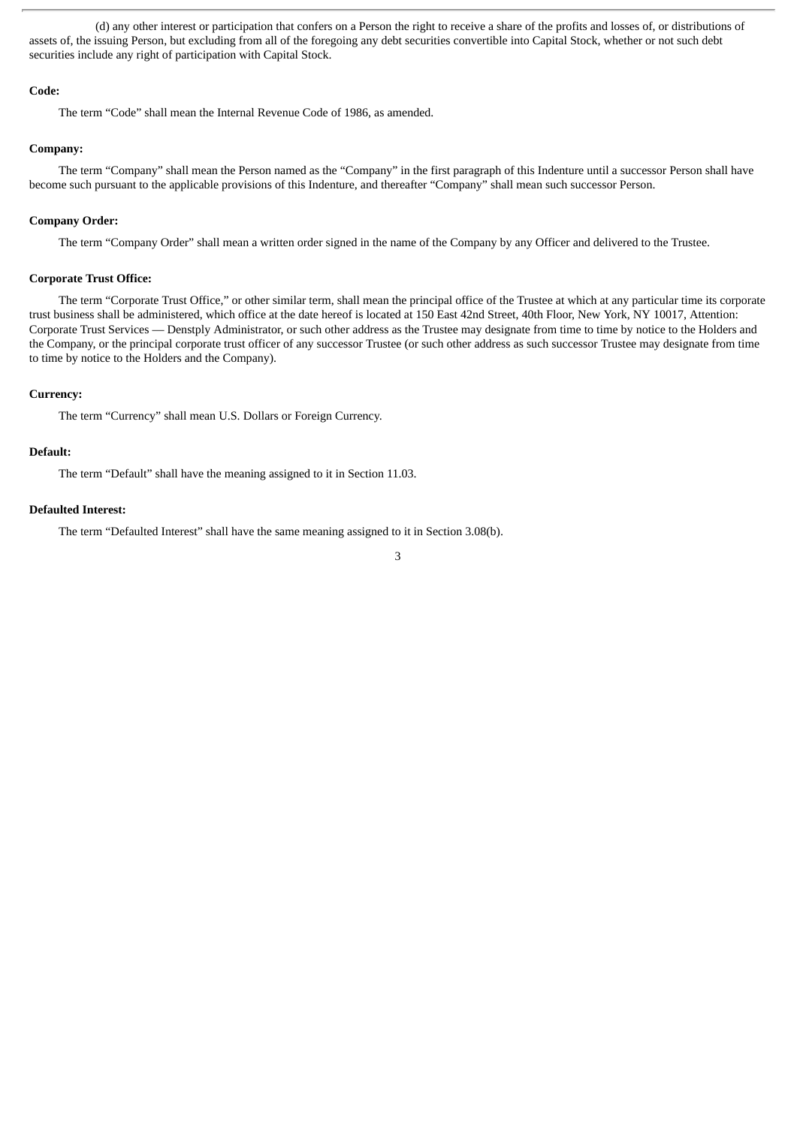(d) any other interest or participation that confers on a Person the right to receive a share of the profits and losses of, or distributions of assets of, the issuing Person, but excluding from all of the foregoing any debt securities convertible into Capital Stock, whether or not such debt securities include any right of participation with Capital Stock.

## **Code:**

The term "Code" shall mean the Internal Revenue Code of 1986, as amended.

### **Company:**

The term "Company" shall mean the Person named as the "Company" in the first paragraph of this Indenture until a successor Person shall have become such pursuant to the applicable provisions of this Indenture, and thereafter "Company" shall mean such successor Person.

## **Company Order:**

The term "Company Order" shall mean a written order signed in the name of the Company by any Officer and delivered to the Trustee.

## **Corporate Trust Office:**

The term "Corporate Trust Office," or other similar term, shall mean the principal office of the Trustee at which at any particular time its corporate trust business shall be administered, which office at the date hereof is located at 150 East 42nd Street, 40th Floor, New York, NY 10017, Attention: Corporate Trust Services — Denstply Administrator, or such other address as the Trustee may designate from time to time by notice to the Holders and the Company, or the principal corporate trust officer of any successor Trustee (or such other address as such successor Trustee may designate from time to time by notice to the Holders and the Company).

## **Currency:**

The term "Currency" shall mean U.S. Dollars or Foreign Currency.

## **Default:**

The term "Default" shall have the meaning assigned to it in Section 11.03.

## **Defaulted Interest:**

The term "Defaulted Interest" shall have the same meaning assigned to it in Section 3.08(b).

3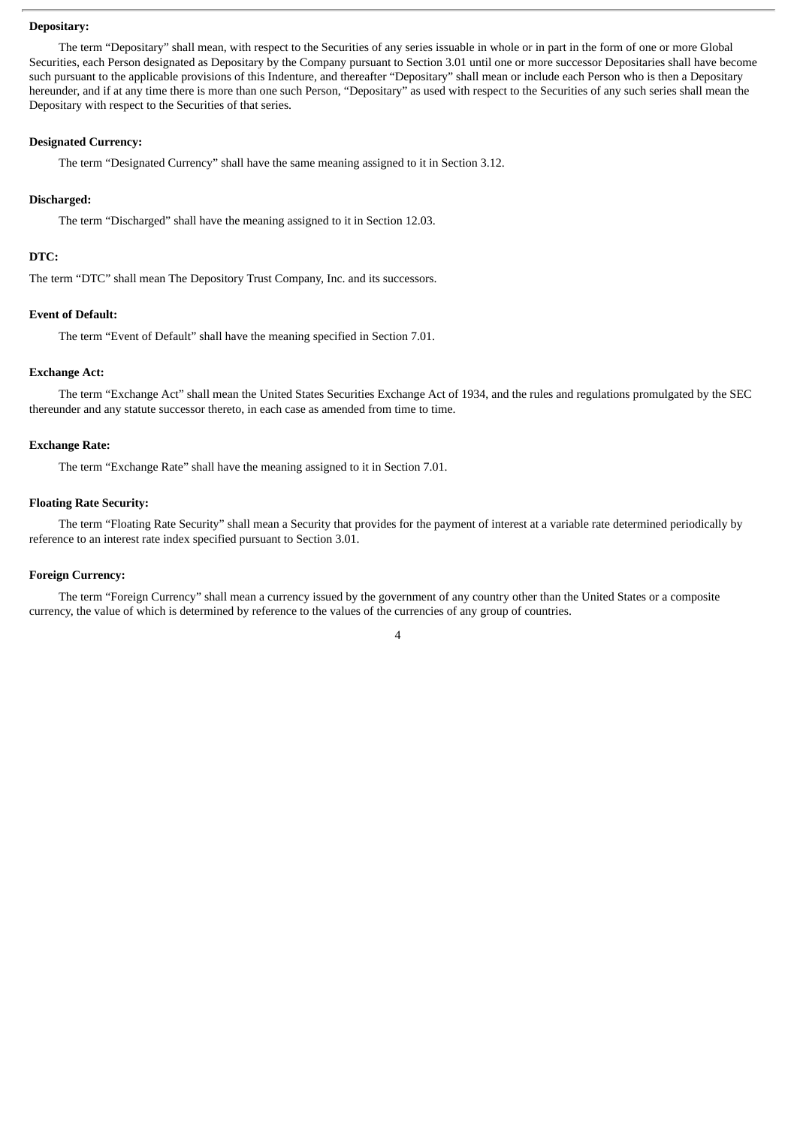## **Depositary:**

The term "Depositary" shall mean, with respect to the Securities of any series issuable in whole or in part in the form of one or more Global Securities, each Person designated as Depositary by the Company pursuant to Section 3.01 until one or more successor Depositaries shall have become such pursuant to the applicable provisions of this Indenture, and thereafter "Depositary" shall mean or include each Person who is then a Depositary hereunder, and if at any time there is more than one such Person, "Depositary" as used with respect to the Securities of any such series shall mean the Depositary with respect to the Securities of that series.

#### **Designated Currency:**

The term "Designated Currency" shall have the same meaning assigned to it in Section 3.12.

## **Discharged:**

The term "Discharged" shall have the meaning assigned to it in Section 12.03.

## **DTC:**

The term "DTC" shall mean The Depository Trust Company, Inc. and its successors.

## **Event of Default:**

The term "Event of Default" shall have the meaning specified in Section 7.01.

## **Exchange Act:**

The term "Exchange Act" shall mean the United States Securities Exchange Act of 1934, and the rules and regulations promulgated by the SEC thereunder and any statute successor thereto, in each case as amended from time to time.

## **Exchange Rate:**

The term "Exchange Rate" shall have the meaning assigned to it in Section 7.01.

## **Floating Rate Security:**

The term "Floating Rate Security" shall mean a Security that provides for the payment of interest at a variable rate determined periodically by reference to an interest rate index specified pursuant to Section 3.01.

## **Foreign Currency:**

The term "Foreign Currency" shall mean a currency issued by the government of any country other than the United States or a composite currency, the value of which is determined by reference to the values of the currencies of any group of countries.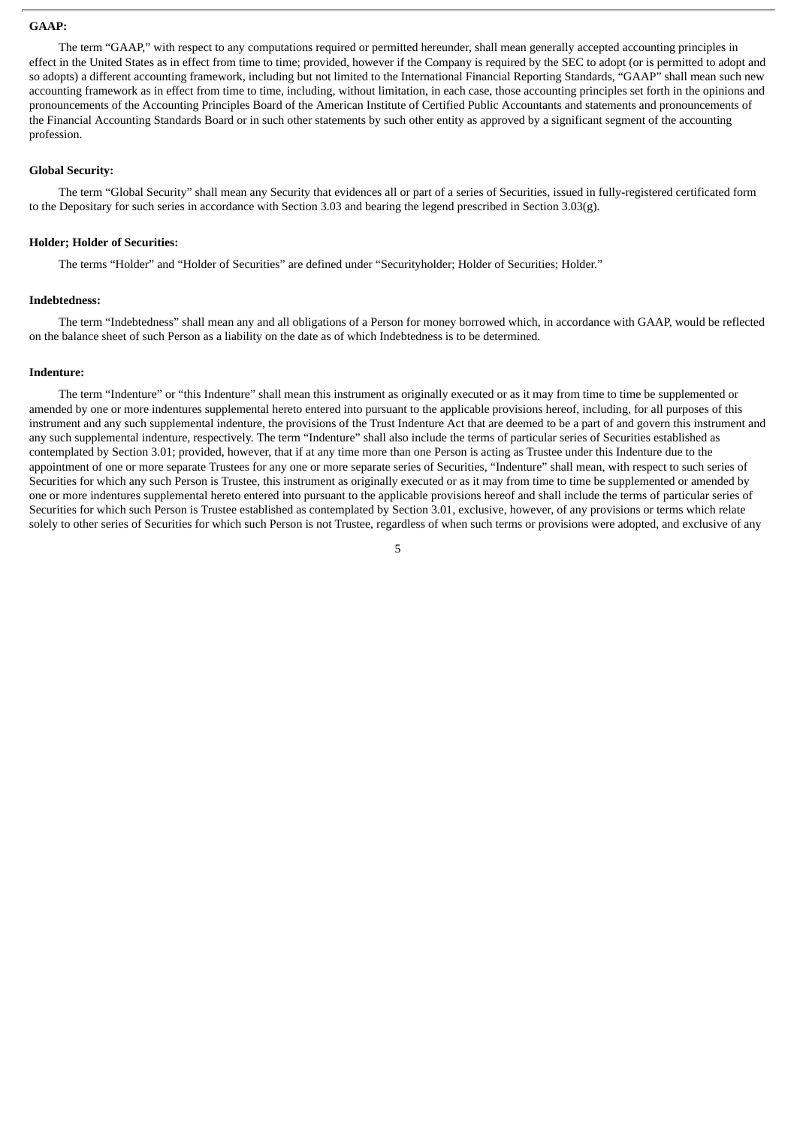## **GAAP:**

The term "GAAP," with respect to any computations required or permitted hereunder, shall mean generally accepted accounting principles in effect in the United States as in effect from time to time; provided, however if the Company is required by the SEC to adopt (or is permitted to adopt and so adopts) a different accounting framework, including but not limited to the International Financial Reporting Standards, "GAAP" shall mean such new accounting framework as in effect from time to time, including, without limitation, in each case, those accounting principles set forth in the opinions and pronouncements of the Accounting Principles Board of the American Institute of Certified Public Accountants and statements and pronouncements of the Financial Accounting Standards Board or in such other statements by such other entity as approved by a significant segment of the accounting profession.

## **Global Security:**

The term "Global Security" shall mean any Security that evidences all or part of a series of Securities, issued in fully-registered certificated form to the Depositary for such series in accordance with Section 3.03 and bearing the legend prescribed in Section 3.03(g).

#### **Holder; Holder of Securities:**

The terms "Holder" and "Holder of Securities" are defined under "Securityholder; Holder of Securities; Holder."

## **Indebtedness:**

The term "Indebtedness" shall mean any and all obligations of a Person for money borrowed which, in accordance with GAAP, would be reflected on the balance sheet of such Person as a liability on the date as of which Indebtedness is to be determined.

## **Indenture:**

The term "Indenture" or "this Indenture" shall mean this instrument as originally executed or as it may from time to time be supplemented or amended by one or more indentures supplemental hereto entered into pursuant to the applicable provisions hereof, including, for all purposes of this instrument and any such supplemental indenture, the provisions of the Trust Indenture Act that are deemed to be a part of and govern this instrument and any such supplemental indenture, respectively. The term "Indenture" shall also include the terms of particular series of Securities established as contemplated by Section 3.01; provided, however, that if at any time more than one Person is acting as Trustee under this Indenture due to the appointment of one or more separate Trustees for any one or more separate series of Securities, "Indenture" shall mean, with respect to such series of Securities for which any such Person is Trustee, this instrument as originally executed or as it may from time to time be supplemented or amended by one or more indentures supplemental hereto entered into pursuant to the applicable provisions hereof and shall include the terms of particular series of Securities for which such Person is Trustee established as contemplated by Section 3.01, exclusive, however, of any provisions or terms which relate solely to other series of Securities for which such Person is not Trustee, regardless of when such terms or provisions were adopted, and exclusive of any

5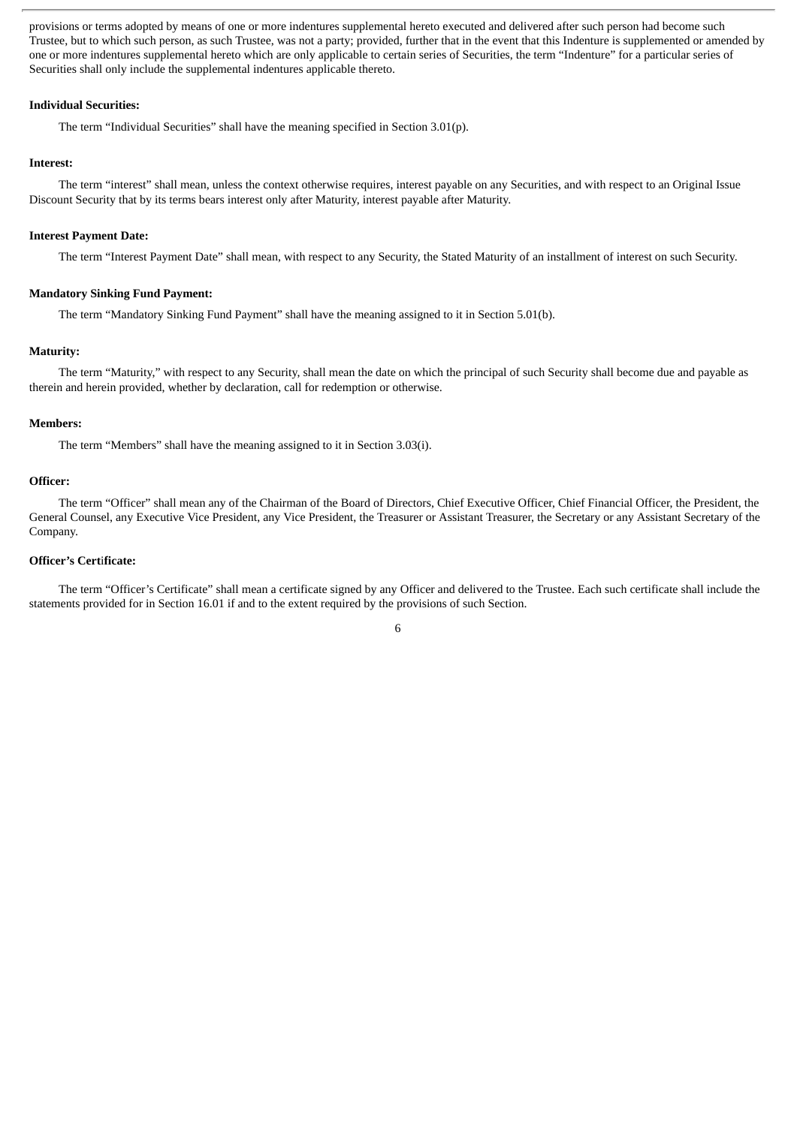provisions or terms adopted by means of one or more indentures supplemental hereto executed and delivered after such person had become such Trustee, but to which such person, as such Trustee, was not a party; provided, further that in the event that this Indenture is supplemented or amended by one or more indentures supplemental hereto which are only applicable to certain series of Securities, the term "Indenture" for a particular series of Securities shall only include the supplemental indentures applicable thereto.

## **Individual Securities:**

The term "Individual Securities" shall have the meaning specified in Section 3.01(p).

#### **Interest:**

The term "interest" shall mean, unless the context otherwise requires, interest payable on any Securities, and with respect to an Original Issue Discount Security that by its terms bears interest only after Maturity, interest payable after Maturity.

#### **Interest Payment Date:**

The term "Interest Payment Date" shall mean, with respect to any Security, the Stated Maturity of an installment of interest on such Security.

#### **Mandatory Sinking Fund Payment:**

The term "Mandatory Sinking Fund Payment" shall have the meaning assigned to it in Section 5.01(b).

## **Maturity:**

The term "Maturity," with respect to any Security, shall mean the date on which the principal of such Security shall become due and payable as therein and herein provided, whether by declaration, call for redemption or otherwise.

#### **Members:**

The term "Members" shall have the meaning assigned to it in Section 3.03(i).

## **Officer:**

The term "Officer" shall mean any of the Chairman of the Board of Directors, Chief Executive Officer, Chief Financial Officer, the President, the General Counsel, any Executive Vice President, any Vice President, the Treasurer or Assistant Treasurer, the Secretary or any Assistant Secretary of the Company.

## **Officer's Cert**i**ficate:**

The term "Officer's Certificate" shall mean a certificate signed by any Officer and delivered to the Trustee. Each such certificate shall include the statements provided for in Section 16.01 if and to the extent required by the provisions of such Section.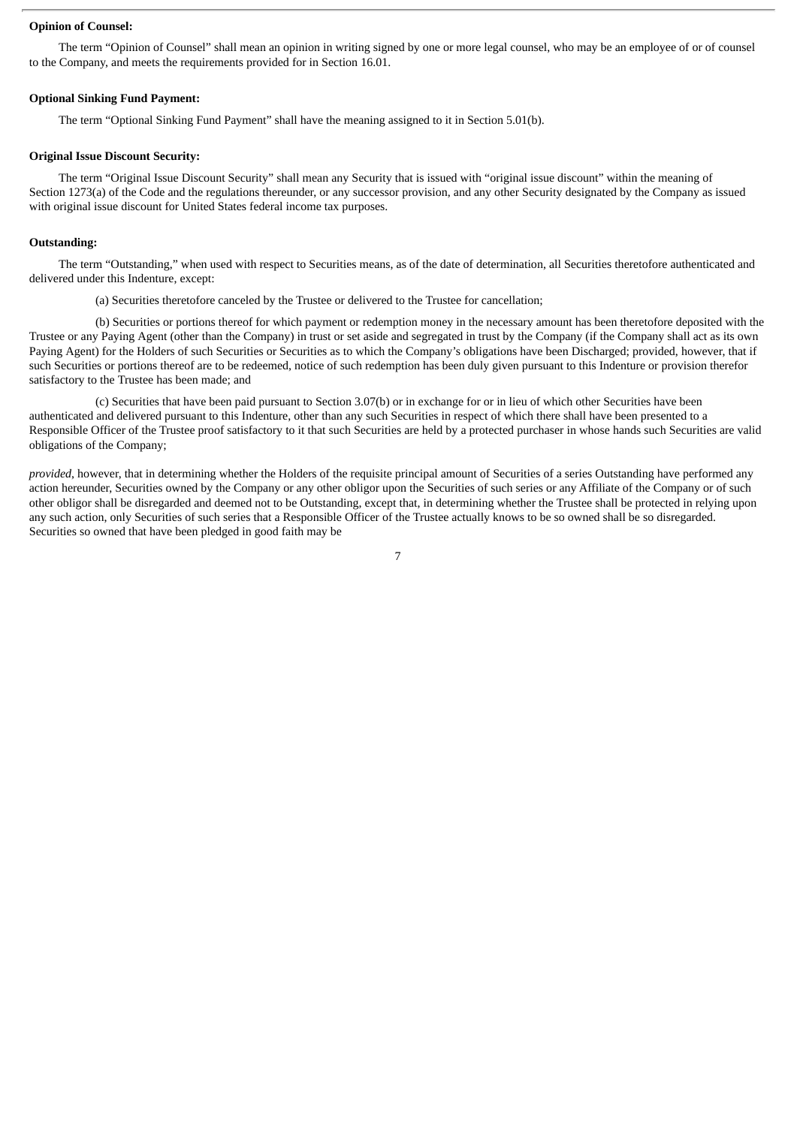## **Opinion of Counsel:**

The term "Opinion of Counsel" shall mean an opinion in writing signed by one or more legal counsel, who may be an employee of or of counsel to the Company, and meets the requirements provided for in Section 16.01.

## **Optional Sinking Fund Payment:**

The term "Optional Sinking Fund Payment" shall have the meaning assigned to it in Section 5.01(b).

#### **Original Issue Discount Security:**

The term "Original Issue Discount Security" shall mean any Security that is issued with "original issue discount" within the meaning of Section 1273(a) of the Code and the regulations thereunder, or any successor provision, and any other Security designated by the Company as issued with original issue discount for United States federal income tax purposes.

#### **Outstanding:**

The term "Outstanding," when used with respect to Securities means, as of the date of determination, all Securities theretofore authenticated and delivered under this Indenture, except:

(a) Securities theretofore canceled by the Trustee or delivered to the Trustee for cancellation;

(b) Securities or portions thereof for which payment or redemption money in the necessary amount has been theretofore deposited with the Trustee or any Paying Agent (other than the Company) in trust or set aside and segregated in trust by the Company (if the Company shall act as its own Paying Agent) for the Holders of such Securities or Securities as to which the Company's obligations have been Discharged; provided, however, that if such Securities or portions thereof are to be redeemed, notice of such redemption has been duly given pursuant to this Indenture or provision therefor satisfactory to the Trustee has been made; and

(c) Securities that have been paid pursuant to Section 3.07(b) or in exchange for or in lieu of which other Securities have been authenticated and delivered pursuant to this Indenture, other than any such Securities in respect of which there shall have been presented to a Responsible Officer of the Trustee proof satisfactory to it that such Securities are held by a protected purchaser in whose hands such Securities are valid obligations of the Company;

*provided*, however, that in determining whether the Holders of the requisite principal amount of Securities of a series Outstanding have performed any action hereunder, Securities owned by the Company or any other obligor upon the Securities of such series or any Affiliate of the Company or of such other obligor shall be disregarded and deemed not to be Outstanding, except that, in determining whether the Trustee shall be protected in relying upon any such action, only Securities of such series that a Responsible Officer of the Trustee actually knows to be so owned shall be so disregarded. Securities so owned that have been pledged in good faith may be

7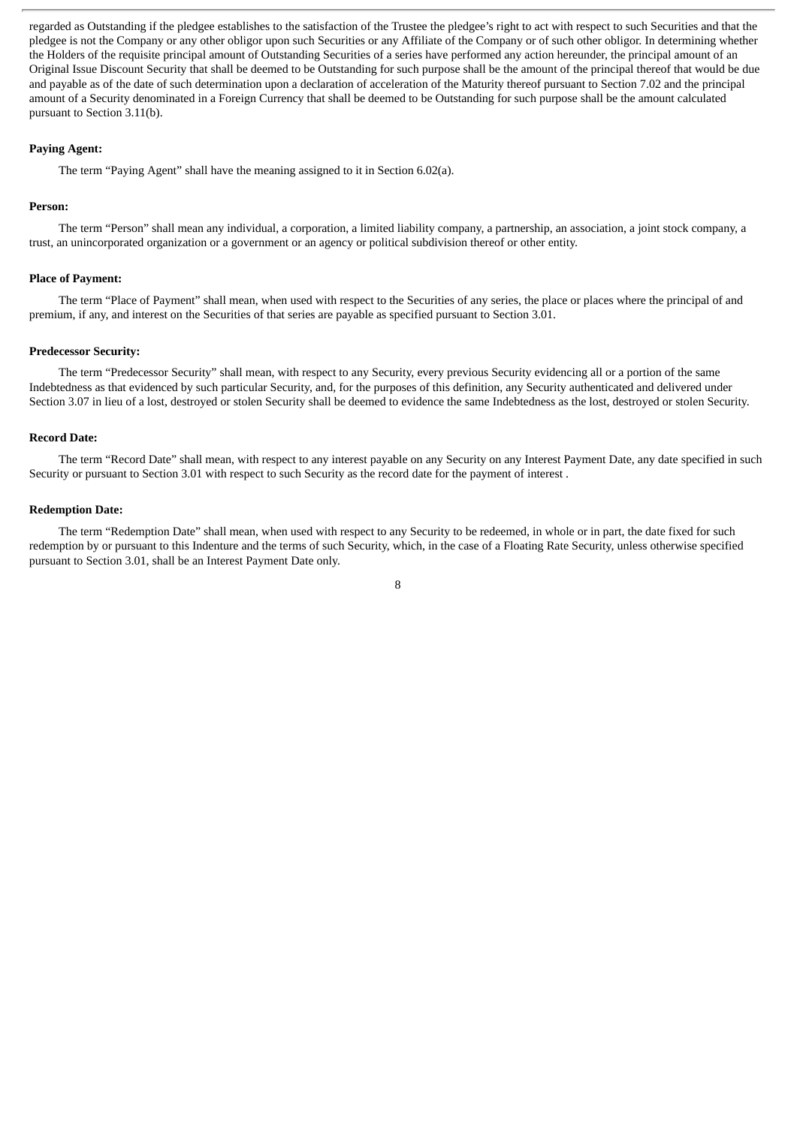regarded as Outstanding if the pledgee establishes to the satisfaction of the Trustee the pledgee's right to act with respect to such Securities and that the pledgee is not the Company or any other obligor upon such Securities or any Affiliate of the Company or of such other obligor. In determining whether the Holders of the requisite principal amount of Outstanding Securities of a series have performed any action hereunder, the principal amount of an Original Issue Discount Security that shall be deemed to be Outstanding for such purpose shall be the amount of the principal thereof that would be due and payable as of the date of such determination upon a declaration of acceleration of the Maturity thereof pursuant to Section 7.02 and the principal amount of a Security denominated in a Foreign Currency that shall be deemed to be Outstanding for such purpose shall be the amount calculated pursuant to Section 3.11(b).

#### **Paying Agent:**

The term "Paying Agent" shall have the meaning assigned to it in Section 6.02(a).

# **Person:**

The term "Person" shall mean any individual, a corporation, a limited liability company, a partnership, an association, a joint stock company, a trust, an unincorporated organization or a government or an agency or political subdivision thereof or other entity.

## **Place of Payment:**

The term "Place of Payment" shall mean, when used with respect to the Securities of any series, the place or places where the principal of and premium, if any, and interest on the Securities of that series are payable as specified pursuant to Section 3.01.

### **Predecessor Security:**

The term "Predecessor Security" shall mean, with respect to any Security, every previous Security evidencing all or a portion of the same Indebtedness as that evidenced by such particular Security, and, for the purposes of this definition, any Security authenticated and delivered under Section 3.07 in lieu of a lost, destroyed or stolen Security shall be deemed to evidence the same Indebtedness as the lost, destroyed or stolen Security.

## **Record Date:**

The term "Record Date" shall mean, with respect to any interest payable on any Security on any Interest Payment Date, any date specified in such Security or pursuant to Section 3.01 with respect to such Security as the record date for the payment of interest .

### **Redemption Date:**

The term "Redemption Date" shall mean, when used with respect to any Security to be redeemed, in whole or in part, the date fixed for such redemption by or pursuant to this Indenture and the terms of such Security, which, in the case of a Floating Rate Security, unless otherwise specified pursuant to Section 3.01, shall be an Interest Payment Date only.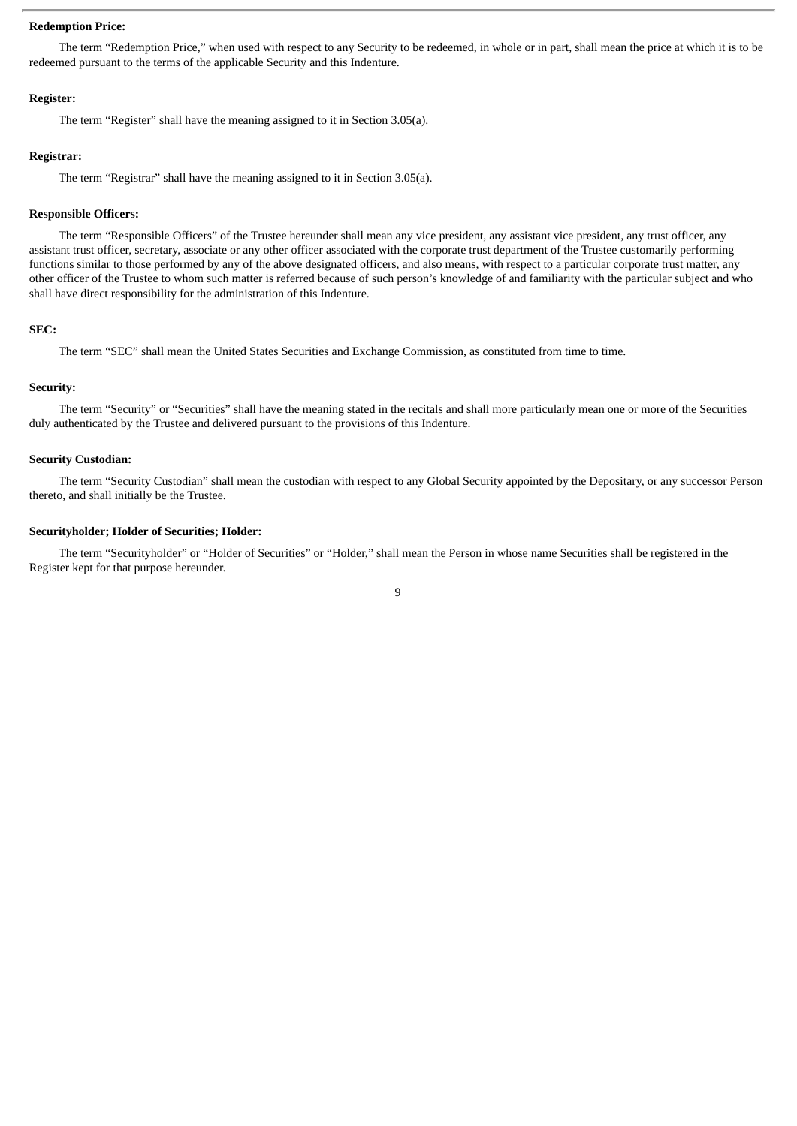## **Redemption Price:**

The term "Redemption Price," when used with respect to any Security to be redeemed, in whole or in part, shall mean the price at which it is to be redeemed pursuant to the terms of the applicable Security and this Indenture.

#### **Register:**

The term "Register" shall have the meaning assigned to it in Section 3.05(a).

#### **Registrar:**

The term "Registrar" shall have the meaning assigned to it in Section 3.05(a).

#### **Responsible Officers:**

The term "Responsible Officers" of the Trustee hereunder shall mean any vice president, any assistant vice president, any trust officer, any assistant trust officer, secretary, associate or any other officer associated with the corporate trust department of the Trustee customarily performing functions similar to those performed by any of the above designated officers, and also means, with respect to a particular corporate trust matter, any other officer of the Trustee to whom such matter is referred because of such person's knowledge of and familiarity with the particular subject and who shall have direct responsibility for the administration of this Indenture.

#### **SEC:**

The term "SEC" shall mean the United States Securities and Exchange Commission, as constituted from time to time.

#### **Security:**

The term "Security" or "Securities" shall have the meaning stated in the recitals and shall more particularly mean one or more of the Securities duly authenticated by the Trustee and delivered pursuant to the provisions of this Indenture.

## **Security Custodian:**

The term "Security Custodian" shall mean the custodian with respect to any Global Security appointed by the Depositary, or any successor Person thereto, and shall initially be the Trustee.

#### **Securityholder; Holder of Securities; Holder:**

The term "Securityholder" or "Holder of Securities" or "Holder," shall mean the Person in whose name Securities shall be registered in the Register kept for that purpose hereunder.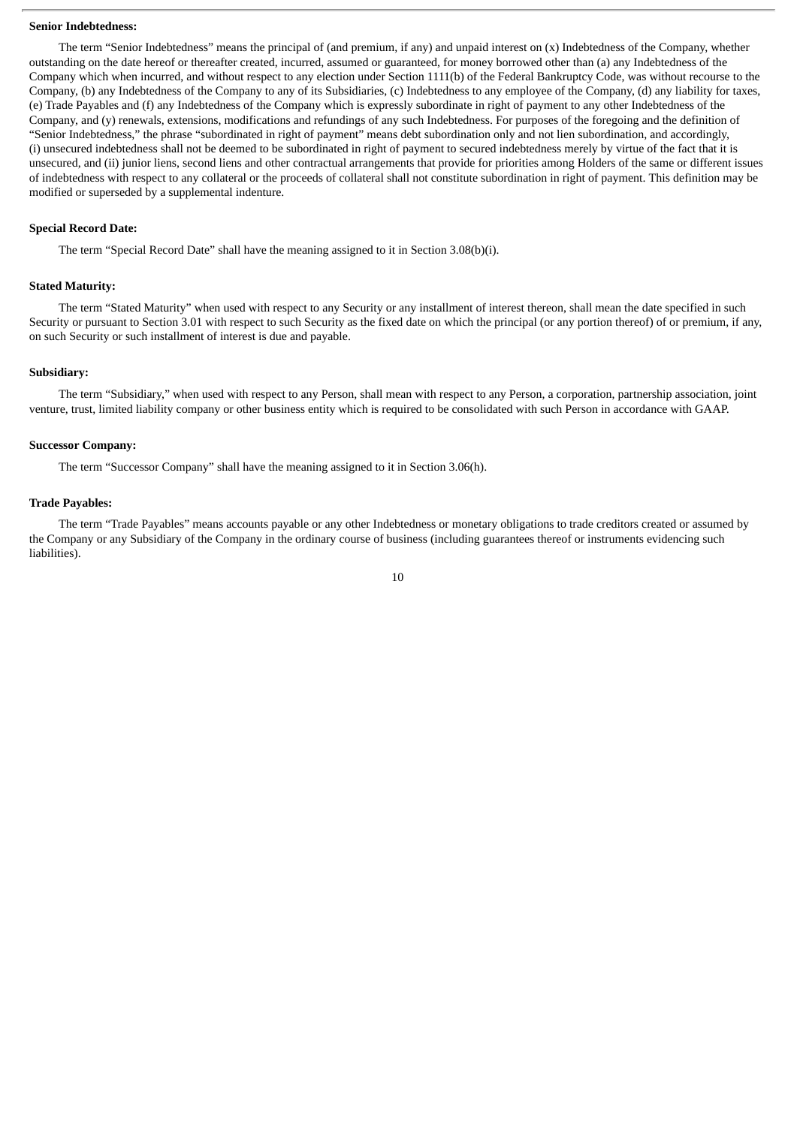#### **Senior Indebtedness:**

The term "Senior Indebtedness" means the principal of (and premium, if any) and unpaid interest on (x) Indebtedness of the Company, whether outstanding on the date hereof or thereafter created, incurred, assumed or guaranteed, for money borrowed other than (a) any Indebtedness of the Company which when incurred, and without respect to any election under Section 1111(b) of the Federal Bankruptcy Code, was without recourse to the Company, (b) any Indebtedness of the Company to any of its Subsidiaries, (c) Indebtedness to any employee of the Company, (d) any liability for taxes, (e) Trade Payables and (f) any Indebtedness of the Company which is expressly subordinate in right of payment to any other Indebtedness of the Company, and (y) renewals, extensions, modifications and refundings of any such Indebtedness. For purposes of the foregoing and the definition of "Senior Indebtedness," the phrase "subordinated in right of payment" means debt subordination only and not lien subordination, and accordingly, (i) unsecured indebtedness shall not be deemed to be subordinated in right of payment to secured indebtedness merely by virtue of the fact that it is unsecured, and (ii) junior liens, second liens and other contractual arrangements that provide for priorities among Holders of the same or different issues of indebtedness with respect to any collateral or the proceeds of collateral shall not constitute subordination in right of payment. This definition may be modified or superseded by a supplemental indenture.

#### **Special Record Date:**

The term "Special Record Date" shall have the meaning assigned to it in Section 3.08(b)(i).

## **Stated Maturity:**

The term "Stated Maturity" when used with respect to any Security or any installment of interest thereon, shall mean the date specified in such Security or pursuant to Section 3.01 with respect to such Security as the fixed date on which the principal (or any portion thereof) of or premium, if any, on such Security or such installment of interest is due and payable.

# **Subsidiary:**

The term "Subsidiary," when used with respect to any Person, shall mean with respect to any Person, a corporation, partnership association, joint venture, trust, limited liability company or other business entity which is required to be consolidated with such Person in accordance with GAAP.

#### **Successor Company:**

The term "Successor Company" shall have the meaning assigned to it in Section 3.06(h).

### **Trade Payables:**

The term "Trade Payables" means accounts payable or any other Indebtedness or monetary obligations to trade creditors created or assumed by the Company or any Subsidiary of the Company in the ordinary course of business (including guarantees thereof or instruments evidencing such liabilities).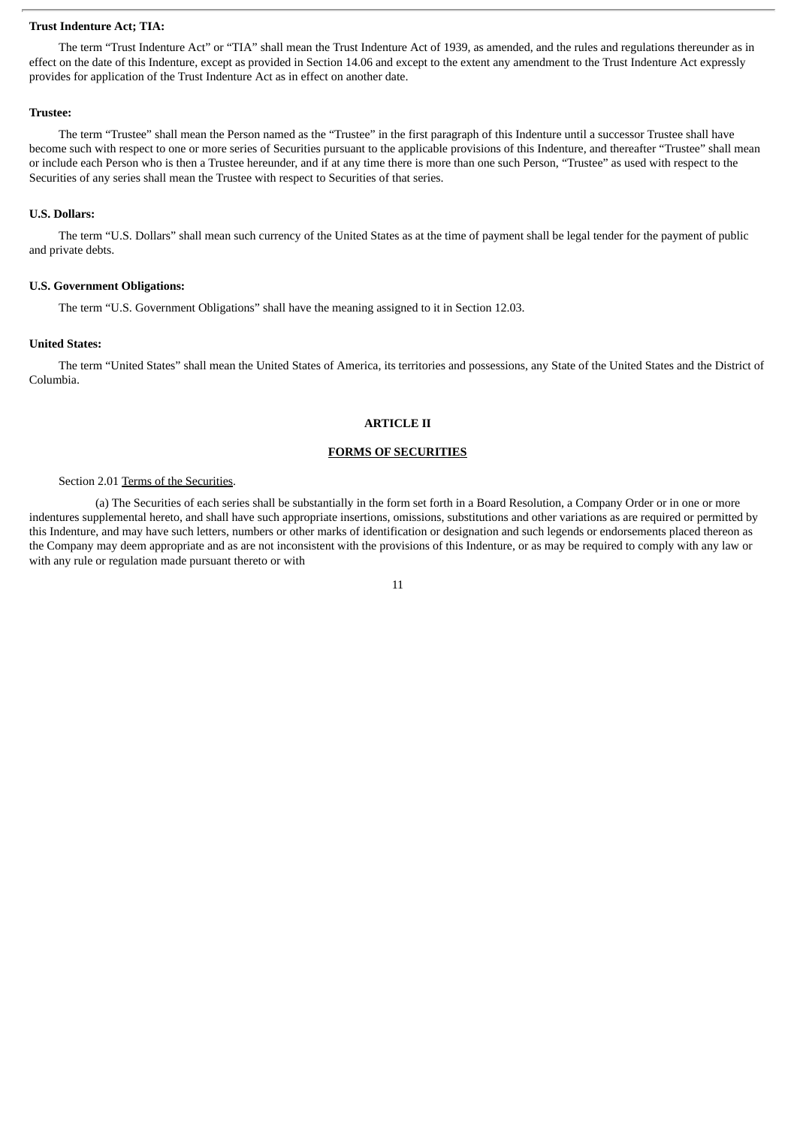# **Trust Indenture Act; TIA:**

The term "Trust Indenture Act" or "TIA" shall mean the Trust Indenture Act of 1939, as amended, and the rules and regulations thereunder as in effect on the date of this Indenture, except as provided in Section 14.06 and except to the extent any amendment to the Trust Indenture Act expressly provides for application of the Trust Indenture Act as in effect on another date.

#### **Trustee:**

The term "Trustee" shall mean the Person named as the "Trustee" in the first paragraph of this Indenture until a successor Trustee shall have become such with respect to one or more series of Securities pursuant to the applicable provisions of this Indenture, and thereafter "Trustee" shall mean or include each Person who is then a Trustee hereunder, and if at any time there is more than one such Person, "Trustee" as used with respect to the Securities of any series shall mean the Trustee with respect to Securities of that series.

## **U.S. Dollars:**

The term "U.S. Dollars" shall mean such currency of the United States as at the time of payment shall be legal tender for the payment of public and private debts.

# **U.S. Government Obligations:**

The term "U.S. Government Obligations" shall have the meaning assigned to it in Section 12.03.

## **United States:**

The term "United States" shall mean the United States of America, its territories and possessions, any State of the United States and the District of Columbia.

#### **ARTICLE II**

## **FORMS OF SECURITIES**

## Section 2.01 Terms of the Securities.

(a) The Securities of each series shall be substantially in the form set forth in a Board Resolution, a Company Order or in one or more indentures supplemental hereto, and shall have such appropriate insertions, omissions, substitutions and other variations as are required or permitted by this Indenture, and may have such letters, numbers or other marks of identification or designation and such legends or endorsements placed thereon as the Company may deem appropriate and as are not inconsistent with the provisions of this Indenture, or as may be required to comply with any law or with any rule or regulation made pursuant thereto or with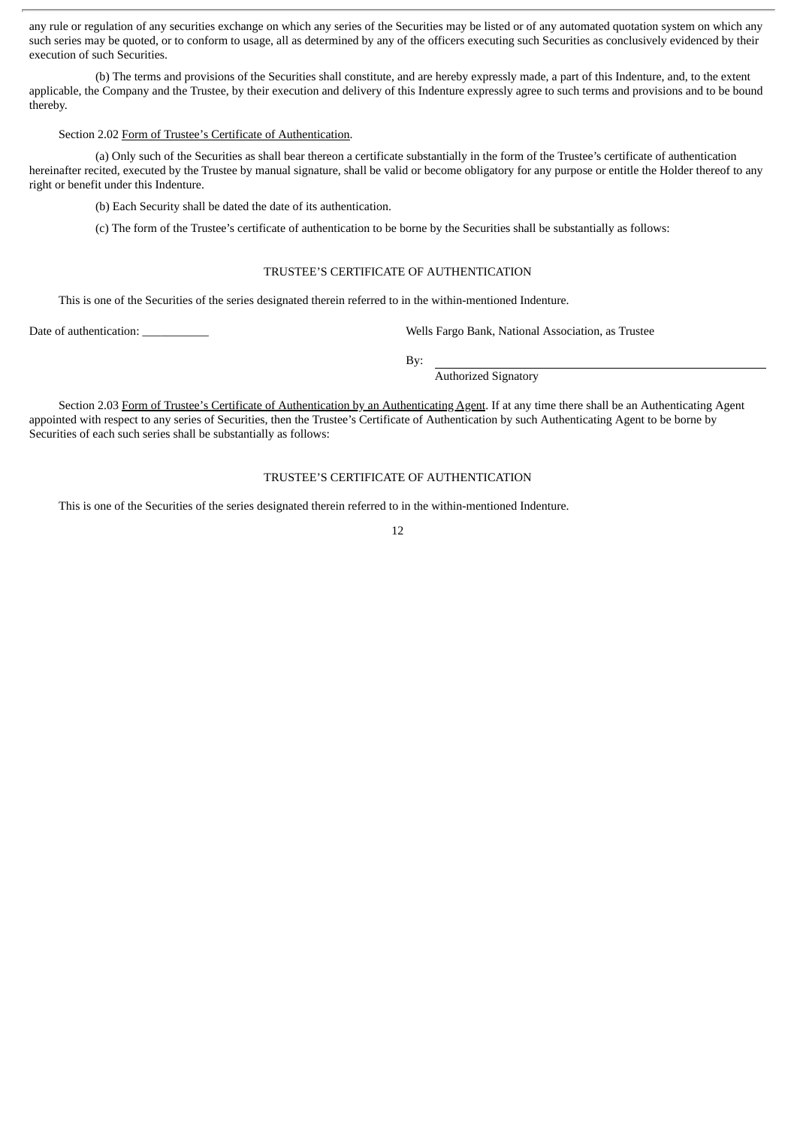any rule or regulation of any securities exchange on which any series of the Securities may be listed or of any automated quotation system on which any such series may be quoted, or to conform to usage, all as determined by any of the officers executing such Securities as conclusively evidenced by their execution of such Securities.

(b) The terms and provisions of the Securities shall constitute, and are hereby expressly made, a part of this Indenture, and, to the extent applicable, the Company and the Trustee, by their execution and delivery of this Indenture expressly agree to such terms and provisions and to be bound thereby.

#### Section 2.02 Form of Trustee's Certificate of Authentication.

(a) Only such of the Securities as shall bear thereon a certificate substantially in the form of the Trustee's certificate of authentication hereinafter recited, executed by the Trustee by manual signature, shall be valid or become obligatory for any purpose or entitle the Holder thereof to any right or benefit under this Indenture.

(b) Each Security shall be dated the date of its authentication.

(c) The form of the Trustee's certificate of authentication to be borne by the Securities shall be substantially as follows:

# TRUSTEE'S CERTIFICATE OF AUTHENTICATION

This is one of the Securities of the series designated therein referred to in the within-mentioned Indenture.

Date of authentication: <br>
Date of authentication: <br>
Wells Fargo Bank, National Association, as Trustee

By:

Authorized Signatory

Section 2.03 Form of Trustee's Certificate of Authentication by an Authenticating Agent. If at any time there shall be an Authenticating Agent appointed with respect to any series of Securities, then the Trustee's Certificate of Authentication by such Authenticating Agent to be borne by Securities of each such series shall be substantially as follows:

# TRUSTEE'S CERTIFICATE OF AUTHENTICATION

This is one of the Securities of the series designated therein referred to in the within-mentioned Indenture.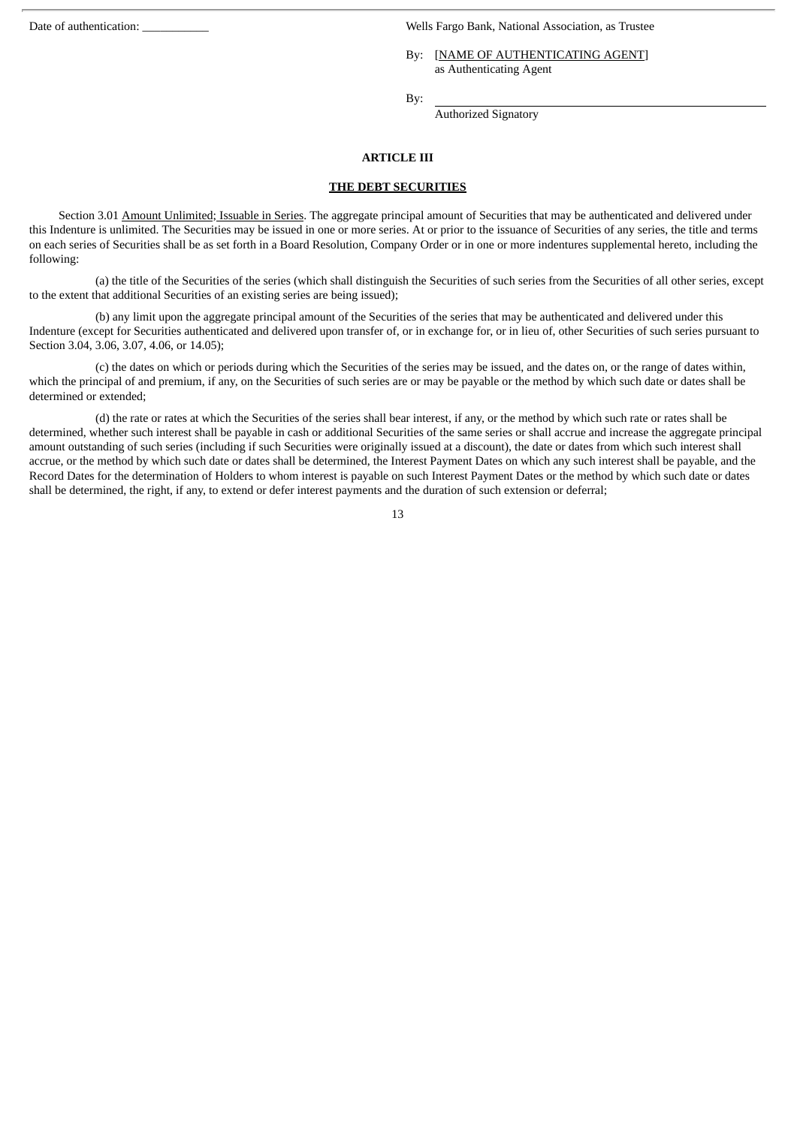Date of authentication: \_\_\_\_\_\_\_\_\_\_\_ Wells Fargo Bank, National Association, as Trustee

By: [NAME OF AUTHENTICATING AGENT] as Authenticating Agent

By:

Authorized Signatory

## **ARTICLE III**

## **THE DEBT SECURITIES**

Section 3.01 Amount Unlimited; Issuable in Series. The aggregate principal amount of Securities that may be authenticated and delivered under this Indenture is unlimited. The Securities may be issued in one or more series. At or prior to the issuance of Securities of any series, the title and terms on each series of Securities shall be as set forth in a Board Resolution, Company Order or in one or more indentures supplemental hereto, including the following:

(a) the title of the Securities of the series (which shall distinguish the Securities of such series from the Securities of all other series, except to the extent that additional Securities of an existing series are being issued);

(b) any limit upon the aggregate principal amount of the Securities of the series that may be authenticated and delivered under this Indenture (except for Securities authenticated and delivered upon transfer of, or in exchange for, or in lieu of, other Securities of such series pursuant to Section 3.04, 3.06, 3.07, 4.06, or 14.05);

(c) the dates on which or periods during which the Securities of the series may be issued, and the dates on, or the range of dates within, which the principal of and premium, if any, on the Securities of such series are or may be payable or the method by which such date or dates shall be determined or extended;

(d) the rate or rates at which the Securities of the series shall bear interest, if any, or the method by which such rate or rates shall be determined, whether such interest shall be payable in cash or additional Securities of the same series or shall accrue and increase the aggregate principal amount outstanding of such series (including if such Securities were originally issued at a discount), the date or dates from which such interest shall accrue, or the method by which such date or dates shall be determined, the Interest Payment Dates on which any such interest shall be payable, and the Record Dates for the determination of Holders to whom interest is payable on such Interest Payment Dates or the method by which such date or dates shall be determined, the right, if any, to extend or defer interest payments and the duration of such extension or deferral;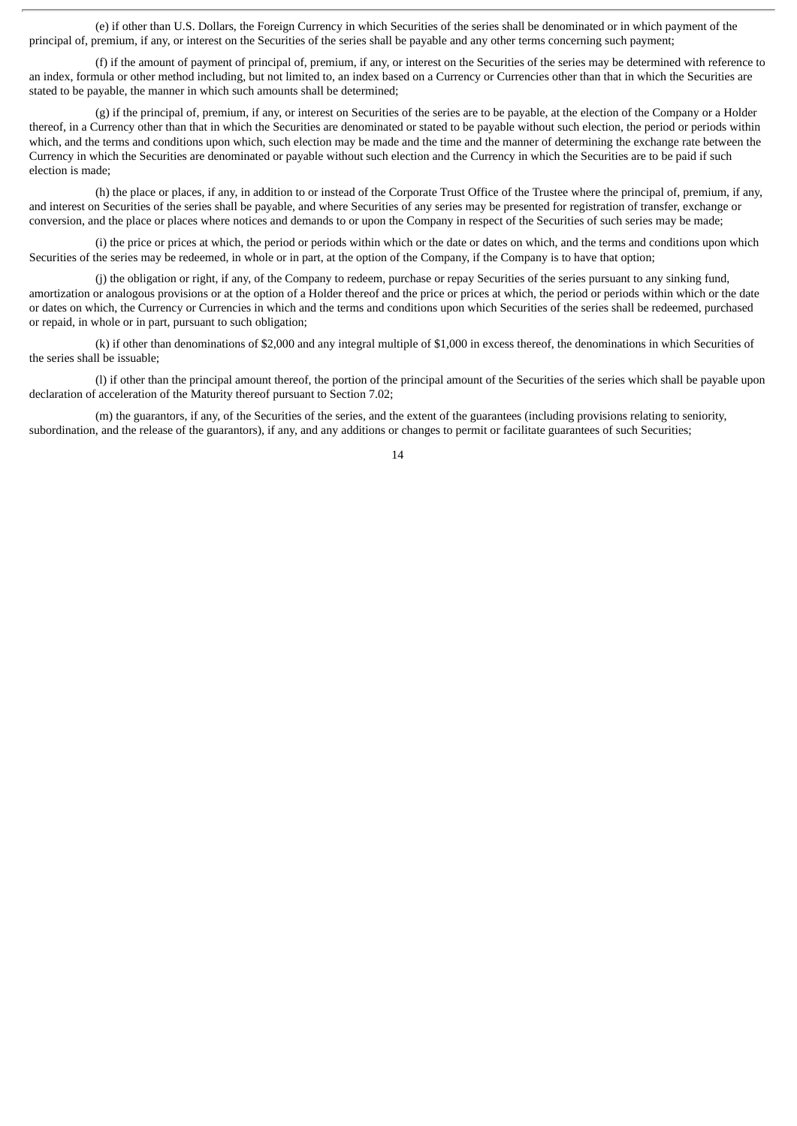(e) if other than U.S. Dollars, the Foreign Currency in which Securities of the series shall be denominated or in which payment of the principal of, premium, if any, or interest on the Securities of the series shall be payable and any other terms concerning such payment;

(f) if the amount of payment of principal of, premium, if any, or interest on the Securities of the series may be determined with reference to an index, formula or other method including, but not limited to, an index based on a Currency or Currencies other than that in which the Securities are stated to be payable, the manner in which such amounts shall be determined;

(g) if the principal of, premium, if any, or interest on Securities of the series are to be payable, at the election of the Company or a Holder thereof, in a Currency other than that in which the Securities are denominated or stated to be payable without such election, the period or periods within which, and the terms and conditions upon which, such election may be made and the time and the manner of determining the exchange rate between the Currency in which the Securities are denominated or payable without such election and the Currency in which the Securities are to be paid if such election is made;

(h) the place or places, if any, in addition to or instead of the Corporate Trust Office of the Trustee where the principal of, premium, if any, and interest on Securities of the series shall be payable, and where Securities of any series may be presented for registration of transfer, exchange or conversion, and the place or places where notices and demands to or upon the Company in respect of the Securities of such series may be made;

(i) the price or prices at which, the period or periods within which or the date or dates on which, and the terms and conditions upon which Securities of the series may be redeemed, in whole or in part, at the option of the Company, if the Company is to have that option;

(j) the obligation or right, if any, of the Company to redeem, purchase or repay Securities of the series pursuant to any sinking fund, amortization or analogous provisions or at the option of a Holder thereof and the price or prices at which, the period or periods within which or the date or dates on which, the Currency or Currencies in which and the terms and conditions upon which Securities of the series shall be redeemed, purchased or repaid, in whole or in part, pursuant to such obligation;

(k) if other than denominations of \$2,000 and any integral multiple of \$1,000 in excess thereof, the denominations in which Securities of the series shall be issuable;

(l) if other than the principal amount thereof, the portion of the principal amount of the Securities of the series which shall be payable upon declaration of acceleration of the Maturity thereof pursuant to Section 7.02;

(m) the guarantors, if any, of the Securities of the series, and the extent of the guarantees (including provisions relating to seniority, subordination, and the release of the guarantors), if any, and any additions or changes to permit or facilitate guarantees of such Securities;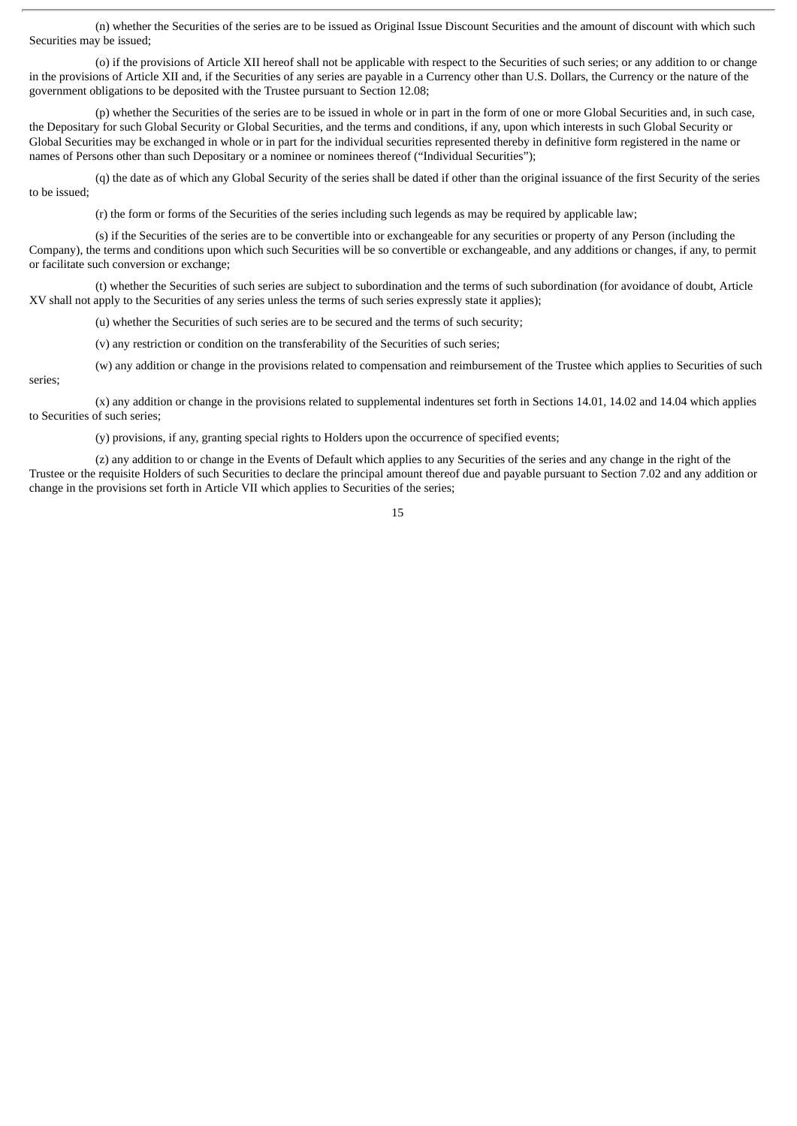(n) whether the Securities of the series are to be issued as Original Issue Discount Securities and the amount of discount with which such Securities may be issued;

(o) if the provisions of Article XII hereof shall not be applicable with respect to the Securities of such series; or any addition to or change in the provisions of Article XII and, if the Securities of any series are payable in a Currency other than U.S. Dollars, the Currency or the nature of the government obligations to be deposited with the Trustee pursuant to Section 12.08;

(p) whether the Securities of the series are to be issued in whole or in part in the form of one or more Global Securities and, in such case, the Depositary for such Global Security or Global Securities, and the terms and conditions, if any, upon which interests in such Global Security or Global Securities may be exchanged in whole or in part for the individual securities represented thereby in definitive form registered in the name or names of Persons other than such Depositary or a nominee or nominees thereof ("Individual Securities");

(q) the date as of which any Global Security of the series shall be dated if other than the original issuance of the first Security of the series to be issued;

(r) the form or forms of the Securities of the series including such legends as may be required by applicable law;

(s) if the Securities of the series are to be convertible into or exchangeable for any securities or property of any Person (including the Company), the terms and conditions upon which such Securities will be so convertible or exchangeable, and any additions or changes, if any, to permit or facilitate such conversion or exchange;

(t) whether the Securities of such series are subject to subordination and the terms of such subordination (for avoidance of doubt, Article XV shall not apply to the Securities of any series unless the terms of such series expressly state it applies);

(u) whether the Securities of such series are to be secured and the terms of such security;

(v) any restriction or condition on the transferability of the Securities of such series;

(w) any addition or change in the provisions related to compensation and reimbursement of the Trustee which applies to Securities of such

series;

(x) any addition or change in the provisions related to supplemental indentures set forth in Sections 14.01, 14.02 and 14.04 which applies to Securities of such series;

(y) provisions, if any, granting special rights to Holders upon the occurrence of specified events;

(z) any addition to or change in the Events of Default which applies to any Securities of the series and any change in the right of the Trustee or the requisite Holders of such Securities to declare the principal amount thereof due and payable pursuant to Section 7.02 and any addition or change in the provisions set forth in Article VII which applies to Securities of the series;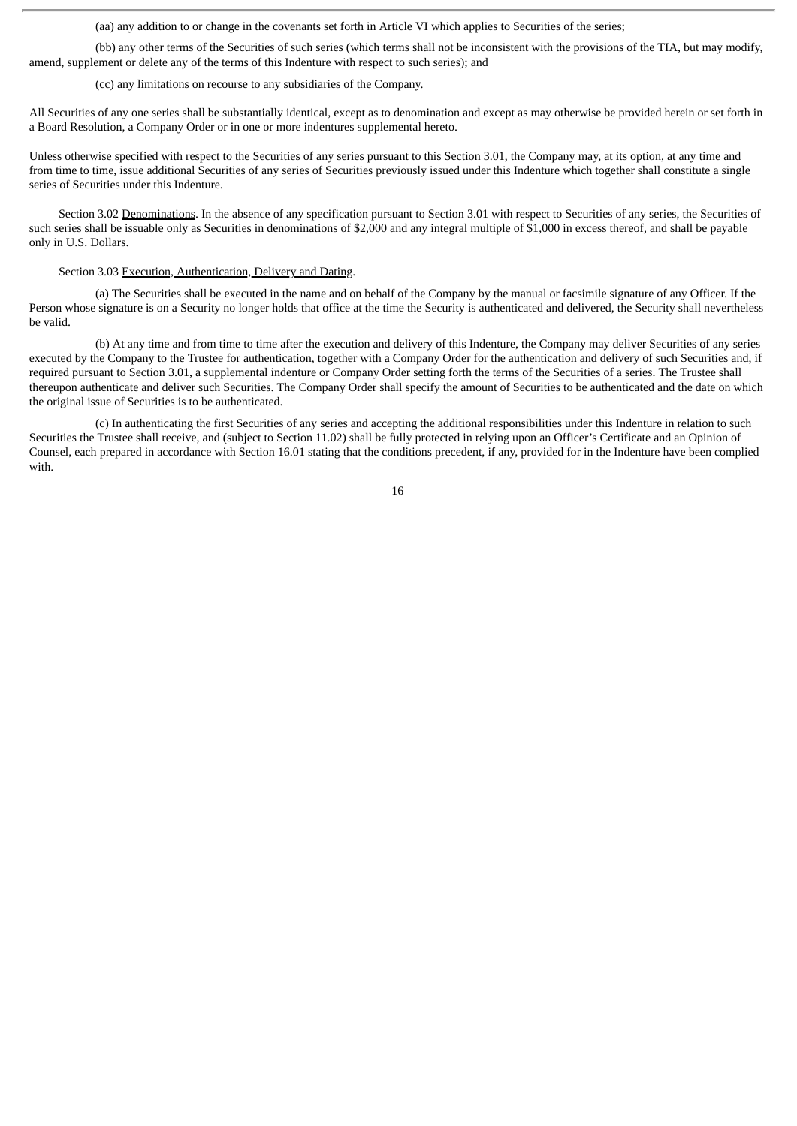(aa) any addition to or change in the covenants set forth in Article VI which applies to Securities of the series;

(bb) any other terms of the Securities of such series (which terms shall not be inconsistent with the provisions of the TIA, but may modify, amend, supplement or delete any of the terms of this Indenture with respect to such series); and

(cc) any limitations on recourse to any subsidiaries of the Company.

All Securities of any one series shall be substantially identical, except as to denomination and except as may otherwise be provided herein or set forth in a Board Resolution, a Company Order or in one or more indentures supplemental hereto.

Unless otherwise specified with respect to the Securities of any series pursuant to this Section 3.01, the Company may, at its option, at any time and from time to time, issue additional Securities of any series of Securities previously issued under this Indenture which together shall constitute a single series of Securities under this Indenture.

Section 3.02 Denominations. In the absence of any specification pursuant to Section 3.01 with respect to Securities of any series, the Securities of such series shall be issuable only as Securities in denominations of \$2,000 and any integral multiple of \$1,000 in excess thereof, and shall be payable only in U.S. Dollars.

Section 3.03 Execution, Authentication, Delivery and Dating.

(a) The Securities shall be executed in the name and on behalf of the Company by the manual or facsimile signature of any Officer. If the Person whose signature is on a Security no longer holds that office at the time the Security is authenticated and delivered, the Security shall nevertheless be valid.

(b) At any time and from time to time after the execution and delivery of this Indenture, the Company may deliver Securities of any series executed by the Company to the Trustee for authentication, together with a Company Order for the authentication and delivery of such Securities and, if required pursuant to Section 3.01, a supplemental indenture or Company Order setting forth the terms of the Securities of a series. The Trustee shall thereupon authenticate and deliver such Securities. The Company Order shall specify the amount of Securities to be authenticated and the date on which the original issue of Securities is to be authenticated.

(c) In authenticating the first Securities of any series and accepting the additional responsibilities under this Indenture in relation to such Securities the Trustee shall receive, and (subject to Section 11.02) shall be fully protected in relying upon an Officer's Certificate and an Opinion of Counsel, each prepared in accordance with Section 16.01 stating that the conditions precedent, if any, provided for in the Indenture have been complied with.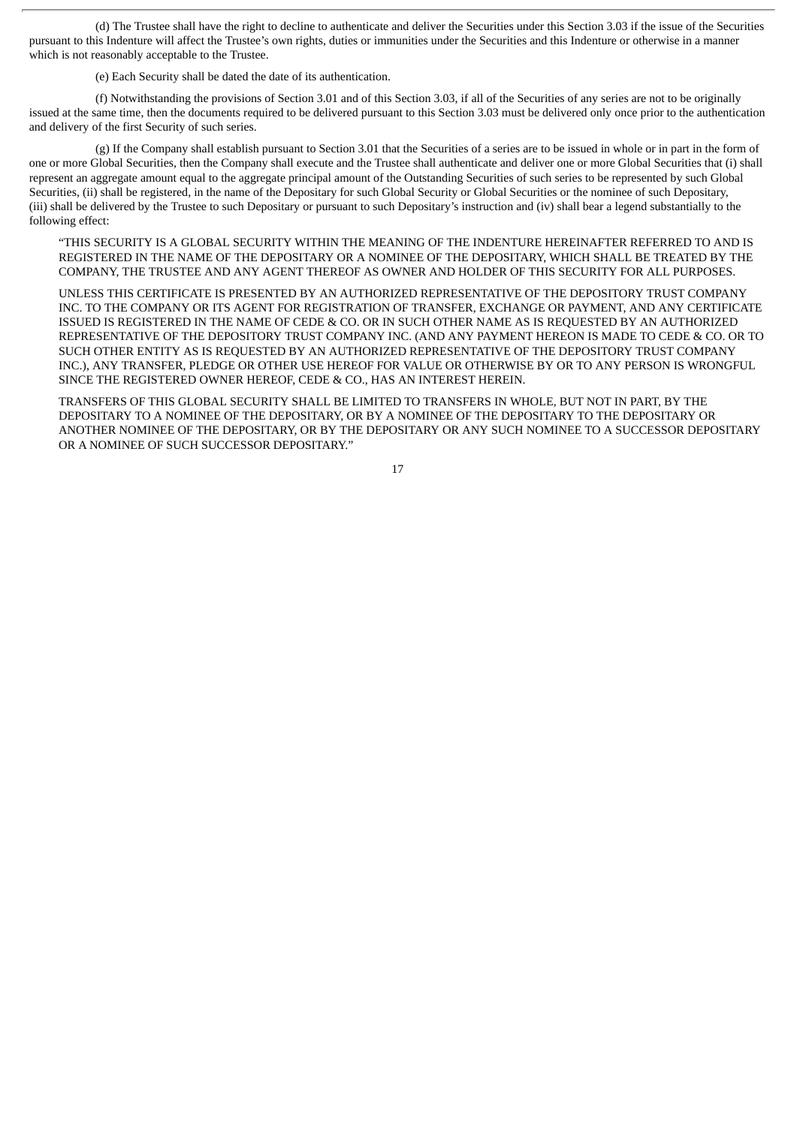(d) The Trustee shall have the right to decline to authenticate and deliver the Securities under this Section 3.03 if the issue of the Securities pursuant to this Indenture will affect the Trustee's own rights, duties or immunities under the Securities and this Indenture or otherwise in a manner which is not reasonably acceptable to the Trustee.

(e) Each Security shall be dated the date of its authentication.

(f) Notwithstanding the provisions of Section 3.01 and of this Section 3.03, if all of the Securities of any series are not to be originally issued at the same time, then the documents required to be delivered pursuant to this Section 3.03 must be delivered only once prior to the authentication and delivery of the first Security of such series.

(g) If the Company shall establish pursuant to Section 3.01 that the Securities of a series are to be issued in whole or in part in the form of one or more Global Securities, then the Company shall execute and the Trustee shall authenticate and deliver one or more Global Securities that (i) shall represent an aggregate amount equal to the aggregate principal amount of the Outstanding Securities of such series to be represented by such Global Securities, (ii) shall be registered, in the name of the Depositary for such Global Security or Global Securities or the nominee of such Depositary, (iii) shall be delivered by the Trustee to such Depositary or pursuant to such Depositary's instruction and (iv) shall bear a legend substantially to the following effect:

"THIS SECURITY IS A GLOBAL SECURITY WITHIN THE MEANING OF THE INDENTURE HEREINAFTER REFERRED TO AND IS REGISTERED IN THE NAME OF THE DEPOSITARY OR A NOMINEE OF THE DEPOSITARY, WHICH SHALL BE TREATED BY THE COMPANY, THE TRUSTEE AND ANY AGENT THEREOF AS OWNER AND HOLDER OF THIS SECURITY FOR ALL PURPOSES.

UNLESS THIS CERTIFICATE IS PRESENTED BY AN AUTHORIZED REPRESENTATIVE OF THE DEPOSITORY TRUST COMPANY INC. TO THE COMPANY OR ITS AGENT FOR REGISTRATION OF TRANSFER, EXCHANGE OR PAYMENT, AND ANY CERTIFICATE ISSUED IS REGISTERED IN THE NAME OF CEDE & CO. OR IN SUCH OTHER NAME AS IS REQUESTED BY AN AUTHORIZED REPRESENTATIVE OF THE DEPOSITORY TRUST COMPANY INC. (AND ANY PAYMENT HEREON IS MADE TO CEDE & CO. OR TO SUCH OTHER ENTITY AS IS REQUESTED BY AN AUTHORIZED REPRESENTATIVE OF THE DEPOSITORY TRUST COMPANY INC.), ANY TRANSFER, PLEDGE OR OTHER USE HEREOF FOR VALUE OR OTHERWISE BY OR TO ANY PERSON IS WRONGFUL SINCE THE REGISTERED OWNER HEREOF, CEDE & CO., HAS AN INTEREST HEREIN.

TRANSFERS OF THIS GLOBAL SECURITY SHALL BE LIMITED TO TRANSFERS IN WHOLE, BUT NOT IN PART, BY THE DEPOSITARY TO A NOMINEE OF THE DEPOSITARY, OR BY A NOMINEE OF THE DEPOSITARY TO THE DEPOSITARY OR ANOTHER NOMINEE OF THE DEPOSITARY, OR BY THE DEPOSITARY OR ANY SUCH NOMINEE TO A SUCCESSOR DEPOSITARY OR A NOMINEE OF SUCH SUCCESSOR DEPOSITARY."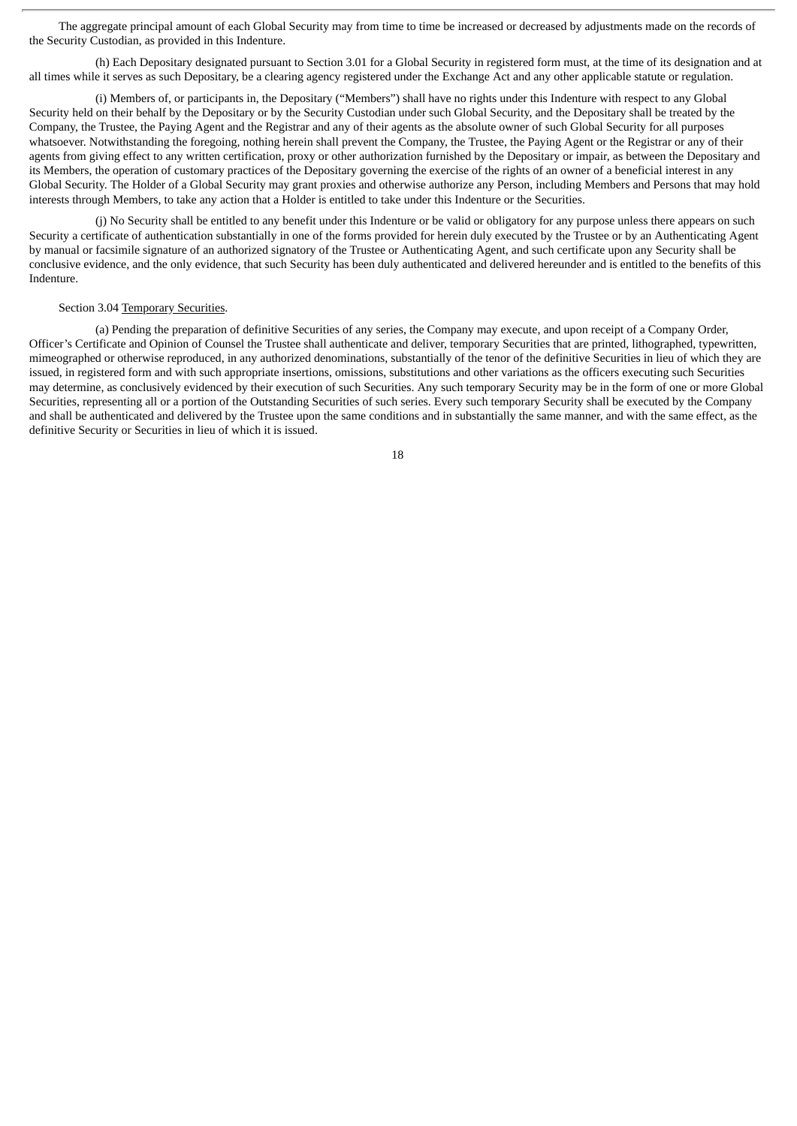The aggregate principal amount of each Global Security may from time to time be increased or decreased by adjustments made on the records of the Security Custodian, as provided in this Indenture.

(h) Each Depositary designated pursuant to Section 3.01 for a Global Security in registered form must, at the time of its designation and at all times while it serves as such Depositary, be a clearing agency registered under the Exchange Act and any other applicable statute or regulation.

(i) Members of, or participants in, the Depositary ("Members") shall have no rights under this Indenture with respect to any Global Security held on their behalf by the Depositary or by the Security Custodian under such Global Security, and the Depositary shall be treated by the Company, the Trustee, the Paying Agent and the Registrar and any of their agents as the absolute owner of such Global Security for all purposes whatsoever. Notwithstanding the foregoing, nothing herein shall prevent the Company, the Trustee, the Paying Agent or the Registrar or any of their agents from giving effect to any written certification, proxy or other authorization furnished by the Depositary or impair, as between the Depositary and its Members, the operation of customary practices of the Depositary governing the exercise of the rights of an owner of a beneficial interest in any Global Security. The Holder of a Global Security may grant proxies and otherwise authorize any Person, including Members and Persons that may hold interests through Members, to take any action that a Holder is entitled to take under this Indenture or the Securities.

(j) No Security shall be entitled to any benefit under this Indenture or be valid or obligatory for any purpose unless there appears on such Security a certificate of authentication substantially in one of the forms provided for herein duly executed by the Trustee or by an Authenticating Agent by manual or facsimile signature of an authorized signatory of the Trustee or Authenticating Agent, and such certificate upon any Security shall be conclusive evidence, and the only evidence, that such Security has been duly authenticated and delivered hereunder and is entitled to the benefits of this Indenture.

#### Section 3.04 Temporary Securities.

(a) Pending the preparation of definitive Securities of any series, the Company may execute, and upon receipt of a Company Order, Officer's Certificate and Opinion of Counsel the Trustee shall authenticate and deliver, temporary Securities that are printed, lithographed, typewritten, mimeographed or otherwise reproduced, in any authorized denominations, substantially of the tenor of the definitive Securities in lieu of which they are issued, in registered form and with such appropriate insertions, omissions, substitutions and other variations as the officers executing such Securities may determine, as conclusively evidenced by their execution of such Securities. Any such temporary Security may be in the form of one or more Global Securities, representing all or a portion of the Outstanding Securities of such series. Every such temporary Security shall be executed by the Company and shall be authenticated and delivered by the Trustee upon the same conditions and in substantially the same manner, and with the same effect, as the definitive Security or Securities in lieu of which it is issued.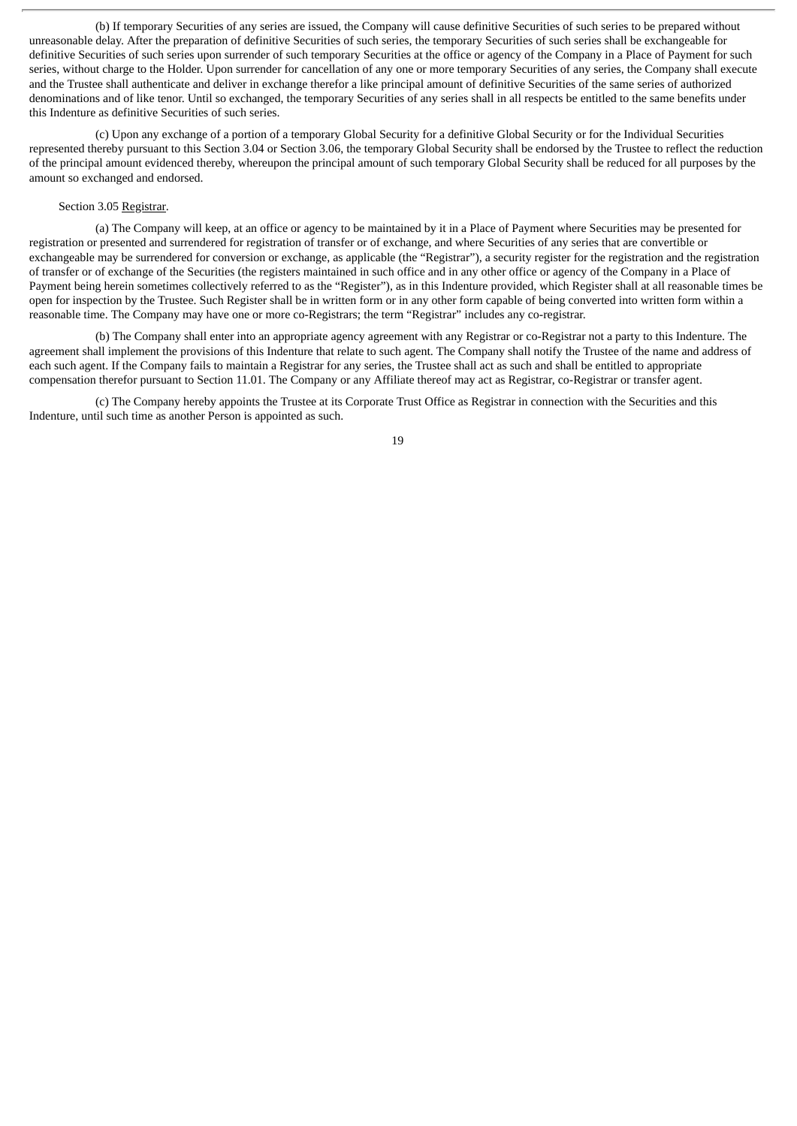(b) If temporary Securities of any series are issued, the Company will cause definitive Securities of such series to be prepared without unreasonable delay. After the preparation of definitive Securities of such series, the temporary Securities of such series shall be exchangeable for definitive Securities of such series upon surrender of such temporary Securities at the office or agency of the Company in a Place of Payment for such series, without charge to the Holder. Upon surrender for cancellation of any one or more temporary Securities of any series, the Company shall execute and the Trustee shall authenticate and deliver in exchange therefor a like principal amount of definitive Securities of the same series of authorized denominations and of like tenor. Until so exchanged, the temporary Securities of any series shall in all respects be entitled to the same benefits under this Indenture as definitive Securities of such series.

(c) Upon any exchange of a portion of a temporary Global Security for a definitive Global Security or for the Individual Securities represented thereby pursuant to this Section 3.04 or Section 3.06, the temporary Global Security shall be endorsed by the Trustee to reflect the reduction of the principal amount evidenced thereby, whereupon the principal amount of such temporary Global Security shall be reduced for all purposes by the amount so exchanged and endorsed.

# Section 3.05 Registrar.

(a) The Company will keep, at an office or agency to be maintained by it in a Place of Payment where Securities may be presented for registration or presented and surrendered for registration of transfer or of exchange, and where Securities of any series that are convertible or exchangeable may be surrendered for conversion or exchange, as applicable (the "Registrar"), a security register for the registration and the registration of transfer or of exchange of the Securities (the registers maintained in such office and in any other office or agency of the Company in a Place of Payment being herein sometimes collectively referred to as the "Register"), as in this Indenture provided, which Register shall at all reasonable times be open for inspection by the Trustee. Such Register shall be in written form or in any other form capable of being converted into written form within a reasonable time. The Company may have one or more co-Registrars; the term "Registrar" includes any co-registrar.

(b) The Company shall enter into an appropriate agency agreement with any Registrar or co-Registrar not a party to this Indenture. The agreement shall implement the provisions of this Indenture that relate to such agent. The Company shall notify the Trustee of the name and address of each such agent. If the Company fails to maintain a Registrar for any series, the Trustee shall act as such and shall be entitled to appropriate compensation therefor pursuant to Section 11.01. The Company or any Affiliate thereof may act as Registrar, co-Registrar or transfer agent.

(c) The Company hereby appoints the Trustee at its Corporate Trust Office as Registrar in connection with the Securities and this Indenture, until such time as another Person is appointed as such.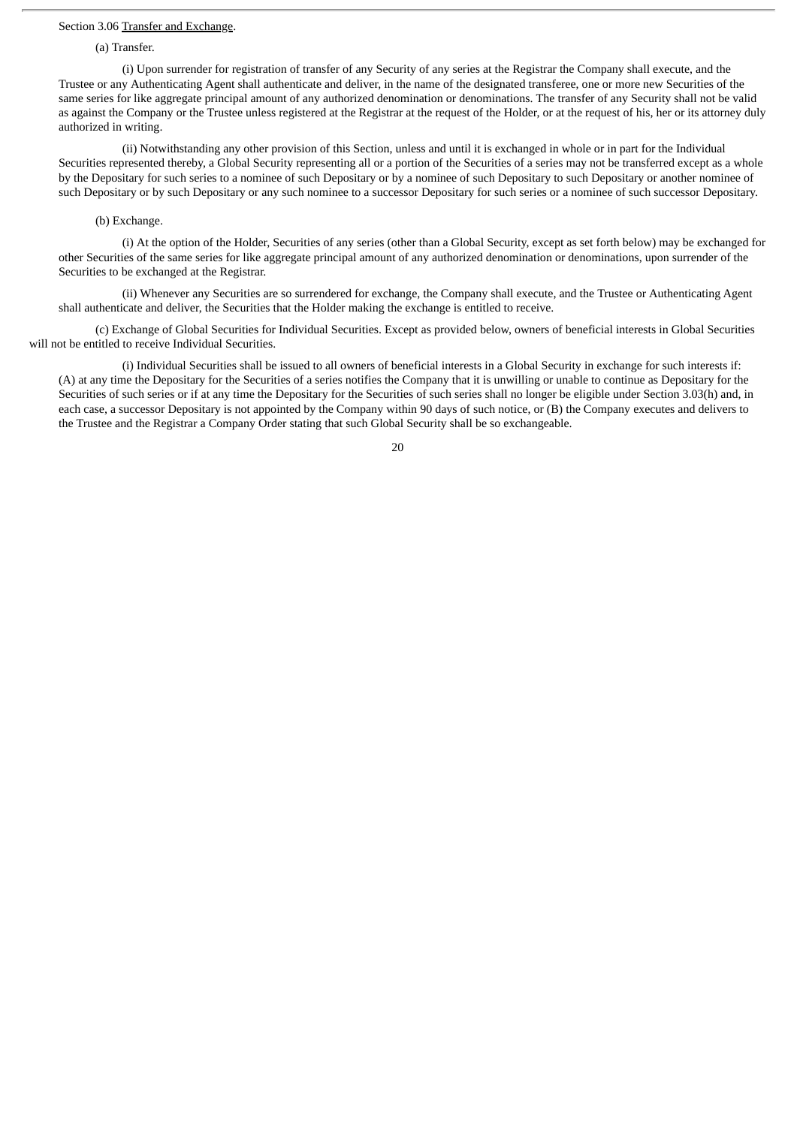## Section 3.06 Transfer and Exchange.

#### (a) Transfer.

(i) Upon surrender for registration of transfer of any Security of any series at the Registrar the Company shall execute, and the Trustee or any Authenticating Agent shall authenticate and deliver, in the name of the designated transferee, one or more new Securities of the same series for like aggregate principal amount of any authorized denomination or denominations. The transfer of any Security shall not be valid as against the Company or the Trustee unless registered at the Registrar at the request of the Holder, or at the request of his, her or its attorney duly authorized in writing.

(ii) Notwithstanding any other provision of this Section, unless and until it is exchanged in whole or in part for the Individual Securities represented thereby, a Global Security representing all or a portion of the Securities of a series may not be transferred except as a whole by the Depositary for such series to a nominee of such Depositary or by a nominee of such Depositary to such Depositary or another nominee of such Depositary or by such Depositary or any such nominee to a successor Depositary for such series or a nominee of such successor Depositary.

### (b) Exchange.

(i) At the option of the Holder, Securities of any series (other than a Global Security, except as set forth below) may be exchanged for other Securities of the same series for like aggregate principal amount of any authorized denomination or denominations, upon surrender of the Securities to be exchanged at the Registrar.

(ii) Whenever any Securities are so surrendered for exchange, the Company shall execute, and the Trustee or Authenticating Agent shall authenticate and deliver, the Securities that the Holder making the exchange is entitled to receive.

(c) Exchange of Global Securities for Individual Securities. Except as provided below, owners of beneficial interests in Global Securities will not be entitled to receive Individual Securities.

(i) Individual Securities shall be issued to all owners of beneficial interests in a Global Security in exchange for such interests if: (A) at any time the Depositary for the Securities of a series notifies the Company that it is unwilling or unable to continue as Depositary for the Securities of such series or if at any time the Depositary for the Securities of such series shall no longer be eligible under Section 3.03(h) and, in each case, a successor Depositary is not appointed by the Company within 90 days of such notice, or (B) the Company executes and delivers to the Trustee and the Registrar a Company Order stating that such Global Security shall be so exchangeable.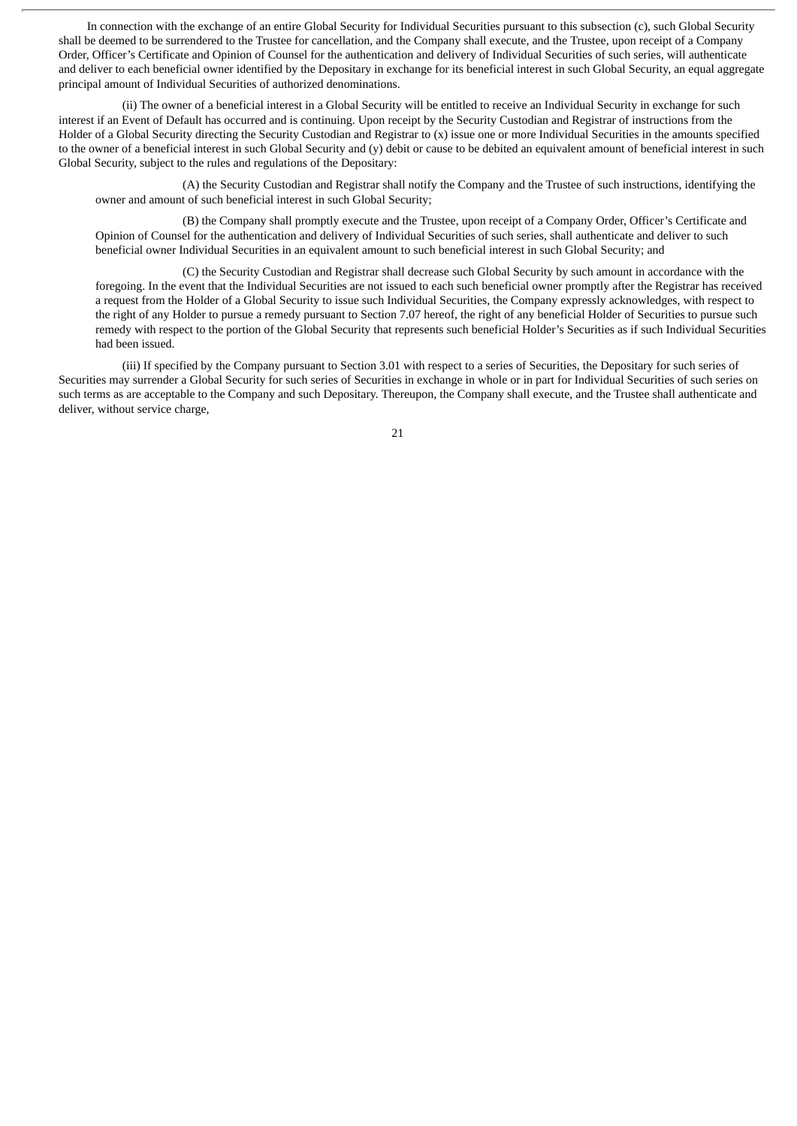In connection with the exchange of an entire Global Security for Individual Securities pursuant to this subsection (c), such Global Security shall be deemed to be surrendered to the Trustee for cancellation, and the Company shall execute, and the Trustee, upon receipt of a Company Order, Officer's Certificate and Opinion of Counsel for the authentication and delivery of Individual Securities of such series, will authenticate and deliver to each beneficial owner identified by the Depositary in exchange for its beneficial interest in such Global Security, an equal aggregate principal amount of Individual Securities of authorized denominations.

(ii) The owner of a beneficial interest in a Global Security will be entitled to receive an Individual Security in exchange for such interest if an Event of Default has occurred and is continuing. Upon receipt by the Security Custodian and Registrar of instructions from the Holder of a Global Security directing the Security Custodian and Registrar to (x) issue one or more Individual Securities in the amounts specified to the owner of a beneficial interest in such Global Security and (y) debit or cause to be debited an equivalent amount of beneficial interest in such Global Security, subject to the rules and regulations of the Depositary:

(A) the Security Custodian and Registrar shall notify the Company and the Trustee of such instructions, identifying the owner and amount of such beneficial interest in such Global Security;

(B) the Company shall promptly execute and the Trustee, upon receipt of a Company Order, Officer's Certificate and Opinion of Counsel for the authentication and delivery of Individual Securities of such series, shall authenticate and deliver to such beneficial owner Individual Securities in an equivalent amount to such beneficial interest in such Global Security; and

(C) the Security Custodian and Registrar shall decrease such Global Security by such amount in accordance with the foregoing. In the event that the Individual Securities are not issued to each such beneficial owner promptly after the Registrar has received a request from the Holder of a Global Security to issue such Individual Securities, the Company expressly acknowledges, with respect to the right of any Holder to pursue a remedy pursuant to Section 7.07 hereof, the right of any beneficial Holder of Securities to pursue such remedy with respect to the portion of the Global Security that represents such beneficial Holder's Securities as if such Individual Securities had been issued.

(iii) If specified by the Company pursuant to Section 3.01 with respect to a series of Securities, the Depositary for such series of Securities may surrender a Global Security for such series of Securities in exchange in whole or in part for Individual Securities of such series on such terms as are acceptable to the Company and such Depositary. Thereupon, the Company shall execute, and the Trustee shall authenticate and deliver, without service charge,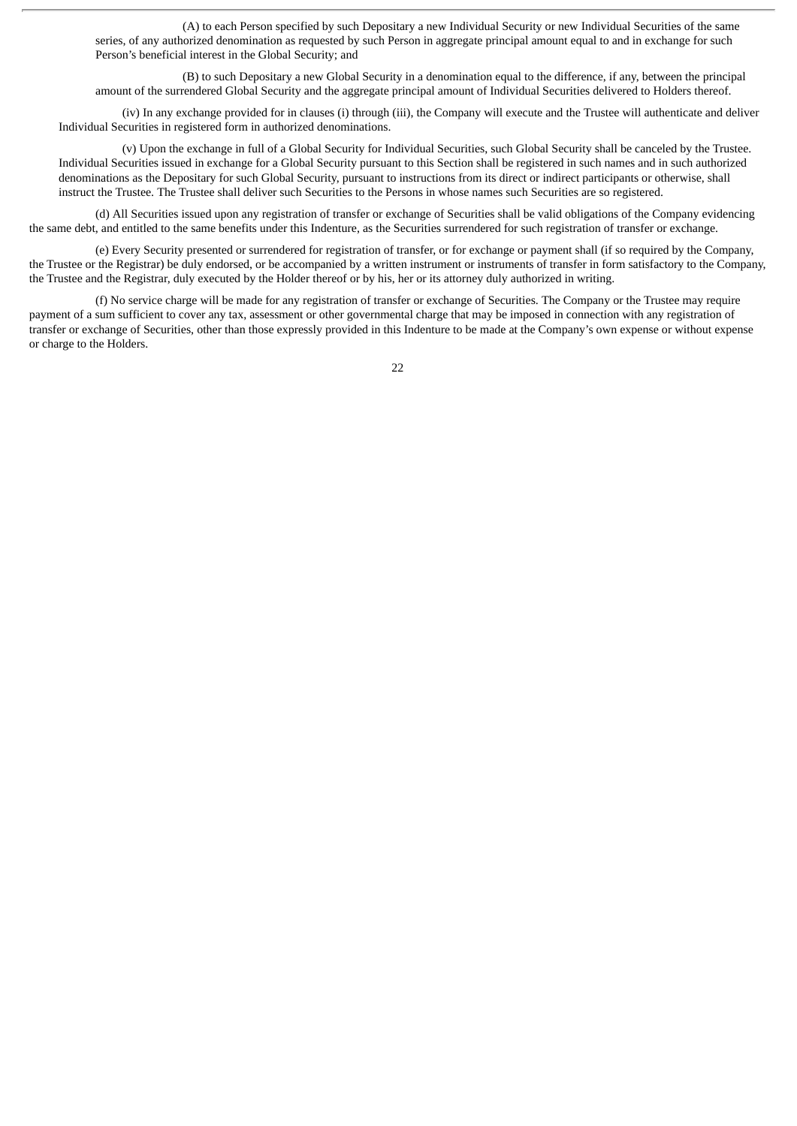(A) to each Person specified by such Depositary a new Individual Security or new Individual Securities of the same series, of any authorized denomination as requested by such Person in aggregate principal amount equal to and in exchange for such Person's beneficial interest in the Global Security; and

(B) to such Depositary a new Global Security in a denomination equal to the difference, if any, between the principal amount of the surrendered Global Security and the aggregate principal amount of Individual Securities delivered to Holders thereof.

(iv) In any exchange provided for in clauses (i) through (iii), the Company will execute and the Trustee will authenticate and deliver Individual Securities in registered form in authorized denominations.

(v) Upon the exchange in full of a Global Security for Individual Securities, such Global Security shall be canceled by the Trustee. Individual Securities issued in exchange for a Global Security pursuant to this Section shall be registered in such names and in such authorized denominations as the Depositary for such Global Security, pursuant to instructions from its direct or indirect participants or otherwise, shall instruct the Trustee. The Trustee shall deliver such Securities to the Persons in whose names such Securities are so registered.

(d) All Securities issued upon any registration of transfer or exchange of Securities shall be valid obligations of the Company evidencing the same debt, and entitled to the same benefits under this Indenture, as the Securities surrendered for such registration of transfer or exchange.

(e) Every Security presented or surrendered for registration of transfer, or for exchange or payment shall (if so required by the Company, the Trustee or the Registrar) be duly endorsed, or be accompanied by a written instrument or instruments of transfer in form satisfactory to the Company, the Trustee and the Registrar, duly executed by the Holder thereof or by his, her or its attorney duly authorized in writing.

(f) No service charge will be made for any registration of transfer or exchange of Securities. The Company or the Trustee may require payment of a sum sufficient to cover any tax, assessment or other governmental charge that may be imposed in connection with any registration of transfer or exchange of Securities, other than those expressly provided in this Indenture to be made at the Company's own expense or without expense or charge to the Holders.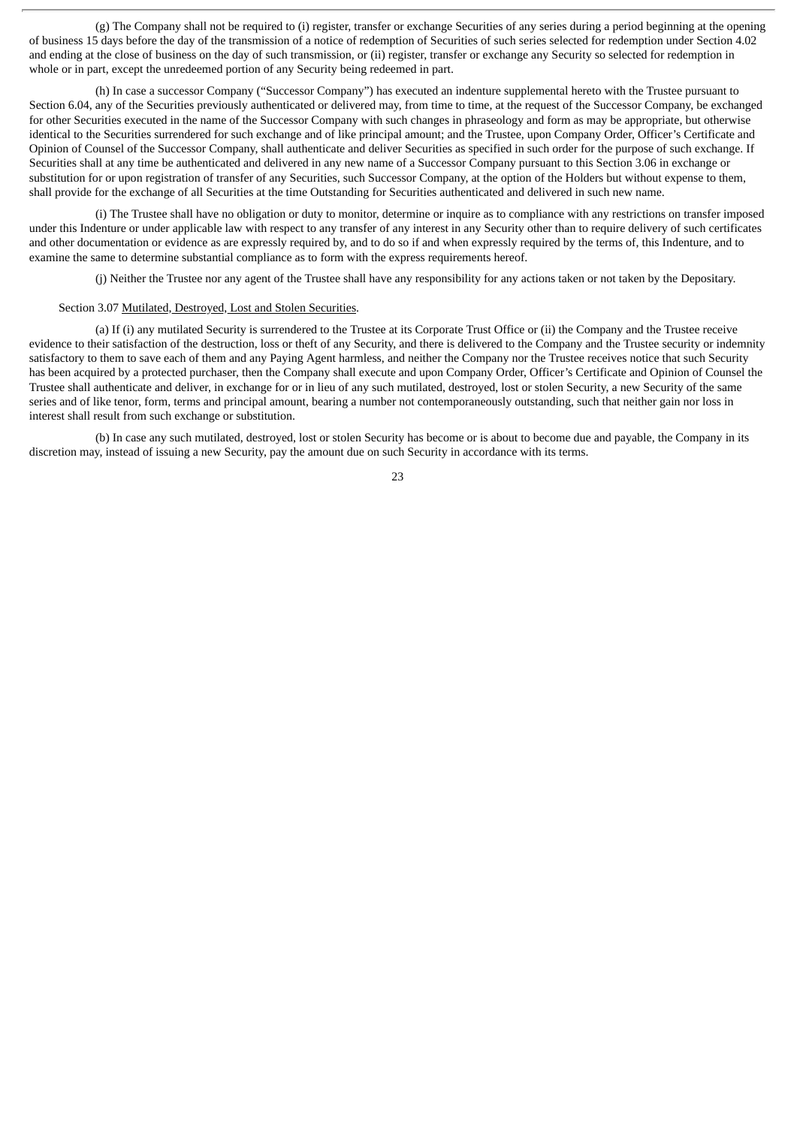(g) The Company shall not be required to (i) register, transfer or exchange Securities of any series during a period beginning at the opening of business 15 days before the day of the transmission of a notice of redemption of Securities of such series selected for redemption under Section 4.02 and ending at the close of business on the day of such transmission, or (ii) register, transfer or exchange any Security so selected for redemption in whole or in part, except the unredeemed portion of any Security being redeemed in part.

(h) In case a successor Company ("Successor Company") has executed an indenture supplemental hereto with the Trustee pursuant to Section 6.04, any of the Securities previously authenticated or delivered may, from time to time, at the request of the Successor Company, be exchanged for other Securities executed in the name of the Successor Company with such changes in phraseology and form as may be appropriate, but otherwise identical to the Securities surrendered for such exchange and of like principal amount; and the Trustee, upon Company Order, Officer's Certificate and Opinion of Counsel of the Successor Company, shall authenticate and deliver Securities as specified in such order for the purpose of such exchange. If Securities shall at any time be authenticated and delivered in any new name of a Successor Company pursuant to this Section 3.06 in exchange or substitution for or upon registration of transfer of any Securities, such Successor Company, at the option of the Holders but without expense to them, shall provide for the exchange of all Securities at the time Outstanding for Securities authenticated and delivered in such new name.

(i) The Trustee shall have no obligation or duty to monitor, determine or inquire as to compliance with any restrictions on transfer imposed under this Indenture or under applicable law with respect to any transfer of any interest in any Security other than to require delivery of such certificates and other documentation or evidence as are expressly required by, and to do so if and when expressly required by the terms of, this Indenture, and to examine the same to determine substantial compliance as to form with the express requirements hereof.

(j) Neither the Trustee nor any agent of the Trustee shall have any responsibility for any actions taken or not taken by the Depositary.

## Section 3.07 Mutilated, Destroyed, Lost and Stolen Securities.

(a) If (i) any mutilated Security is surrendered to the Trustee at its Corporate Trust Office or (ii) the Company and the Trustee receive evidence to their satisfaction of the destruction, loss or theft of any Security, and there is delivered to the Company and the Trustee security or indemnity satisfactory to them to save each of them and any Paying Agent harmless, and neither the Company nor the Trustee receives notice that such Security has been acquired by a protected purchaser, then the Company shall execute and upon Company Order, Officer's Certificate and Opinion of Counsel the Trustee shall authenticate and deliver, in exchange for or in lieu of any such mutilated, destroyed, lost or stolen Security, a new Security of the same series and of like tenor, form, terms and principal amount, bearing a number not contemporaneously outstanding, such that neither gain nor loss in interest shall result from such exchange or substitution.

(b) In case any such mutilated, destroyed, lost or stolen Security has become or is about to become due and payable, the Company in its discretion may, instead of issuing a new Security, pay the amount due on such Security in accordance with its terms.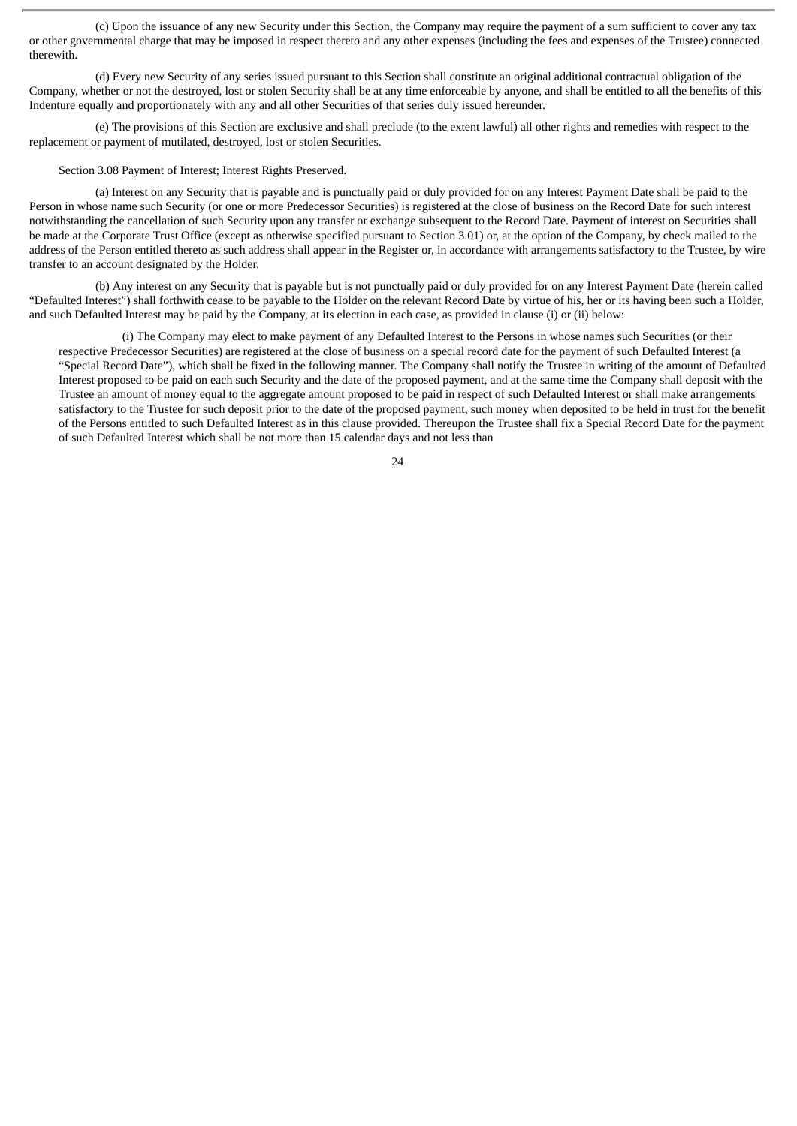(c) Upon the issuance of any new Security under this Section, the Company may require the payment of a sum sufficient to cover any tax or other governmental charge that may be imposed in respect thereto and any other expenses (including the fees and expenses of the Trustee) connected therewith.

(d) Every new Security of any series issued pursuant to this Section shall constitute an original additional contractual obligation of the Company, whether or not the destroyed, lost or stolen Security shall be at any time enforceable by anyone, and shall be entitled to all the benefits of this Indenture equally and proportionately with any and all other Securities of that series duly issued hereunder.

(e) The provisions of this Section are exclusive and shall preclude (to the extent lawful) all other rights and remedies with respect to the replacement or payment of mutilated, destroyed, lost or stolen Securities.

## Section 3.08 Payment of Interest; Interest Rights Preserved.

(a) Interest on any Security that is payable and is punctually paid or duly provided for on any Interest Payment Date shall be paid to the Person in whose name such Security (or one or more Predecessor Securities) is registered at the close of business on the Record Date for such interest notwithstanding the cancellation of such Security upon any transfer or exchange subsequent to the Record Date. Payment of interest on Securities shall be made at the Corporate Trust Office (except as otherwise specified pursuant to Section 3.01) or, at the option of the Company, by check mailed to the address of the Person entitled thereto as such address shall appear in the Register or, in accordance with arrangements satisfactory to the Trustee, by wire transfer to an account designated by the Holder.

(b) Any interest on any Security that is payable but is not punctually paid or duly provided for on any Interest Payment Date (herein called "Defaulted Interest") shall forthwith cease to be payable to the Holder on the relevant Record Date by virtue of his, her or its having been such a Holder, and such Defaulted Interest may be paid by the Company, at its election in each case, as provided in clause (i) or (ii) below:

(i) The Company may elect to make payment of any Defaulted Interest to the Persons in whose names such Securities (or their respective Predecessor Securities) are registered at the close of business on a special record date for the payment of such Defaulted Interest (a "Special Record Date"), which shall be fixed in the following manner. The Company shall notify the Trustee in writing of the amount of Defaulted Interest proposed to be paid on each such Security and the date of the proposed payment, and at the same time the Company shall deposit with the Trustee an amount of money equal to the aggregate amount proposed to be paid in respect of such Defaulted Interest or shall make arrangements satisfactory to the Trustee for such deposit prior to the date of the proposed payment, such money when deposited to be held in trust for the benefit of the Persons entitled to such Defaulted Interest as in this clause provided. Thereupon the Trustee shall fix a Special Record Date for the payment of such Defaulted Interest which shall be not more than 15 calendar days and not less than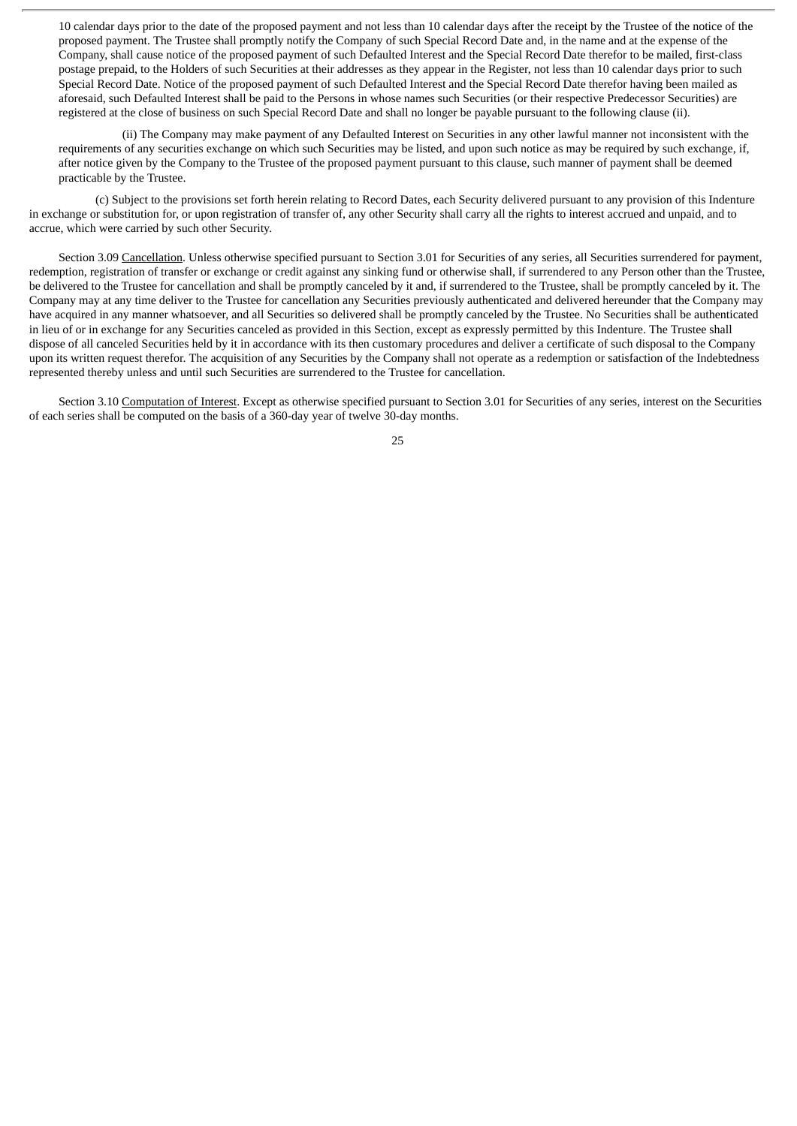10 calendar days prior to the date of the proposed payment and not less than 10 calendar days after the receipt by the Trustee of the notice of the proposed payment. The Trustee shall promptly notify the Company of such Special Record Date and, in the name and at the expense of the Company, shall cause notice of the proposed payment of such Defaulted Interest and the Special Record Date therefor to be mailed, first-class postage prepaid, to the Holders of such Securities at their addresses as they appear in the Register, not less than 10 calendar days prior to such Special Record Date. Notice of the proposed payment of such Defaulted Interest and the Special Record Date therefor having been mailed as aforesaid, such Defaulted Interest shall be paid to the Persons in whose names such Securities (or their respective Predecessor Securities) are registered at the close of business on such Special Record Date and shall no longer be payable pursuant to the following clause (ii).

(ii) The Company may make payment of any Defaulted Interest on Securities in any other lawful manner not inconsistent with the requirements of any securities exchange on which such Securities may be listed, and upon such notice as may be required by such exchange, if, after notice given by the Company to the Trustee of the proposed payment pursuant to this clause, such manner of payment shall be deemed practicable by the Trustee.

(c) Subject to the provisions set forth herein relating to Record Dates, each Security delivered pursuant to any provision of this Indenture in exchange or substitution for, or upon registration of transfer of, any other Security shall carry all the rights to interest accrued and unpaid, and to accrue, which were carried by such other Security.

Section 3.09 Cancellation. Unless otherwise specified pursuant to Section 3.01 for Securities of any series, all Securities surrendered for payment, redemption, registration of transfer or exchange or credit against any sinking fund or otherwise shall, if surrendered to any Person other than the Trustee, be delivered to the Trustee for cancellation and shall be promptly canceled by it and, if surrendered to the Trustee, shall be promptly canceled by it. The Company may at any time deliver to the Trustee for cancellation any Securities previously authenticated and delivered hereunder that the Company may have acquired in any manner whatsoever, and all Securities so delivered shall be promptly canceled by the Trustee. No Securities shall be authenticated in lieu of or in exchange for any Securities canceled as provided in this Section, except as expressly permitted by this Indenture. The Trustee shall dispose of all canceled Securities held by it in accordance with its then customary procedures and deliver a certificate of such disposal to the Company upon its written request therefor. The acquisition of any Securities by the Company shall not operate as a redemption or satisfaction of the Indebtedness represented thereby unless and until such Securities are surrendered to the Trustee for cancellation.

Section 3.10 Computation of Interest. Except as otherwise specified pursuant to Section 3.01 for Securities of any series, interest on the Securities of each series shall be computed on the basis of a 360-day year of twelve 30-day months.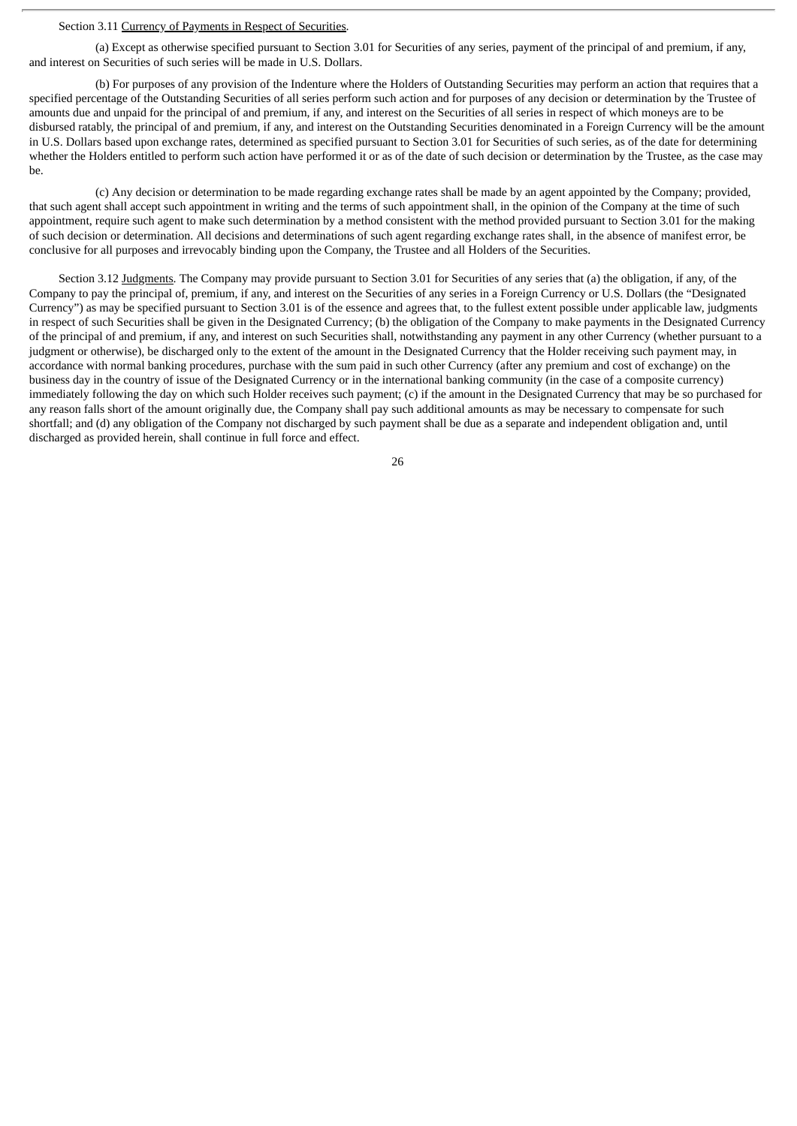## Section 3.11 Currency of Payments in Respect of Securities.

(a) Except as otherwise specified pursuant to Section 3.01 for Securities of any series, payment of the principal of and premium, if any, and interest on Securities of such series will be made in U.S. Dollars.

(b) For purposes of any provision of the Indenture where the Holders of Outstanding Securities may perform an action that requires that a specified percentage of the Outstanding Securities of all series perform such action and for purposes of any decision or determination by the Trustee of amounts due and unpaid for the principal of and premium, if any, and interest on the Securities of all series in respect of which moneys are to be disbursed ratably, the principal of and premium, if any, and interest on the Outstanding Securities denominated in a Foreign Currency will be the amount in U.S. Dollars based upon exchange rates, determined as specified pursuant to Section 3.01 for Securities of such series, as of the date for determining whether the Holders entitled to perform such action have performed it or as of the date of such decision or determination by the Trustee, as the case may be.

(c) Any decision or determination to be made regarding exchange rates shall be made by an agent appointed by the Company; provided, that such agent shall accept such appointment in writing and the terms of such appointment shall, in the opinion of the Company at the time of such appointment, require such agent to make such determination by a method consistent with the method provided pursuant to Section 3.01 for the making of such decision or determination. All decisions and determinations of such agent regarding exchange rates shall, in the absence of manifest error, be conclusive for all purposes and irrevocably binding upon the Company, the Trustee and all Holders of the Securities.

Section 3.12 Judgments. The Company may provide pursuant to Section 3.01 for Securities of any series that (a) the obligation, if any, of the Company to pay the principal of, premium, if any, and interest on the Securities of any series in a Foreign Currency or U.S. Dollars (the "Designated Currency") as may be specified pursuant to Section 3.01 is of the essence and agrees that, to the fullest extent possible under applicable law, judgments in respect of such Securities shall be given in the Designated Currency; (b) the obligation of the Company to make payments in the Designated Currency of the principal of and premium, if any, and interest on such Securities shall, notwithstanding any payment in any other Currency (whether pursuant to a judgment or otherwise), be discharged only to the extent of the amount in the Designated Currency that the Holder receiving such payment may, in accordance with normal banking procedures, purchase with the sum paid in such other Currency (after any premium and cost of exchange) on the business day in the country of issue of the Designated Currency or in the international banking community (in the case of a composite currency) immediately following the day on which such Holder receives such payment; (c) if the amount in the Designated Currency that may be so purchased for any reason falls short of the amount originally due, the Company shall pay such additional amounts as may be necessary to compensate for such shortfall; and (d) any obligation of the Company not discharged by such payment shall be due as a separate and independent obligation and, until discharged as provided herein, shall continue in full force and effect.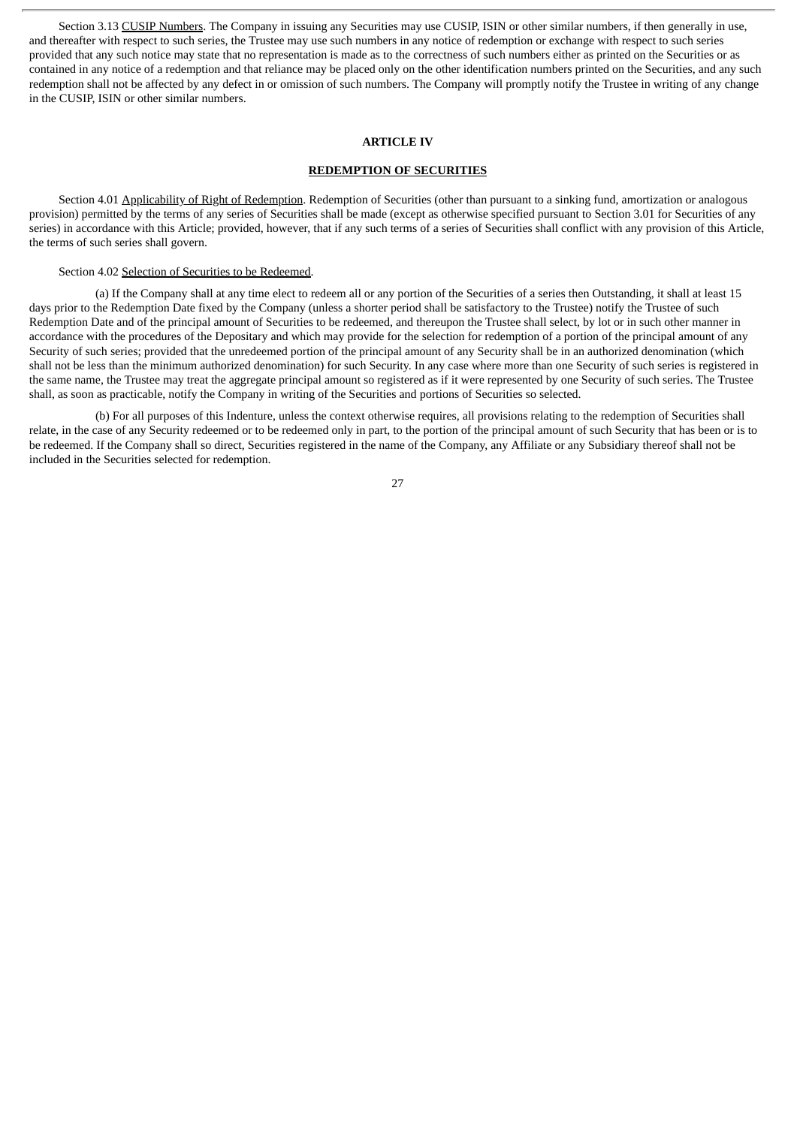Section 3.13 CUSIP Numbers. The Company in issuing any Securities may use CUSIP, ISIN or other similar numbers, if then generally in use, and thereafter with respect to such series, the Trustee may use such numbers in any notice of redemption or exchange with respect to such series provided that any such notice may state that no representation is made as to the correctness of such numbers either as printed on the Securities or as contained in any notice of a redemption and that reliance may be placed only on the other identification numbers printed on the Securities, and any such redemption shall not be affected by any defect in or omission of such numbers. The Company will promptly notify the Trustee in writing of any change in the CUSIP, ISIN or other similar numbers.

#### **ARTICLE IV**

## **REDEMPTION OF SECURITIES**

Section 4.01 Applicability of Right of Redemption. Redemption of Securities (other than pursuant to a sinking fund, amortization or analogous provision) permitted by the terms of any series of Securities shall be made (except as otherwise specified pursuant to Section 3.01 for Securities of any series) in accordance with this Article; provided, however, that if any such terms of a series of Securities shall conflict with any provision of this Article, the terms of such series shall govern.

#### Section 4.02 Selection of Securities to be Redeemed.

(a) If the Company shall at any time elect to redeem all or any portion of the Securities of a series then Outstanding, it shall at least 15 days prior to the Redemption Date fixed by the Company (unless a shorter period shall be satisfactory to the Trustee) notify the Trustee of such Redemption Date and of the principal amount of Securities to be redeemed, and thereupon the Trustee shall select, by lot or in such other manner in accordance with the procedures of the Depositary and which may provide for the selection for redemption of a portion of the principal amount of any Security of such series; provided that the unredeemed portion of the principal amount of any Security shall be in an authorized denomination (which shall not be less than the minimum authorized denomination) for such Security. In any case where more than one Security of such series is registered in the same name, the Trustee may treat the aggregate principal amount so registered as if it were represented by one Security of such series. The Trustee shall, as soon as practicable, notify the Company in writing of the Securities and portions of Securities so selected.

(b) For all purposes of this Indenture, unless the context otherwise requires, all provisions relating to the redemption of Securities shall relate, in the case of any Security redeemed or to be redeemed only in part, to the portion of the principal amount of such Security that has been or is to be redeemed. If the Company shall so direct, Securities registered in the name of the Company, any Affiliate or any Subsidiary thereof shall not be included in the Securities selected for redemption.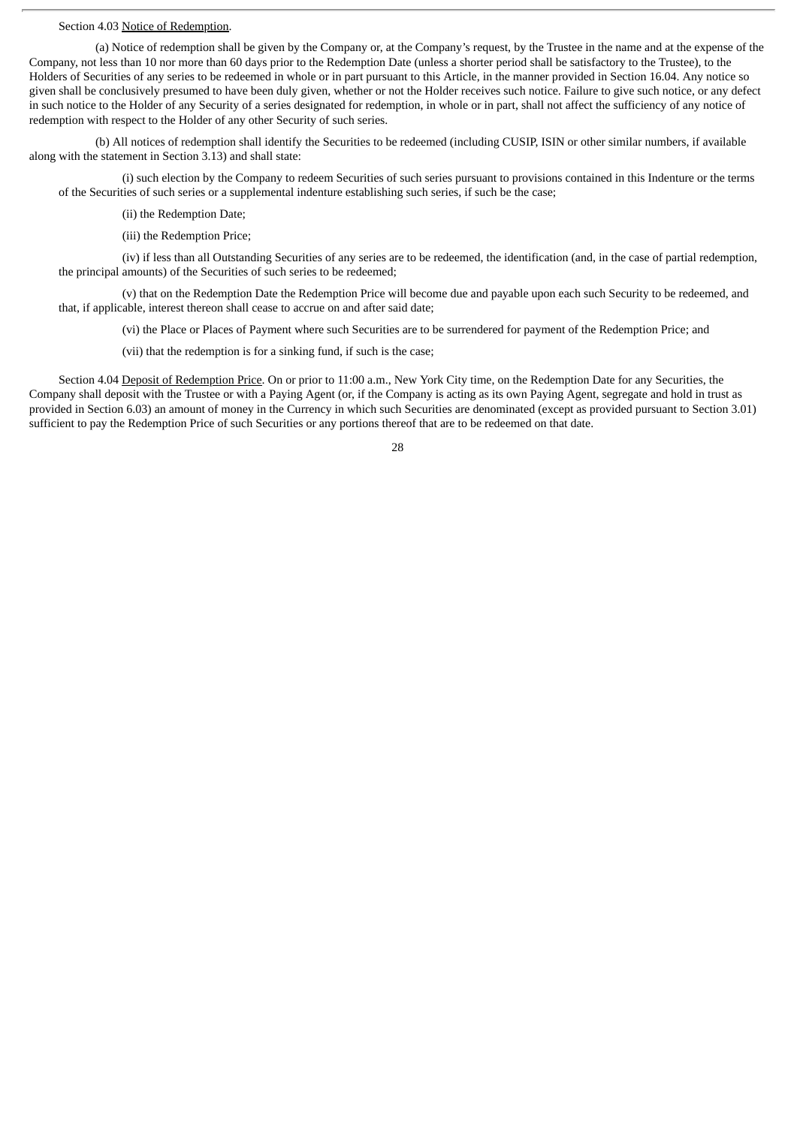## Section 4.03 Notice of Redemption.

(a) Notice of redemption shall be given by the Company or, at the Company's request, by the Trustee in the name and at the expense of the Company, not less than 10 nor more than 60 days prior to the Redemption Date (unless a shorter period shall be satisfactory to the Trustee), to the Holders of Securities of any series to be redeemed in whole or in part pursuant to this Article, in the manner provided in Section 16.04. Any notice so given shall be conclusively presumed to have been duly given, whether or not the Holder receives such notice. Failure to give such notice, or any defect in such notice to the Holder of any Security of a series designated for redemption, in whole or in part, shall not affect the sufficiency of any notice of redemption with respect to the Holder of any other Security of such series.

(b) All notices of redemption shall identify the Securities to be redeemed (including CUSIP, ISIN or other similar numbers, if available along with the statement in Section 3.13) and shall state:

(i) such election by the Company to redeem Securities of such series pursuant to provisions contained in this Indenture or the terms of the Securities of such series or a supplemental indenture establishing such series, if such be the case;

(ii) the Redemption Date;

(iii) the Redemption Price;

(iv) if less than all Outstanding Securities of any series are to be redeemed, the identification (and, in the case of partial redemption, the principal amounts) of the Securities of such series to be redeemed;

(v) that on the Redemption Date the Redemption Price will become due and payable upon each such Security to be redeemed, and that, if applicable, interest thereon shall cease to accrue on and after said date;

(vi) the Place or Places of Payment where such Securities are to be surrendered for payment of the Redemption Price; and

(vii) that the redemption is for a sinking fund, if such is the case;

Section 4.04 Deposit of Redemption Price. On or prior to 11:00 a.m., New York City time, on the Redemption Date for any Securities, the Company shall deposit with the Trustee or with a Paying Agent (or, if the Company is acting as its own Paying Agent, segregate and hold in trust as provided in Section 6.03) an amount of money in the Currency in which such Securities are denominated (except as provided pursuant to Section 3.01) sufficient to pay the Redemption Price of such Securities or any portions thereof that are to be redeemed on that date.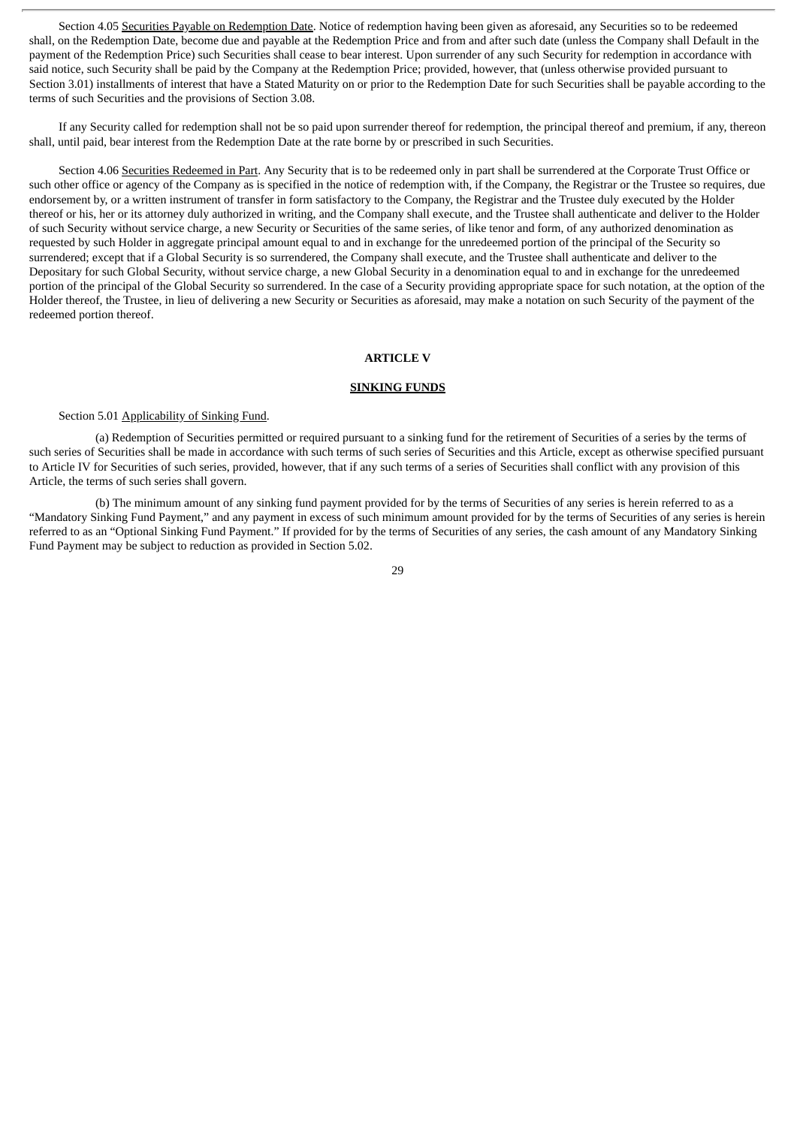Section 4.05 Securities Payable on Redemption Date. Notice of redemption having been given as aforesaid, any Securities so to be redeemed shall, on the Redemption Date, become due and payable at the Redemption Price and from and after such date (unless the Company shall Default in the payment of the Redemption Price) such Securities shall cease to bear interest. Upon surrender of any such Security for redemption in accordance with said notice, such Security shall be paid by the Company at the Redemption Price; provided, however, that (unless otherwise provided pursuant to Section 3.01) installments of interest that have a Stated Maturity on or prior to the Redemption Date for such Securities shall be payable according to the terms of such Securities and the provisions of Section 3.08.

If any Security called for redemption shall not be so paid upon surrender thereof for redemption, the principal thereof and premium, if any, thereon shall, until paid, bear interest from the Redemption Date at the rate borne by or prescribed in such Securities.

Section 4.06 Securities Redeemed in Part. Any Security that is to be redeemed only in part shall be surrendered at the Corporate Trust Office or such other office or agency of the Company as is specified in the notice of redemption with, if the Company, the Registrar or the Trustee so requires, due endorsement by, or a written instrument of transfer in form satisfactory to the Company, the Registrar and the Trustee duly executed by the Holder thereof or his, her or its attorney duly authorized in writing, and the Company shall execute, and the Trustee shall authenticate and deliver to the Holder of such Security without service charge, a new Security or Securities of the same series, of like tenor and form, of any authorized denomination as requested by such Holder in aggregate principal amount equal to and in exchange for the unredeemed portion of the principal of the Security so surrendered; except that if a Global Security is so surrendered, the Company shall execute, and the Trustee shall authenticate and deliver to the Depositary for such Global Security, without service charge, a new Global Security in a denomination equal to and in exchange for the unredeemed portion of the principal of the Global Security so surrendered. In the case of a Security providing appropriate space for such notation, at the option of the Holder thereof, the Trustee, in lieu of delivering a new Security or Securities as aforesaid, may make a notation on such Security of the payment of the redeemed portion thereof.

### **ARTICLE V**

#### **SINKING FUNDS**

#### Section 5.01 Applicability of Sinking Fund.

(a) Redemption of Securities permitted or required pursuant to a sinking fund for the retirement of Securities of a series by the terms of such series of Securities shall be made in accordance with such terms of such series of Securities and this Article, except as otherwise specified pursuant to Article IV for Securities of such series, provided, however, that if any such terms of a series of Securities shall conflict with any provision of this Article, the terms of such series shall govern.

(b) The minimum amount of any sinking fund payment provided for by the terms of Securities of any series is herein referred to as a "Mandatory Sinking Fund Payment," and any payment in excess of such minimum amount provided for by the terms of Securities of any series is herein referred to as an "Optional Sinking Fund Payment." If provided for by the terms of Securities of any series, the cash amount of any Mandatory Sinking Fund Payment may be subject to reduction as provided in Section 5.02.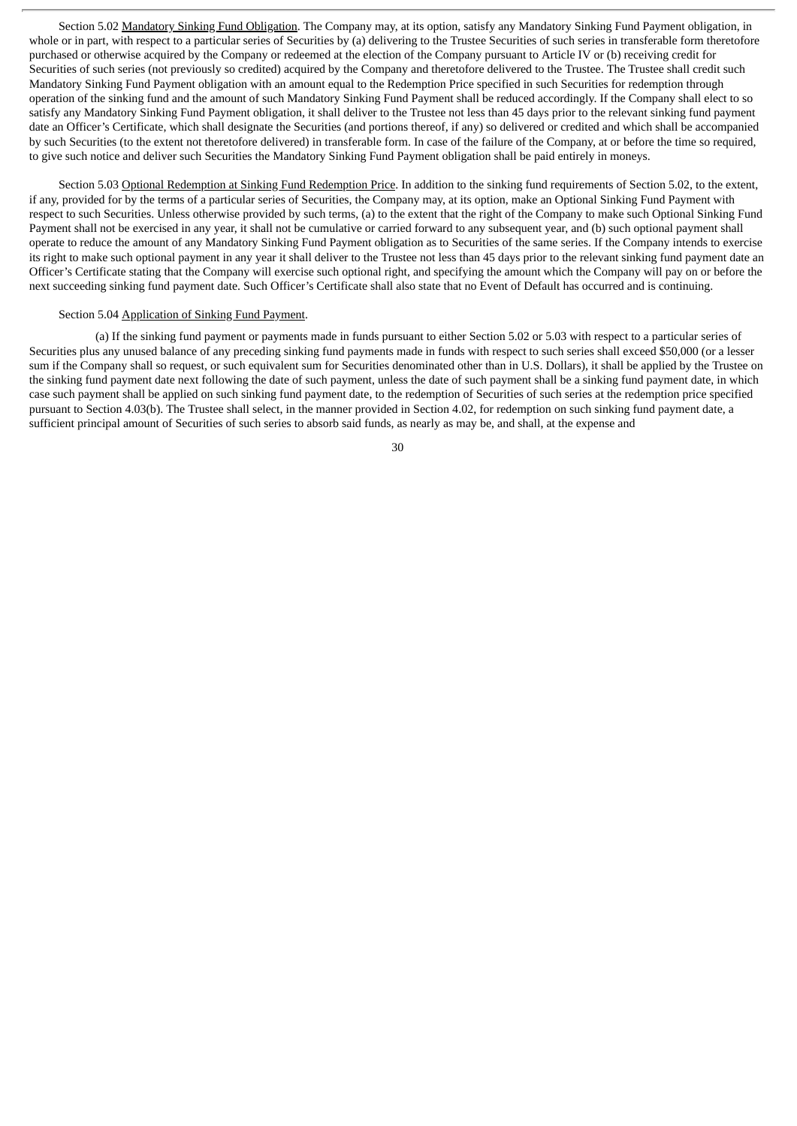Section 5.02 Mandatory Sinking Fund Obligation. The Company may, at its option, satisfy any Mandatory Sinking Fund Payment obligation, in whole or in part, with respect to a particular series of Securities by (a) delivering to the Trustee Securities of such series in transferable form theretofore purchased or otherwise acquired by the Company or redeemed at the election of the Company pursuant to Article IV or (b) receiving credit for Securities of such series (not previously so credited) acquired by the Company and theretofore delivered to the Trustee. The Trustee shall credit such Mandatory Sinking Fund Payment obligation with an amount equal to the Redemption Price specified in such Securities for redemption through operation of the sinking fund and the amount of such Mandatory Sinking Fund Payment shall be reduced accordingly. If the Company shall elect to so satisfy any Mandatory Sinking Fund Payment obligation, it shall deliver to the Trustee not less than 45 days prior to the relevant sinking fund payment date an Officer's Certificate, which shall designate the Securities (and portions thereof, if any) so delivered or credited and which shall be accompanied by such Securities (to the extent not theretofore delivered) in transferable form. In case of the failure of the Company, at or before the time so required, to give such notice and deliver such Securities the Mandatory Sinking Fund Payment obligation shall be paid entirely in moneys.

Section 5.03 Optional Redemption at Sinking Fund Redemption Price. In addition to the sinking fund requirements of Section 5.02, to the extent, if any, provided for by the terms of a particular series of Securities, the Company may, at its option, make an Optional Sinking Fund Payment with respect to such Securities. Unless otherwise provided by such terms, (a) to the extent that the right of the Company to make such Optional Sinking Fund Payment shall not be exercised in any year, it shall not be cumulative or carried forward to any subsequent year, and (b) such optional payment shall operate to reduce the amount of any Mandatory Sinking Fund Payment obligation as to Securities of the same series. If the Company intends to exercise its right to make such optional payment in any year it shall deliver to the Trustee not less than 45 days prior to the relevant sinking fund payment date an Officer's Certificate stating that the Company will exercise such optional right, and specifying the amount which the Company will pay on or before the next succeeding sinking fund payment date. Such Officer's Certificate shall also state that no Event of Default has occurred and is continuing.

#### Section 5.04 Application of Sinking Fund Payment.

(a) If the sinking fund payment or payments made in funds pursuant to either Section 5.02 or 5.03 with respect to a particular series of Securities plus any unused balance of any preceding sinking fund payments made in funds with respect to such series shall exceed \$50,000 (or a lesser sum if the Company shall so request, or such equivalent sum for Securities denominated other than in U.S. Dollars), it shall be applied by the Trustee on the sinking fund payment date next following the date of such payment, unless the date of such payment shall be a sinking fund payment date, in which case such payment shall be applied on such sinking fund payment date, to the redemption of Securities of such series at the redemption price specified pursuant to Section 4.03(b). The Trustee shall select, in the manner provided in Section 4.02, for redemption on such sinking fund payment date, a sufficient principal amount of Securities of such series to absorb said funds, as nearly as may be, and shall, at the expense and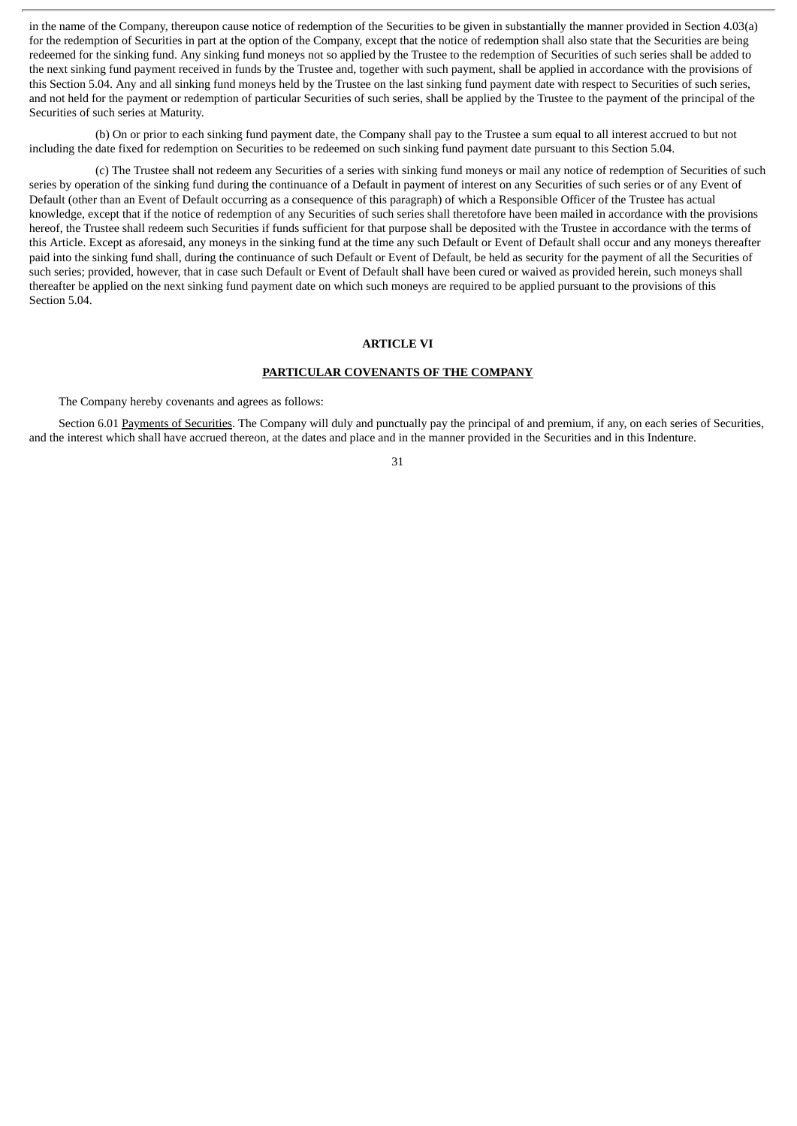in the name of the Company, thereupon cause notice of redemption of the Securities to be given in substantially the manner provided in Section 4.03(a) for the redemption of Securities in part at the option of the Company, except that the notice of redemption shall also state that the Securities are being redeemed for the sinking fund. Any sinking fund moneys not so applied by the Trustee to the redemption of Securities of such series shall be added to the next sinking fund payment received in funds by the Trustee and, together with such payment, shall be applied in accordance with the provisions of this Section 5.04. Any and all sinking fund moneys held by the Trustee on the last sinking fund payment date with respect to Securities of such series, and not held for the payment or redemption of particular Securities of such series, shall be applied by the Trustee to the payment of the principal of the Securities of such series at Maturity.

(b) On or prior to each sinking fund payment date, the Company shall pay to the Trustee a sum equal to all interest accrued to but not including the date fixed for redemption on Securities to be redeemed on such sinking fund payment date pursuant to this Section 5.04.

(c) The Trustee shall not redeem any Securities of a series with sinking fund moneys or mail any notice of redemption of Securities of such series by operation of the sinking fund during the continuance of a Default in payment of interest on any Securities of such series or of any Event of Default (other than an Event of Default occurring as a consequence of this paragraph) of which a Responsible Officer of the Trustee has actual knowledge, except that if the notice of redemption of any Securities of such series shall theretofore have been mailed in accordance with the provisions hereof, the Trustee shall redeem such Securities if funds sufficient for that purpose shall be deposited with the Trustee in accordance with the terms of this Article. Except as aforesaid, any moneys in the sinking fund at the time any such Default or Event of Default shall occur and any moneys thereafter paid into the sinking fund shall, during the continuance of such Default or Event of Default, be held as security for the payment of all the Securities of such series; provided, however, that in case such Default or Event of Default shall have been cured or waived as provided herein, such moneys shall thereafter be applied on the next sinking fund payment date on which such moneys are required to be applied pursuant to the provisions of this Section 5.04.

#### **ARTICLE VI**

## **PARTICULAR COVENANTS OF THE COMPANY**

The Company hereby covenants and agrees as follows:

Section 6.01 Payments of Securities. The Company will duly and punctually pay the principal of and premium, if any, on each series of Securities, and the interest which shall have accrued thereon, at the dates and place and in the manner provided in the Securities and in this Indenture.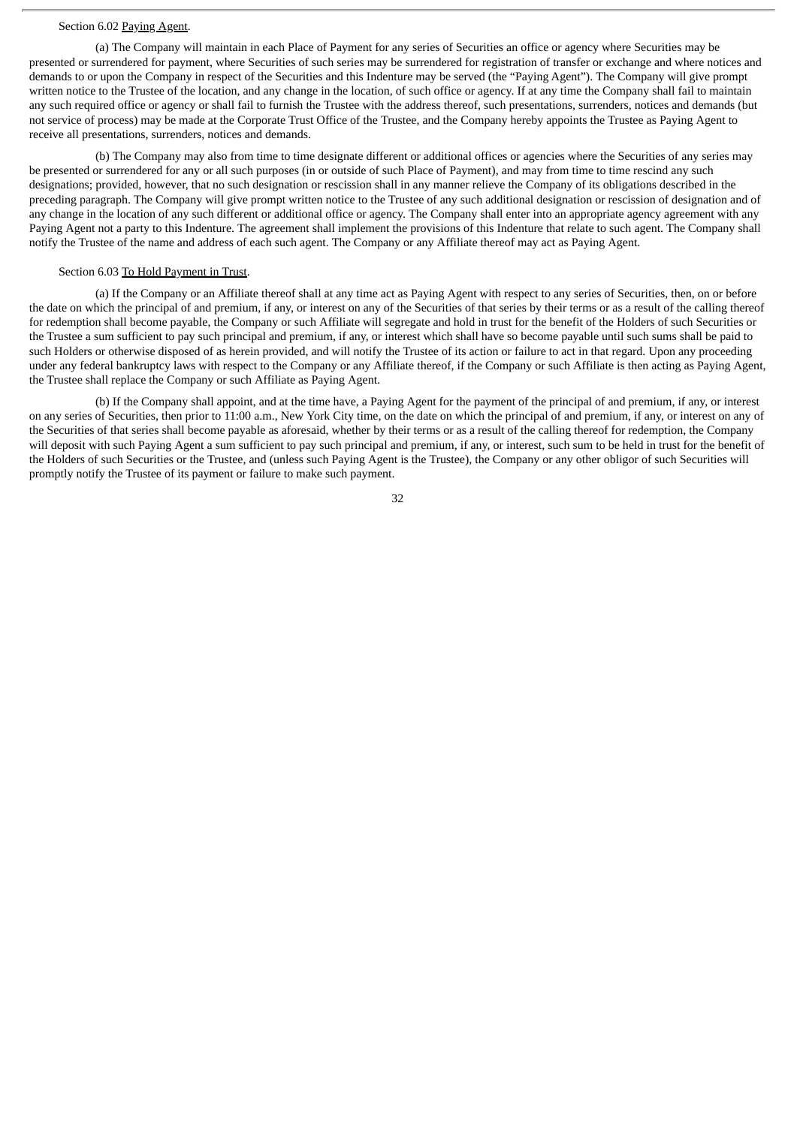#### Section 6.02 Paying Agent.

(a) The Company will maintain in each Place of Payment for any series of Securities an office or agency where Securities may be presented or surrendered for payment, where Securities of such series may be surrendered for registration of transfer or exchange and where notices and demands to or upon the Company in respect of the Securities and this Indenture may be served (the "Paying Agent"). The Company will give prompt written notice to the Trustee of the location, and any change in the location, of such office or agency. If at any time the Company shall fail to maintain any such required office or agency or shall fail to furnish the Trustee with the address thereof, such presentations, surrenders, notices and demands (but not service of process) may be made at the Corporate Trust Office of the Trustee, and the Company hereby appoints the Trustee as Paying Agent to receive all presentations, surrenders, notices and demands.

(b) The Company may also from time to time designate different or additional offices or agencies where the Securities of any series may be presented or surrendered for any or all such purposes (in or outside of such Place of Payment), and may from time to time rescind any such designations; provided, however, that no such designation or rescission shall in any manner relieve the Company of its obligations described in the preceding paragraph. The Company will give prompt written notice to the Trustee of any such additional designation or rescission of designation and of any change in the location of any such different or additional office or agency. The Company shall enter into an appropriate agency agreement with any Paying Agent not a party to this Indenture. The agreement shall implement the provisions of this Indenture that relate to such agent. The Company shall notify the Trustee of the name and address of each such agent. The Company or any Affiliate thereof may act as Paying Agent.

# Section 6.03 To Hold Payment in Trust.

(a) If the Company or an Affiliate thereof shall at any time act as Paying Agent with respect to any series of Securities, then, on or before the date on which the principal of and premium, if any, or interest on any of the Securities of that series by their terms or as a result of the calling thereof for redemption shall become payable, the Company or such Affiliate will segregate and hold in trust for the benefit of the Holders of such Securities or the Trustee a sum sufficient to pay such principal and premium, if any, or interest which shall have so become payable until such sums shall be paid to such Holders or otherwise disposed of as herein provided, and will notify the Trustee of its action or failure to act in that regard. Upon any proceeding under any federal bankruptcy laws with respect to the Company or any Affiliate thereof, if the Company or such Affiliate is then acting as Paying Agent, the Trustee shall replace the Company or such Affiliate as Paying Agent.

(b) If the Company shall appoint, and at the time have, a Paying Agent for the payment of the principal of and premium, if any, or interest on any series of Securities, then prior to 11:00 a.m., New York City time, on the date on which the principal of and premium, if any, or interest on any of the Securities of that series shall become payable as aforesaid, whether by their terms or as a result of the calling thereof for redemption, the Company will deposit with such Paying Agent a sum sufficient to pay such principal and premium, if any, or interest, such sum to be held in trust for the benefit of the Holders of such Securities or the Trustee, and (unless such Paying Agent is the Trustee), the Company or any other obligor of such Securities will promptly notify the Trustee of its payment or failure to make such payment.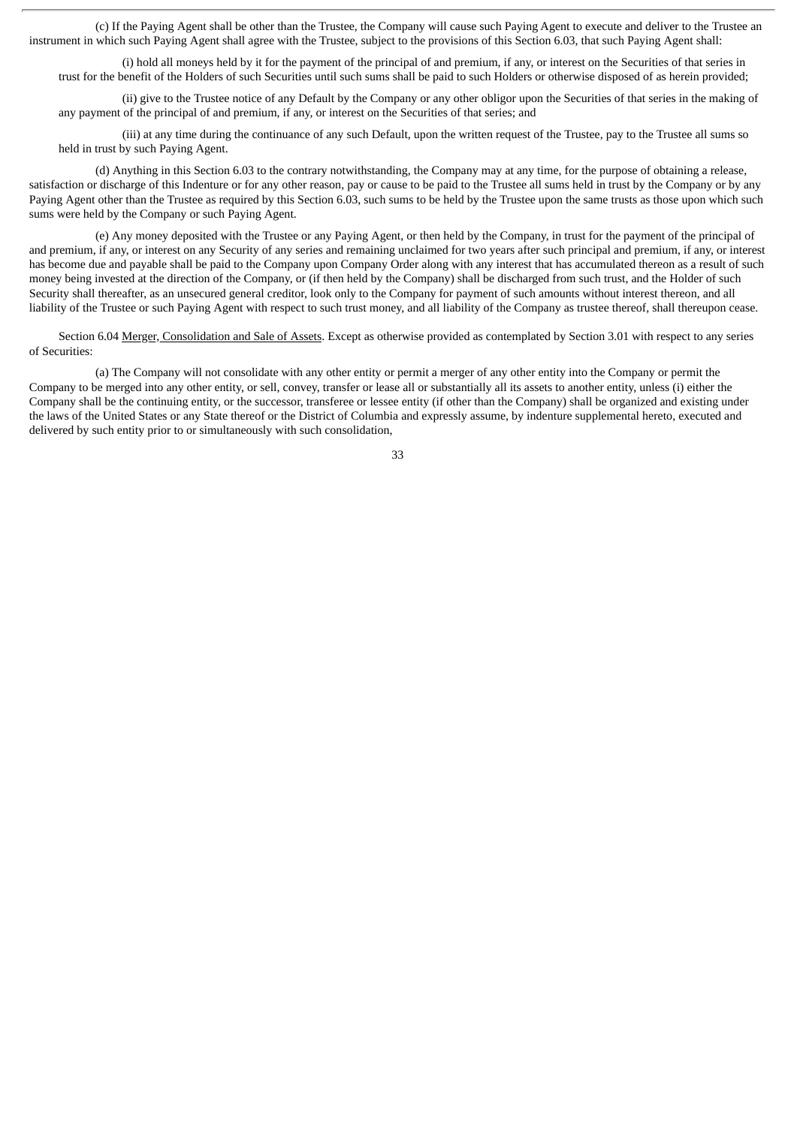(c) If the Paying Agent shall be other than the Trustee, the Company will cause such Paying Agent to execute and deliver to the Trustee an instrument in which such Paying Agent shall agree with the Trustee, subject to the provisions of this Section 6.03, that such Paying Agent shall:

(i) hold all moneys held by it for the payment of the principal of and premium, if any, or interest on the Securities of that series in trust for the benefit of the Holders of such Securities until such sums shall be paid to such Holders or otherwise disposed of as herein provided;

(ii) give to the Trustee notice of any Default by the Company or any other obligor upon the Securities of that series in the making of any payment of the principal of and premium, if any, or interest on the Securities of that series; and

(iii) at any time during the continuance of any such Default, upon the written request of the Trustee, pay to the Trustee all sums so held in trust by such Paying Agent.

(d) Anything in this Section 6.03 to the contrary notwithstanding, the Company may at any time, for the purpose of obtaining a release, satisfaction or discharge of this Indenture or for any other reason, pay or cause to be paid to the Trustee all sums held in trust by the Company or by any Paying Agent other than the Trustee as required by this Section 6.03, such sums to be held by the Trustee upon the same trusts as those upon which such sums were held by the Company or such Paying Agent.

(e) Any money deposited with the Trustee or any Paying Agent, or then held by the Company, in trust for the payment of the principal of and premium, if any, or interest on any Security of any series and remaining unclaimed for two years after such principal and premium, if any, or interest has become due and payable shall be paid to the Company upon Company Order along with any interest that has accumulated thereon as a result of such money being invested at the direction of the Company, or (if then held by the Company) shall be discharged from such trust, and the Holder of such Security shall thereafter, as an unsecured general creditor, look only to the Company for payment of such amounts without interest thereon, and all liability of the Trustee or such Paying Agent with respect to such trust money, and all liability of the Company as trustee thereof, shall thereupon cease.

Section 6.04 Merger, Consolidation and Sale of Assets. Except as otherwise provided as contemplated by Section 3.01 with respect to any series of Securities:

(a) The Company will not consolidate with any other entity or permit a merger of any other entity into the Company or permit the Company to be merged into any other entity, or sell, convey, transfer or lease all or substantially all its assets to another entity, unless (i) either the Company shall be the continuing entity, or the successor, transferee or lessee entity (if other than the Company) shall be organized and existing under the laws of the United States or any State thereof or the District of Columbia and expressly assume, by indenture supplemental hereto, executed and delivered by such entity prior to or simultaneously with such consolidation,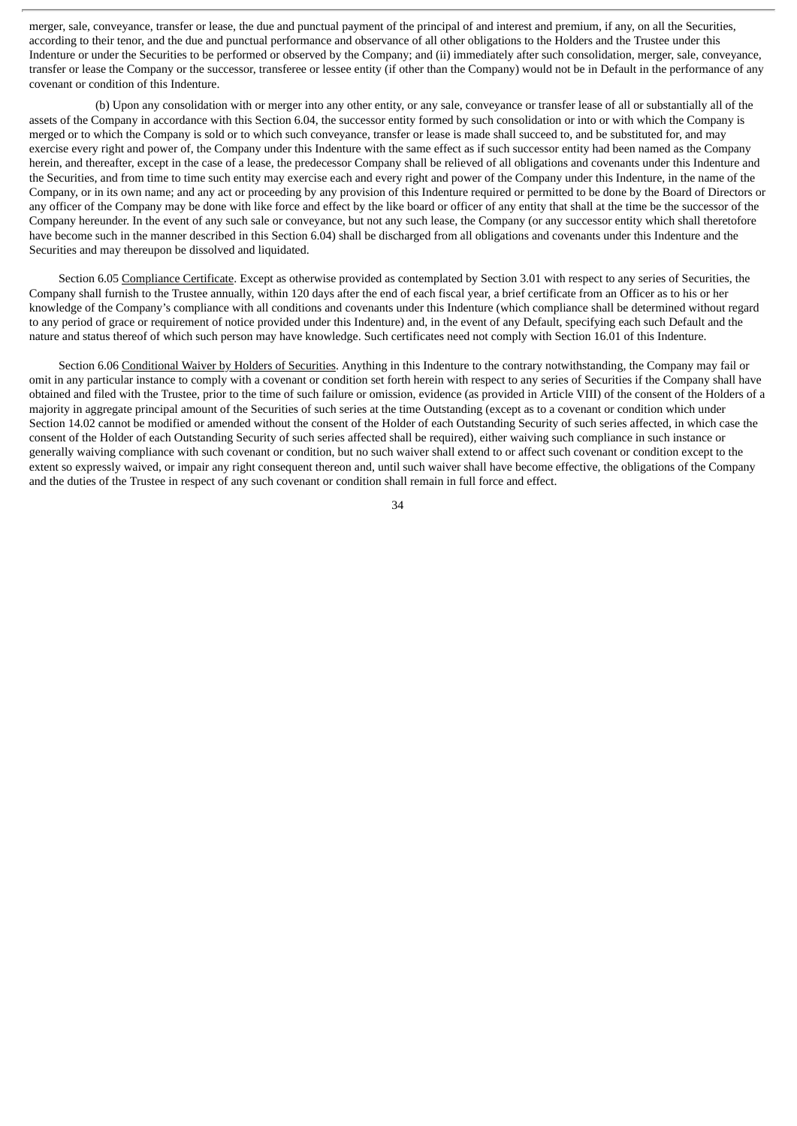merger, sale, conveyance, transfer or lease, the due and punctual payment of the principal of and interest and premium, if any, on all the Securities, according to their tenor, and the due and punctual performance and observance of all other obligations to the Holders and the Trustee under this Indenture or under the Securities to be performed or observed by the Company; and (ii) immediately after such consolidation, merger, sale, conveyance, transfer or lease the Company or the successor, transferee or lessee entity (if other than the Company) would not be in Default in the performance of any covenant or condition of this Indenture.

(b) Upon any consolidation with or merger into any other entity, or any sale, conveyance or transfer lease of all or substantially all of the assets of the Company in accordance with this Section 6.04, the successor entity formed by such consolidation or into or with which the Company is merged or to which the Company is sold or to which such conveyance, transfer or lease is made shall succeed to, and be substituted for, and may exercise every right and power of, the Company under this Indenture with the same effect as if such successor entity had been named as the Company herein, and thereafter, except in the case of a lease, the predecessor Company shall be relieved of all obligations and covenants under this Indenture and the Securities, and from time to time such entity may exercise each and every right and power of the Company under this Indenture, in the name of the Company, or in its own name; and any act or proceeding by any provision of this Indenture required or permitted to be done by the Board of Directors or any officer of the Company may be done with like force and effect by the like board or officer of any entity that shall at the time be the successor of the Company hereunder. In the event of any such sale or conveyance, but not any such lease, the Company (or any successor entity which shall theretofore have become such in the manner described in this Section 6.04) shall be discharged from all obligations and covenants under this Indenture and the Securities and may thereupon be dissolved and liquidated.

Section 6.05 Compliance Certificate. Except as otherwise provided as contemplated by Section 3.01 with respect to any series of Securities, the Company shall furnish to the Trustee annually, within 120 days after the end of each fiscal year, a brief certificate from an Officer as to his or her knowledge of the Company's compliance with all conditions and covenants under this Indenture (which compliance shall be determined without regard to any period of grace or requirement of notice provided under this Indenture) and, in the event of any Default, specifying each such Default and the nature and status thereof of which such person may have knowledge. Such certificates need not comply with Section 16.01 of this Indenture.

Section 6.06 Conditional Waiver by Holders of Securities. Anything in this Indenture to the contrary notwithstanding, the Company may fail or omit in any particular instance to comply with a covenant or condition set forth herein with respect to any series of Securities if the Company shall have obtained and filed with the Trustee, prior to the time of such failure or omission, evidence (as provided in Article VIII) of the consent of the Holders of a majority in aggregate principal amount of the Securities of such series at the time Outstanding (except as to a covenant or condition which under Section 14.02 cannot be modified or amended without the consent of the Holder of each Outstanding Security of such series affected, in which case the consent of the Holder of each Outstanding Security of such series affected shall be required), either waiving such compliance in such instance or generally waiving compliance with such covenant or condition, but no such waiver shall extend to or affect such covenant or condition except to the extent so expressly waived, or impair any right consequent thereon and, until such waiver shall have become effective, the obligations of the Company and the duties of the Trustee in respect of any such covenant or condition shall remain in full force and effect.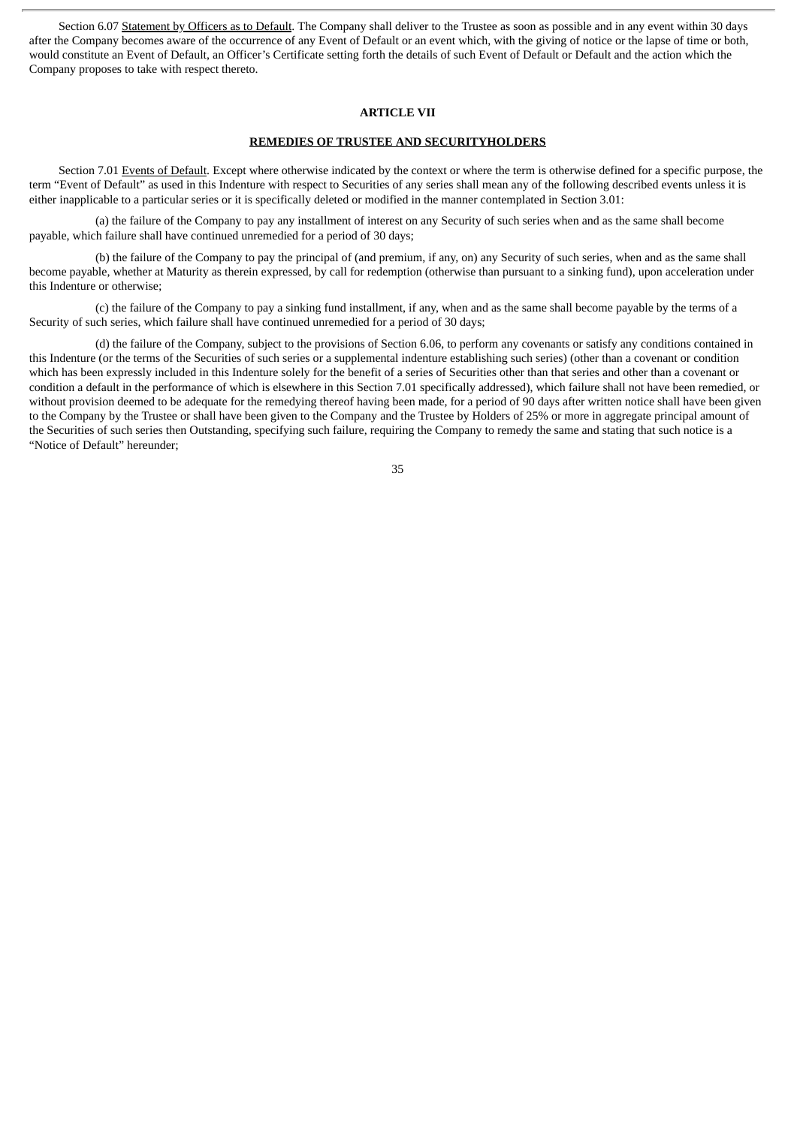Section 6.07 Statement by Officers as to Default. The Company shall deliver to the Trustee as soon as possible and in any event within 30 days after the Company becomes aware of the occurrence of any Event of Default or an event which, with the giving of notice or the lapse of time or both, would constitute an Event of Default, an Officer's Certificate setting forth the details of such Event of Default or Default and the action which the Company proposes to take with respect thereto.

#### **ARTICLE VII**

#### **REMEDIES OF TRUSTEE AND SECURITYHOLDERS**

Section 7.01 Events of Default. Except where otherwise indicated by the context or where the term is otherwise defined for a specific purpose, the term "Event of Default" as used in this Indenture with respect to Securities of any series shall mean any of the following described events unless it is either inapplicable to a particular series or it is specifically deleted or modified in the manner contemplated in Section 3.01:

(a) the failure of the Company to pay any installment of interest on any Security of such series when and as the same shall become payable, which failure shall have continued unremedied for a period of 30 days;

(b) the failure of the Company to pay the principal of (and premium, if any, on) any Security of such series, when and as the same shall become payable, whether at Maturity as therein expressed, by call for redemption (otherwise than pursuant to a sinking fund), upon acceleration under this Indenture or otherwise;

(c) the failure of the Company to pay a sinking fund installment, if any, when and as the same shall become payable by the terms of a Security of such series, which failure shall have continued unremedied for a period of 30 days;

(d) the failure of the Company, subject to the provisions of Section 6.06, to perform any covenants or satisfy any conditions contained in this Indenture (or the terms of the Securities of such series or a supplemental indenture establishing such series) (other than a covenant or condition which has been expressly included in this Indenture solely for the benefit of a series of Securities other than that series and other than a covenant or condition a default in the performance of which is elsewhere in this Section 7.01 specifically addressed), which failure shall not have been remedied, or without provision deemed to be adequate for the remedying thereof having been made, for a period of 90 days after written notice shall have been given to the Company by the Trustee or shall have been given to the Company and the Trustee by Holders of 25% or more in aggregate principal amount of the Securities of such series then Outstanding, specifying such failure, requiring the Company to remedy the same and stating that such notice is a "Notice of Default" hereunder;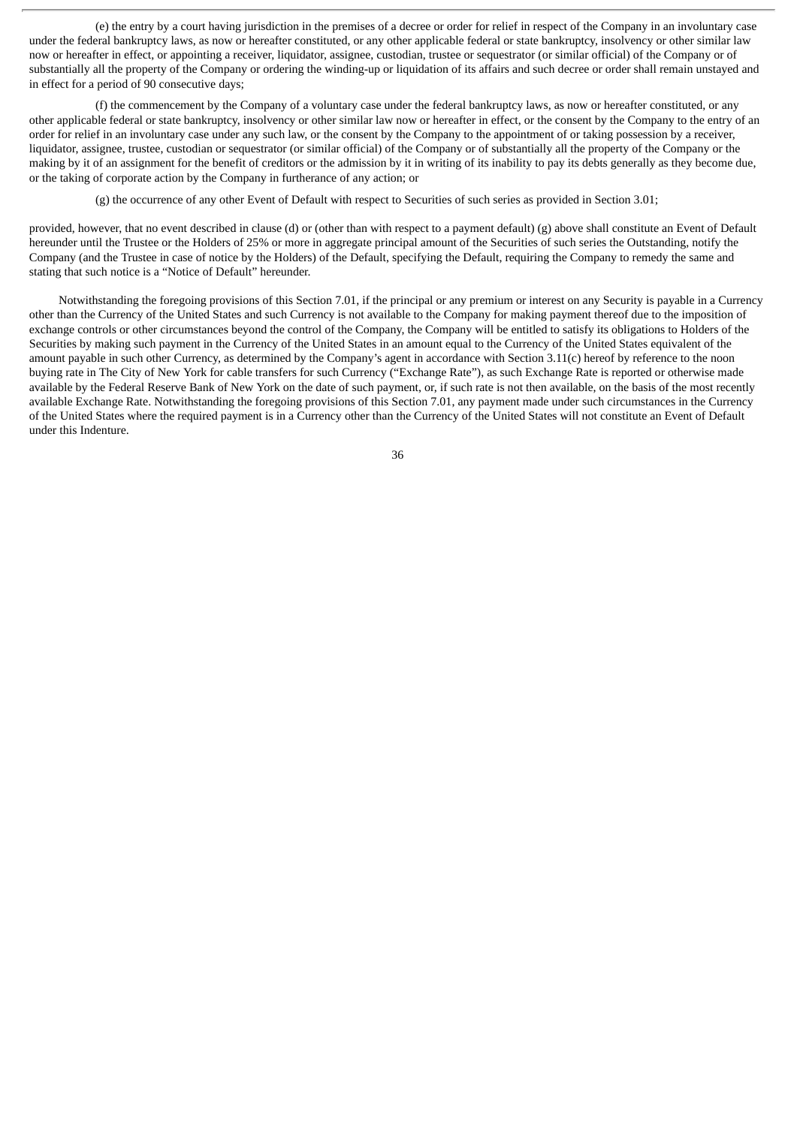(e) the entry by a court having jurisdiction in the premises of a decree or order for relief in respect of the Company in an involuntary case under the federal bankruptcy laws, as now or hereafter constituted, or any other applicable federal or state bankruptcy, insolvency or other similar law now or hereafter in effect, or appointing a receiver, liquidator, assignee, custodian, trustee or sequestrator (or similar official) of the Company or of substantially all the property of the Company or ordering the winding-up or liquidation of its affairs and such decree or order shall remain unstayed and in effect for a period of 90 consecutive days;

(f) the commencement by the Company of a voluntary case under the federal bankruptcy laws, as now or hereafter constituted, or any other applicable federal or state bankruptcy, insolvency or other similar law now or hereafter in effect, or the consent by the Company to the entry of an order for relief in an involuntary case under any such law, or the consent by the Company to the appointment of or taking possession by a receiver, liquidator, assignee, trustee, custodian or sequestrator (or similar official) of the Company or of substantially all the property of the Company or the making by it of an assignment for the benefit of creditors or the admission by it in writing of its inability to pay its debts generally as they become due, or the taking of corporate action by the Company in furtherance of any action; or

(g) the occurrence of any other Event of Default with respect to Securities of such series as provided in Section 3.01;

provided, however, that no event described in clause (d) or (other than with respect to a payment default) (g) above shall constitute an Event of Default hereunder until the Trustee or the Holders of 25% or more in aggregate principal amount of the Securities of such series the Outstanding, notify the Company (and the Trustee in case of notice by the Holders) of the Default, specifying the Default, requiring the Company to remedy the same and stating that such notice is a "Notice of Default" hereunder.

Notwithstanding the foregoing provisions of this Section 7.01, if the principal or any premium or interest on any Security is payable in a Currency other than the Currency of the United States and such Currency is not available to the Company for making payment thereof due to the imposition of exchange controls or other circumstances beyond the control of the Company, the Company will be entitled to satisfy its obligations to Holders of the Securities by making such payment in the Currency of the United States in an amount equal to the Currency of the United States equivalent of the amount payable in such other Currency, as determined by the Company's agent in accordance with Section 3.11(c) hereof by reference to the noon buying rate in The City of New York for cable transfers for such Currency ("Exchange Rate"), as such Exchange Rate is reported or otherwise made available by the Federal Reserve Bank of New York on the date of such payment, or, if such rate is not then available, on the basis of the most recently available Exchange Rate. Notwithstanding the foregoing provisions of this Section 7.01, any payment made under such circumstances in the Currency of the United States where the required payment is in a Currency other than the Currency of the United States will not constitute an Event of Default under this Indenture.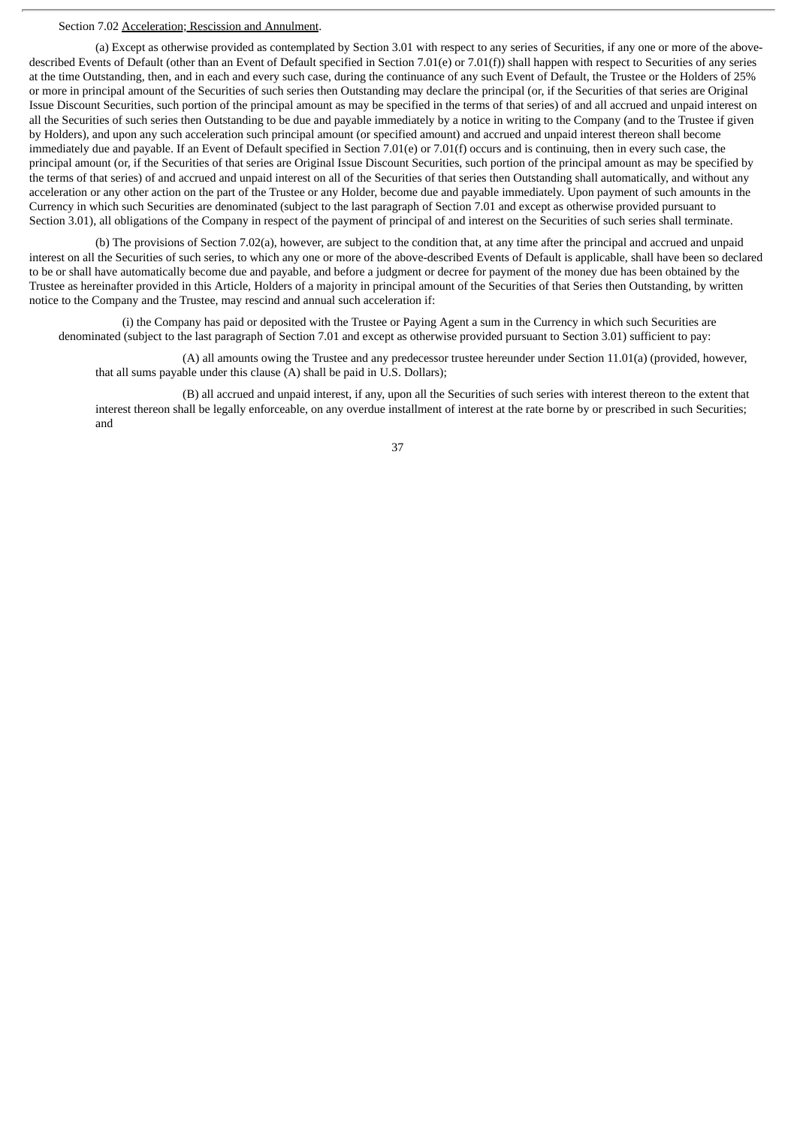#### Section 7.02 Acceleration; Rescission and Annulment.

(a) Except as otherwise provided as contemplated by Section 3.01 with respect to any series of Securities, if any one or more of the abovedescribed Events of Default (other than an Event of Default specified in Section 7.01(e) or 7.01(f)) shall happen with respect to Securities of any series at the time Outstanding, then, and in each and every such case, during the continuance of any such Event of Default, the Trustee or the Holders of 25% or more in principal amount of the Securities of such series then Outstanding may declare the principal (or, if the Securities of that series are Original Issue Discount Securities, such portion of the principal amount as may be specified in the terms of that series) of and all accrued and unpaid interest on all the Securities of such series then Outstanding to be due and payable immediately by a notice in writing to the Company (and to the Trustee if given by Holders), and upon any such acceleration such principal amount (or specified amount) and accrued and unpaid interest thereon shall become immediately due and payable. If an Event of Default specified in Section 7.01(e) or 7.01(f) occurs and is continuing, then in every such case, the principal amount (or, if the Securities of that series are Original Issue Discount Securities, such portion of the principal amount as may be specified by the terms of that series) of and accrued and unpaid interest on all of the Securities of that series then Outstanding shall automatically, and without any acceleration or any other action on the part of the Trustee or any Holder, become due and payable immediately. Upon payment of such amounts in the Currency in which such Securities are denominated (subject to the last paragraph of Section 7.01 and except as otherwise provided pursuant to Section 3.01), all obligations of the Company in respect of the payment of principal of and interest on the Securities of such series shall terminate.

(b) The provisions of Section 7.02(a), however, are subject to the condition that, at any time after the principal and accrued and unpaid interest on all the Securities of such series, to which any one or more of the above-described Events of Default is applicable, shall have been so declared to be or shall have automatically become due and payable, and before a judgment or decree for payment of the money due has been obtained by the Trustee as hereinafter provided in this Article, Holders of a majority in principal amount of the Securities of that Series then Outstanding, by written notice to the Company and the Trustee, may rescind and annual such acceleration if:

(i) the Company has paid or deposited with the Trustee or Paying Agent a sum in the Currency in which such Securities are denominated (subject to the last paragraph of Section 7.01 and except as otherwise provided pursuant to Section 3.01) sufficient to pay:

(A) all amounts owing the Trustee and any predecessor trustee hereunder under Section 11.01(a) (provided, however, that all sums payable under this clause (A) shall be paid in U.S. Dollars);

(B) all accrued and unpaid interest, if any, upon all the Securities of such series with interest thereon to the extent that interest thereon shall be legally enforceable, on any overdue installment of interest at the rate borne by or prescribed in such Securities; and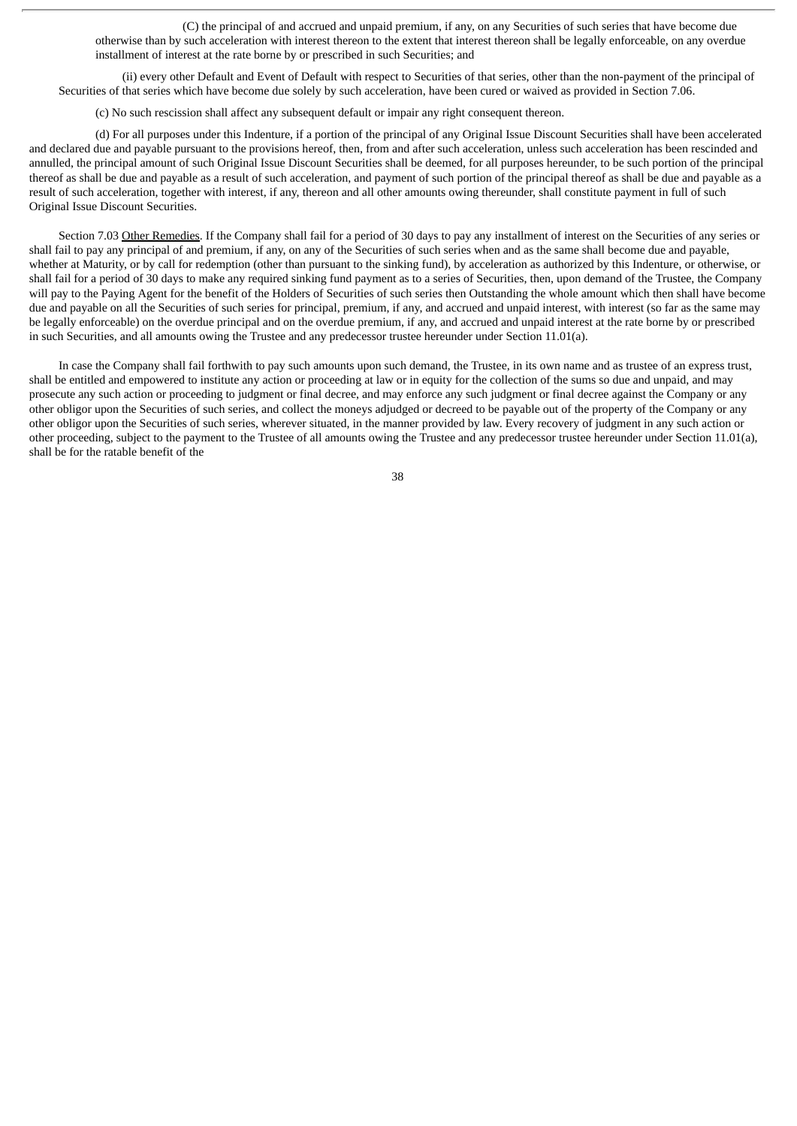(C) the principal of and accrued and unpaid premium, if any, on any Securities of such series that have become due otherwise than by such acceleration with interest thereon to the extent that interest thereon shall be legally enforceable, on any overdue installment of interest at the rate borne by or prescribed in such Securities; and

(ii) every other Default and Event of Default with respect to Securities of that series, other than the non-payment of the principal of Securities of that series which have become due solely by such acceleration, have been cured or waived as provided in Section 7.06.

(c) No such rescission shall affect any subsequent default or impair any right consequent thereon.

(d) For all purposes under this Indenture, if a portion of the principal of any Original Issue Discount Securities shall have been accelerated and declared due and payable pursuant to the provisions hereof, then, from and after such acceleration, unless such acceleration has been rescinded and annulled, the principal amount of such Original Issue Discount Securities shall be deemed, for all purposes hereunder, to be such portion of the principal thereof as shall be due and payable as a result of such acceleration, and payment of such portion of the principal thereof as shall be due and payable as a result of such acceleration, together with interest, if any, thereon and all other amounts owing thereunder, shall constitute payment in full of such Original Issue Discount Securities.

Section 7.03 Other Remedies. If the Company shall fail for a period of 30 days to pay any installment of interest on the Securities of any series or shall fail to pay any principal of and premium, if any, on any of the Securities of such series when and as the same shall become due and payable, whether at Maturity, or by call for redemption (other than pursuant to the sinking fund), by acceleration as authorized by this Indenture, or otherwise, or shall fail for a period of 30 days to make any required sinking fund payment as to a series of Securities, then, upon demand of the Trustee, the Company will pay to the Paying Agent for the benefit of the Holders of Securities of such series then Outstanding the whole amount which then shall have become due and payable on all the Securities of such series for principal, premium, if any, and accrued and unpaid interest, with interest (so far as the same may be legally enforceable) on the overdue principal and on the overdue premium, if any, and accrued and unpaid interest at the rate borne by or prescribed in such Securities, and all amounts owing the Trustee and any predecessor trustee hereunder under Section 11.01(a).

In case the Company shall fail forthwith to pay such amounts upon such demand, the Trustee, in its own name and as trustee of an express trust, shall be entitled and empowered to institute any action or proceeding at law or in equity for the collection of the sums so due and unpaid, and may prosecute any such action or proceeding to judgment or final decree, and may enforce any such judgment or final decree against the Company or any other obligor upon the Securities of such series, and collect the moneys adjudged or decreed to be payable out of the property of the Company or any other obligor upon the Securities of such series, wherever situated, in the manner provided by law. Every recovery of judgment in any such action or other proceeding, subject to the payment to the Trustee of all amounts owing the Trustee and any predecessor trustee hereunder under Section 11.01(a), shall be for the ratable benefit of the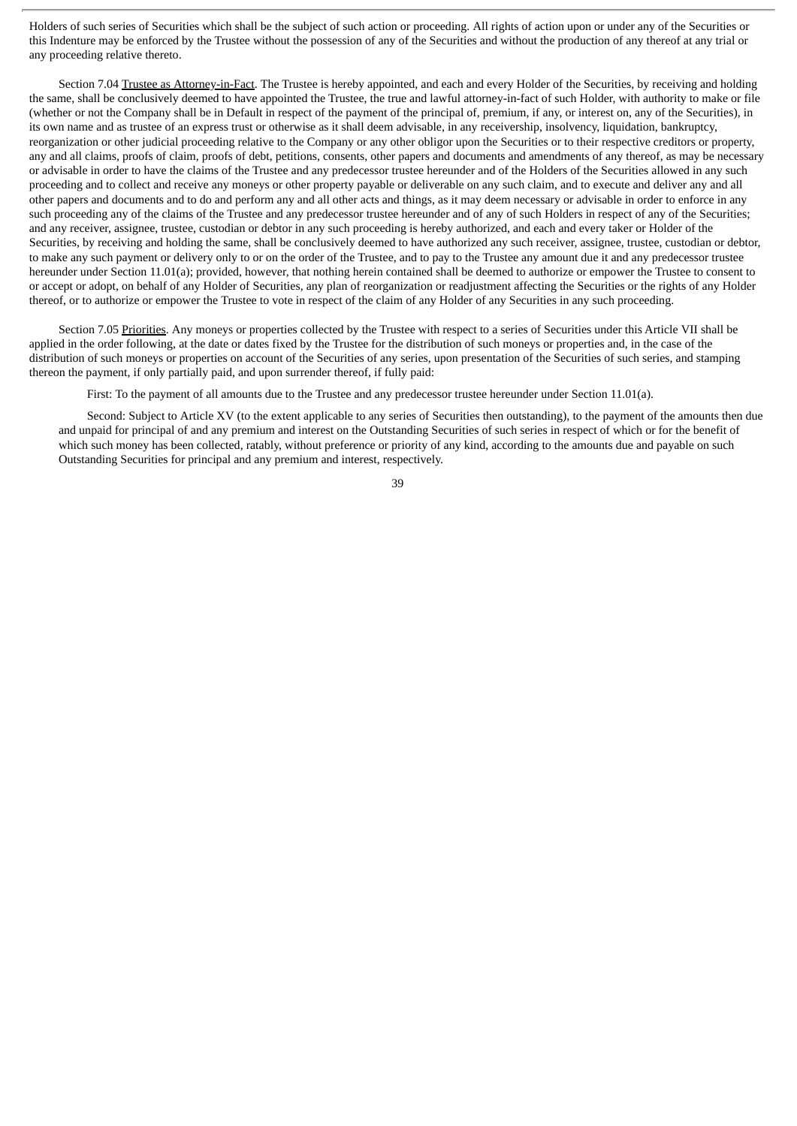Holders of such series of Securities which shall be the subject of such action or proceeding. All rights of action upon or under any of the Securities or this Indenture may be enforced by the Trustee without the possession of any of the Securities and without the production of any thereof at any trial or any proceeding relative thereto.

Section 7.04 Trustee as Attorney-in-Fact. The Trustee is hereby appointed, and each and every Holder of the Securities, by receiving and holding the same, shall be conclusively deemed to have appointed the Trustee, the true and lawful attorney-in-fact of such Holder, with authority to make or file (whether or not the Company shall be in Default in respect of the payment of the principal of, premium, if any, or interest on, any of the Securities), in its own name and as trustee of an express trust or otherwise as it shall deem advisable, in any receivership, insolvency, liquidation, bankruptcy, reorganization or other judicial proceeding relative to the Company or any other obligor upon the Securities or to their respective creditors or property, any and all claims, proofs of claim, proofs of debt, petitions, consents, other papers and documents and amendments of any thereof, as may be necessary or advisable in order to have the claims of the Trustee and any predecessor trustee hereunder and of the Holders of the Securities allowed in any such proceeding and to collect and receive any moneys or other property payable or deliverable on any such claim, and to execute and deliver any and all other papers and documents and to do and perform any and all other acts and things, as it may deem necessary or advisable in order to enforce in any such proceeding any of the claims of the Trustee and any predecessor trustee hereunder and of any of such Holders in respect of any of the Securities; and any receiver, assignee, trustee, custodian or debtor in any such proceeding is hereby authorized, and each and every taker or Holder of the Securities, by receiving and holding the same, shall be conclusively deemed to have authorized any such receiver, assignee, trustee, custodian or debtor, to make any such payment or delivery only to or on the order of the Trustee, and to pay to the Trustee any amount due it and any predecessor trustee hereunder under Section 11.01(a); provided, however, that nothing herein contained shall be deemed to authorize or empower the Trustee to consent to or accept or adopt, on behalf of any Holder of Securities, any plan of reorganization or readjustment affecting the Securities or the rights of any Holder thereof, or to authorize or empower the Trustee to vote in respect of the claim of any Holder of any Securities in any such proceeding.

Section 7.05 Priorities. Any moneys or properties collected by the Trustee with respect to a series of Securities under this Article VII shall be applied in the order following, at the date or dates fixed by the Trustee for the distribution of such moneys or properties and, in the case of the distribution of such moneys or properties on account of the Securities of any series, upon presentation of the Securities of such series, and stamping thereon the payment, if only partially paid, and upon surrender thereof, if fully paid:

First: To the payment of all amounts due to the Trustee and any predecessor trustee hereunder under Section 11.01(a).

Second: Subject to Article XV (to the extent applicable to any series of Securities then outstanding), to the payment of the amounts then due and unpaid for principal of and any premium and interest on the Outstanding Securities of such series in respect of which or for the benefit of which such money has been collected, ratably, without preference or priority of any kind, according to the amounts due and payable on such Outstanding Securities for principal and any premium and interest, respectively.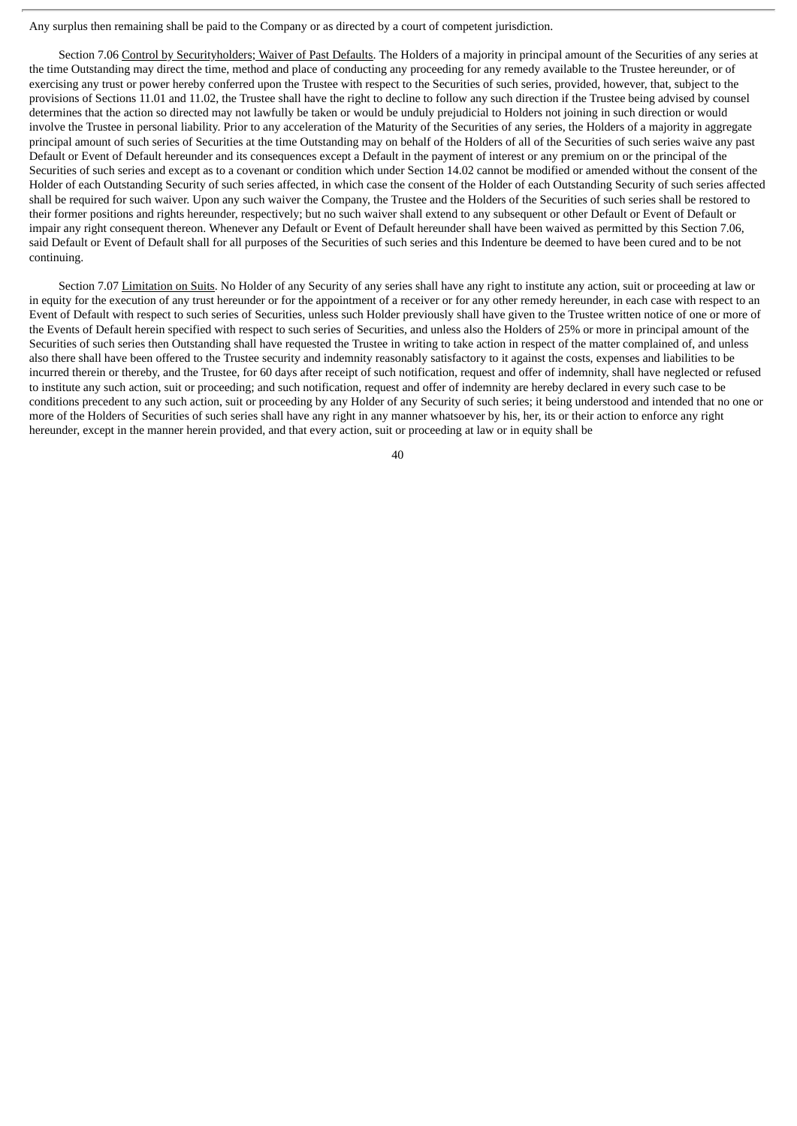Any surplus then remaining shall be paid to the Company or as directed by a court of competent jurisdiction.

Section 7.06 Control by Securityholders; Waiver of Past Defaults. The Holders of a majority in principal amount of the Securities of any series at the time Outstanding may direct the time, method and place of conducting any proceeding for any remedy available to the Trustee hereunder, or of exercising any trust or power hereby conferred upon the Trustee with respect to the Securities of such series, provided, however, that, subject to the provisions of Sections 11.01 and 11.02, the Trustee shall have the right to decline to follow any such direction if the Trustee being advised by counsel determines that the action so directed may not lawfully be taken or would be unduly prejudicial to Holders not joining in such direction or would involve the Trustee in personal liability. Prior to any acceleration of the Maturity of the Securities of any series, the Holders of a majority in aggregate principal amount of such series of Securities at the time Outstanding may on behalf of the Holders of all of the Securities of such series waive any past Default or Event of Default hereunder and its consequences except a Default in the payment of interest or any premium on or the principal of the Securities of such series and except as to a covenant or condition which under Section 14.02 cannot be modified or amended without the consent of the Holder of each Outstanding Security of such series affected, in which case the consent of the Holder of each Outstanding Security of such series affected shall be required for such waiver. Upon any such waiver the Company, the Trustee and the Holders of the Securities of such series shall be restored to their former positions and rights hereunder, respectively; but no such waiver shall extend to any subsequent or other Default or Event of Default or impair any right consequent thereon. Whenever any Default or Event of Default hereunder shall have been waived as permitted by this Section 7.06, said Default or Event of Default shall for all purposes of the Securities of such series and this Indenture be deemed to have been cured and to be not continuing.

Section 7.07 Limitation on Suits. No Holder of any Security of any series shall have any right to institute any action, suit or proceeding at law or in equity for the execution of any trust hereunder or for the appointment of a receiver or for any other remedy hereunder, in each case with respect to an Event of Default with respect to such series of Securities, unless such Holder previously shall have given to the Trustee written notice of one or more of the Events of Default herein specified with respect to such series of Securities, and unless also the Holders of 25% or more in principal amount of the Securities of such series then Outstanding shall have requested the Trustee in writing to take action in respect of the matter complained of, and unless also there shall have been offered to the Trustee security and indemnity reasonably satisfactory to it against the costs, expenses and liabilities to be incurred therein or thereby, and the Trustee, for 60 days after receipt of such notification, request and offer of indemnity, shall have neglected or refused to institute any such action, suit or proceeding; and such notification, request and offer of indemnity are hereby declared in every such case to be conditions precedent to any such action, suit or proceeding by any Holder of any Security of such series; it being understood and intended that no one or more of the Holders of Securities of such series shall have any right in any manner whatsoever by his, her, its or their action to enforce any right hereunder, except in the manner herein provided, and that every action, suit or proceeding at law or in equity shall be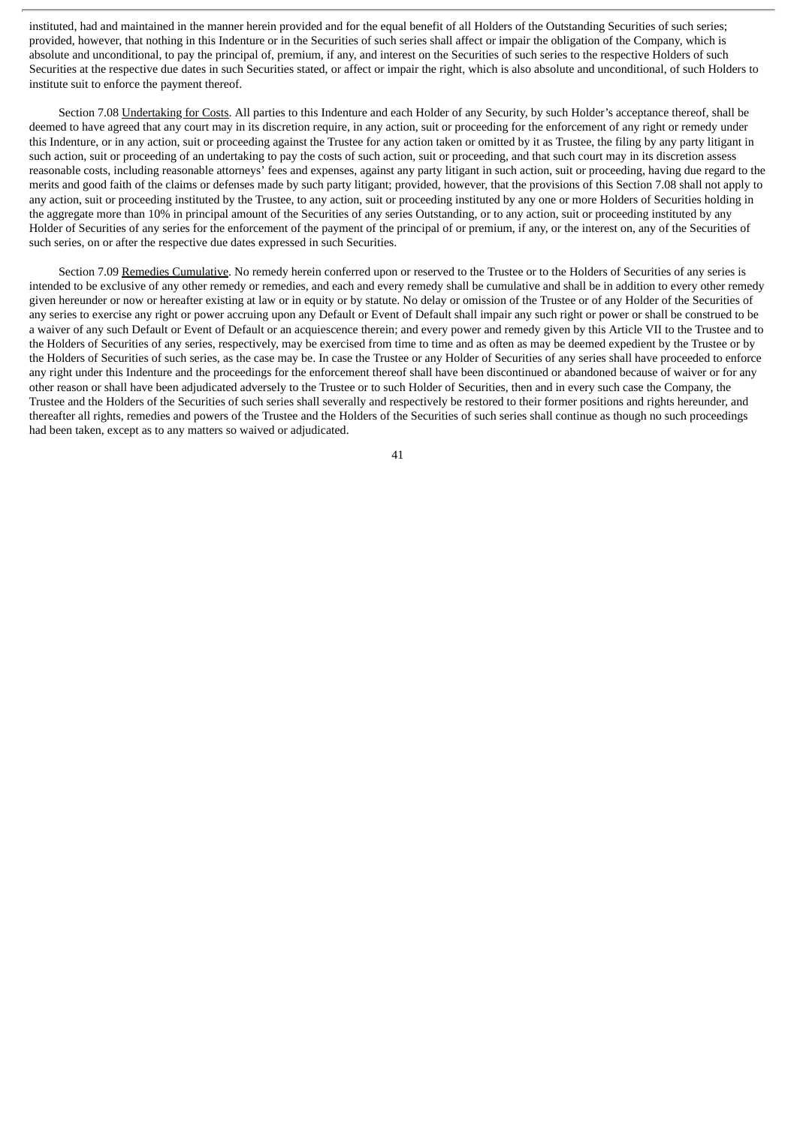instituted, had and maintained in the manner herein provided and for the equal benefit of all Holders of the Outstanding Securities of such series; provided, however, that nothing in this Indenture or in the Securities of such series shall affect or impair the obligation of the Company, which is absolute and unconditional, to pay the principal of, premium, if any, and interest on the Securities of such series to the respective Holders of such Securities at the respective due dates in such Securities stated, or affect or impair the right, which is also absolute and unconditional, of such Holders to institute suit to enforce the payment thereof.

Section 7.08 Undertaking for Costs. All parties to this Indenture and each Holder of any Security, by such Holder's acceptance thereof, shall be deemed to have agreed that any court may in its discretion require, in any action, suit or proceeding for the enforcement of any right or remedy under this Indenture, or in any action, suit or proceeding against the Trustee for any action taken or omitted by it as Trustee, the filing by any party litigant in such action, suit or proceeding of an undertaking to pay the costs of such action, suit or proceeding, and that such court may in its discretion assess reasonable costs, including reasonable attorneys' fees and expenses, against any party litigant in such action, suit or proceeding, having due regard to the merits and good faith of the claims or defenses made by such party litigant; provided, however, that the provisions of this Section 7.08 shall not apply to any action, suit or proceeding instituted by the Trustee, to any action, suit or proceeding instituted by any one or more Holders of Securities holding in the aggregate more than 10% in principal amount of the Securities of any series Outstanding, or to any action, suit or proceeding instituted by any Holder of Securities of any series for the enforcement of the payment of the principal of or premium, if any, or the interest on, any of the Securities of such series, on or after the respective due dates expressed in such Securities.

Section 7.09 Remedies Cumulative. No remedy herein conferred upon or reserved to the Trustee or to the Holders of Securities of any series is intended to be exclusive of any other remedy or remedies, and each and every remedy shall be cumulative and shall be in addition to every other remedy given hereunder or now or hereafter existing at law or in equity or by statute. No delay or omission of the Trustee or of any Holder of the Securities of any series to exercise any right or power accruing upon any Default or Event of Default shall impair any such right or power or shall be construed to be a waiver of any such Default or Event of Default or an acquiescence therein; and every power and remedy given by this Article VII to the Trustee and to the Holders of Securities of any series, respectively, may be exercised from time to time and as often as may be deemed expedient by the Trustee or by the Holders of Securities of such series, as the case may be. In case the Trustee or any Holder of Securities of any series shall have proceeded to enforce any right under this Indenture and the proceedings for the enforcement thereof shall have been discontinued or abandoned because of waiver or for any other reason or shall have been adjudicated adversely to the Trustee or to such Holder of Securities, then and in every such case the Company, the Trustee and the Holders of the Securities of such series shall severally and respectively be restored to their former positions and rights hereunder, and thereafter all rights, remedies and powers of the Trustee and the Holders of the Securities of such series shall continue as though no such proceedings had been taken, except as to any matters so waived or adjudicated.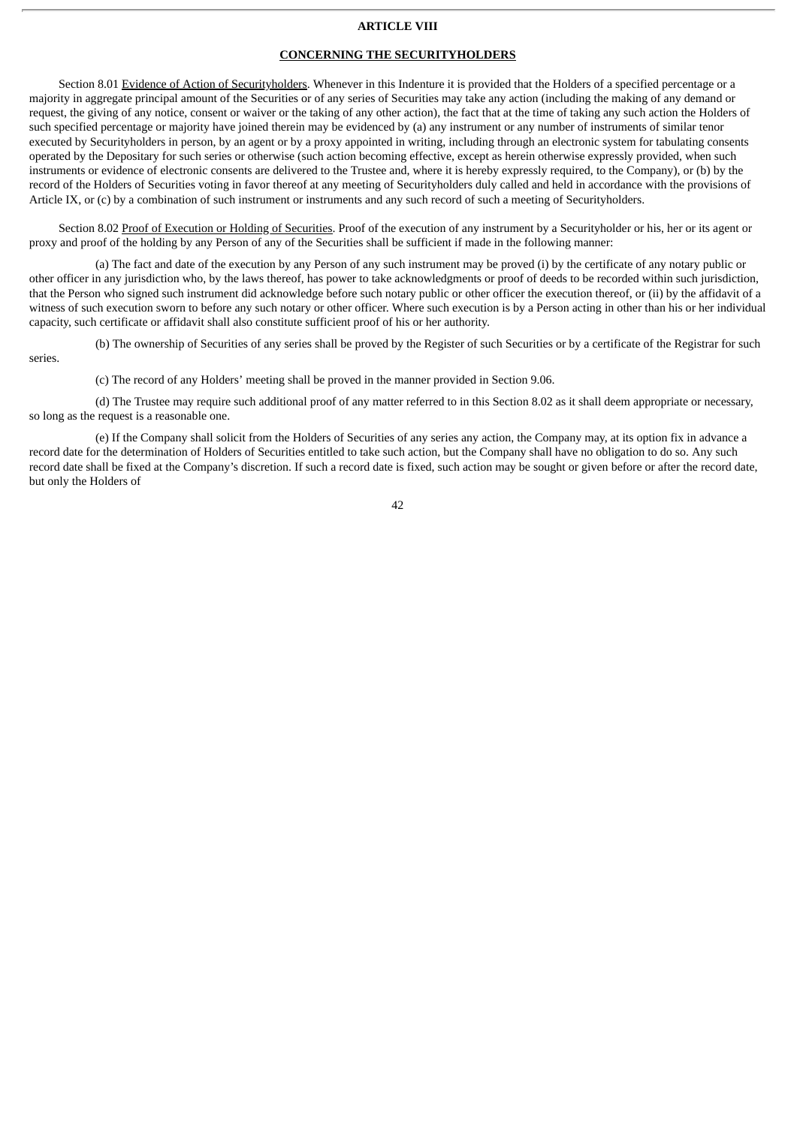#### **ARTICLE VIII**

# **CONCERNING THE SECURITYHOLDERS**

Section 8.01 Evidence of Action of Securityholders. Whenever in this Indenture it is provided that the Holders of a specified percentage or a majority in aggregate principal amount of the Securities or of any series of Securities may take any action (including the making of any demand or request, the giving of any notice, consent or waiver or the taking of any other action), the fact that at the time of taking any such action the Holders of such specified percentage or majority have joined therein may be evidenced by (a) any instrument or any number of instruments of similar tenor executed by Securityholders in person, by an agent or by a proxy appointed in writing, including through an electronic system for tabulating consents operated by the Depositary for such series or otherwise (such action becoming effective, except as herein otherwise expressly provided, when such instruments or evidence of electronic consents are delivered to the Trustee and, where it is hereby expressly required, to the Company), or (b) by the record of the Holders of Securities voting in favor thereof at any meeting of Securityholders duly called and held in accordance with the provisions of Article IX, or (c) by a combination of such instrument or instruments and any such record of such a meeting of Securityholders.

Section 8.02 Proof of Execution or Holding of Securities. Proof of the execution of any instrument by a Securityholder or his, her or its agent or proxy and proof of the holding by any Person of any of the Securities shall be sufficient if made in the following manner:

(a) The fact and date of the execution by any Person of any such instrument may be proved (i) by the certificate of any notary public or other officer in any jurisdiction who, by the laws thereof, has power to take acknowledgments or proof of deeds to be recorded within such jurisdiction, that the Person who signed such instrument did acknowledge before such notary public or other officer the execution thereof, or (ii) by the affidavit of a witness of such execution sworn to before any such notary or other officer. Where such execution is by a Person acting in other than his or her individual capacity, such certificate or affidavit shall also constitute sufficient proof of his or her authority.

(b) The ownership of Securities of any series shall be proved by the Register of such Securities or by a certificate of the Registrar for such series.

(c) The record of any Holders' meeting shall be proved in the manner provided in Section 9.06.

(d) The Trustee may require such additional proof of any matter referred to in this Section 8.02 as it shall deem appropriate or necessary, so long as the request is a reasonable one.

(e) If the Company shall solicit from the Holders of Securities of any series any action, the Company may, at its option fix in advance a record date for the determination of Holders of Securities entitled to take such action, but the Company shall have no obligation to do so. Any such record date shall be fixed at the Company's discretion. If such a record date is fixed, such action may be sought or given before or after the record date, but only the Holders of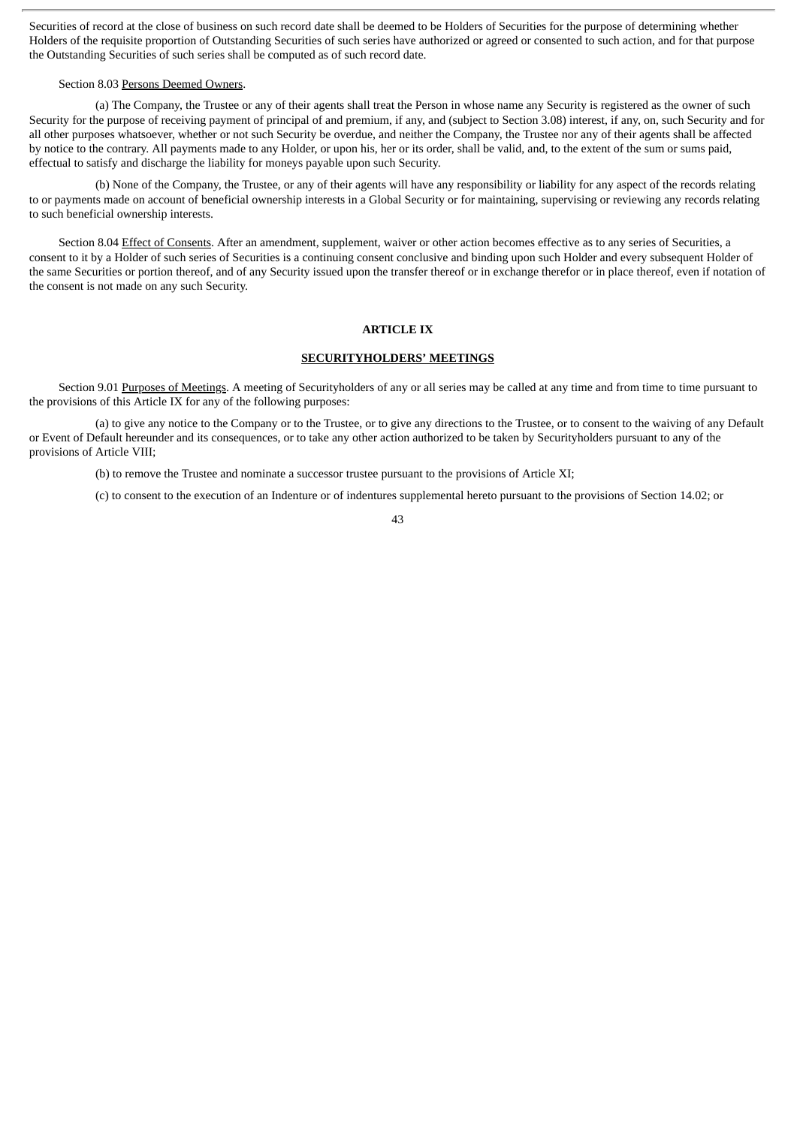Securities of record at the close of business on such record date shall be deemed to be Holders of Securities for the purpose of determining whether Holders of the requisite proportion of Outstanding Securities of such series have authorized or agreed or consented to such action, and for that purpose the Outstanding Securities of such series shall be computed as of such record date.

#### Section 8.03 Persons Deemed Owners.

(a) The Company, the Trustee or any of their agents shall treat the Person in whose name any Security is registered as the owner of such Security for the purpose of receiving payment of principal of and premium, if any, and (subject to Section 3.08) interest, if any, on, such Security and for all other purposes whatsoever, whether or not such Security be overdue, and neither the Company, the Trustee nor any of their agents shall be affected by notice to the contrary. All payments made to any Holder, or upon his, her or its order, shall be valid, and, to the extent of the sum or sums paid, effectual to satisfy and discharge the liability for moneys payable upon such Security.

(b) None of the Company, the Trustee, or any of their agents will have any responsibility or liability for any aspect of the records relating to or payments made on account of beneficial ownership interests in a Global Security or for maintaining, supervising or reviewing any records relating to such beneficial ownership interests.

Section 8.04 Effect of Consents. After an amendment, supplement, waiver or other action becomes effective as to any series of Securities, a consent to it by a Holder of such series of Securities is a continuing consent conclusive and binding upon such Holder and every subsequent Holder of the same Securities or portion thereof, and of any Security issued upon the transfer thereof or in exchange therefor or in place thereof, even if notation of the consent is not made on any such Security.

## **ARTICLE IX**

## **SECURITYHOLDERS' MEETINGS**

Section 9.01 Purposes of Meetings. A meeting of Securityholders of any or all series may be called at any time and from time to time pursuant to the provisions of this Article IX for any of the following purposes:

(a) to give any notice to the Company or to the Trustee, or to give any directions to the Trustee, or to consent to the waiving of any Default or Event of Default hereunder and its consequences, or to take any other action authorized to be taken by Securityholders pursuant to any of the provisions of Article VIII;

(b) to remove the Trustee and nominate a successor trustee pursuant to the provisions of Article XI;

(c) to consent to the execution of an Indenture or of indentures supplemental hereto pursuant to the provisions of Section 14.02; or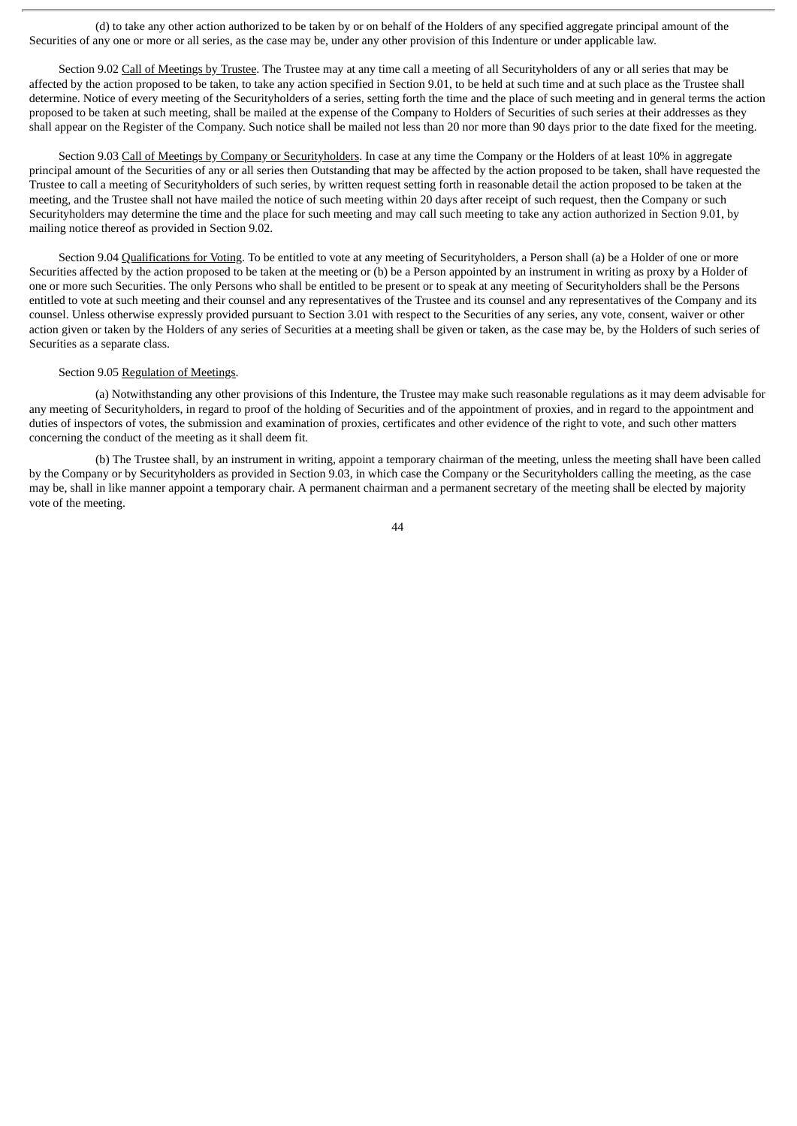(d) to take any other action authorized to be taken by or on behalf of the Holders of any specified aggregate principal amount of the Securities of any one or more or all series, as the case may be, under any other provision of this Indenture or under applicable law.

Section 9.02 Call of Meetings by Trustee. The Trustee may at any time call a meeting of all Securityholders of any or all series that may be affected by the action proposed to be taken, to take any action specified in Section 9.01, to be held at such time and at such place as the Trustee shall determine. Notice of every meeting of the Securityholders of a series, setting forth the time and the place of such meeting and in general terms the action proposed to be taken at such meeting, shall be mailed at the expense of the Company to Holders of Securities of such series at their addresses as they shall appear on the Register of the Company. Such notice shall be mailed not less than 20 nor more than 90 days prior to the date fixed for the meeting.

Section 9.03 Call of Meetings by Company or Securityholders. In case at any time the Company or the Holders of at least 10% in aggregate principal amount of the Securities of any or all series then Outstanding that may be affected by the action proposed to be taken, shall have requested the Trustee to call a meeting of Securityholders of such series, by written request setting forth in reasonable detail the action proposed to be taken at the meeting, and the Trustee shall not have mailed the notice of such meeting within 20 days after receipt of such request, then the Company or such Securityholders may determine the time and the place for such meeting and may call such meeting to take any action authorized in Section 9.01, by mailing notice thereof as provided in Section 9.02.

Section 9.04 Qualifications for Voting. To be entitled to vote at any meeting of Securityholders, a Person shall (a) be a Holder of one or more Securities affected by the action proposed to be taken at the meeting or (b) be a Person appointed by an instrument in writing as proxy by a Holder of one or more such Securities. The only Persons who shall be entitled to be present or to speak at any meeting of Securityholders shall be the Persons entitled to vote at such meeting and their counsel and any representatives of the Trustee and its counsel and any representatives of the Company and its counsel. Unless otherwise expressly provided pursuant to Section 3.01 with respect to the Securities of any series, any vote, consent, waiver or other action given or taken by the Holders of any series of Securities at a meeting shall be given or taken, as the case may be, by the Holders of such series of Securities as a separate class.

# Section 9.05 Regulation of Meetings.

(a) Notwithstanding any other provisions of this Indenture, the Trustee may make such reasonable regulations as it may deem advisable for any meeting of Securityholders, in regard to proof of the holding of Securities and of the appointment of proxies, and in regard to the appointment and duties of inspectors of votes, the submission and examination of proxies, certificates and other evidence of the right to vote, and such other matters concerning the conduct of the meeting as it shall deem fit.

(b) The Trustee shall, by an instrument in writing, appoint a temporary chairman of the meeting, unless the meeting shall have been called by the Company or by Securityholders as provided in Section 9.03, in which case the Company or the Securityholders calling the meeting, as the case may be, shall in like manner appoint a temporary chair. A permanent chairman and a permanent secretary of the meeting shall be elected by majority vote of the meeting.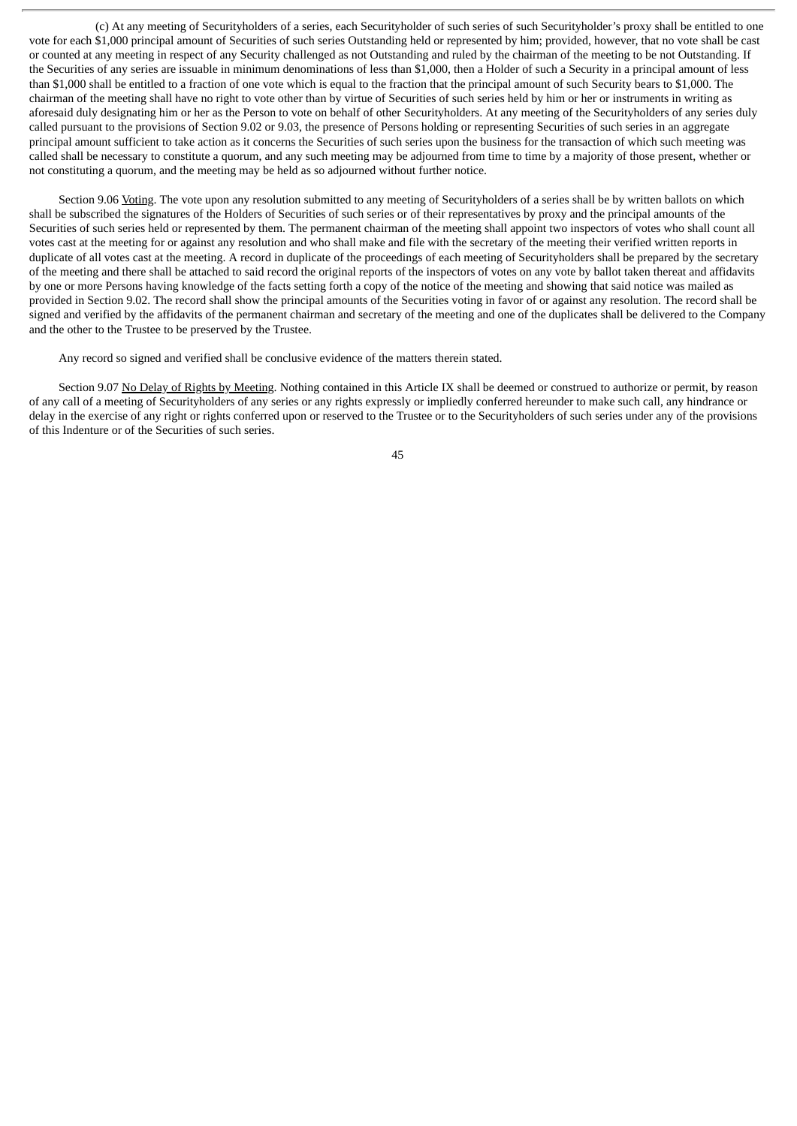(c) At any meeting of Securityholders of a series, each Securityholder of such series of such Securityholder's proxy shall be entitled to one vote for each \$1,000 principal amount of Securities of such series Outstanding held or represented by him; provided, however, that no vote shall be cast or counted at any meeting in respect of any Security challenged as not Outstanding and ruled by the chairman of the meeting to be not Outstanding. If the Securities of any series are issuable in minimum denominations of less than \$1,000, then a Holder of such a Security in a principal amount of less than \$1,000 shall be entitled to a fraction of one vote which is equal to the fraction that the principal amount of such Security bears to \$1,000. The chairman of the meeting shall have no right to vote other than by virtue of Securities of such series held by him or her or instruments in writing as aforesaid duly designating him or her as the Person to vote on behalf of other Securityholders. At any meeting of the Securityholders of any series duly called pursuant to the provisions of Section 9.02 or 9.03, the presence of Persons holding or representing Securities of such series in an aggregate principal amount sufficient to take action as it concerns the Securities of such series upon the business for the transaction of which such meeting was called shall be necessary to constitute a quorum, and any such meeting may be adjourned from time to time by a majority of those present, whether or not constituting a quorum, and the meeting may be held as so adjourned without further notice.

Section 9.06 Voting. The vote upon any resolution submitted to any meeting of Securityholders of a series shall be by written ballots on which shall be subscribed the signatures of the Holders of Securities of such series or of their representatives by proxy and the principal amounts of the Securities of such series held or represented by them. The permanent chairman of the meeting shall appoint two inspectors of votes who shall count all votes cast at the meeting for or against any resolution and who shall make and file with the secretary of the meeting their verified written reports in duplicate of all votes cast at the meeting. A record in duplicate of the proceedings of each meeting of Securityholders shall be prepared by the secretary of the meeting and there shall be attached to said record the original reports of the inspectors of votes on any vote by ballot taken thereat and affidavits by one or more Persons having knowledge of the facts setting forth a copy of the notice of the meeting and showing that said notice was mailed as provided in Section 9.02. The record shall show the principal amounts of the Securities voting in favor of or against any resolution. The record shall be signed and verified by the affidavits of the permanent chairman and secretary of the meeting and one of the duplicates shall be delivered to the Company and the other to the Trustee to be preserved by the Trustee.

Any record so signed and verified shall be conclusive evidence of the matters therein stated.

Section 9.07 No Delay of Rights by Meeting. Nothing contained in this Article IX shall be deemed or construed to authorize or permit, by reason of any call of a meeting of Securityholders of any series or any rights expressly or impliedly conferred hereunder to make such call, any hindrance or delay in the exercise of any right or rights conferred upon or reserved to the Trustee or to the Securityholders of such series under any of the provisions of this Indenture or of the Securities of such series.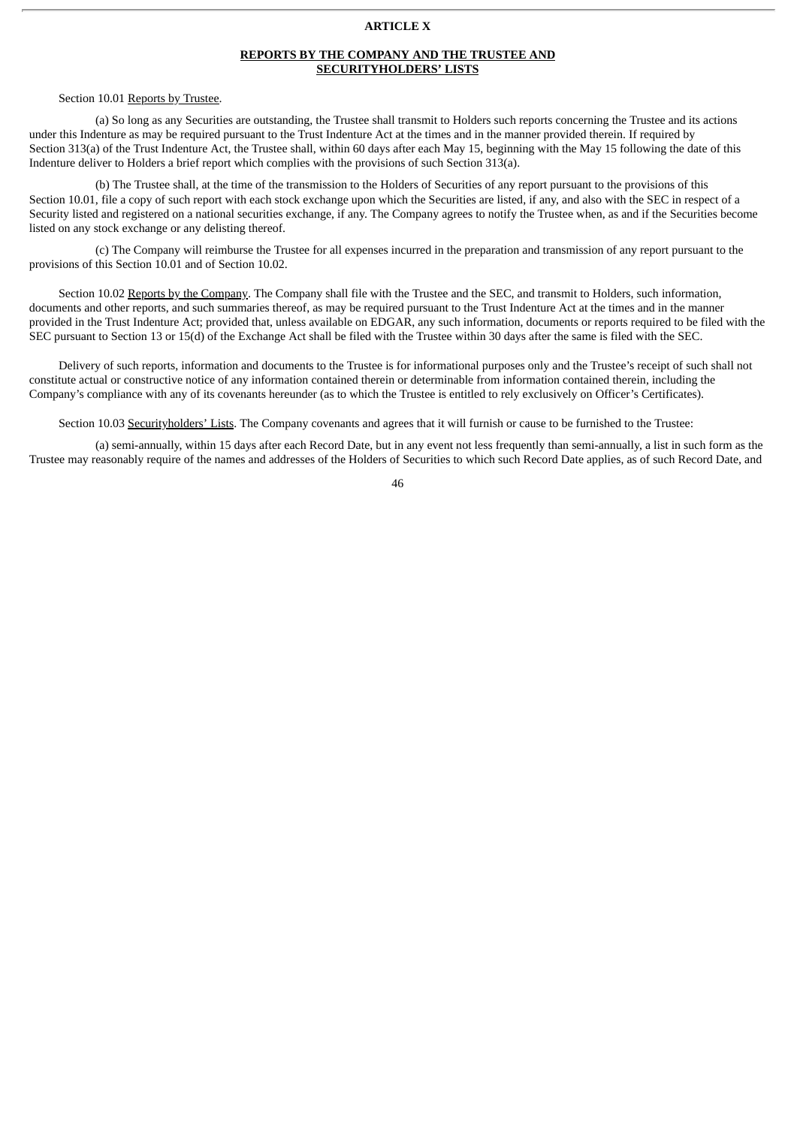# **ARTICLE X**

# **REPORTS BY THE COMPANY AND THE TRUSTEE AND SECURITYHOLDERS' LISTS**

# Section 10.01 Reports by Trustee.

(a) So long as any Securities are outstanding, the Trustee shall transmit to Holders such reports concerning the Trustee and its actions under this Indenture as may be required pursuant to the Trust Indenture Act at the times and in the manner provided therein. If required by Section 313(a) of the Trust Indenture Act, the Trustee shall, within 60 days after each May 15, beginning with the May 15 following the date of this Indenture deliver to Holders a brief report which complies with the provisions of such Section 313(a).

(b) The Trustee shall, at the time of the transmission to the Holders of Securities of any report pursuant to the provisions of this Section 10.01, file a copy of such report with each stock exchange upon which the Securities are listed, if any, and also with the SEC in respect of a Security listed and registered on a national securities exchange, if any. The Company agrees to notify the Trustee when, as and if the Securities become listed on any stock exchange or any delisting thereof.

(c) The Company will reimburse the Trustee for all expenses incurred in the preparation and transmission of any report pursuant to the provisions of this Section 10.01 and of Section 10.02.

Section 10.02 Reports by the Company. The Company shall file with the Trustee and the SEC, and transmit to Holders, such information, documents and other reports, and such summaries thereof, as may be required pursuant to the Trust Indenture Act at the times and in the manner provided in the Trust Indenture Act; provided that, unless available on EDGAR, any such information, documents or reports required to be filed with the SEC pursuant to Section 13 or 15(d) of the Exchange Act shall be filed with the Trustee within 30 days after the same is filed with the SEC.

Delivery of such reports, information and documents to the Trustee is for informational purposes only and the Trustee's receipt of such shall not constitute actual or constructive notice of any information contained therein or determinable from information contained therein, including the Company's compliance with any of its covenants hereunder (as to which the Trustee is entitled to rely exclusively on Officer's Certificates).

Section 10.03 Securityholders' Lists. The Company covenants and agrees that it will furnish or cause to be furnished to the Trustee:

(a) semi-annually, within 15 days after each Record Date, but in any event not less frequently than semi-annually, a list in such form as the Trustee may reasonably require of the names and addresses of the Holders of Securities to which such Record Date applies, as of such Record Date, and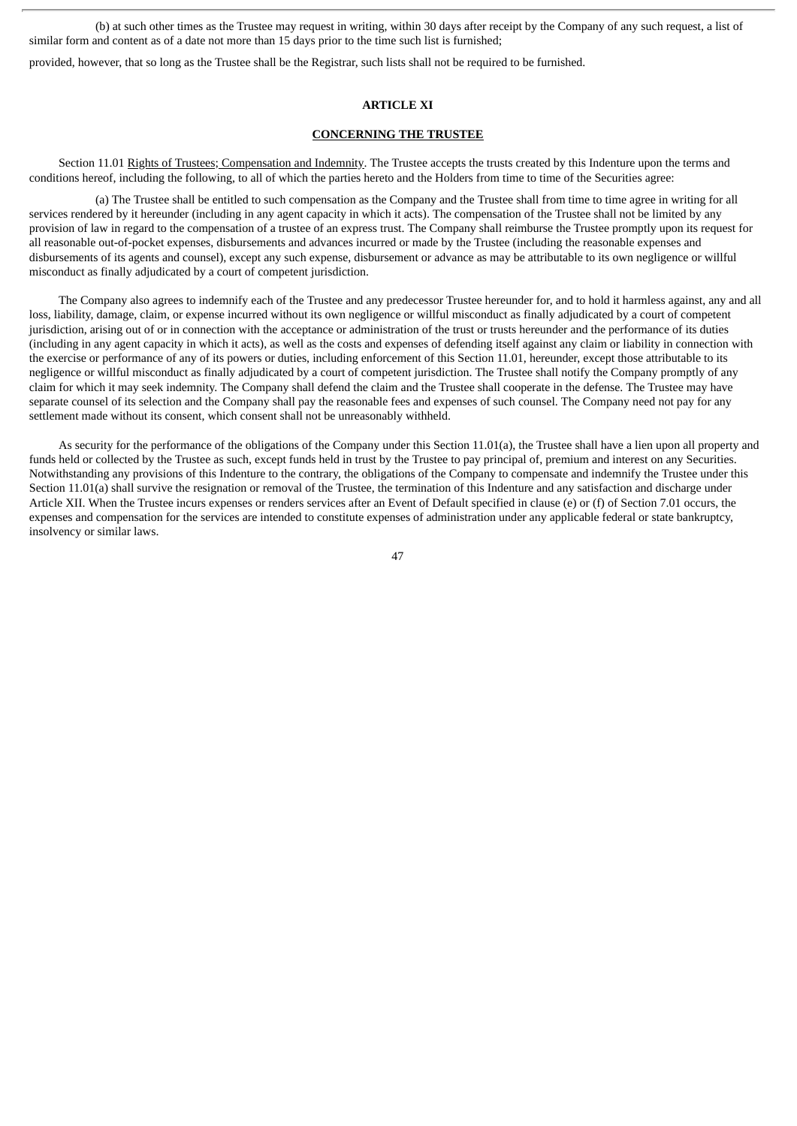(b) at such other times as the Trustee may request in writing, within 30 days after receipt by the Company of any such request, a list of similar form and content as of a date not more than 15 days prior to the time such list is furnished;

provided, however, that so long as the Trustee shall be the Registrar, such lists shall not be required to be furnished.

# **ARTICLE XI**

#### **CONCERNING THE TRUSTEE**

Section 11.01 Rights of Trustees; Compensation and Indemnity. The Trustee accepts the trusts created by this Indenture upon the terms and conditions hereof, including the following, to all of which the parties hereto and the Holders from time to time of the Securities agree:

(a) The Trustee shall be entitled to such compensation as the Company and the Trustee shall from time to time agree in writing for all services rendered by it hereunder (including in any agent capacity in which it acts). The compensation of the Trustee shall not be limited by any provision of law in regard to the compensation of a trustee of an express trust. The Company shall reimburse the Trustee promptly upon its request for all reasonable out-of-pocket expenses, disbursements and advances incurred or made by the Trustee (including the reasonable expenses and disbursements of its agents and counsel), except any such expense, disbursement or advance as may be attributable to its own negligence or willful misconduct as finally adjudicated by a court of competent jurisdiction.

The Company also agrees to indemnify each of the Trustee and any predecessor Trustee hereunder for, and to hold it harmless against, any and all loss, liability, damage, claim, or expense incurred without its own negligence or willful misconduct as finally adjudicated by a court of competent jurisdiction, arising out of or in connection with the acceptance or administration of the trust or trusts hereunder and the performance of its duties (including in any agent capacity in which it acts), as well as the costs and expenses of defending itself against any claim or liability in connection with the exercise or performance of any of its powers or duties, including enforcement of this Section 11.01, hereunder, except those attributable to its negligence or willful misconduct as finally adjudicated by a court of competent jurisdiction. The Trustee shall notify the Company promptly of any claim for which it may seek indemnity. The Company shall defend the claim and the Trustee shall cooperate in the defense. The Trustee may have separate counsel of its selection and the Company shall pay the reasonable fees and expenses of such counsel. The Company need not pay for any settlement made without its consent, which consent shall not be unreasonably withheld.

As security for the performance of the obligations of the Company under this Section 11.01(a), the Trustee shall have a lien upon all property and funds held or collected by the Trustee as such, except funds held in trust by the Trustee to pay principal of, premium and interest on any Securities. Notwithstanding any provisions of this Indenture to the contrary, the obligations of the Company to compensate and indemnify the Trustee under this Section 11.01(a) shall survive the resignation or removal of the Trustee, the termination of this Indenture and any satisfaction and discharge under Article XII. When the Trustee incurs expenses or renders services after an Event of Default specified in clause (e) or (f) of Section 7.01 occurs, the expenses and compensation for the services are intended to constitute expenses of administration under any applicable federal or state bankruptcy, insolvency or similar laws.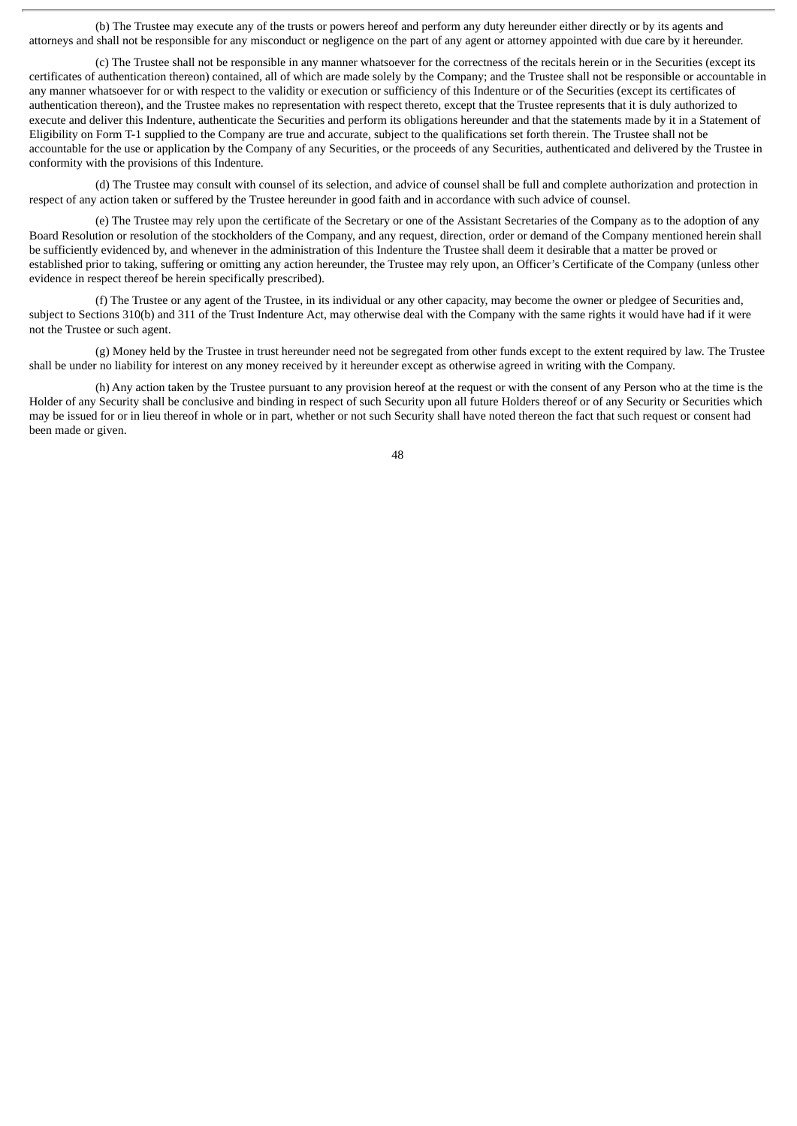(b) The Trustee may execute any of the trusts or powers hereof and perform any duty hereunder either directly or by its agents and attorneys and shall not be responsible for any misconduct or negligence on the part of any agent or attorney appointed with due care by it hereunder.

(c) The Trustee shall not be responsible in any manner whatsoever for the correctness of the recitals herein or in the Securities (except its certificates of authentication thereon) contained, all of which are made solely by the Company; and the Trustee shall not be responsible or accountable in any manner whatsoever for or with respect to the validity or execution or sufficiency of this Indenture or of the Securities (except its certificates of authentication thereon), and the Trustee makes no representation with respect thereto, except that the Trustee represents that it is duly authorized to execute and deliver this Indenture, authenticate the Securities and perform its obligations hereunder and that the statements made by it in a Statement of Eligibility on Form T-1 supplied to the Company are true and accurate, subject to the qualifications set forth therein. The Trustee shall not be accountable for the use or application by the Company of any Securities, or the proceeds of any Securities, authenticated and delivered by the Trustee in conformity with the provisions of this Indenture.

(d) The Trustee may consult with counsel of its selection, and advice of counsel shall be full and complete authorization and protection in respect of any action taken or suffered by the Trustee hereunder in good faith and in accordance with such advice of counsel.

(e) The Trustee may rely upon the certificate of the Secretary or one of the Assistant Secretaries of the Company as to the adoption of any Board Resolution or resolution of the stockholders of the Company, and any request, direction, order or demand of the Company mentioned herein shall be sufficiently evidenced by, and whenever in the administration of this Indenture the Trustee shall deem it desirable that a matter be proved or established prior to taking, suffering or omitting any action hereunder, the Trustee may rely upon, an Officer's Certificate of the Company (unless other evidence in respect thereof be herein specifically prescribed).

(f) The Trustee or any agent of the Trustee, in its individual or any other capacity, may become the owner or pledgee of Securities and, subject to Sections 310(b) and 311 of the Trust Indenture Act, may otherwise deal with the Company with the same rights it would have had if it were not the Trustee or such agent.

(g) Money held by the Trustee in trust hereunder need not be segregated from other funds except to the extent required by law. The Trustee shall be under no liability for interest on any money received by it hereunder except as otherwise agreed in writing with the Company.

(h) Any action taken by the Trustee pursuant to any provision hereof at the request or with the consent of any Person who at the time is the Holder of any Security shall be conclusive and binding in respect of such Security upon all future Holders thereof or of any Security or Securities which may be issued for or in lieu thereof in whole or in part, whether or not such Security shall have noted thereon the fact that such request or consent had been made or given.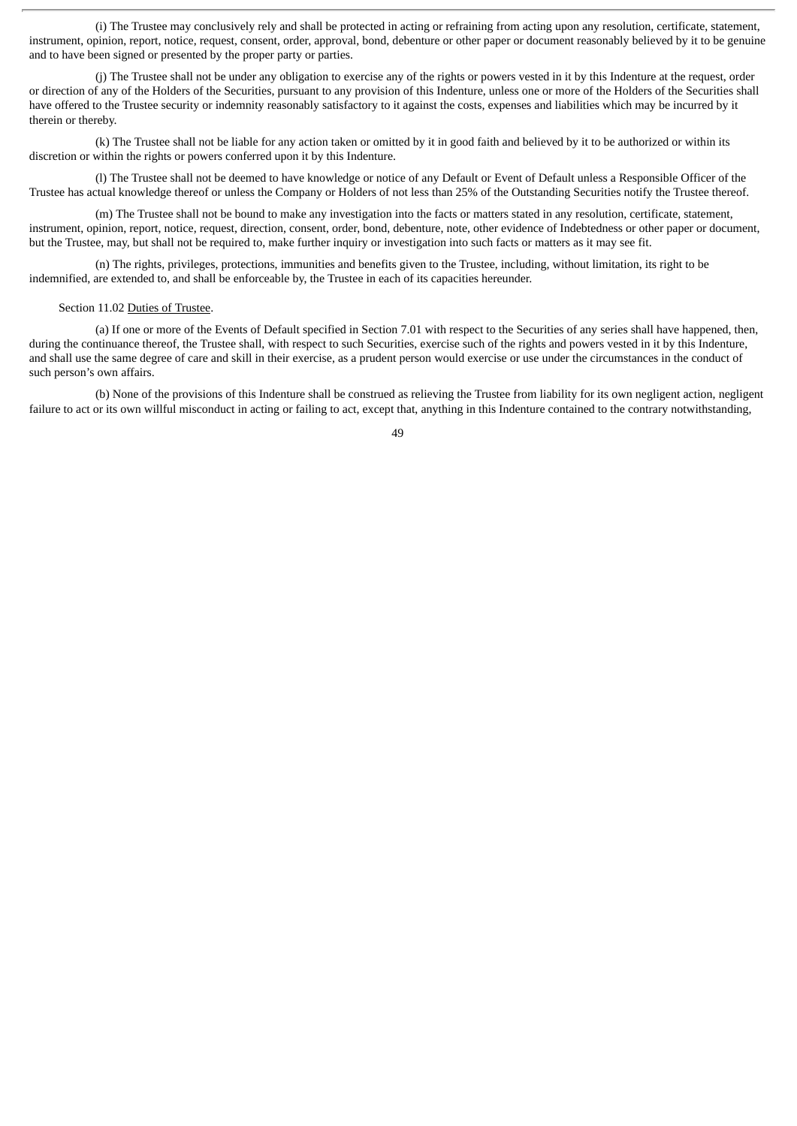(i) The Trustee may conclusively rely and shall be protected in acting or refraining from acting upon any resolution, certificate, statement, instrument, opinion, report, notice, request, consent, order, approval, bond, debenture or other paper or document reasonably believed by it to be genuine and to have been signed or presented by the proper party or parties.

(j) The Trustee shall not be under any obligation to exercise any of the rights or powers vested in it by this Indenture at the request, order or direction of any of the Holders of the Securities, pursuant to any provision of this Indenture, unless one or more of the Holders of the Securities shall have offered to the Trustee security or indemnity reasonably satisfactory to it against the costs, expenses and liabilities which may be incurred by it therein or thereby.

(k) The Trustee shall not be liable for any action taken or omitted by it in good faith and believed by it to be authorized or within its discretion or within the rights or powers conferred upon it by this Indenture.

(l) The Trustee shall not be deemed to have knowledge or notice of any Default or Event of Default unless a Responsible Officer of the Trustee has actual knowledge thereof or unless the Company or Holders of not less than 25% of the Outstanding Securities notify the Trustee thereof.

(m) The Trustee shall not be bound to make any investigation into the facts or matters stated in any resolution, certificate, statement, instrument, opinion, report, notice, request, direction, consent, order, bond, debenture, note, other evidence of Indebtedness or other paper or document, but the Trustee, may, but shall not be required to, make further inquiry or investigation into such facts or matters as it may see fit.

(n) The rights, privileges, protections, immunities and benefits given to the Trustee, including, without limitation, its right to be indemnified, are extended to, and shall be enforceable by, the Trustee in each of its capacities hereunder.

## Section 11.02 Duties of Trustee.

(a) If one or more of the Events of Default specified in Section 7.01 with respect to the Securities of any series shall have happened, then, during the continuance thereof, the Trustee shall, with respect to such Securities, exercise such of the rights and powers vested in it by this Indenture, and shall use the same degree of care and skill in their exercise, as a prudent person would exercise or use under the circumstances in the conduct of such person's own affairs.

(b) None of the provisions of this Indenture shall be construed as relieving the Trustee from liability for its own negligent action, negligent failure to act or its own willful misconduct in acting or failing to act, except that, anything in this Indenture contained to the contrary notwithstanding,

 $\overline{A}Q$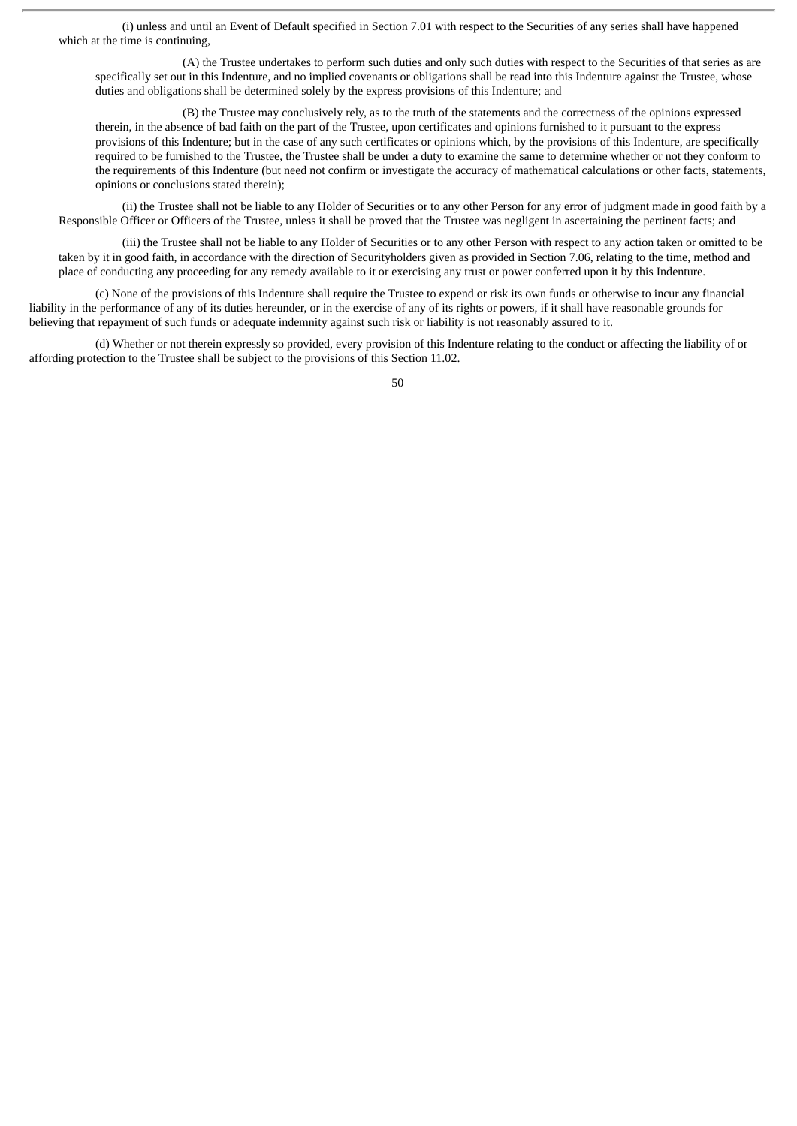(i) unless and until an Event of Default specified in Section 7.01 with respect to the Securities of any series shall have happened which at the time is continuing.

(A) the Trustee undertakes to perform such duties and only such duties with respect to the Securities of that series as are specifically set out in this Indenture, and no implied covenants or obligations shall be read into this Indenture against the Trustee, whose duties and obligations shall be determined solely by the express provisions of this Indenture; and

(B) the Trustee may conclusively rely, as to the truth of the statements and the correctness of the opinions expressed therein, in the absence of bad faith on the part of the Trustee, upon certificates and opinions furnished to it pursuant to the express provisions of this Indenture; but in the case of any such certificates or opinions which, by the provisions of this Indenture, are specifically required to be furnished to the Trustee, the Trustee shall be under a duty to examine the same to determine whether or not they conform to the requirements of this Indenture (but need not confirm or investigate the accuracy of mathematical calculations or other facts, statements, opinions or conclusions stated therein);

(ii) the Trustee shall not be liable to any Holder of Securities or to any other Person for any error of judgment made in good faith by a Responsible Officer or Officers of the Trustee, unless it shall be proved that the Trustee was negligent in ascertaining the pertinent facts; and

(iii) the Trustee shall not be liable to any Holder of Securities or to any other Person with respect to any action taken or omitted to be taken by it in good faith, in accordance with the direction of Securityholders given as provided in Section 7.06, relating to the time, method and place of conducting any proceeding for any remedy available to it or exercising any trust or power conferred upon it by this Indenture.

(c) None of the provisions of this Indenture shall require the Trustee to expend or risk its own funds or otherwise to incur any financial liability in the performance of any of its duties hereunder, or in the exercise of any of its rights or powers, if it shall have reasonable grounds for believing that repayment of such funds or adequate indemnity against such risk or liability is not reasonably assured to it.

(d) Whether or not therein expressly so provided, every provision of this Indenture relating to the conduct or affecting the liability of or affording protection to the Trustee shall be subject to the provisions of this Section 11.02.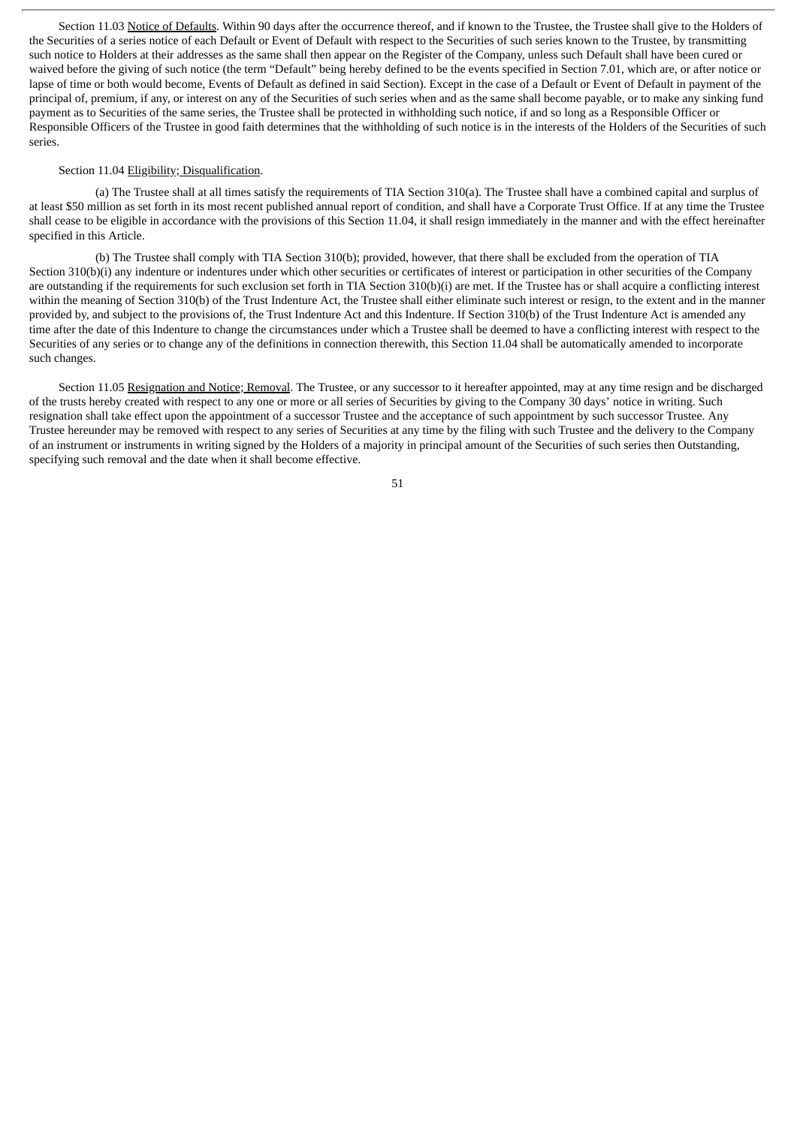Section 11.03 Notice of Defaults. Within 90 days after the occurrence thereof, and if known to the Trustee, the Trustee shall give to the Holders of the Securities of a series notice of each Default or Event of Default with respect to the Securities of such series known to the Trustee, by transmitting such notice to Holders at their addresses as the same shall then appear on the Register of the Company, unless such Default shall have been cured or waived before the giving of such notice (the term "Default" being hereby defined to be the events specified in Section 7.01, which are, or after notice or lapse of time or both would become, Events of Default as defined in said Section). Except in the case of a Default or Event of Default in payment of the principal of, premium, if any, or interest on any of the Securities of such series when and as the same shall become payable, or to make any sinking fund payment as to Securities of the same series, the Trustee shall be protected in withholding such notice, if and so long as a Responsible Officer or Responsible Officers of the Trustee in good faith determines that the withholding of such notice is in the interests of the Holders of the Securities of such series.

# Section 11.04 Eligibility; Disqualification.

(a) The Trustee shall at all times satisfy the requirements of TIA Section 310(a). The Trustee shall have a combined capital and surplus of at least \$50 million as set forth in its most recent published annual report of condition, and shall have a Corporate Trust Office. If at any time the Trustee shall cease to be eligible in accordance with the provisions of this Section 11.04, it shall resign immediately in the manner and with the effect hereinafter specified in this Article.

(b) The Trustee shall comply with TIA Section 310(b); provided, however, that there shall be excluded from the operation of TIA Section 310(b)(i) any indenture or indentures under which other securities or certificates of interest or participation in other securities of the Company are outstanding if the requirements for such exclusion set forth in TIA Section 310(b)(i) are met. If the Trustee has or shall acquire a conflicting interest within the meaning of Section 310(b) of the Trust Indenture Act, the Trustee shall either eliminate such interest or resign, to the extent and in the manner provided by, and subject to the provisions of, the Trust Indenture Act and this Indenture. If Section 310(b) of the Trust Indenture Act is amended any time after the date of this Indenture to change the circumstances under which a Trustee shall be deemed to have a conflicting interest with respect to the Securities of any series or to change any of the definitions in connection therewith, this Section 11.04 shall be automatically amended to incorporate such changes.

Section 11.05 Resignation and Notice; Removal. The Trustee, or any successor to it hereafter appointed, may at any time resign and be discharged of the trusts hereby created with respect to any one or more or all series of Securities by giving to the Company 30 days' notice in writing. Such resignation shall take effect upon the appointment of a successor Trustee and the acceptance of such appointment by such successor Trustee. Any Trustee hereunder may be removed with respect to any series of Securities at any time by the filing with such Trustee and the delivery to the Company of an instrument or instruments in writing signed by the Holders of a majority in principal amount of the Securities of such series then Outstanding, specifying such removal and the date when it shall become effective.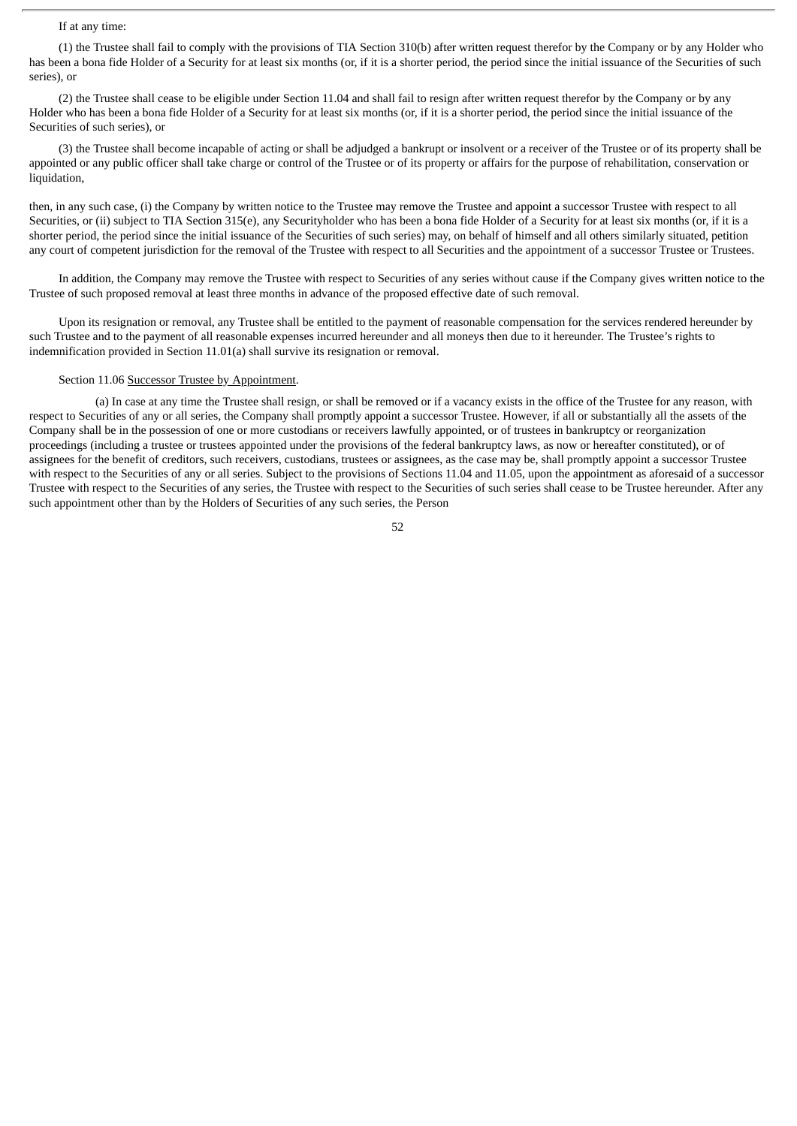# If at any time:

(1) the Trustee shall fail to comply with the provisions of TIA Section 310(b) after written request therefor by the Company or by any Holder who has been a bona fide Holder of a Security for at least six months (or, if it is a shorter period, the period since the initial issuance of the Securities of such series), or

(2) the Trustee shall cease to be eligible under Section 11.04 and shall fail to resign after written request therefor by the Company or by any Holder who has been a bona fide Holder of a Security for at least six months (or, if it is a shorter period, the period since the initial issuance of the Securities of such series), or

(3) the Trustee shall become incapable of acting or shall be adjudged a bankrupt or insolvent or a receiver of the Trustee or of its property shall be appointed or any public officer shall take charge or control of the Trustee or of its property or affairs for the purpose of rehabilitation, conservation or liquidation.

then, in any such case, (i) the Company by written notice to the Trustee may remove the Trustee and appoint a successor Trustee with respect to all Securities, or (ii) subject to TIA Section 315(e), any Securityholder who has been a bona fide Holder of a Security for at least six months (or, if it is a shorter period, the period since the initial issuance of the Securities of such series) may, on behalf of himself and all others similarly situated, petition any court of competent jurisdiction for the removal of the Trustee with respect to all Securities and the appointment of a successor Trustee or Trustees.

In addition, the Company may remove the Trustee with respect to Securities of any series without cause if the Company gives written notice to the Trustee of such proposed removal at least three months in advance of the proposed effective date of such removal.

Upon its resignation or removal, any Trustee shall be entitled to the payment of reasonable compensation for the services rendered hereunder by such Trustee and to the payment of all reasonable expenses incurred hereunder and all moneys then due to it hereunder. The Trustee's rights to indemnification provided in Section 11.01(a) shall survive its resignation or removal.

# Section 11.06 Successor Trustee by Appointment.

(a) In case at any time the Trustee shall resign, or shall be removed or if a vacancy exists in the office of the Trustee for any reason, with respect to Securities of any or all series, the Company shall promptly appoint a successor Trustee. However, if all or substantially all the assets of the Company shall be in the possession of one or more custodians or receivers lawfully appointed, or of trustees in bankruptcy or reorganization proceedings (including a trustee or trustees appointed under the provisions of the federal bankruptcy laws, as now or hereafter constituted), or of assignees for the benefit of creditors, such receivers, custodians, trustees or assignees, as the case may be, shall promptly appoint a successor Trustee with respect to the Securities of any or all series. Subject to the provisions of Sections 11.04 and 11.05, upon the appointment as aforesaid of a successor Trustee with respect to the Securities of any series, the Trustee with respect to the Securities of such series shall cease to be Trustee hereunder. After any such appointment other than by the Holders of Securities of any such series, the Person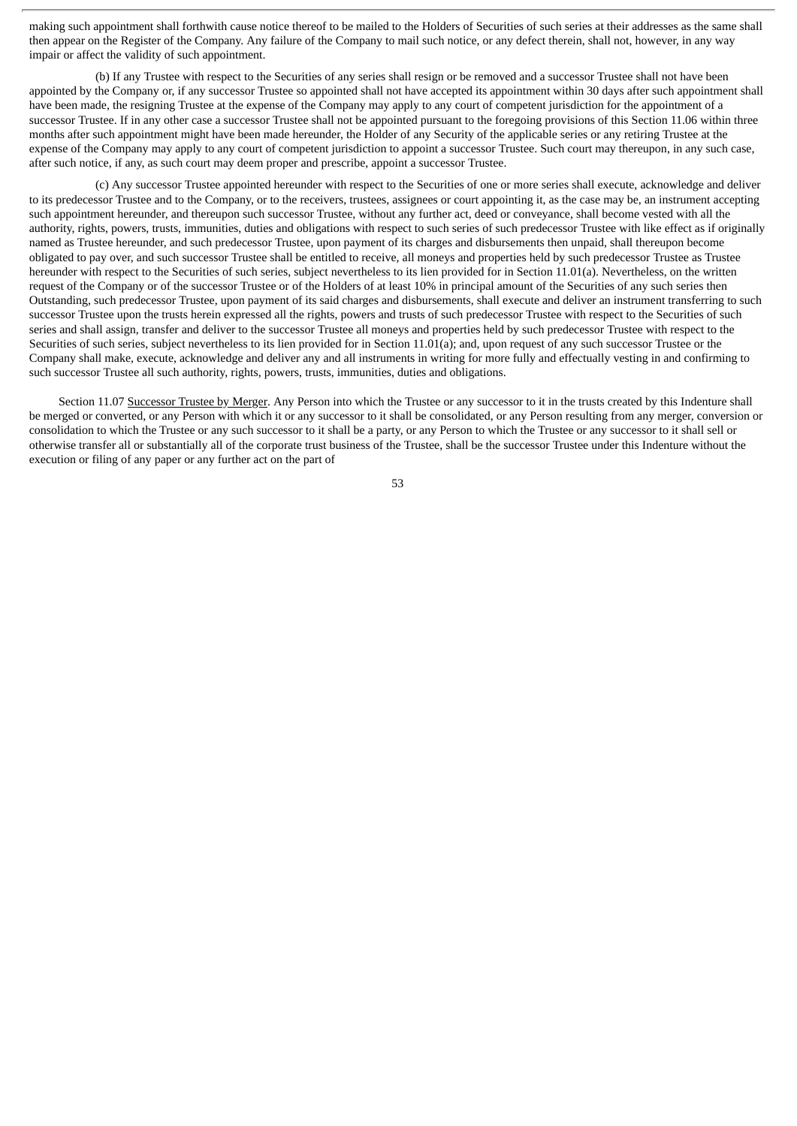making such appointment shall forthwith cause notice thereof to be mailed to the Holders of Securities of such series at their addresses as the same shall then appear on the Register of the Company. Any failure of the Company to mail such notice, or any defect therein, shall not, however, in any way impair or affect the validity of such appointment.

(b) If any Trustee with respect to the Securities of any series shall resign or be removed and a successor Trustee shall not have been appointed by the Company or, if any successor Trustee so appointed shall not have accepted its appointment within 30 days after such appointment shall have been made, the resigning Trustee at the expense of the Company may apply to any court of competent jurisdiction for the appointment of a successor Trustee. If in any other case a successor Trustee shall not be appointed pursuant to the foregoing provisions of this Section 11.06 within three months after such appointment might have been made hereunder, the Holder of any Security of the applicable series or any retiring Trustee at the expense of the Company may apply to any court of competent jurisdiction to appoint a successor Trustee. Such court may thereupon, in any such case, after such notice, if any, as such court may deem proper and prescribe, appoint a successor Trustee.

(c) Any successor Trustee appointed hereunder with respect to the Securities of one or more series shall execute, acknowledge and deliver to its predecessor Trustee and to the Company, or to the receivers, trustees, assignees or court appointing it, as the case may be, an instrument accepting such appointment hereunder, and thereupon such successor Trustee, without any further act, deed or conveyance, shall become vested with all the authority, rights, powers, trusts, immunities, duties and obligations with respect to such series of such predecessor Trustee with like effect as if originally named as Trustee hereunder, and such predecessor Trustee, upon payment of its charges and disbursements then unpaid, shall thereupon become obligated to pay over, and such successor Trustee shall be entitled to receive, all moneys and properties held by such predecessor Trustee as Trustee hereunder with respect to the Securities of such series, subject nevertheless to its lien provided for in Section 11.01(a). Nevertheless, on the written request of the Company or of the successor Trustee or of the Holders of at least 10% in principal amount of the Securities of any such series then Outstanding, such predecessor Trustee, upon payment of its said charges and disbursements, shall execute and deliver an instrument transferring to such successor Trustee upon the trusts herein expressed all the rights, powers and trusts of such predecessor Trustee with respect to the Securities of such series and shall assign, transfer and deliver to the successor Trustee all moneys and properties held by such predecessor Trustee with respect to the Securities of such series, subject nevertheless to its lien provided for in Section 11.01(a); and, upon request of any such successor Trustee or the Company shall make, execute, acknowledge and deliver any and all instruments in writing for more fully and effectually vesting in and confirming to such successor Trustee all such authority, rights, powers, trusts, immunities, duties and obligations.

Section 11.07 Successor Trustee by Merger. Any Person into which the Trustee or any successor to it in the trusts created by this Indenture shall be merged or converted, or any Person with which it or any successor to it shall be consolidated, or any Person resulting from any merger, conversion or consolidation to which the Trustee or any such successor to it shall be a party, or any Person to which the Trustee or any successor to it shall sell or otherwise transfer all or substantially all of the corporate trust business of the Trustee, shall be the successor Trustee under this Indenture without the execution or filing of any paper or any further act on the part of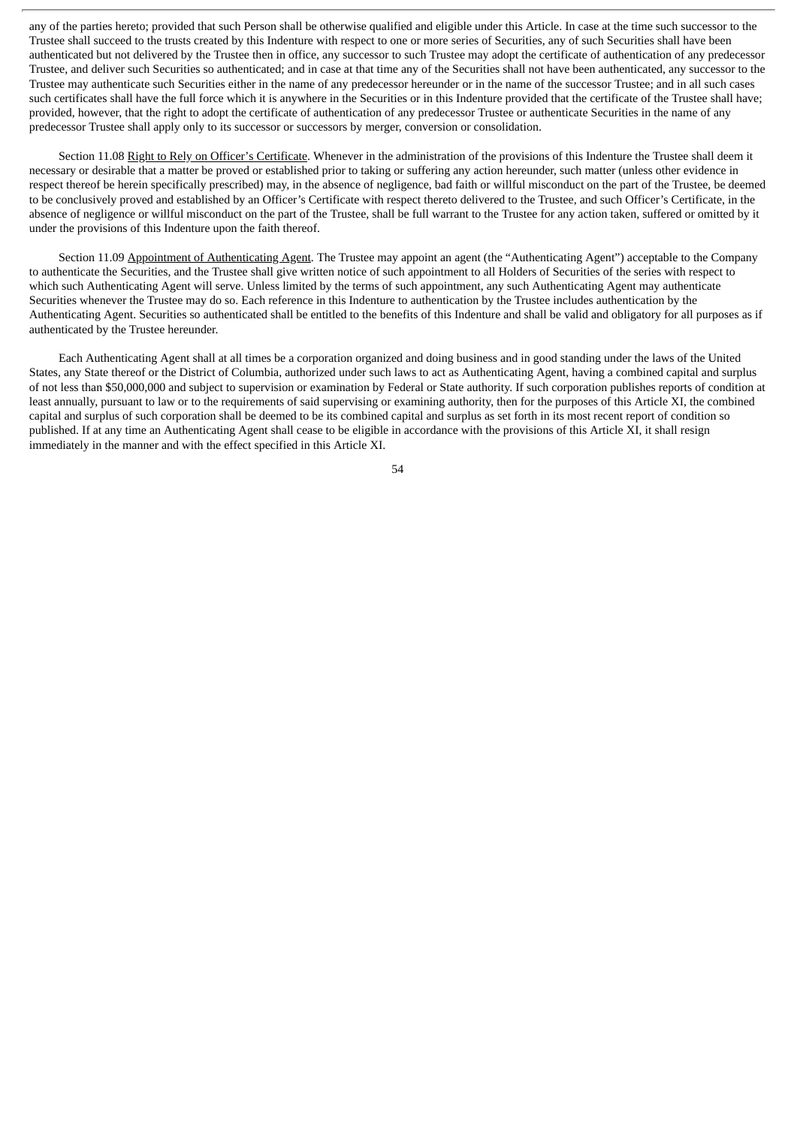any of the parties hereto; provided that such Person shall be otherwise qualified and eligible under this Article. In case at the time such successor to the Trustee shall succeed to the trusts created by this Indenture with respect to one or more series of Securities, any of such Securities shall have been authenticated but not delivered by the Trustee then in office, any successor to such Trustee may adopt the certificate of authentication of any predecessor Trustee, and deliver such Securities so authenticated; and in case at that time any of the Securities shall not have been authenticated, any successor to the Trustee may authenticate such Securities either in the name of any predecessor hereunder or in the name of the successor Trustee; and in all such cases such certificates shall have the full force which it is anywhere in the Securities or in this Indenture provided that the certificate of the Trustee shall have; provided, however, that the right to adopt the certificate of authentication of any predecessor Trustee or authenticate Securities in the name of any predecessor Trustee shall apply only to its successor or successors by merger, conversion or consolidation.

Section 11.08 Right to Rely on Officer's Certificate. Whenever in the administration of the provisions of this Indenture the Trustee shall deem it necessary or desirable that a matter be proved or established prior to taking or suffering any action hereunder, such matter (unless other evidence in respect thereof be herein specifically prescribed) may, in the absence of negligence, bad faith or willful misconduct on the part of the Trustee, be deemed to be conclusively proved and established by an Officer's Certificate with respect thereto delivered to the Trustee, and such Officer's Certificate, in the absence of negligence or willful misconduct on the part of the Trustee, shall be full warrant to the Trustee for any action taken, suffered or omitted by it under the provisions of this Indenture upon the faith thereof.

Section 11.09 Appointment of Authenticating Agent. The Trustee may appoint an agent (the "Authenticating Agent") acceptable to the Company to authenticate the Securities, and the Trustee shall give written notice of such appointment to all Holders of Securities of the series with respect to which such Authenticating Agent will serve. Unless limited by the terms of such appointment, any such Authenticating Agent may authenticate Securities whenever the Trustee may do so. Each reference in this Indenture to authentication by the Trustee includes authentication by the Authenticating Agent. Securities so authenticated shall be entitled to the benefits of this Indenture and shall be valid and obligatory for all purposes as if authenticated by the Trustee hereunder.

Each Authenticating Agent shall at all times be a corporation organized and doing business and in good standing under the laws of the United States, any State thereof or the District of Columbia, authorized under such laws to act as Authenticating Agent, having a combined capital and surplus of not less than \$50,000,000 and subject to supervision or examination by Federal or State authority. If such corporation publishes reports of condition at least annually, pursuant to law or to the requirements of said supervising or examining authority, then for the purposes of this Article XI, the combined capital and surplus of such corporation shall be deemed to be its combined capital and surplus as set forth in its most recent report of condition so published. If at any time an Authenticating Agent shall cease to be eligible in accordance with the provisions of this Article XI, it shall resign immediately in the manner and with the effect specified in this Article XI.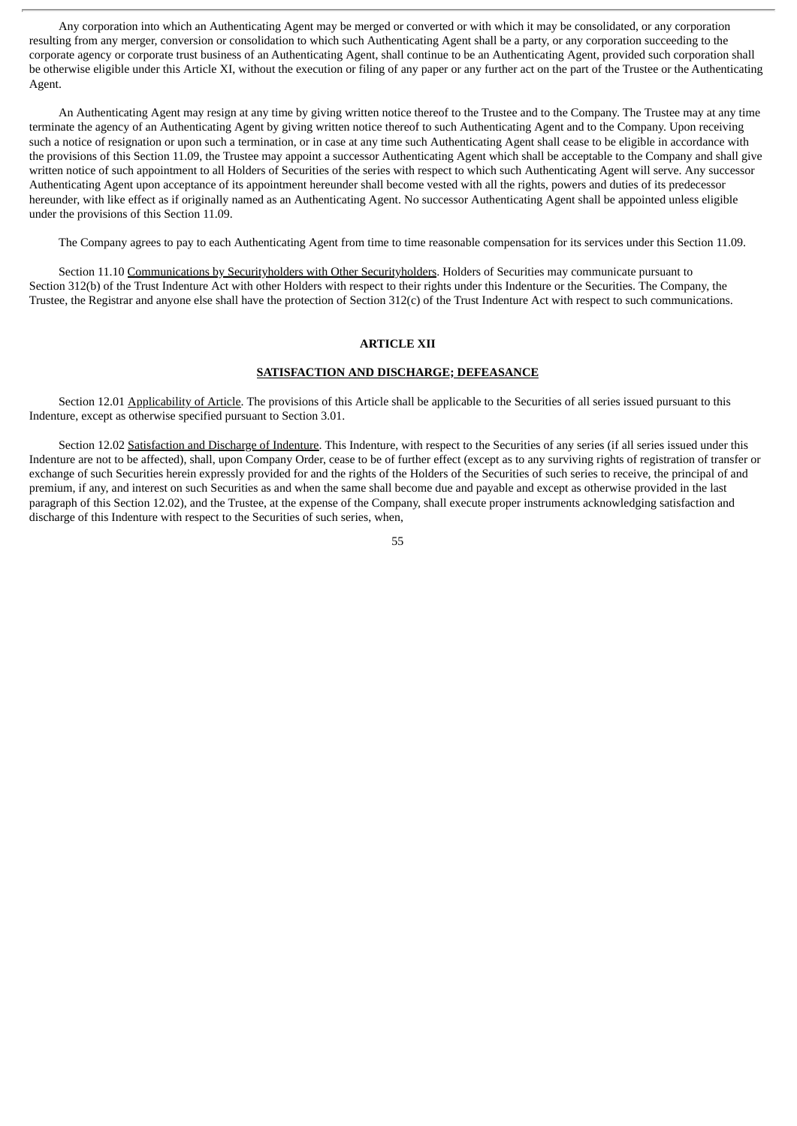Any corporation into which an Authenticating Agent may be merged or converted or with which it may be consolidated, or any corporation resulting from any merger, conversion or consolidation to which such Authenticating Agent shall be a party, or any corporation succeeding to the corporate agency or corporate trust business of an Authenticating Agent, shall continue to be an Authenticating Agent, provided such corporation shall be otherwise eligible under this Article XI, without the execution or filing of any paper or any further act on the part of the Trustee or the Authenticating Agent.

An Authenticating Agent may resign at any time by giving written notice thereof to the Trustee and to the Company. The Trustee may at any time terminate the agency of an Authenticating Agent by giving written notice thereof to such Authenticating Agent and to the Company. Upon receiving such a notice of resignation or upon such a termination, or in case at any time such Authenticating Agent shall cease to be eligible in accordance with the provisions of this Section 11.09, the Trustee may appoint a successor Authenticating Agent which shall be acceptable to the Company and shall give written notice of such appointment to all Holders of Securities of the series with respect to which such Authenticating Agent will serve. Any successor Authenticating Agent upon acceptance of its appointment hereunder shall become vested with all the rights, powers and duties of its predecessor hereunder, with like effect as if originally named as an Authenticating Agent. No successor Authenticating Agent shall be appointed unless eligible under the provisions of this Section 11.09.

The Company agrees to pay to each Authenticating Agent from time to time reasonable compensation for its services under this Section 11.09.

Section 11.10 Communications by Securityholders with Other Securityholders. Holders of Securities may communicate pursuant to Section 312(b) of the Trust Indenture Act with other Holders with respect to their rights under this Indenture or the Securities. The Company, the Trustee, the Registrar and anyone else shall have the protection of Section 312(c) of the Trust Indenture Act with respect to such communications.

#### **ARTICLE XII**

# **SATISFACTION AND DISCHARGE; DEFEASANCE**

Section 12.01 Applicability of Article. The provisions of this Article shall be applicable to the Securities of all series issued pursuant to this Indenture, except as otherwise specified pursuant to Section 3.01.

Section 12.02 Satisfaction and Discharge of Indenture. This Indenture, with respect to the Securities of any series (if all series issued under this Indenture are not to be affected), shall, upon Company Order, cease to be of further effect (except as to any surviving rights of registration of transfer or exchange of such Securities herein expressly provided for and the rights of the Holders of the Securities of such series to receive, the principal of and premium, if any, and interest on such Securities as and when the same shall become due and payable and except as otherwise provided in the last paragraph of this Section 12.02), and the Trustee, at the expense of the Company, shall execute proper instruments acknowledging satisfaction and discharge of this Indenture with respect to the Securities of such series, when,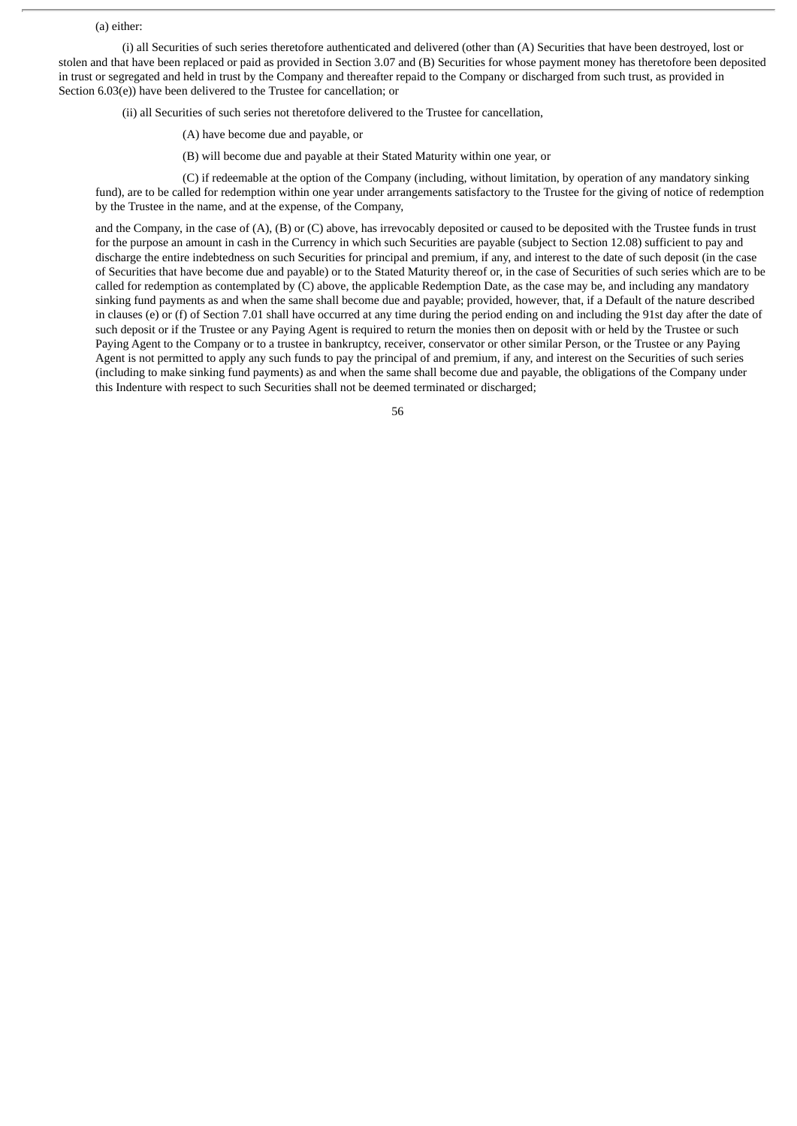#### (a) either:

(i) all Securities of such series theretofore authenticated and delivered (other than (A) Securities that have been destroyed, lost or stolen and that have been replaced or paid as provided in Section 3.07 and (B) Securities for whose payment money has theretofore been deposited in trust or segregated and held in trust by the Company and thereafter repaid to the Company or discharged from such trust, as provided in Section 6.03(e)) have been delivered to the Trustee for cancellation; or

(ii) all Securities of such series not theretofore delivered to the Trustee for cancellation,

- (A) have become due and payable, or
- (B) will become due and payable at their Stated Maturity within one year, or

(C) if redeemable at the option of the Company (including, without limitation, by operation of any mandatory sinking fund), are to be called for redemption within one year under arrangements satisfactory to the Trustee for the giving of notice of redemption by the Trustee in the name, and at the expense, of the Company,

and the Company, in the case of  $(A)$ ,  $(B)$  or  $(C)$  above, has irrevocably deposited or caused to be deposited with the Trustee funds in trust for the purpose an amount in cash in the Currency in which such Securities are payable (subject to Section 12.08) sufficient to pay and discharge the entire indebtedness on such Securities for principal and premium, if any, and interest to the date of such deposit (in the case of Securities that have become due and payable) or to the Stated Maturity thereof or, in the case of Securities of such series which are to be called for redemption as contemplated by  $(C)$  above, the applicable Redemption Date, as the case may be, and including any mandatory sinking fund payments as and when the same shall become due and payable; provided, however, that, if a Default of the nature described in clauses (e) or (f) of Section 7.01 shall have occurred at any time during the period ending on and including the 91st day after the date of such deposit or if the Trustee or any Paying Agent is required to return the monies then on deposit with or held by the Trustee or such Paying Agent to the Company or to a trustee in bankruptcy, receiver, conservator or other similar Person, or the Trustee or any Paying Agent is not permitted to apply any such funds to pay the principal of and premium, if any, and interest on the Securities of such series (including to make sinking fund payments) as and when the same shall become due and payable, the obligations of the Company under this Indenture with respect to such Securities shall not be deemed terminated or discharged;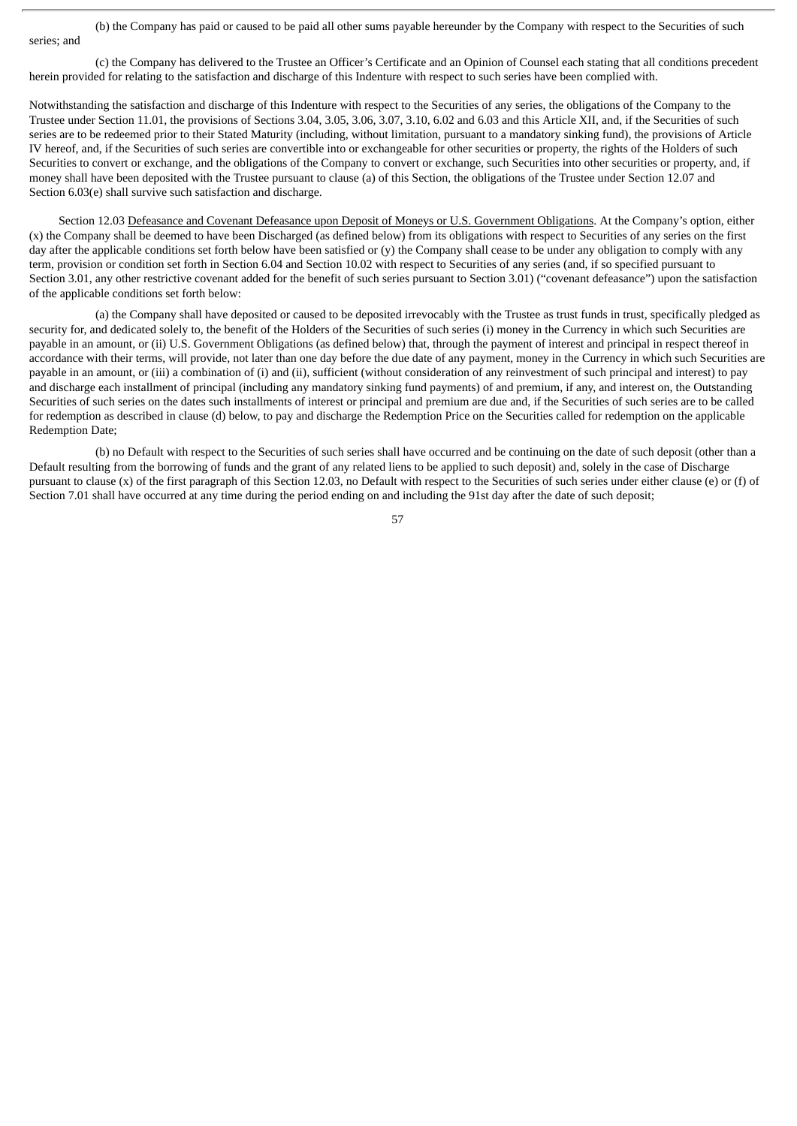(b) the Company has paid or caused to be paid all other sums payable hereunder by the Company with respect to the Securities of such series; and

(c) the Company has delivered to the Trustee an Officer's Certificate and an Opinion of Counsel each stating that all conditions precedent herein provided for relating to the satisfaction and discharge of this Indenture with respect to such series have been complied with.

Notwithstanding the satisfaction and discharge of this Indenture with respect to the Securities of any series, the obligations of the Company to the Trustee under Section 11.01, the provisions of Sections 3.04, 3.05, 3.06, 3.07, 3.10, 6.02 and 6.03 and this Article XII, and, if the Securities of such series are to be redeemed prior to their Stated Maturity (including, without limitation, pursuant to a mandatory sinking fund), the provisions of Article IV hereof, and, if the Securities of such series are convertible into or exchangeable for other securities or property, the rights of the Holders of such Securities to convert or exchange, and the obligations of the Company to convert or exchange, such Securities into other securities or property, and, if money shall have been deposited with the Trustee pursuant to clause (a) of this Section, the obligations of the Trustee under Section 12.07 and Section 6.03(e) shall survive such satisfaction and discharge.

Section 12.03 Defeasance and Covenant Defeasance upon Deposit of Moneys or U.S. Government Obligations. At the Company's option, either (x) the Company shall be deemed to have been Discharged (as defined below) from its obligations with respect to Securities of any series on the first day after the applicable conditions set forth below have been satisfied or (y) the Company shall cease to be under any obligation to comply with any term, provision or condition set forth in Section 6.04 and Section 10.02 with respect to Securities of any series (and, if so specified pursuant to Section 3.01, any other restrictive covenant added for the benefit of such series pursuant to Section 3.01) ("covenant defeasance") upon the satisfaction of the applicable conditions set forth below:

(a) the Company shall have deposited or caused to be deposited irrevocably with the Trustee as trust funds in trust, specifically pledged as security for, and dedicated solely to, the benefit of the Holders of the Securities of such series (i) money in the Currency in which such Securities are payable in an amount, or (ii) U.S. Government Obligations (as defined below) that, through the payment of interest and principal in respect thereof in accordance with their terms, will provide, not later than one day before the due date of any payment, money in the Currency in which such Securities are payable in an amount, or (iii) a combination of (i) and (ii), sufficient (without consideration of any reinvestment of such principal and interest) to pay and discharge each installment of principal (including any mandatory sinking fund payments) of and premium, if any, and interest on, the Outstanding Securities of such series on the dates such installments of interest or principal and premium are due and, if the Securities of such series are to be called for redemption as described in clause (d) below, to pay and discharge the Redemption Price on the Securities called for redemption on the applicable Redemption Date;

(b) no Default with respect to the Securities of such series shall have occurred and be continuing on the date of such deposit (other than a Default resulting from the borrowing of funds and the grant of any related liens to be applied to such deposit) and, solely in the case of Discharge pursuant to clause (x) of the first paragraph of this Section 12.03, no Default with respect to the Securities of such series under either clause (e) or (f) of Section 7.01 shall have occurred at any time during the period ending on and including the 91st day after the date of such deposit;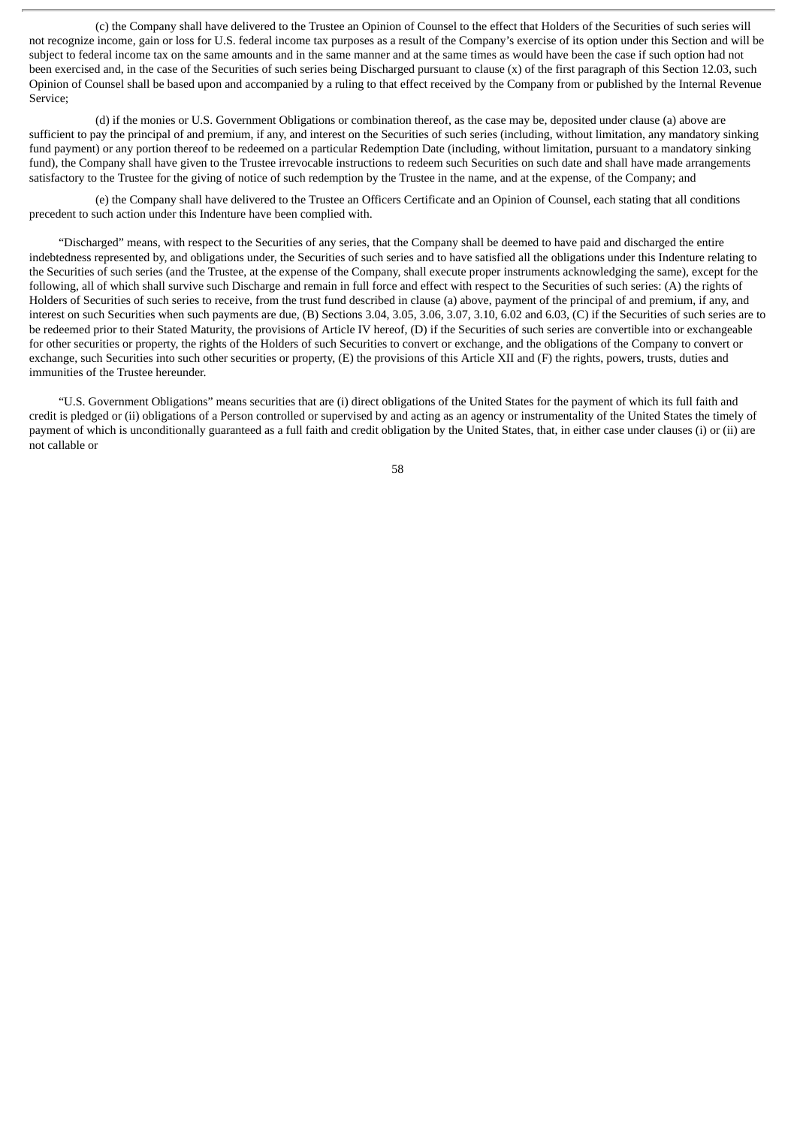(c) the Company shall have delivered to the Trustee an Opinion of Counsel to the effect that Holders of the Securities of such series will not recognize income, gain or loss for U.S. federal income tax purposes as a result of the Company's exercise of its option under this Section and will be subject to federal income tax on the same amounts and in the same manner and at the same times as would have been the case if such option had not been exercised and, in the case of the Securities of such series being Discharged pursuant to clause (x) of the first paragraph of this Section 12.03, such Opinion of Counsel shall be based upon and accompanied by a ruling to that effect received by the Company from or published by the Internal Revenue Service;

(d) if the monies or U.S. Government Obligations or combination thereof, as the case may be, deposited under clause (a) above are sufficient to pay the principal of and premium, if any, and interest on the Securities of such series (including, without limitation, any mandatory sinking fund payment) or any portion thereof to be redeemed on a particular Redemption Date (including, without limitation, pursuant to a mandatory sinking fund), the Company shall have given to the Trustee irrevocable instructions to redeem such Securities on such date and shall have made arrangements satisfactory to the Trustee for the giving of notice of such redemption by the Trustee in the name, and at the expense, of the Company; and

(e) the Company shall have delivered to the Trustee an Officers Certificate and an Opinion of Counsel, each stating that all conditions precedent to such action under this Indenture have been complied with.

"Discharged" means, with respect to the Securities of any series, that the Company shall be deemed to have paid and discharged the entire indebtedness represented by, and obligations under, the Securities of such series and to have satisfied all the obligations under this Indenture relating to the Securities of such series (and the Trustee, at the expense of the Company, shall execute proper instruments acknowledging the same), except for the following, all of which shall survive such Discharge and remain in full force and effect with respect to the Securities of such series: (A) the rights of Holders of Securities of such series to receive, from the trust fund described in clause (a) above, payment of the principal of and premium, if any, and interest on such Securities when such payments are due, (B) Sections 3.04, 3.05, 3.06, 3.07, 3.10, 6.02 and 6.03, (C) if the Securities of such series are to be redeemed prior to their Stated Maturity, the provisions of Article IV hereof, (D) if the Securities of such series are convertible into or exchangeable for other securities or property, the rights of the Holders of such Securities to convert or exchange, and the obligations of the Company to convert or exchange, such Securities into such other securities or property, (E) the provisions of this Article XII and (F) the rights, powers, trusts, duties and immunities of the Trustee hereunder.

"U.S. Government Obligations" means securities that are (i) direct obligations of the United States for the payment of which its full faith and credit is pledged or (ii) obligations of a Person controlled or supervised by and acting as an agency or instrumentality of the United States the timely of payment of which is unconditionally guaranteed as a full faith and credit obligation by the United States, that, in either case under clauses (i) or (ii) are not callable or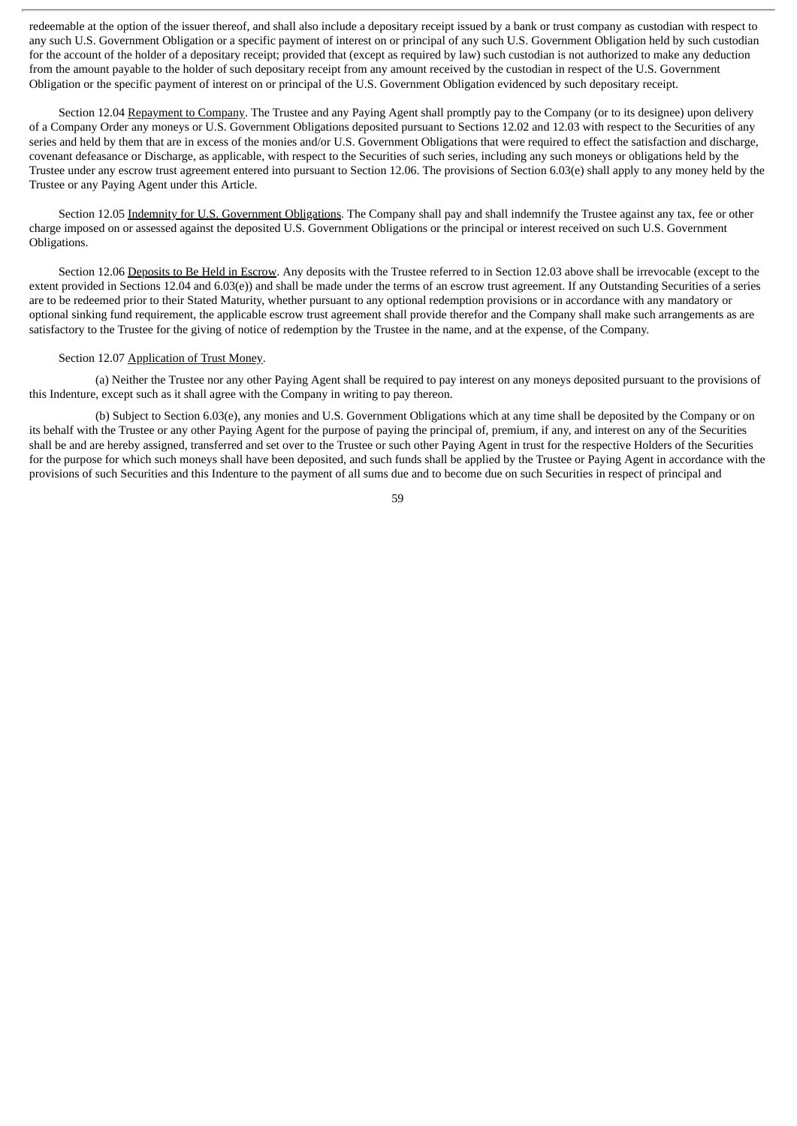redeemable at the option of the issuer thereof, and shall also include a depositary receipt issued by a bank or trust company as custodian with respect to any such U.S. Government Obligation or a specific payment of interest on or principal of any such U.S. Government Obligation held by such custodian for the account of the holder of a depositary receipt; provided that (except as required by law) such custodian is not authorized to make any deduction from the amount payable to the holder of such depositary receipt from any amount received by the custodian in respect of the U.S. Government Obligation or the specific payment of interest on or principal of the U.S. Government Obligation evidenced by such depositary receipt.

Section 12.04 Repayment to Company. The Trustee and any Paying Agent shall promptly pay to the Company (or to its designee) upon delivery of a Company Order any moneys or U.S. Government Obligations deposited pursuant to Sections 12.02 and 12.03 with respect to the Securities of any series and held by them that are in excess of the monies and/or U.S. Government Obligations that were required to effect the satisfaction and discharge, covenant defeasance or Discharge, as applicable, with respect to the Securities of such series, including any such moneys or obligations held by the Trustee under any escrow trust agreement entered into pursuant to Section 12.06. The provisions of Section 6.03(e) shall apply to any money held by the Trustee or any Paying Agent under this Article.

Section 12.05 Indemnity for U.S. Government Obligations. The Company shall pay and shall indemnify the Trustee against any tax, fee or other charge imposed on or assessed against the deposited U.S. Government Obligations or the principal or interest received on such U.S. Government Obligations.

Section 12.06 Deposits to Be Held in Escrow. Any deposits with the Trustee referred to in Section 12.03 above shall be irrevocable (except to the extent provided in Sections 12.04 and 6.03(e)) and shall be made under the terms of an escrow trust agreement. If any Outstanding Securities of a series are to be redeemed prior to their Stated Maturity, whether pursuant to any optional redemption provisions or in accordance with any mandatory or optional sinking fund requirement, the applicable escrow trust agreement shall provide therefor and the Company shall make such arrangements as are satisfactory to the Trustee for the giving of notice of redemption by the Trustee in the name, and at the expense, of the Company.

# Section 12.07 Application of Trust Money.

(a) Neither the Trustee nor any other Paying Agent shall be required to pay interest on any moneys deposited pursuant to the provisions of this Indenture, except such as it shall agree with the Company in writing to pay thereon.

(b) Subject to Section 6.03(e), any monies and U.S. Government Obligations which at any time shall be deposited by the Company or on its behalf with the Trustee or any other Paying Agent for the purpose of paying the principal of, premium, if any, and interest on any of the Securities shall be and are hereby assigned, transferred and set over to the Trustee or such other Paying Agent in trust for the respective Holders of the Securities for the purpose for which such moneys shall have been deposited, and such funds shall be applied by the Trustee or Paying Agent in accordance with the provisions of such Securities and this Indenture to the payment of all sums due and to become due on such Securities in respect of principal and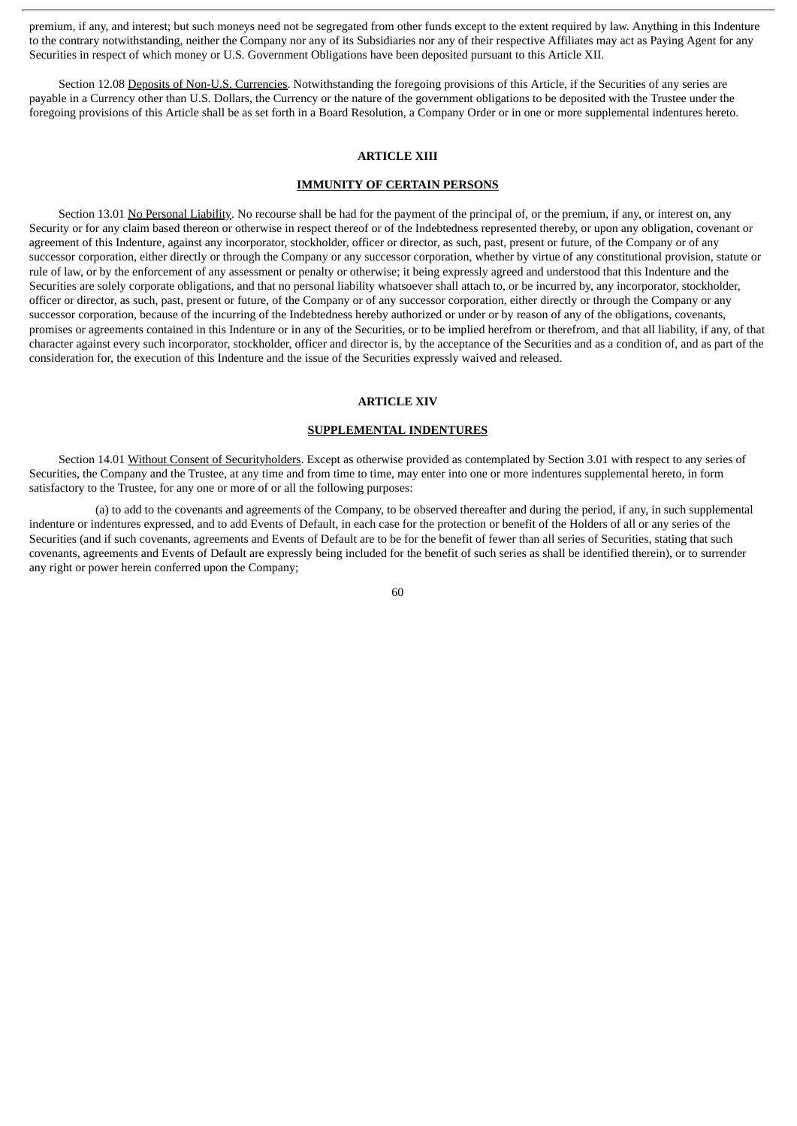premium, if any, and interest; but such moneys need not be segregated from other funds except to the extent required by law. Anything in this Indenture to the contrary notwithstanding, neither the Company nor any of its Subsidiaries nor any of their respective Affiliates may act as Paying Agent for any Securities in respect of which money or U.S. Government Obligations have been deposited pursuant to this Article XII.

Section 12.08 Deposits of Non-U.S. Currencies. Notwithstanding the foregoing provisions of this Article, if the Securities of any series are payable in a Currency other than U.S. Dollars, the Currency or the nature of the government obligations to be deposited with the Trustee under the foregoing provisions of this Article shall be as set forth in a Board Resolution, a Company Order or in one or more supplemental indentures hereto.

# **ARTICLE XIII**

#### **IMMUNITY OF CERTAIN PERSONS**

Section 13.01 No Personal Liability. No recourse shall be had for the payment of the principal of, or the premium, if any, or interest on, any Security or for any claim based thereon or otherwise in respect thereof or of the Indebtedness represented thereby, or upon any obligation, covenant or agreement of this Indenture, against any incorporator, stockholder, officer or director, as such, past, present or future, of the Company or of any successor corporation, either directly or through the Company or any successor corporation, whether by virtue of any constitutional provision, statute or rule of law, or by the enforcement of any assessment or penalty or otherwise; it being expressly agreed and understood that this Indenture and the Securities are solely corporate obligations, and that no personal liability whatsoever shall attach to, or be incurred by, any incorporator, stockholder, officer or director, as such, past, present or future, of the Company or of any successor corporation, either directly or through the Company or any successor corporation, because of the incurring of the Indebtedness hereby authorized or under or by reason of any of the obligations, covenants, promises or agreements contained in this Indenture or in any of the Securities, or to be implied herefrom or therefrom, and that all liability, if any, of that character against every such incorporator, stockholder, officer and director is, by the acceptance of the Securities and as a condition of, and as part of the consideration for, the execution of this Indenture and the issue of the Securities expressly waived and released.

#### **ARTICLE XIV**

#### **SUPPLEMENTAL INDENTURES**

Section 14.01 Without Consent of Securityholders. Except as otherwise provided as contemplated by Section 3.01 with respect to any series of Securities, the Company and the Trustee, at any time and from time to time, may enter into one or more indentures supplemental hereto, in form satisfactory to the Trustee, for any one or more of or all the following purposes:

(a) to add to the covenants and agreements of the Company, to be observed thereafter and during the period, if any, in such supplemental indenture or indentures expressed, and to add Events of Default, in each case for the protection or benefit of the Holders of all or any series of the Securities (and if such covenants, agreements and Events of Default are to be for the benefit of fewer than all series of Securities, stating that such covenants, agreements and Events of Default are expressly being included for the benefit of such series as shall be identified therein), or to surrender any right or power herein conferred upon the Company;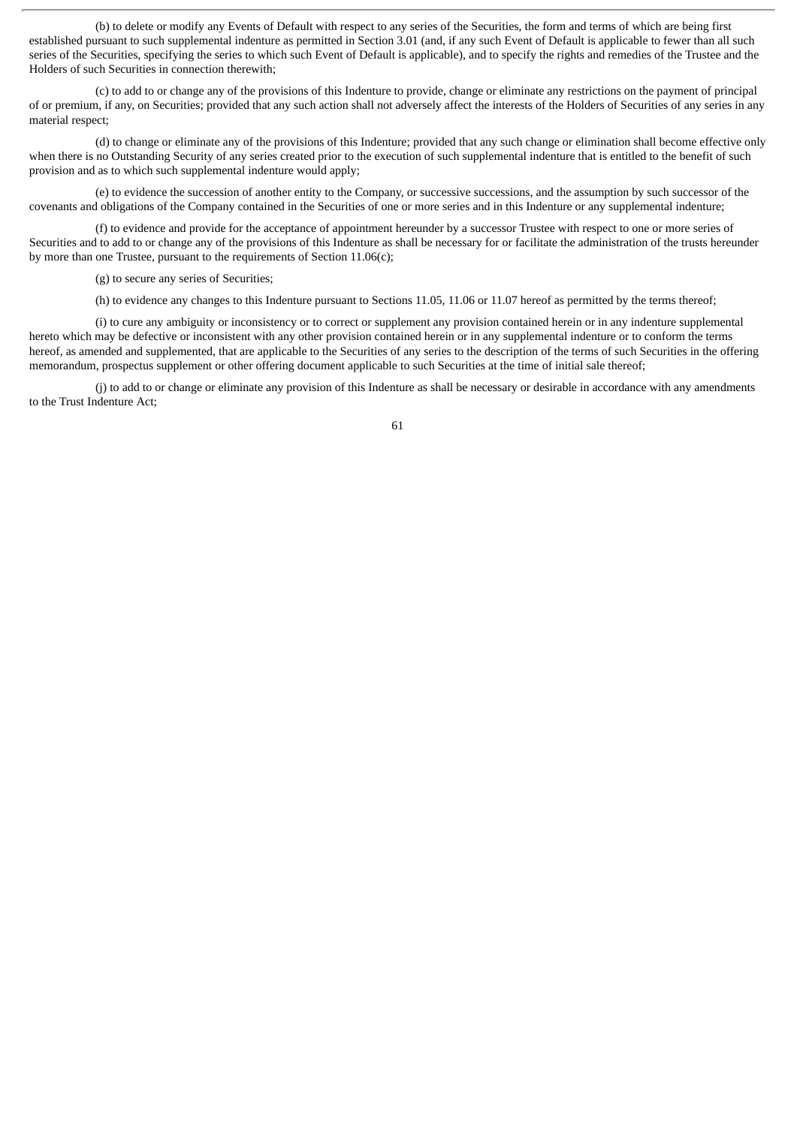(b) to delete or modify any Events of Default with respect to any series of the Securities, the form and terms of which are being first established pursuant to such supplemental indenture as permitted in Section 3.01 (and, if any such Event of Default is applicable to fewer than all such series of the Securities, specifying the series to which such Event of Default is applicable), and to specify the rights and remedies of the Trustee and the Holders of such Securities in connection therewith;

(c) to add to or change any of the provisions of this Indenture to provide, change or eliminate any restrictions on the payment of principal of or premium, if any, on Securities; provided that any such action shall not adversely affect the interests of the Holders of Securities of any series in any material respect;

(d) to change or eliminate any of the provisions of this Indenture; provided that any such change or elimination shall become effective only when there is no Outstanding Security of any series created prior to the execution of such supplemental indenture that is entitled to the benefit of such provision and as to which such supplemental indenture would apply;

(e) to evidence the succession of another entity to the Company, or successive successions, and the assumption by such successor of the covenants and obligations of the Company contained in the Securities of one or more series and in this Indenture or any supplemental indenture;

(f) to evidence and provide for the acceptance of appointment hereunder by a successor Trustee with respect to one or more series of Securities and to add to or change any of the provisions of this Indenture as shall be necessary for or facilitate the administration of the trusts hereunder by more than one Trustee, pursuant to the requirements of Section 11.06(c);

(g) to secure any series of Securities;

(h) to evidence any changes to this Indenture pursuant to Sections 11.05, 11.06 or 11.07 hereof as permitted by the terms thereof;

(i) to cure any ambiguity or inconsistency or to correct or supplement any provision contained herein or in any indenture supplemental hereto which may be defective or inconsistent with any other provision contained herein or in any supplemental indenture or to conform the terms hereof, as amended and supplemented, that are applicable to the Securities of any series to the description of the terms of such Securities in the offering memorandum, prospectus supplement or other offering document applicable to such Securities at the time of initial sale thereof;

(j) to add to or change or eliminate any provision of this Indenture as shall be necessary or desirable in accordance with any amendments to the Trust Indenture Act;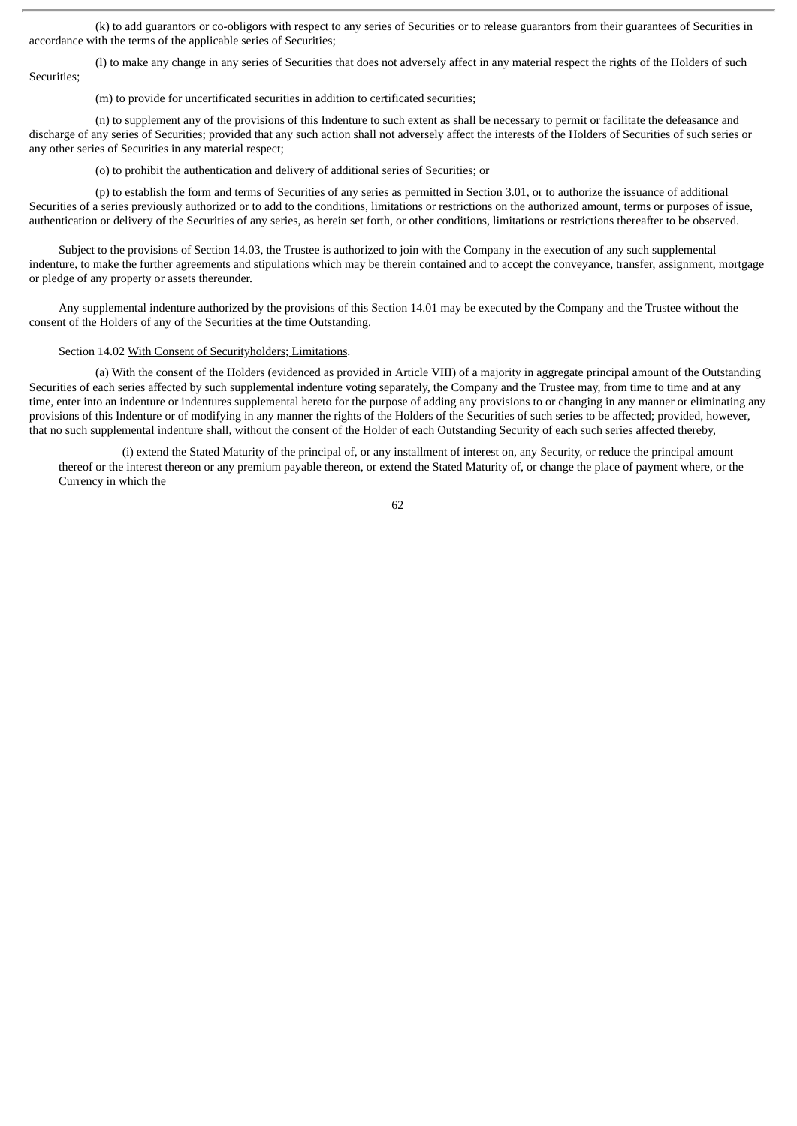(k) to add guarantors or co-obligors with respect to any series of Securities or to release guarantors from their guarantees of Securities in accordance with the terms of the applicable series of Securities;

(l) to make any change in any series of Securities that does not adversely affect in any material respect the rights of the Holders of such Securities;

(m) to provide for uncertificated securities in addition to certificated securities;

(n) to supplement any of the provisions of this Indenture to such extent as shall be necessary to permit or facilitate the defeasance and discharge of any series of Securities; provided that any such action shall not adversely affect the interests of the Holders of Securities of such series or any other series of Securities in any material respect;

(o) to prohibit the authentication and delivery of additional series of Securities; or

(p) to establish the form and terms of Securities of any series as permitted in Section 3.01, or to authorize the issuance of additional Securities of a series previously authorized or to add to the conditions, limitations or restrictions on the authorized amount, terms or purposes of issue, authentication or delivery of the Securities of any series, as herein set forth, or other conditions, limitations or restrictions thereafter to be observed.

Subject to the provisions of Section 14.03, the Trustee is authorized to join with the Company in the execution of any such supplemental indenture, to make the further agreements and stipulations which may be therein contained and to accept the conveyance, transfer, assignment, mortgage or pledge of any property or assets thereunder.

Any supplemental indenture authorized by the provisions of this Section 14.01 may be executed by the Company and the Trustee without the consent of the Holders of any of the Securities at the time Outstanding.

#### Section 14.02 With Consent of Securityholders; Limitations.

(a) With the consent of the Holders (evidenced as provided in Article VIII) of a majority in aggregate principal amount of the Outstanding Securities of each series affected by such supplemental indenture voting separately, the Company and the Trustee may, from time to time and at any time, enter into an indenture or indentures supplemental hereto for the purpose of adding any provisions to or changing in any manner or eliminating any provisions of this Indenture or of modifying in any manner the rights of the Holders of the Securities of such series to be affected; provided, however, that no such supplemental indenture shall, without the consent of the Holder of each Outstanding Security of each such series affected thereby,

(i) extend the Stated Maturity of the principal of, or any installment of interest on, any Security, or reduce the principal amount thereof or the interest thereon or any premium payable thereon, or extend the Stated Maturity of, or change the place of payment where, or the Currency in which the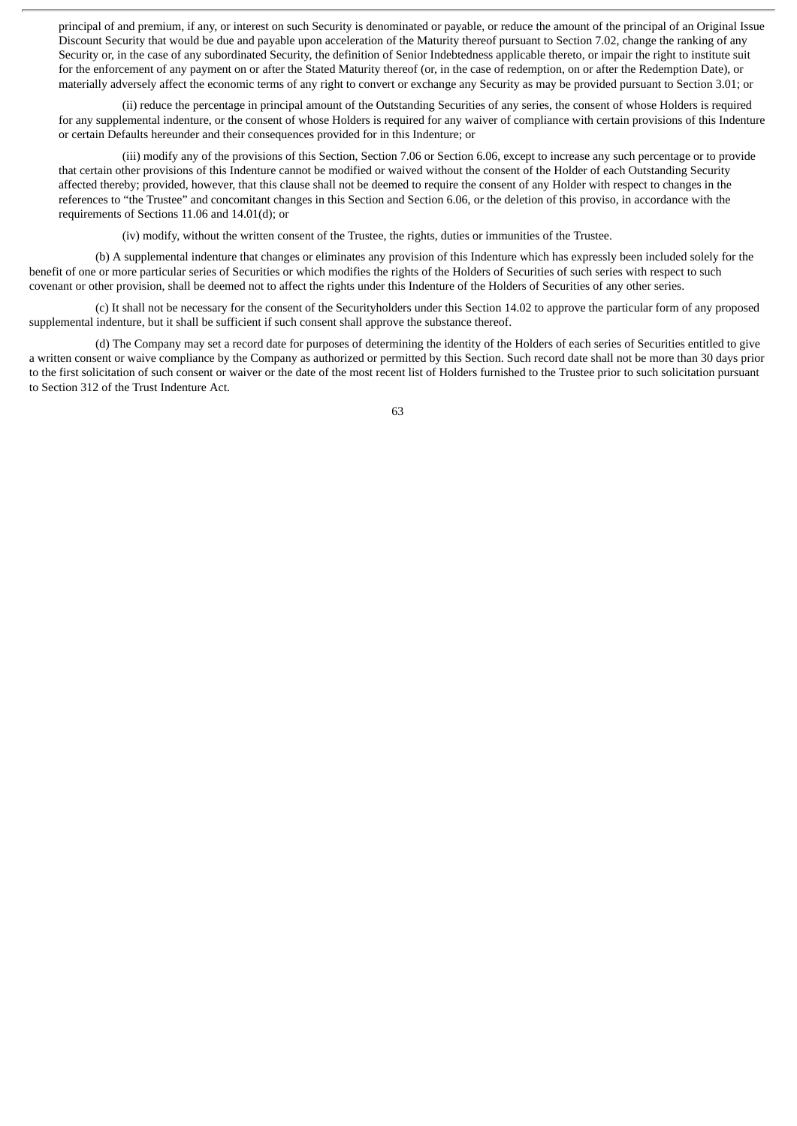principal of and premium, if any, or interest on such Security is denominated or payable, or reduce the amount of the principal of an Original Issue Discount Security that would be due and payable upon acceleration of the Maturity thereof pursuant to Section 7.02, change the ranking of any Security or, in the case of any subordinated Security, the definition of Senior Indebtedness applicable thereto, or impair the right to institute suit for the enforcement of any payment on or after the Stated Maturity thereof (or, in the case of redemption, on or after the Redemption Date), or materially adversely affect the economic terms of any right to convert or exchange any Security as may be provided pursuant to Section 3.01; or

(ii) reduce the percentage in principal amount of the Outstanding Securities of any series, the consent of whose Holders is required for any supplemental indenture, or the consent of whose Holders is required for any waiver of compliance with certain provisions of this Indenture or certain Defaults hereunder and their consequences provided for in this Indenture; or

(iii) modify any of the provisions of this Section, Section 7.06 or Section 6.06, except to increase any such percentage or to provide that certain other provisions of this Indenture cannot be modified or waived without the consent of the Holder of each Outstanding Security affected thereby; provided, however, that this clause shall not be deemed to require the consent of any Holder with respect to changes in the references to "the Trustee" and concomitant changes in this Section and Section 6.06, or the deletion of this proviso, in accordance with the requirements of Sections 11.06 and 14.01(d); or

(iv) modify, without the written consent of the Trustee, the rights, duties or immunities of the Trustee.

(b) A supplemental indenture that changes or eliminates any provision of this Indenture which has expressly been included solely for the benefit of one or more particular series of Securities or which modifies the rights of the Holders of Securities of such series with respect to such covenant or other provision, shall be deemed not to affect the rights under this Indenture of the Holders of Securities of any other series.

(c) It shall not be necessary for the consent of the Securityholders under this Section 14.02 to approve the particular form of any proposed supplemental indenture, but it shall be sufficient if such consent shall approve the substance thereof.

(d) The Company may set a record date for purposes of determining the identity of the Holders of each series of Securities entitled to give a written consent or waive compliance by the Company as authorized or permitted by this Section. Such record date shall not be more than 30 days prior to the first solicitation of such consent or waiver or the date of the most recent list of Holders furnished to the Trustee prior to such solicitation pursuant to Section 312 of the Trust Indenture Act.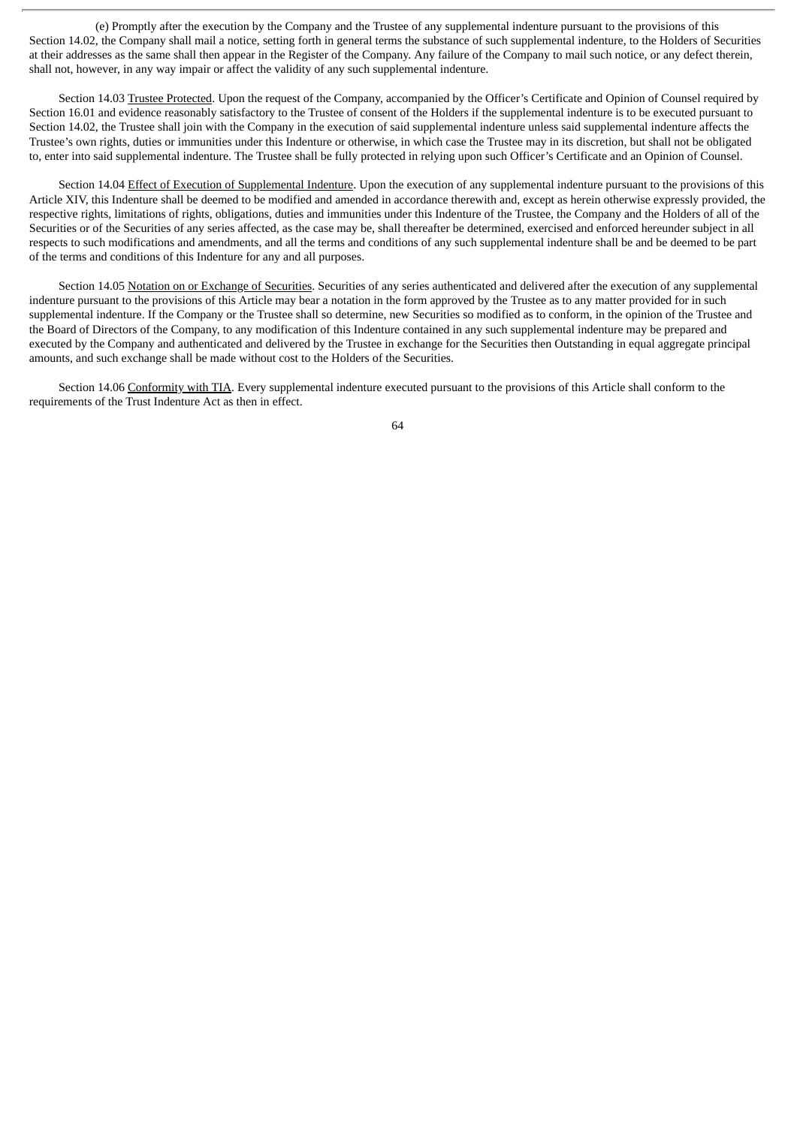(e) Promptly after the execution by the Company and the Trustee of any supplemental indenture pursuant to the provisions of this Section 14.02, the Company shall mail a notice, setting forth in general terms the substance of such supplemental indenture, to the Holders of Securities at their addresses as the same shall then appear in the Register of the Company. Any failure of the Company to mail such notice, or any defect therein, shall not, however, in any way impair or affect the validity of any such supplemental indenture.

Section 14.03 Trustee Protected. Upon the request of the Company, accompanied by the Officer's Certificate and Opinion of Counsel required by Section 16.01 and evidence reasonably satisfactory to the Trustee of consent of the Holders if the supplemental indenture is to be executed pursuant to Section 14.02, the Trustee shall join with the Company in the execution of said supplemental indenture unless said supplemental indenture affects the Trustee's own rights, duties or immunities under this Indenture or otherwise, in which case the Trustee may in its discretion, but shall not be obligated to, enter into said supplemental indenture. The Trustee shall be fully protected in relying upon such Officer's Certificate and an Opinion of Counsel.

Section 14.04 Effect of Execution of Supplemental Indenture. Upon the execution of any supplemental indenture pursuant to the provisions of this Article XIV, this Indenture shall be deemed to be modified and amended in accordance therewith and, except as herein otherwise expressly provided, the respective rights, limitations of rights, obligations, duties and immunities under this Indenture of the Trustee, the Company and the Holders of all of the Securities or of the Securities of any series affected, as the case may be, shall thereafter be determined, exercised and enforced hereunder subject in all respects to such modifications and amendments, and all the terms and conditions of any such supplemental indenture shall be and be deemed to be part of the terms and conditions of this Indenture for any and all purposes.

Section 14.05 Notation on or Exchange of Securities. Securities of any series authenticated and delivered after the execution of any supplemental indenture pursuant to the provisions of this Article may bear a notation in the form approved by the Trustee as to any matter provided for in such supplemental indenture. If the Company or the Trustee shall so determine, new Securities so modified as to conform, in the opinion of the Trustee and the Board of Directors of the Company, to any modification of this Indenture contained in any such supplemental indenture may be prepared and executed by the Company and authenticated and delivered by the Trustee in exchange for the Securities then Outstanding in equal aggregate principal amounts, and such exchange shall be made without cost to the Holders of the Securities.

Section 14.06 Conformity with TIA. Every supplemental indenture executed pursuant to the provisions of this Article shall conform to the requirements of the Trust Indenture Act as then in effect.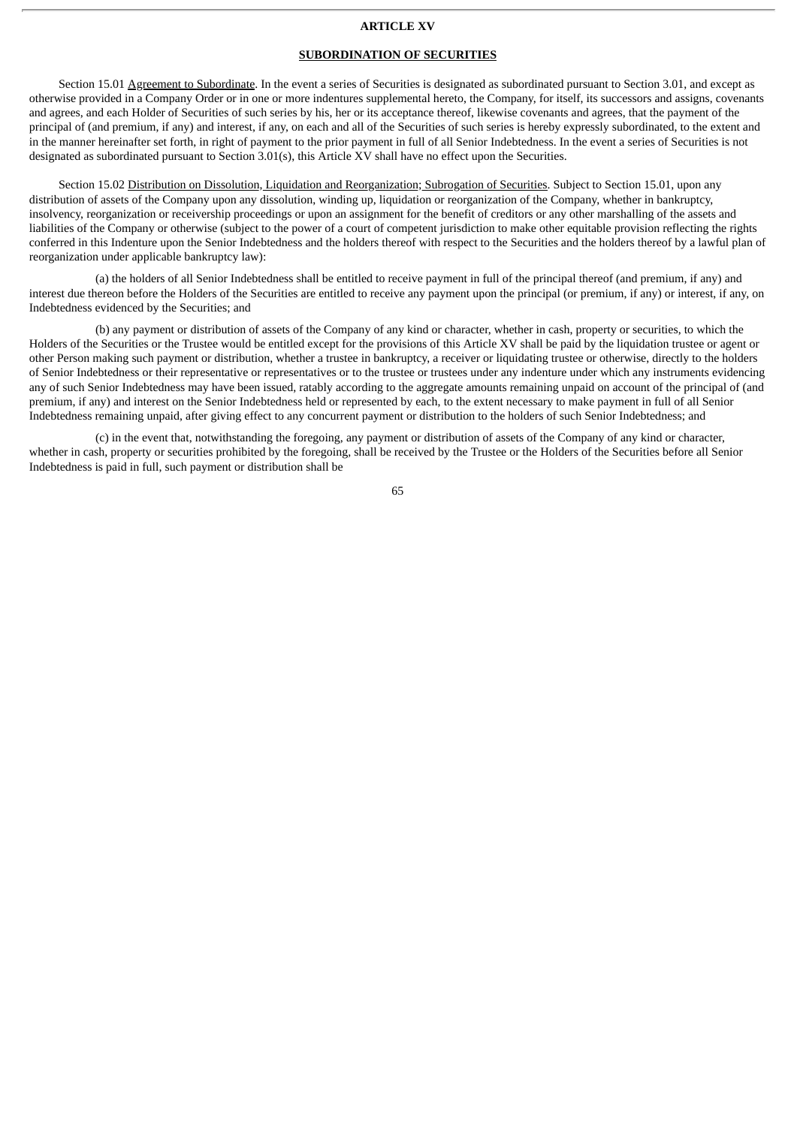#### **ARTICLE XV**

### **SUBORDINATION OF SECURITIES**

Section 15.01 Agreement to Subordinate. In the event a series of Securities is designated as subordinated pursuant to Section 3.01, and except as otherwise provided in a Company Order or in one or more indentures supplemental hereto, the Company, for itself, its successors and assigns, covenants and agrees, and each Holder of Securities of such series by his, her or its acceptance thereof, likewise covenants and agrees, that the payment of the principal of (and premium, if any) and interest, if any, on each and all of the Securities of such series is hereby expressly subordinated, to the extent and in the manner hereinafter set forth, in right of payment to the prior payment in full of all Senior Indebtedness. In the event a series of Securities is not designated as subordinated pursuant to Section 3.01(s), this Article XV shall have no effect upon the Securities.

Section 15.02 Distribution on Dissolution, Liquidation and Reorganization; Subrogation of Securities. Subject to Section 15.01, upon any distribution of assets of the Company upon any dissolution, winding up, liquidation or reorganization of the Company, whether in bankruptcy, insolvency, reorganization or receivership proceedings or upon an assignment for the benefit of creditors or any other marshalling of the assets and liabilities of the Company or otherwise (subject to the power of a court of competent jurisdiction to make other equitable provision reflecting the rights conferred in this Indenture upon the Senior Indebtedness and the holders thereof with respect to the Securities and the holders thereof by a lawful plan of reorganization under applicable bankruptcy law):

(a) the holders of all Senior Indebtedness shall be entitled to receive payment in full of the principal thereof (and premium, if any) and interest due thereon before the Holders of the Securities are entitled to receive any payment upon the principal (or premium, if any) or interest, if any, on Indebtedness evidenced by the Securities; and

(b) any payment or distribution of assets of the Company of any kind or character, whether in cash, property or securities, to which the Holders of the Securities or the Trustee would be entitled except for the provisions of this Article XV shall be paid by the liquidation trustee or agent or other Person making such payment or distribution, whether a trustee in bankruptcy, a receiver or liquidating trustee or otherwise, directly to the holders of Senior Indebtedness or their representative or representatives or to the trustee or trustees under any indenture under which any instruments evidencing any of such Senior Indebtedness may have been issued, ratably according to the aggregate amounts remaining unpaid on account of the principal of (and premium, if any) and interest on the Senior Indebtedness held or represented by each, to the extent necessary to make payment in full of all Senior Indebtedness remaining unpaid, after giving effect to any concurrent payment or distribution to the holders of such Senior Indebtedness; and

(c) in the event that, notwithstanding the foregoing, any payment or distribution of assets of the Company of any kind or character, whether in cash, property or securities prohibited by the foregoing, shall be received by the Trustee or the Holders of the Securities before all Senior Indebtedness is paid in full, such payment or distribution shall be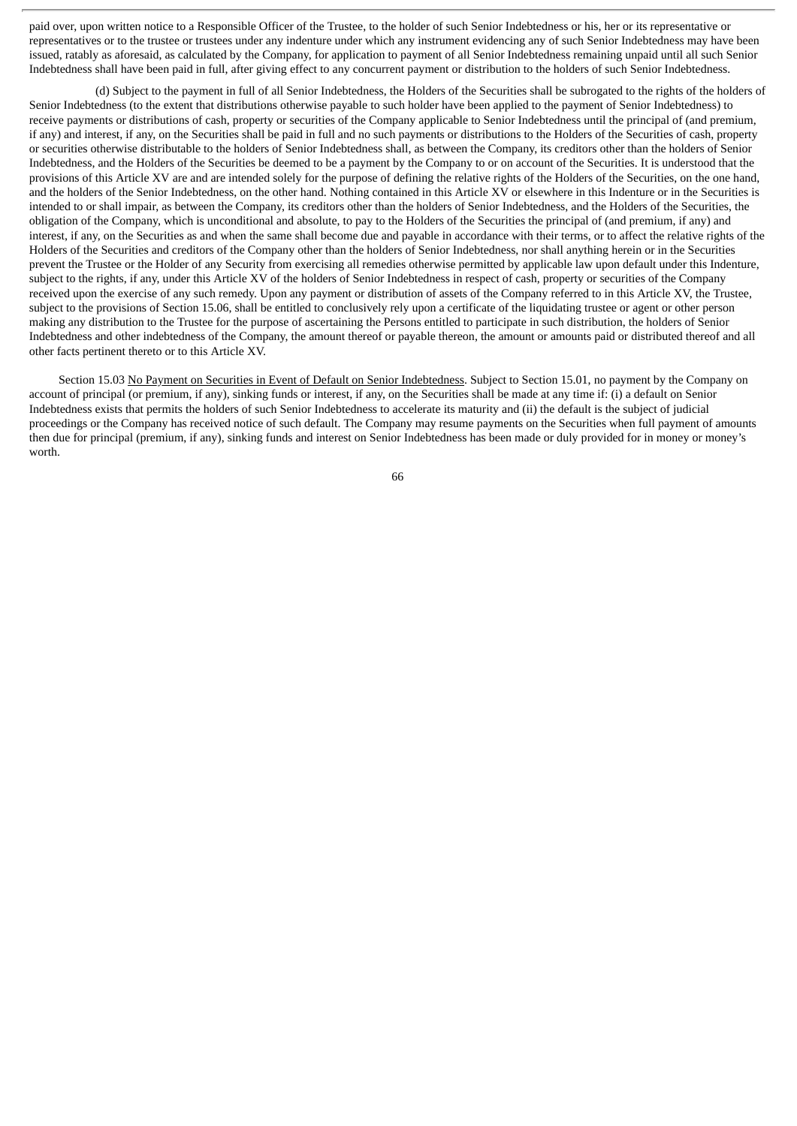paid over, upon written notice to a Responsible Officer of the Trustee, to the holder of such Senior Indebtedness or his, her or its representative or representatives or to the trustee or trustees under any indenture under which any instrument evidencing any of such Senior Indebtedness may have been issued, ratably as aforesaid, as calculated by the Company, for application to payment of all Senior Indebtedness remaining unpaid until all such Senior Indebtedness shall have been paid in full, after giving effect to any concurrent payment or distribution to the holders of such Senior Indebtedness.

(d) Subject to the payment in full of all Senior Indebtedness, the Holders of the Securities shall be subrogated to the rights of the holders of Senior Indebtedness (to the extent that distributions otherwise payable to such holder have been applied to the payment of Senior Indebtedness) to receive payments or distributions of cash, property or securities of the Company applicable to Senior Indebtedness until the principal of (and premium, if any) and interest, if any, on the Securities shall be paid in full and no such payments or distributions to the Holders of the Securities of cash, property or securities otherwise distributable to the holders of Senior Indebtedness shall, as between the Company, its creditors other than the holders of Senior Indebtedness, and the Holders of the Securities be deemed to be a payment by the Company to or on account of the Securities. It is understood that the provisions of this Article XV are and are intended solely for the purpose of defining the relative rights of the Holders of the Securities, on the one hand, and the holders of the Senior Indebtedness, on the other hand. Nothing contained in this Article XV or elsewhere in this Indenture or in the Securities is intended to or shall impair, as between the Company, its creditors other than the holders of Senior Indebtedness, and the Holders of the Securities, the obligation of the Company, which is unconditional and absolute, to pay to the Holders of the Securities the principal of (and premium, if any) and interest, if any, on the Securities as and when the same shall become due and payable in accordance with their terms, or to affect the relative rights of the Holders of the Securities and creditors of the Company other than the holders of Senior Indebtedness, nor shall anything herein or in the Securities prevent the Trustee or the Holder of any Security from exercising all remedies otherwise permitted by applicable law upon default under this Indenture, subject to the rights, if any, under this Article XV of the holders of Senior Indebtedness in respect of cash, property or securities of the Company received upon the exercise of any such remedy. Upon any payment or distribution of assets of the Company referred to in this Article XV, the Trustee, subject to the provisions of Section 15.06, shall be entitled to conclusively rely upon a certificate of the liquidating trustee or agent or other person making any distribution to the Trustee for the purpose of ascertaining the Persons entitled to participate in such distribution, the holders of Senior Indebtedness and other indebtedness of the Company, the amount thereof or payable thereon, the amount or amounts paid or distributed thereof and all other facts pertinent thereto or to this Article XV.

Section 15.03 No Payment on Securities in Event of Default on Senior Indebtedness. Subject to Section 15.01, no payment by the Company on account of principal (or premium, if any), sinking funds or interest, if any, on the Securities shall be made at any time if: (i) a default on Senior Indebtedness exists that permits the holders of such Senior Indebtedness to accelerate its maturity and (ii) the default is the subject of judicial proceedings or the Company has received notice of such default. The Company may resume payments on the Securities when full payment of amounts then due for principal (premium, if any), sinking funds and interest on Senior Indebtedness has been made or duly provided for in money or money's worth.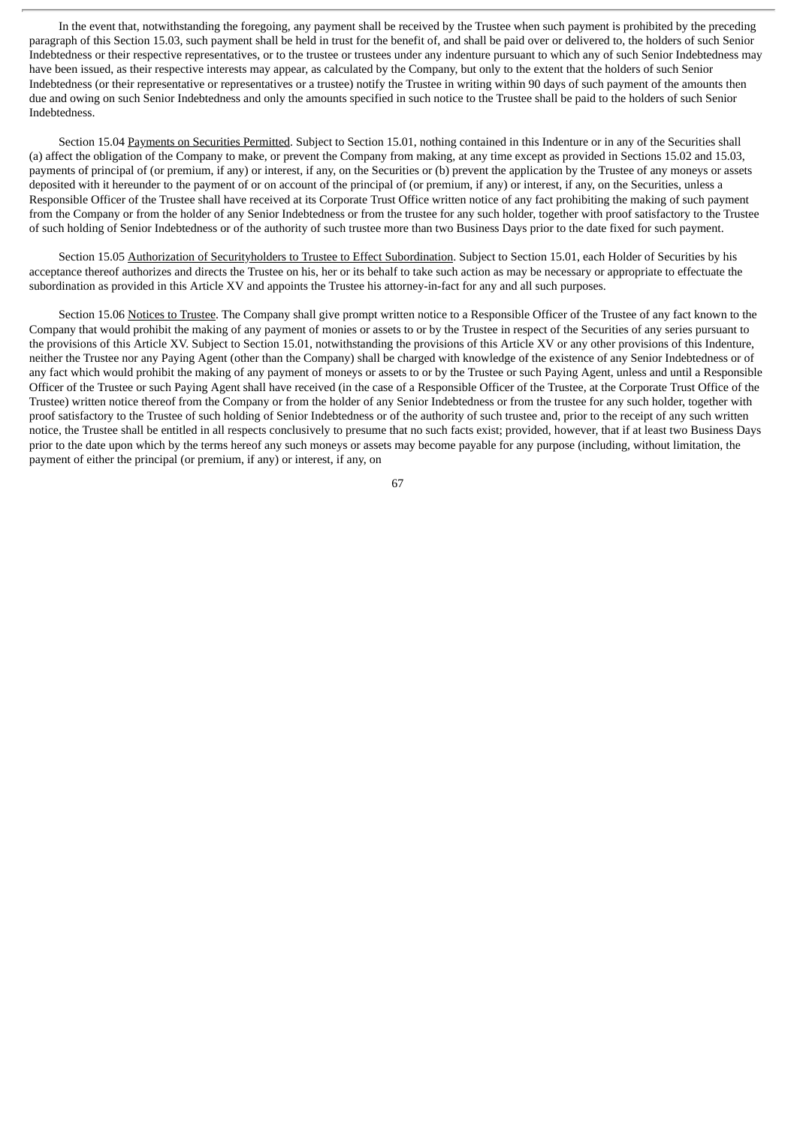In the event that, notwithstanding the foregoing, any payment shall be received by the Trustee when such payment is prohibited by the preceding paragraph of this Section 15.03, such payment shall be held in trust for the benefit of, and shall be paid over or delivered to, the holders of such Senior Indebtedness or their respective representatives, or to the trustee or trustees under any indenture pursuant to which any of such Senior Indebtedness may have been issued, as their respective interests may appear, as calculated by the Company, but only to the extent that the holders of such Senior Indebtedness (or their representative or representatives or a trustee) notify the Trustee in writing within 90 days of such payment of the amounts then due and owing on such Senior Indebtedness and only the amounts specified in such notice to the Trustee shall be paid to the holders of such Senior Indebtedness.

Section 15.04 Payments on Securities Permitted. Subject to Section 15.01, nothing contained in this Indenture or in any of the Securities shall (a) affect the obligation of the Company to make, or prevent the Company from making, at any time except as provided in Sections 15.02 and 15.03, payments of principal of (or premium, if any) or interest, if any, on the Securities or (b) prevent the application by the Trustee of any moneys or assets deposited with it hereunder to the payment of or on account of the principal of (or premium, if any) or interest, if any, on the Securities, unless a Responsible Officer of the Trustee shall have received at its Corporate Trust Office written notice of any fact prohibiting the making of such payment from the Company or from the holder of any Senior Indebtedness or from the trustee for any such holder, together with proof satisfactory to the Trustee of such holding of Senior Indebtedness or of the authority of such trustee more than two Business Days prior to the date fixed for such payment.

Section 15.05 Authorization of Securityholders to Trustee to Effect Subordination. Subject to Section 15.01, each Holder of Securities by his acceptance thereof authorizes and directs the Trustee on his, her or its behalf to take such action as may be necessary or appropriate to effectuate the subordination as provided in this Article XV and appoints the Trustee his attorney-in-fact for any and all such purposes.

Section 15.06 Notices to Trustee. The Company shall give prompt written notice to a Responsible Officer of the Trustee of any fact known to the Company that would prohibit the making of any payment of monies or assets to or by the Trustee in respect of the Securities of any series pursuant to the provisions of this Article XV. Subject to Section 15.01, notwithstanding the provisions of this Article XV or any other provisions of this Indenture, neither the Trustee nor any Paying Agent (other than the Company) shall be charged with knowledge of the existence of any Senior Indebtedness or of any fact which would prohibit the making of any payment of moneys or assets to or by the Trustee or such Paying Agent, unless and until a Responsible Officer of the Trustee or such Paying Agent shall have received (in the case of a Responsible Officer of the Trustee, at the Corporate Trust Office of the Trustee) written notice thereof from the Company or from the holder of any Senior Indebtedness or from the trustee for any such holder, together with proof satisfactory to the Trustee of such holding of Senior Indebtedness or of the authority of such trustee and, prior to the receipt of any such written notice, the Trustee shall be entitled in all respects conclusively to presume that no such facts exist; provided, however, that if at least two Business Days prior to the date upon which by the terms hereof any such moneys or assets may become payable for any purpose (including, without limitation, the payment of either the principal (or premium, if any) or interest, if any, on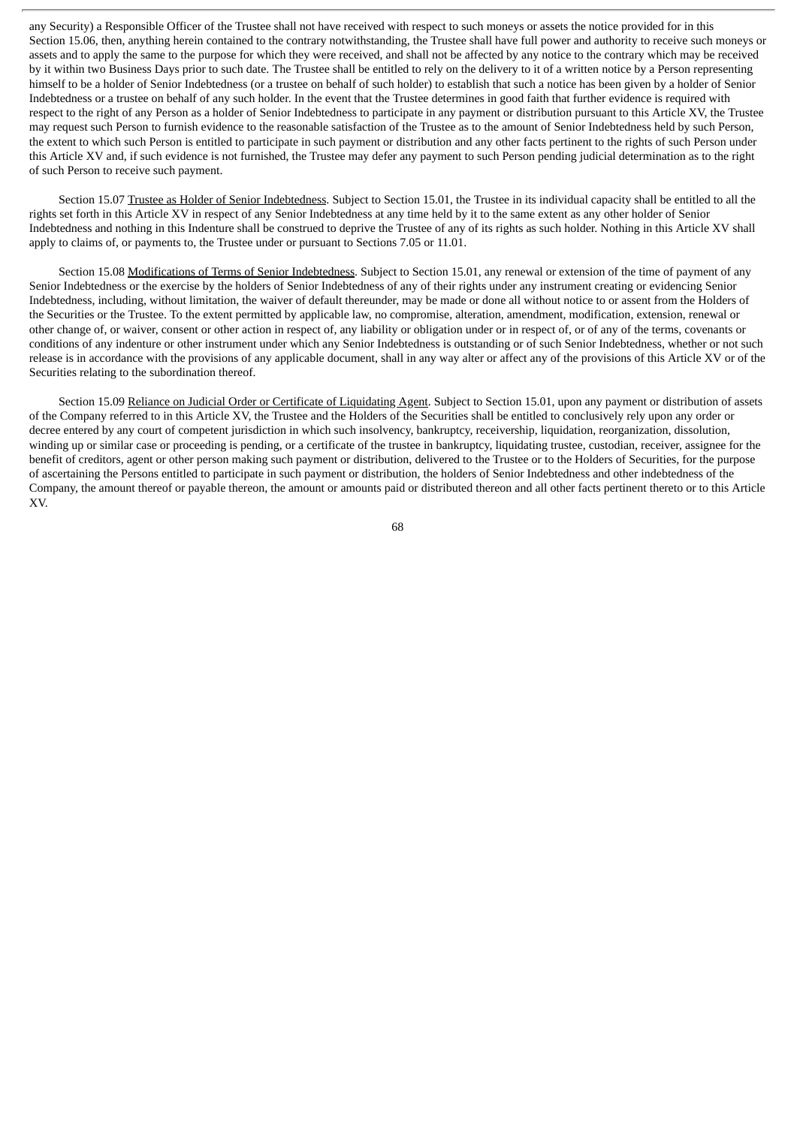any Security) a Responsible Officer of the Trustee shall not have received with respect to such moneys or assets the notice provided for in this Section 15.06, then, anything herein contained to the contrary notwithstanding, the Trustee shall have full power and authority to receive such moneys or assets and to apply the same to the purpose for which they were received, and shall not be affected by any notice to the contrary which may be received by it within two Business Days prior to such date. The Trustee shall be entitled to rely on the delivery to it of a written notice by a Person representing himself to be a holder of Senior Indebtedness (or a trustee on behalf of such holder) to establish that such a notice has been given by a holder of Senior Indebtedness or a trustee on behalf of any such holder. In the event that the Trustee determines in good faith that further evidence is required with respect to the right of any Person as a holder of Senior Indebtedness to participate in any payment or distribution pursuant to this Article XV, the Trustee may request such Person to furnish evidence to the reasonable satisfaction of the Trustee as to the amount of Senior Indebtedness held by such Person, the extent to which such Person is entitled to participate in such payment or distribution and any other facts pertinent to the rights of such Person under this Article XV and, if such evidence is not furnished, the Trustee may defer any payment to such Person pending judicial determination as to the right of such Person to receive such payment.

Section 15.07 Trustee as Holder of Senior Indebtedness. Subject to Section 15.01, the Trustee in its individual capacity shall be entitled to all the rights set forth in this Article XV in respect of any Senior Indebtedness at any time held by it to the same extent as any other holder of Senior Indebtedness and nothing in this Indenture shall be construed to deprive the Trustee of any of its rights as such holder. Nothing in this Article XV shall apply to claims of, or payments to, the Trustee under or pursuant to Sections 7.05 or 11.01.

Section 15.08 Modifications of Terms of Senior Indebtedness. Subject to Section 15.01, any renewal or extension of the time of payment of any Senior Indebtedness or the exercise by the holders of Senior Indebtedness of any of their rights under any instrument creating or evidencing Senior Indebtedness, including, without limitation, the waiver of default thereunder, may be made or done all without notice to or assent from the Holders of the Securities or the Trustee. To the extent permitted by applicable law, no compromise, alteration, amendment, modification, extension, renewal or other change of, or waiver, consent or other action in respect of, any liability or obligation under or in respect of, or of any of the terms, covenants or conditions of any indenture or other instrument under which any Senior Indebtedness is outstanding or of such Senior Indebtedness, whether or not such release is in accordance with the provisions of any applicable document, shall in any way alter or affect any of the provisions of this Article XV or of the Securities relating to the subordination thereof.

Section 15.09 Reliance on Judicial Order or Certificate of Liquidating Agent. Subject to Section 15.01, upon any payment or distribution of assets of the Company referred to in this Article XV, the Trustee and the Holders of the Securities shall be entitled to conclusively rely upon any order or decree entered by any court of competent jurisdiction in which such insolvency, bankruptcy, receivership, liquidation, reorganization, dissolution, winding up or similar case or proceeding is pending, or a certificate of the trustee in bankruptcy, liquidating trustee, custodian, receiver, assignee for the benefit of creditors, agent or other person making such payment or distribution, delivered to the Trustee or to the Holders of Securities, for the purpose of ascertaining the Persons entitled to participate in such payment or distribution, the holders of Senior Indebtedness and other indebtedness of the Company, the amount thereof or payable thereon, the amount or amounts paid or distributed thereon and all other facts pertinent thereto or to this Article XV.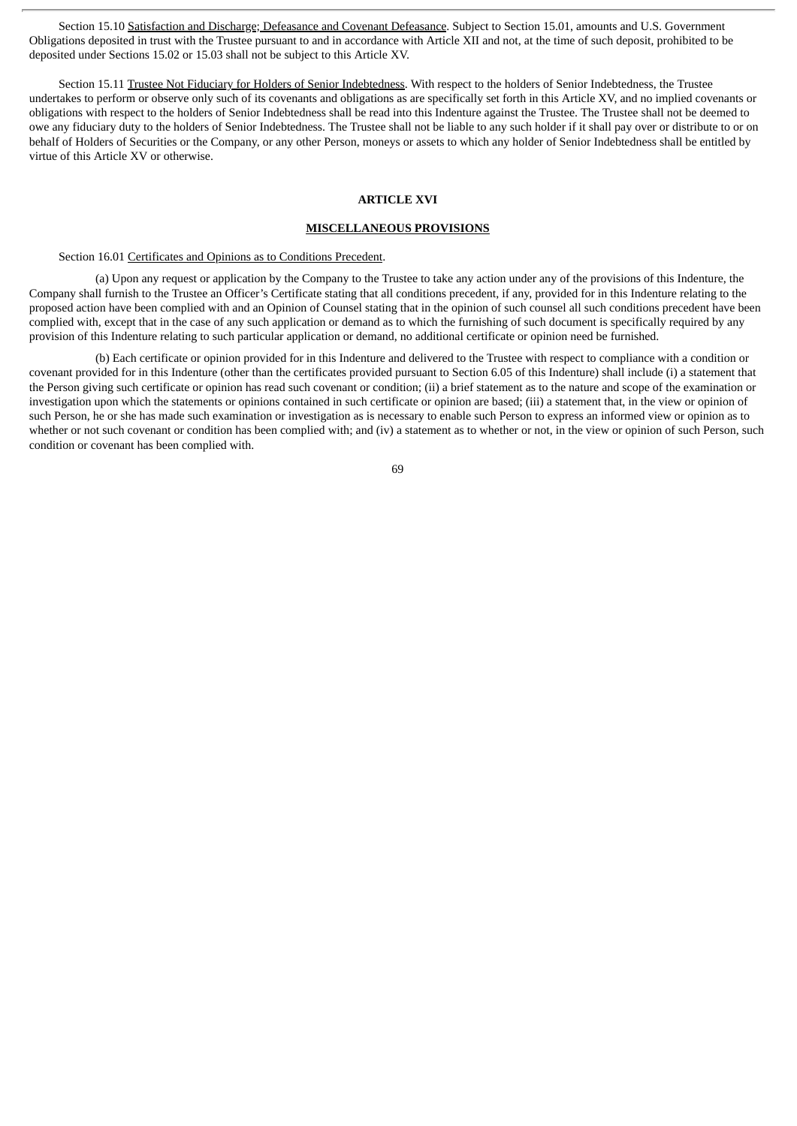Section 15.10 Satisfaction and Discharge; Defeasance and Covenant Defeasance. Subject to Section 15.01, amounts and U.S. Government Obligations deposited in trust with the Trustee pursuant to and in accordance with Article XII and not, at the time of such deposit, prohibited to be deposited under Sections 15.02 or 15.03 shall not be subject to this Article XV.

Section 15.11 Trustee Not Fiduciary for Holders of Senior Indebtedness. With respect to the holders of Senior Indebtedness, the Trustee undertakes to perform or observe only such of its covenants and obligations as are specifically set forth in this Article XV, and no implied covenants or obligations with respect to the holders of Senior Indebtedness shall be read into this Indenture against the Trustee. The Trustee shall not be deemed to owe any fiduciary duty to the holders of Senior Indebtedness. The Trustee shall not be liable to any such holder if it shall pay over or distribute to or on behalf of Holders of Securities or the Company, or any other Person, moneys or assets to which any holder of Senior Indebtedness shall be entitled by virtue of this Article XV or otherwise.

# **ARTICLE XVI**

#### **MISCELLANEOUS PROVISIONS**

Section 16.01 Certificates and Opinions as to Conditions Precedent.

(a) Upon any request or application by the Company to the Trustee to take any action under any of the provisions of this Indenture, the Company shall furnish to the Trustee an Officer's Certificate stating that all conditions precedent, if any, provided for in this Indenture relating to the proposed action have been complied with and an Opinion of Counsel stating that in the opinion of such counsel all such conditions precedent have been complied with, except that in the case of any such application or demand as to which the furnishing of such document is specifically required by any provision of this Indenture relating to such particular application or demand, no additional certificate or opinion need be furnished.

(b) Each certificate or opinion provided for in this Indenture and delivered to the Trustee with respect to compliance with a condition or covenant provided for in this Indenture (other than the certificates provided pursuant to Section 6.05 of this Indenture) shall include (i) a statement that the Person giving such certificate or opinion has read such covenant or condition; (ii) a brief statement as to the nature and scope of the examination or investigation upon which the statements or opinions contained in such certificate or opinion are based; (iii) a statement that, in the view or opinion of such Person, he or she has made such examination or investigation as is necessary to enable such Person to express an informed view or opinion as to whether or not such covenant or condition has been complied with; and (iv) a statement as to whether or not, in the view or opinion of such Person, such condition or covenant has been complied with.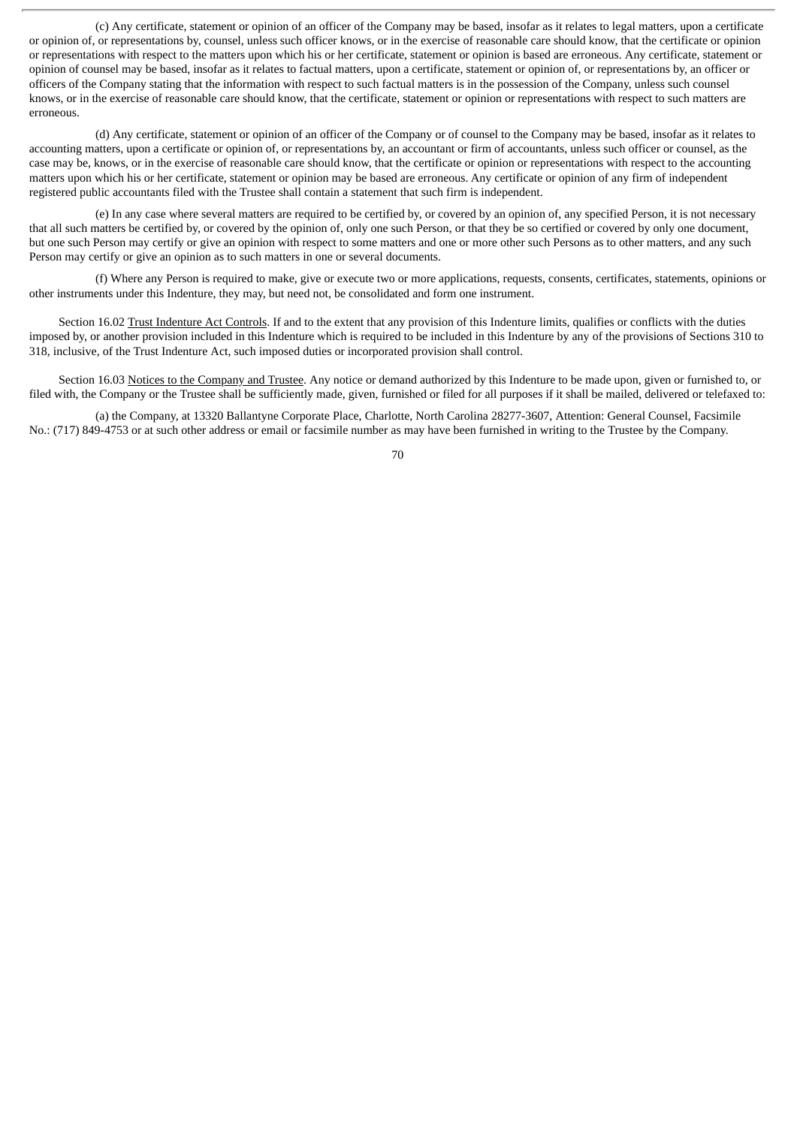(c) Any certificate, statement or opinion of an officer of the Company may be based, insofar as it relates to legal matters, upon a certificate or opinion of, or representations by, counsel, unless such officer knows, or in the exercise of reasonable care should know, that the certificate or opinion or representations with respect to the matters upon which his or her certificate, statement or opinion is based are erroneous. Any certificate, statement or opinion of counsel may be based, insofar as it relates to factual matters, upon a certificate, statement or opinion of, or representations by, an officer or officers of the Company stating that the information with respect to such factual matters is in the possession of the Company, unless such counsel knows, or in the exercise of reasonable care should know, that the certificate, statement or opinion or representations with respect to such matters are erroneous.

(d) Any certificate, statement or opinion of an officer of the Company or of counsel to the Company may be based, insofar as it relates to accounting matters, upon a certificate or opinion of, or representations by, an accountant or firm of accountants, unless such officer or counsel, as the case may be, knows, or in the exercise of reasonable care should know, that the certificate or opinion or representations with respect to the accounting matters upon which his or her certificate, statement or opinion may be based are erroneous. Any certificate or opinion of any firm of independent registered public accountants filed with the Trustee shall contain a statement that such firm is independent.

(e) In any case where several matters are required to be certified by, or covered by an opinion of, any specified Person, it is not necessary that all such matters be certified by, or covered by the opinion of, only one such Person, or that they be so certified or covered by only one document, but one such Person may certify or give an opinion with respect to some matters and one or more other such Persons as to other matters, and any such Person may certify or give an opinion as to such matters in one or several documents.

(f) Where any Person is required to make, give or execute two or more applications, requests, consents, certificates, statements, opinions or other instruments under this Indenture, they may, but need not, be consolidated and form one instrument.

Section 16.02 Trust Indenture Act Controls. If and to the extent that any provision of this Indenture limits, qualifies or conflicts with the duties imposed by, or another provision included in this Indenture which is required to be included in this Indenture by any of the provisions of Sections 310 to 318, inclusive, of the Trust Indenture Act, such imposed duties or incorporated provision shall control.

Section 16.03 Notices to the Company and Trustee. Any notice or demand authorized by this Indenture to be made upon, given or furnished to, or filed with, the Company or the Trustee shall be sufficiently made, given, furnished or filed for all purposes if it shall be mailed, delivered or telefaxed to:

(a) the Company, at 13320 Ballantyne Corporate Place, Charlotte, North Carolina 28277-3607, Attention: General Counsel, Facsimile No.: (717) 849-4753 or at such other address or email or facsimile number as may have been furnished in writing to the Trustee by the Company.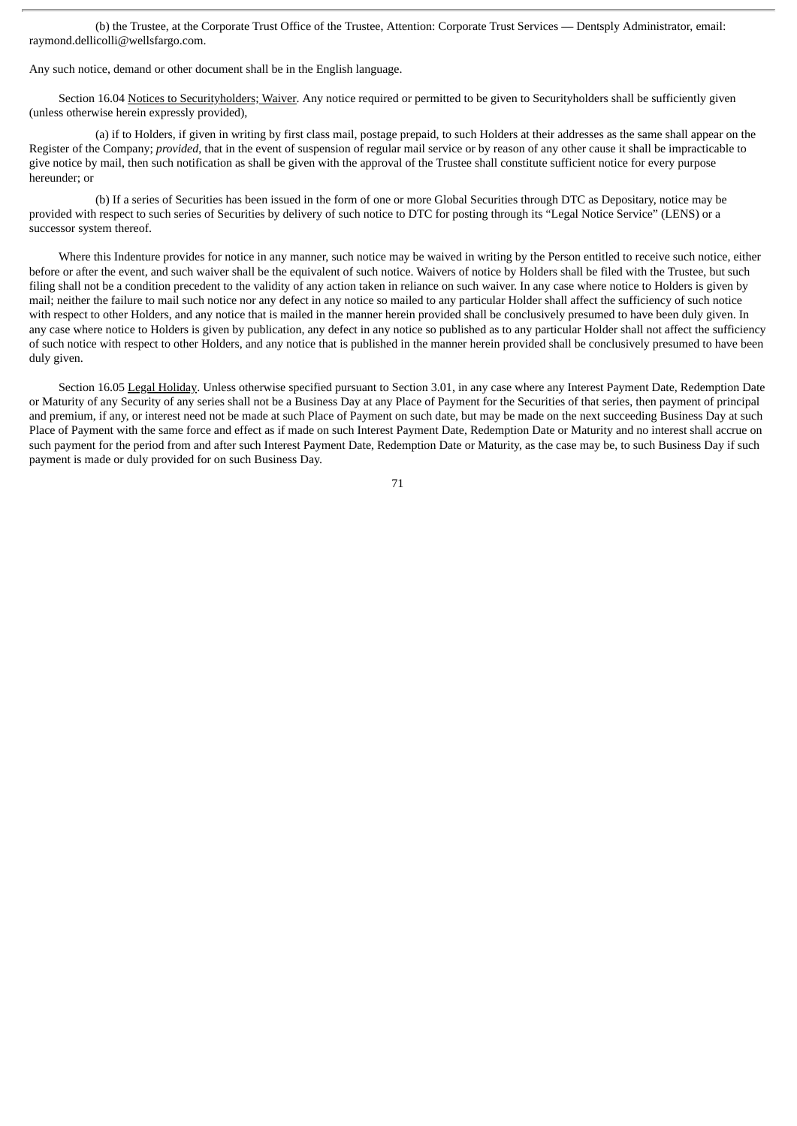(b) the Trustee, at the Corporate Trust Office of the Trustee, Attention: Corporate Trust Services — Dentsply Administrator, email: raymond.dellicolli@wellsfargo.com.

Any such notice, demand or other document shall be in the English language.

Section 16.04 Notices to Securityholders; Waiver. Any notice required or permitted to be given to Securityholders shall be sufficiently given (unless otherwise herein expressly provided),

(a) if to Holders, if given in writing by first class mail, postage prepaid, to such Holders at their addresses as the same shall appear on the Register of the Company; *provided*, that in the event of suspension of regular mail service or by reason of any other cause it shall be impracticable to give notice by mail, then such notification as shall be given with the approval of the Trustee shall constitute sufficient notice for every purpose hereunder; or

(b) If a series of Securities has been issued in the form of one or more Global Securities through DTC as Depositary, notice may be provided with respect to such series of Securities by delivery of such notice to DTC for posting through its "Legal Notice Service" (LENS) or a successor system thereof.

Where this Indenture provides for notice in any manner, such notice may be waived in writing by the Person entitled to receive such notice, either before or after the event, and such waiver shall be the equivalent of such notice. Waivers of notice by Holders shall be filed with the Trustee, but such filing shall not be a condition precedent to the validity of any action taken in reliance on such waiver. In any case where notice to Holders is given by mail; neither the failure to mail such notice nor any defect in any notice so mailed to any particular Holder shall affect the sufficiency of such notice with respect to other Holders, and any notice that is mailed in the manner herein provided shall be conclusively presumed to have been duly given. In any case where notice to Holders is given by publication, any defect in any notice so published as to any particular Holder shall not affect the sufficiency of such notice with respect to other Holders, and any notice that is published in the manner herein provided shall be conclusively presumed to have been duly given.

Section 16.05 Legal Holiday. Unless otherwise specified pursuant to Section 3.01, in any case where any Interest Payment Date, Redemption Date or Maturity of any Security of any series shall not be a Business Day at any Place of Payment for the Securities of that series, then payment of principal and premium, if any, or interest need not be made at such Place of Payment on such date, but may be made on the next succeeding Business Day at such Place of Payment with the same force and effect as if made on such Interest Payment Date, Redemption Date or Maturity and no interest shall accrue on such payment for the period from and after such Interest Payment Date, Redemption Date or Maturity, as the case may be, to such Business Day if such payment is made or duly provided for on such Business Day.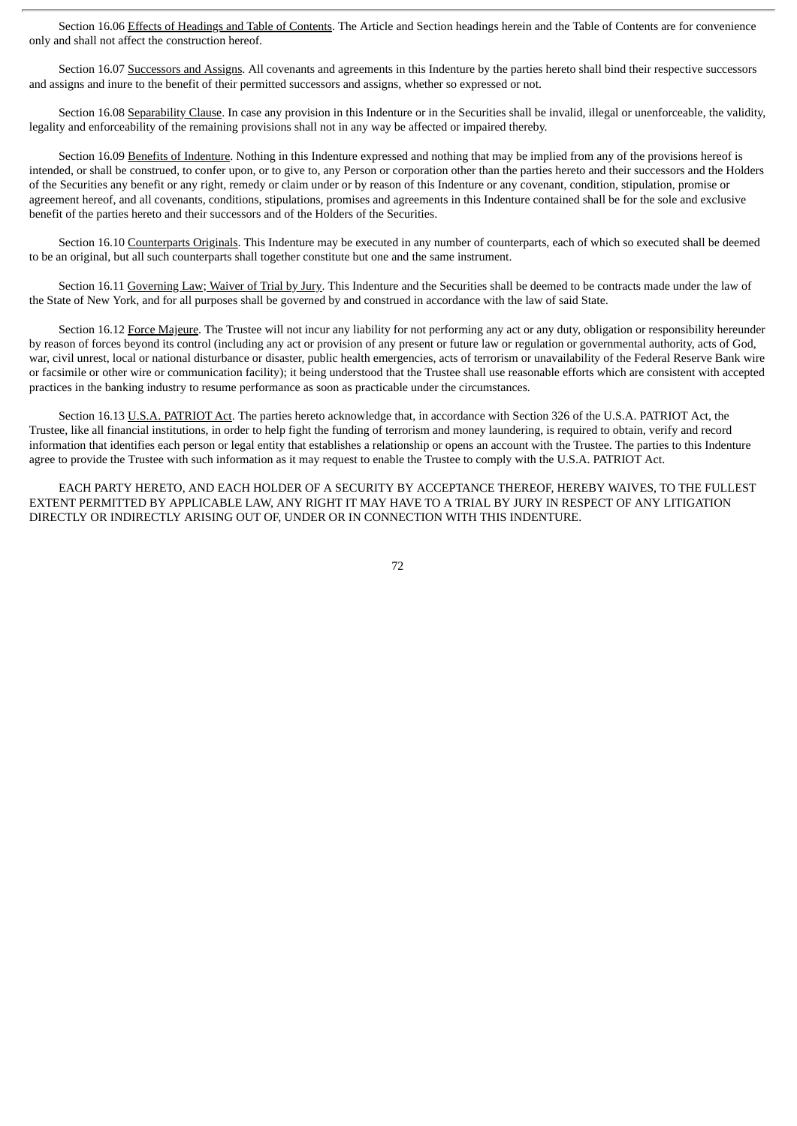Section 16.06 Effects of Headings and Table of Contents. The Article and Section headings herein and the Table of Contents are for convenience only and shall not affect the construction hereof.

Section 16.07 Successors and Assigns. All covenants and agreements in this Indenture by the parties hereto shall bind their respective successors and assigns and inure to the benefit of their permitted successors and assigns, whether so expressed or not.

Section 16.08 Separability Clause. In case any provision in this Indenture or in the Securities shall be invalid, illegal or unenforceable, the validity, legality and enforceability of the remaining provisions shall not in any way be affected or impaired thereby.

Section 16.09 Benefits of Indenture. Nothing in this Indenture expressed and nothing that may be implied from any of the provisions hereof is intended, or shall be construed, to confer upon, or to give to, any Person or corporation other than the parties hereto and their successors and the Holders of the Securities any benefit or any right, remedy or claim under or by reason of this Indenture or any covenant, condition, stipulation, promise or agreement hereof, and all covenants, conditions, stipulations, promises and agreements in this Indenture contained shall be for the sole and exclusive benefit of the parties hereto and their successors and of the Holders of the Securities.

Section 16.10 Counterparts Originals. This Indenture may be executed in any number of counterparts, each of which so executed shall be deemed to be an original, but all such counterparts shall together constitute but one and the same instrument.

Section 16.11 Governing Law; Waiver of Trial by Jury. This Indenture and the Securities shall be deemed to be contracts made under the law of the State of New York, and for all purposes shall be governed by and construed in accordance with the law of said State.

Section 16.12 Force Majeure. The Trustee will not incur any liability for not performing any act or any duty, obligation or responsibility hereunder by reason of forces beyond its control (including any act or provision of any present or future law or regulation or governmental authority, acts of God, war, civil unrest, local or national disturbance or disaster, public health emergencies, acts of terrorism or unavailability of the Federal Reserve Bank wire or facsimile or other wire or communication facility); it being understood that the Trustee shall use reasonable efforts which are consistent with accepted practices in the banking industry to resume performance as soon as practicable under the circumstances.

Section 16.13 U.S.A. PATRIOT Act. The parties hereto acknowledge that, in accordance with Section 326 of the U.S.A. PATRIOT Act, the Trustee, like all financial institutions, in order to help fight the funding of terrorism and money laundering, is required to obtain, verify and record information that identifies each person or legal entity that establishes a relationship or opens an account with the Trustee. The parties to this Indenture agree to provide the Trustee with such information as it may request to enable the Trustee to comply with the U.S.A. PATRIOT Act.

EACH PARTY HERETO, AND EACH HOLDER OF A SECURITY BY ACCEPTANCE THEREOF, HEREBY WAIVES, TO THE FULLEST EXTENT PERMITTED BY APPLICABLE LAW, ANY RIGHT IT MAY HAVE TO A TRIAL BY JURY IN RESPECT OF ANY LITIGATION DIRECTLY OR INDIRECTLY ARISING OUT OF, UNDER OR IN CONNECTION WITH THIS INDENTURE.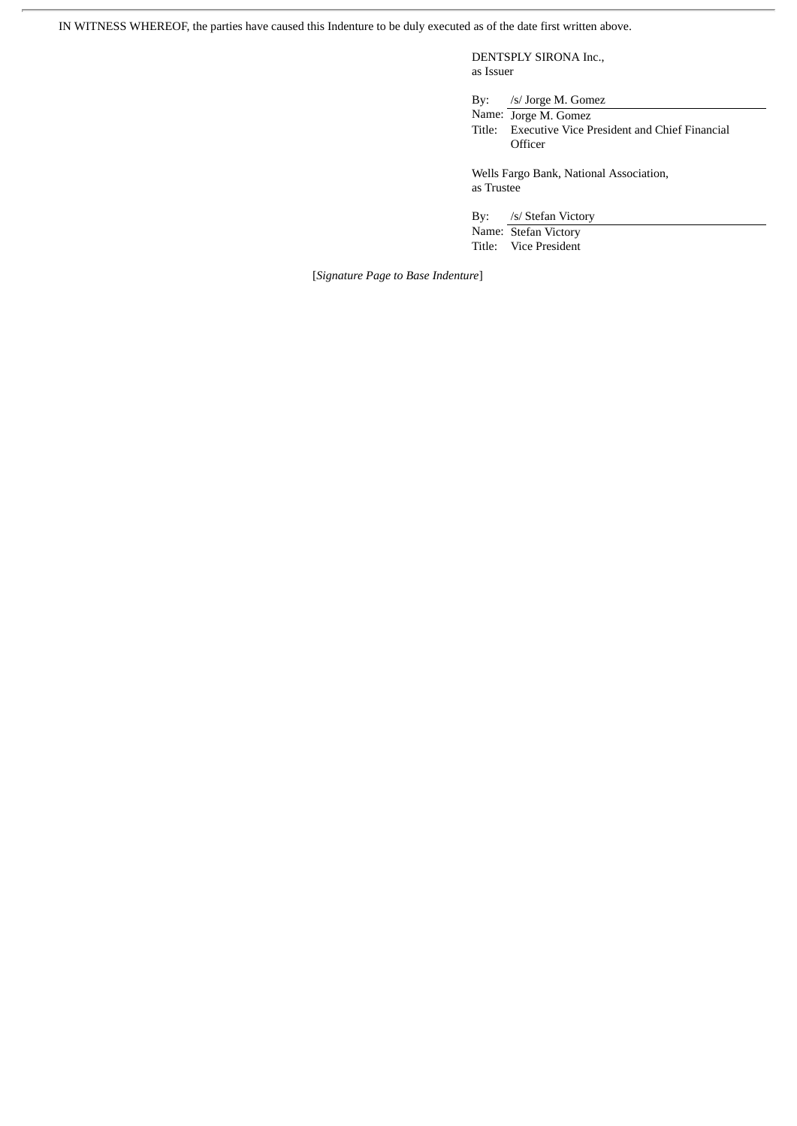IN WITNESS WHEREOF, the parties have caused this Indenture to be duly executed as of the date first written above.

DENTSPLY SIRONA Inc., as Issuer

By: /s/ Jorge M. Gomez

Name: Jorge M. Gomez Title: Executive Vice President and Chief Financial **Officer** 

Wells Fargo Bank, National Association, as Trustee

By: /s/ Stefan Victory Name: Stefan Victory

Title: Vice President

[*Signature Page to Base Indenture*]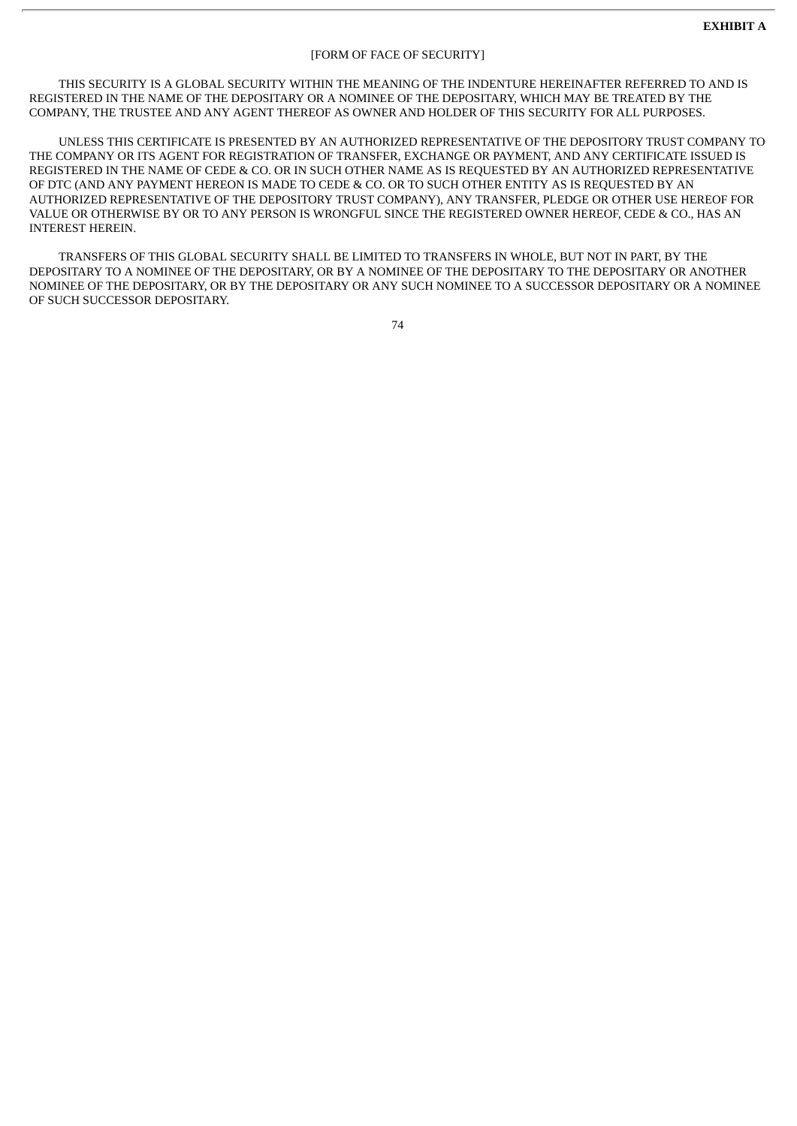# [FORM OF FACE OF SECURITY]

THIS SECURITY IS A GLOBAL SECURITY WITHIN THE MEANING OF THE INDENTURE HEREINAFTER REFERRED TO AND IS REGISTERED IN THE NAME OF THE DEPOSITARY OR A NOMINEE OF THE DEPOSITARY, WHICH MAY BE TREATED BY THE COMPANY, THE TRUSTEE AND ANY AGENT THEREOF AS OWNER AND HOLDER OF THIS SECURITY FOR ALL PURPOSES.

UNLESS THIS CERTIFICATE IS PRESENTED BY AN AUTHORIZED REPRESENTATIVE OF THE DEPOSITORY TRUST COMPANY TO THE COMPANY OR ITS AGENT FOR REGISTRATION OF TRANSFER, EXCHANGE OR PAYMENT, AND ANY CERTIFICATE ISSUED IS REGISTERED IN THE NAME OF CEDE & CO. OR IN SUCH OTHER NAME AS IS REQUESTED BY AN AUTHORIZED REPRESENTATIVE OF DTC (AND ANY PAYMENT HEREON IS MADE TO CEDE & CO. OR TO SUCH OTHER ENTITY AS IS REQUESTED BY AN AUTHORIZED REPRESENTATIVE OF THE DEPOSITORY TRUST COMPANY), ANY TRANSFER, PLEDGE OR OTHER USE HEREOF FOR VALUE OR OTHERWISE BY OR TO ANY PERSON IS WRONGFUL SINCE THE REGISTERED OWNER HEREOF, CEDE & CO., HAS AN INTEREST HEREIN.

TRANSFERS OF THIS GLOBAL SECURITY SHALL BE LIMITED TO TRANSFERS IN WHOLE, BUT NOT IN PART, BY THE DEPOSITARY TO A NOMINEE OF THE DEPOSITARY, OR BY A NOMINEE OF THE DEPOSITARY TO THE DEPOSITARY OR ANOTHER NOMINEE OF THE DEPOSITARY, OR BY THE DEPOSITARY OR ANY SUCH NOMINEE TO A SUCCESSOR DEPOSITARY OR A NOMINEE OF SUCH SUCCESSOR DEPOSITARY.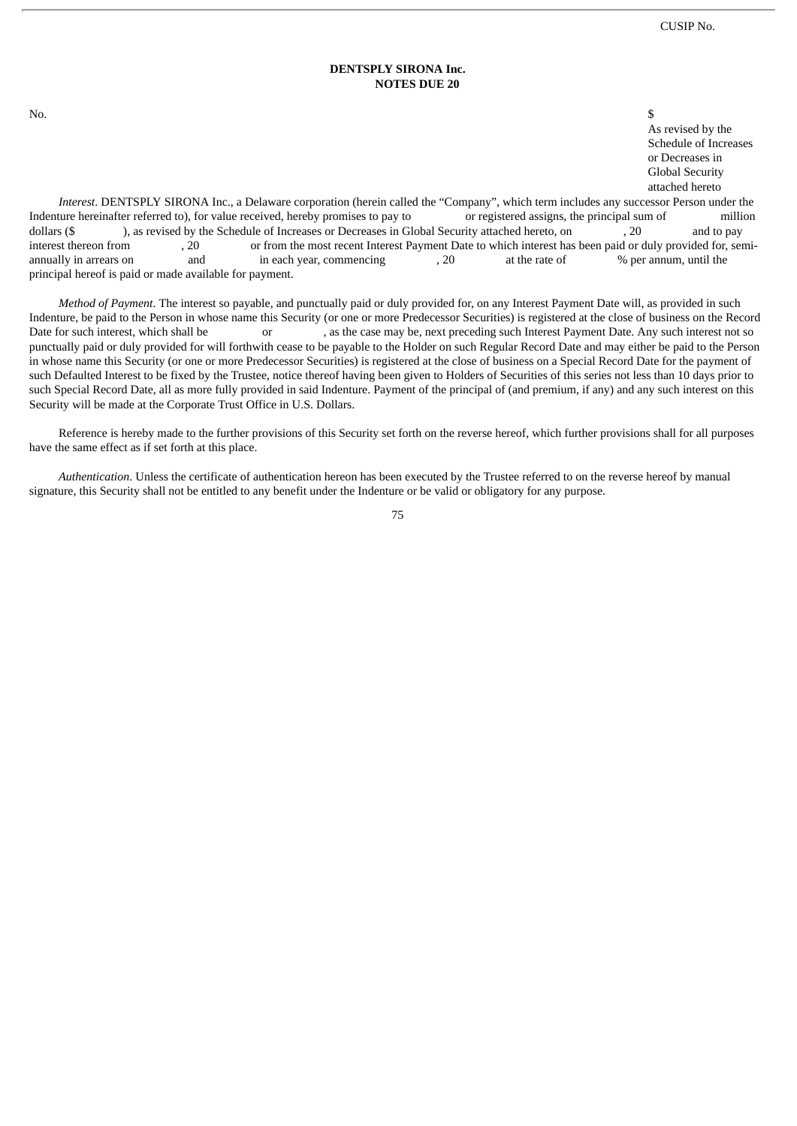# **DENTSPLY SIRONA Inc. NOTES DUE 20**

No.  $\sim$ 

As revised by the Schedule of Increases or Decreases in Global Security attached hereto

*Interest*. DENTSPLY SIRONA Inc., a Delaware corporation (herein called the "Company", which term includes any successor Person under the Indenture hereinafter referred to), for value received, hereby promises to pay to or registered assigns, the principal sum of million dollars (\$ ), as revised by the Schedule of Increases or Decreases in Global Security attached hereto, on , 20 and to pay interest thereon from , 20 or from the most recent Interest Payment Date to which interest has been paid or duly provided for, semi-<br>annually in arrears on and in each year, commencing , 20 at the rate of % per annum, unti annually in arrears on and in each year, commencing and  $\frac{1}{20}$  at the rate of % per annum, until the principal hereof is paid or made available for payment.

*Method of Payment*. The interest so payable, and punctually paid or duly provided for, on any Interest Payment Date will, as provided in such Indenture, be paid to the Person in whose name this Security (or one or more Predecessor Securities) is registered at the close of business on the Record Date for such interest, which shall be or or , as the case may be, next preceding such Interest Payment Date. Any such interest not so punctually paid or duly provided for will forthwith cease to be payable to the Holder on such Regular Record Date and may either be paid to the Person in whose name this Security (or one or more Predecessor Securities) is registered at the close of business on a Special Record Date for the payment of such Defaulted Interest to be fixed by the Trustee, notice thereof having been given to Holders of Securities of this series not less than 10 days prior to such Special Record Date, all as more fully provided in said Indenture. Payment of the principal of (and premium, if any) and any such interest on this Security will be made at the Corporate Trust Office in U.S. Dollars.

Reference is hereby made to the further provisions of this Security set forth on the reverse hereof, which further provisions shall for all purposes have the same effect as if set forth at this place.

*Authentication*. Unless the certificate of authentication hereon has been executed by the Trustee referred to on the reverse hereof by manual signature, this Security shall not be entitled to any benefit under the Indenture or be valid or obligatory for any purpose.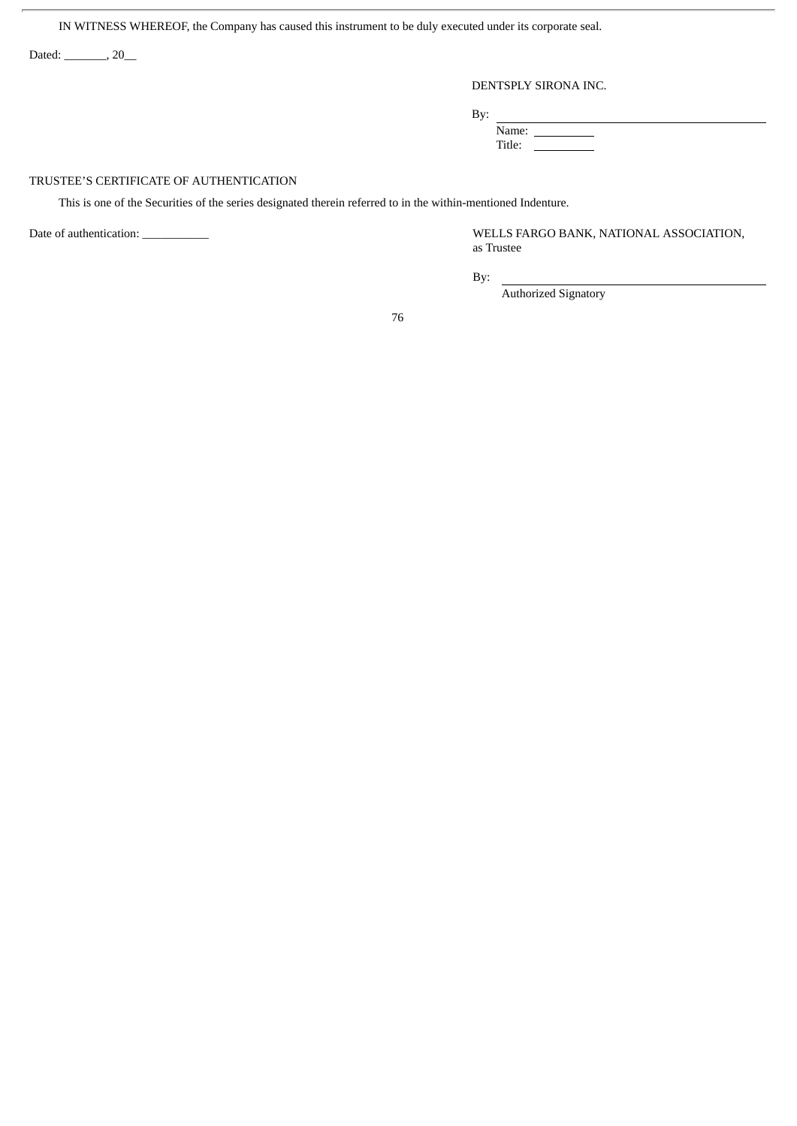IN WITNESS WHEREOF, the Company has caused this instrument to be duly executed under its corporate seal.

Dated: \_\_\_\_\_\_\_, 20\_\_

ł.

# DENTSPLY SIRONA INC.

By:

Name:

Title:

# TRUSTEE'S CERTIFICATE OF AUTHENTICATION

This is one of the Securities of the series designated therein referred to in the within-mentioned Indenture.

Date of authentication: \_\_\_\_\_\_\_\_\_\_\_ WELLS FARGO BANK, NATIONAL ASSOCIATION, as Trustee

 $\overline{\phantom{0}}$ 

By:

Authorized Signatory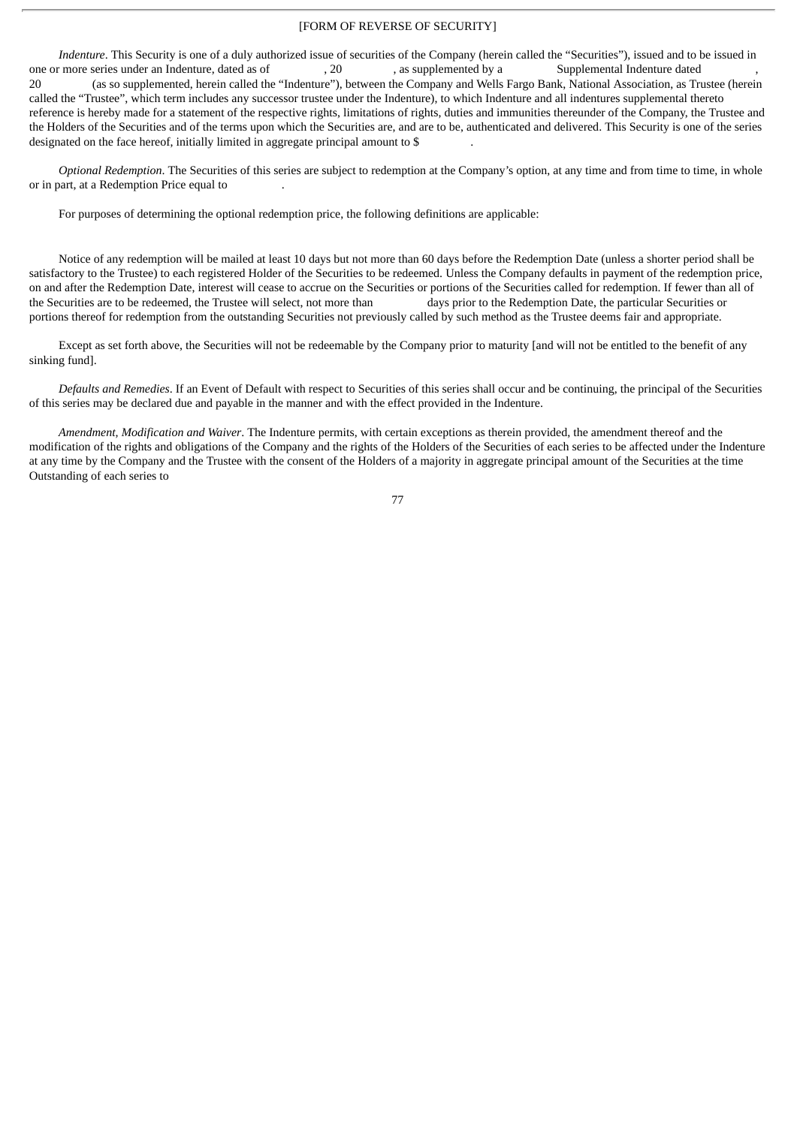# [FORM OF REVERSE OF SECURITY]

*Indenture*. This Security is one of a duly authorized issue of securities of the Company (herein called the "Securities"), issued and to be issued in one or more series under an Indenture, dated as of  $\qquad \qquad , 20$ , as supplemented by a Supplemental Indenture dated 20 (as so supplemented, herein called the "Indenture"), between the Company and Wells Fargo Bank, National Association, as Trustee (herein called the "Trustee", which term includes any successor trustee under the Indenture), to which Indenture and all indentures supplemental thereto reference is hereby made for a statement of the respective rights, limitations of rights, duties and immunities thereunder of the Company, the Trustee and the Holders of the Securities and of the terms upon which the Securities are, and are to be, authenticated and delivered. This Security is one of the series designated on the face hereof, initially limited in aggregate principal amount to \$

*Optional Redemption*. The Securities of this series are subject to redemption at the Company's option, at any time and from time to time, in whole or in part, at a Redemption Price equal to .

For purposes of determining the optional redemption price, the following definitions are applicable:

Notice of any redemption will be mailed at least 10 days but not more than 60 days before the Redemption Date (unless a shorter period shall be satisfactory to the Trustee) to each registered Holder of the Securities to be redeemed. Unless the Company defaults in payment of the redemption price, on and after the Redemption Date, interest will cease to accrue on the Securities or portions of the Securities called for redemption. If fewer than all of the Securities are to be redeemed, the Trustee will select, not more than days prior to the Redemption Date, the particular Securities or portions thereof for redemption from the outstanding Securities not previously called by such method as the Trustee deems fair and appropriate.

Except as set forth above, the Securities will not be redeemable by the Company prior to maturity [and will not be entitled to the benefit of any sinking fund].

*Defaults and Remedies*. If an Event of Default with respect to Securities of this series shall occur and be continuing, the principal of the Securities of this series may be declared due and payable in the manner and with the effect provided in the Indenture.

*Amendment, Modification and Waiver*. The Indenture permits, with certain exceptions as therein provided, the amendment thereof and the modification of the rights and obligations of the Company and the rights of the Holders of the Securities of each series to be affected under the Indenture at any time by the Company and the Trustee with the consent of the Holders of a majority in aggregate principal amount of the Securities at the time Outstanding of each series to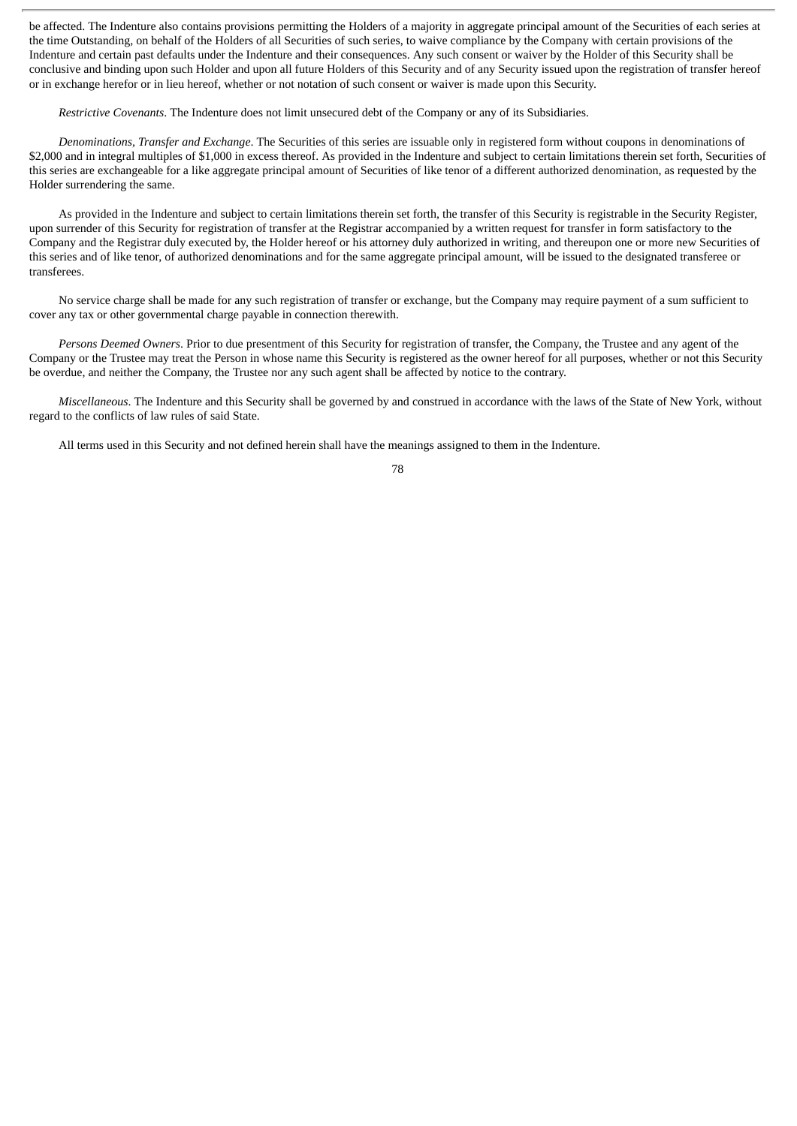be affected. The Indenture also contains provisions permitting the Holders of a majority in aggregate principal amount of the Securities of each series at the time Outstanding, on behalf of the Holders of all Securities of such series, to waive compliance by the Company with certain provisions of the Indenture and certain past defaults under the Indenture and their consequences. Any such consent or waiver by the Holder of this Security shall be conclusive and binding upon such Holder and upon all future Holders of this Security and of any Security issued upon the registration of transfer hereof or in exchange herefor or in lieu hereof, whether or not notation of such consent or waiver is made upon this Security.

*Restrictive Covenants*. The Indenture does not limit unsecured debt of the Company or any of its Subsidiaries.

*Denominations, Transfer and Exchange*. The Securities of this series are issuable only in registered form without coupons in denominations of \$2,000 and in integral multiples of \$1,000 in excess thereof. As provided in the Indenture and subject to certain limitations therein set forth, Securities of this series are exchangeable for a like aggregate principal amount of Securities of like tenor of a different authorized denomination, as requested by the Holder surrendering the same.

As provided in the Indenture and subject to certain limitations therein set forth, the transfer of this Security is registrable in the Security Register, upon surrender of this Security for registration of transfer at the Registrar accompanied by a written request for transfer in form satisfactory to the Company and the Registrar duly executed by, the Holder hereof or his attorney duly authorized in writing, and thereupon one or more new Securities of this series and of like tenor, of authorized denominations and for the same aggregate principal amount, will be issued to the designated transferee or transferees.

No service charge shall be made for any such registration of transfer or exchange, but the Company may require payment of a sum sufficient to cover any tax or other governmental charge payable in connection therewith.

*Persons Deemed Owners*. Prior to due presentment of this Security for registration of transfer, the Company, the Trustee and any agent of the Company or the Trustee may treat the Person in whose name this Security is registered as the owner hereof for all purposes, whether or not this Security be overdue, and neither the Company, the Trustee nor any such agent shall be affected by notice to the contrary.

*Miscellaneous*. The Indenture and this Security shall be governed by and construed in accordance with the laws of the State of New York, without regard to the conflicts of law rules of said State.

All terms used in this Security and not defined herein shall have the meanings assigned to them in the Indenture.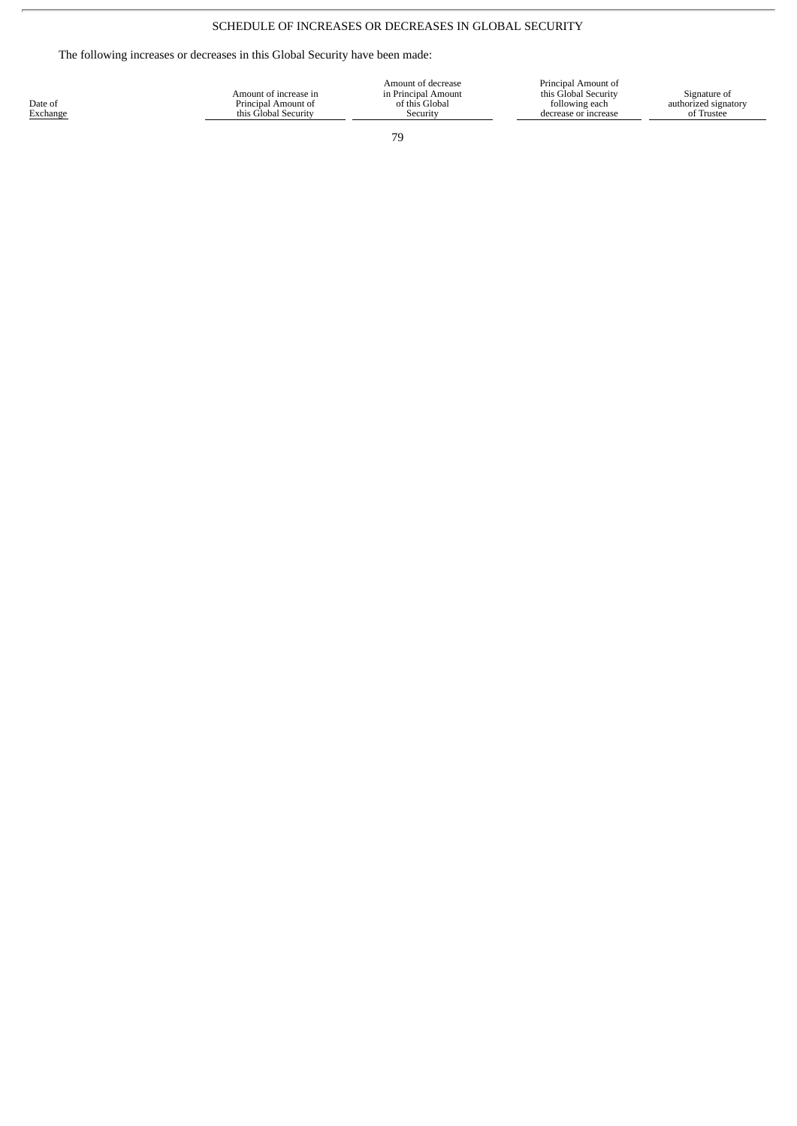# SCHEDULE OF INCREASES OR DECREASES IN GLOBAL SECURITY

The following increases or decreases in this Global Security have been made:

| Principal Amount of<br>Amount of decrease<br>this Global Security<br>in Principal Amount<br>Signature of<br>Amount of increase in<br>Date of<br>following each<br>of this Global<br>Principal Amount of<br>authorized signatory<br>Exchange<br>of Trustee<br>this Global Security<br>Security<br>decrease or increase |
|-----------------------------------------------------------------------------------------------------------------------------------------------------------------------------------------------------------------------------------------------------------------------------------------------------------------------|
|-----------------------------------------------------------------------------------------------------------------------------------------------------------------------------------------------------------------------------------------------------------------------------------------------------------------------|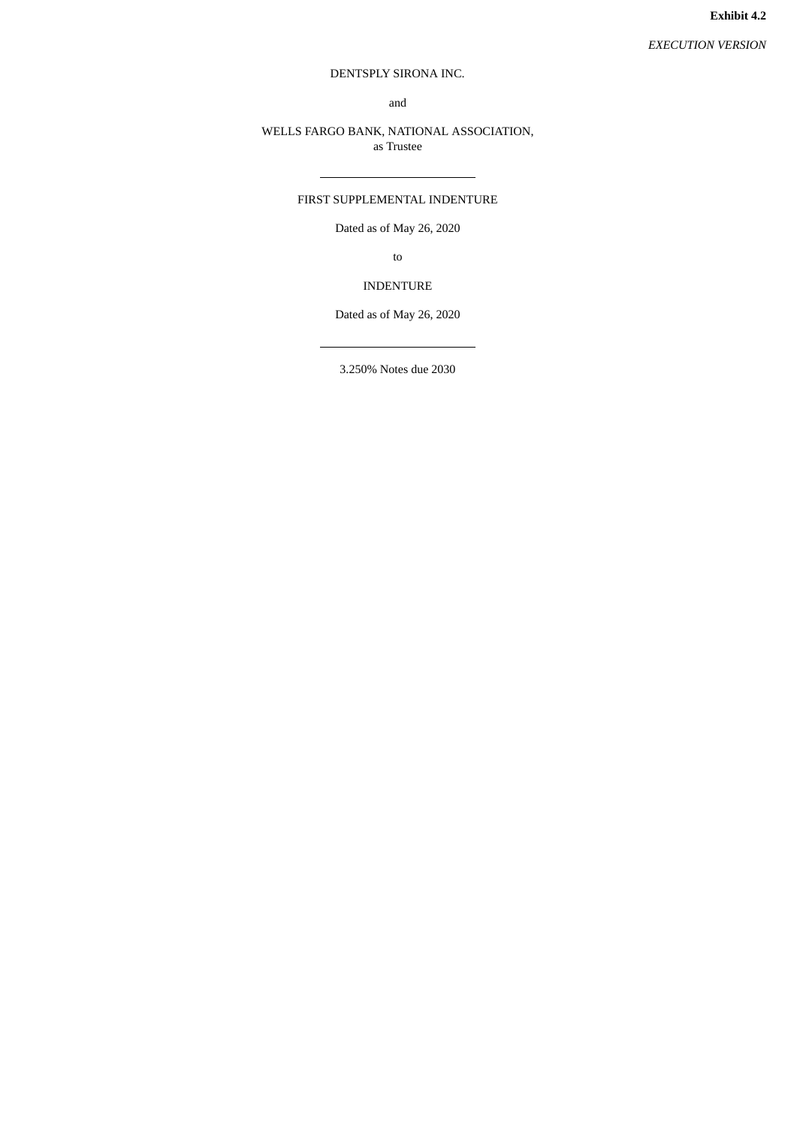## DENTSPLY SIRONA INC.

and

## WELLS FARGO BANK, NATIONAL ASSOCIATION, as Trustee

## FIRST SUPPLEMENTAL INDENTURE

Dated as of May 26, 2020

to

## INDENTURE

Dated as of May 26, 2020

3.250% Notes due 2030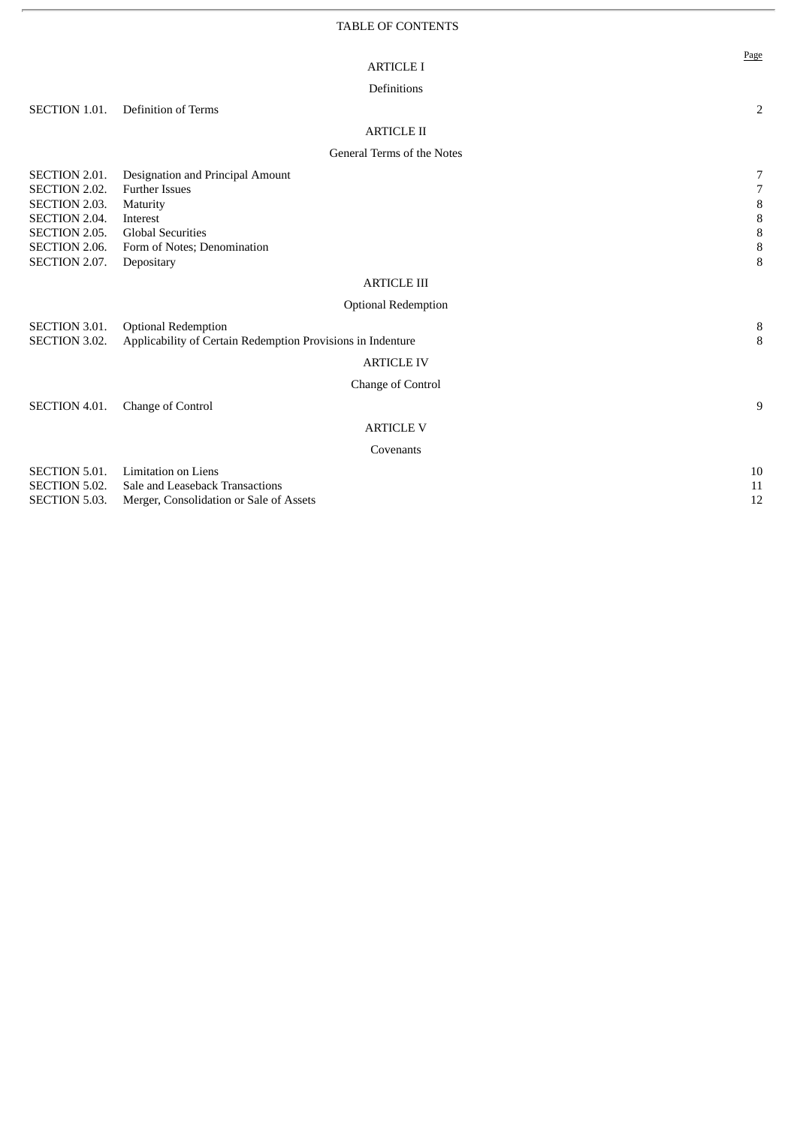|                                                                                                                     |                                                                                                                                                            | Page                                                             |
|---------------------------------------------------------------------------------------------------------------------|------------------------------------------------------------------------------------------------------------------------------------------------------------|------------------------------------------------------------------|
|                                                                                                                     | <b>ARTICLE I</b>                                                                                                                                           |                                                                  |
|                                                                                                                     | Definitions                                                                                                                                                |                                                                  |
| <b>SECTION 1.01.</b>                                                                                                | <b>Definition of Terms</b>                                                                                                                                 | $\overline{2}$                                                   |
|                                                                                                                     | <b>ARTICLE II</b>                                                                                                                                          |                                                                  |
|                                                                                                                     | General Terms of the Notes                                                                                                                                 |                                                                  |
| SECTION 2.01.<br>SECTION 2.02.<br>SECTION 2.03.<br>SECTION 2.04.<br>SECTION 2.05.<br>SECTION 2.06.<br>SECTION 2.07. | Designation and Principal Amount<br><b>Further Issues</b><br>Maturity<br>Interest<br><b>Global Securities</b><br>Form of Notes; Denomination<br>Depositary | 7<br>$\overline{7}$<br>$\, 8$<br>$\, 8$<br>$\, 8$<br>$\, 8$<br>8 |
|                                                                                                                     | <b>ARTICLE III</b>                                                                                                                                         |                                                                  |
|                                                                                                                     | <b>Optional Redemption</b>                                                                                                                                 |                                                                  |
| <b>SECTION 3.01.</b><br><b>SECTION 3.02.</b>                                                                        | <b>Optional Redemption</b><br>Applicability of Certain Redemption Provisions in Indenture<br><b>ARTICLE IV</b>                                             | 8<br>8                                                           |
|                                                                                                                     | <b>Change of Control</b>                                                                                                                                   |                                                                  |
| SECTION 4.01.                                                                                                       | Change of Control                                                                                                                                          | 9                                                                |
|                                                                                                                     | <b>ARTICLE V</b>                                                                                                                                           |                                                                  |
|                                                                                                                     | Covenants                                                                                                                                                  |                                                                  |
| SECTION 5.01.<br><b>SECTION 5.02.</b><br><b>SECTION 5.03.</b>                                                       | <b>Limitation on Liens</b><br>Sale and Leaseback Transactions<br>Merger, Consolidation or Sale of Assets                                                   | 10<br>11<br>12                                                   |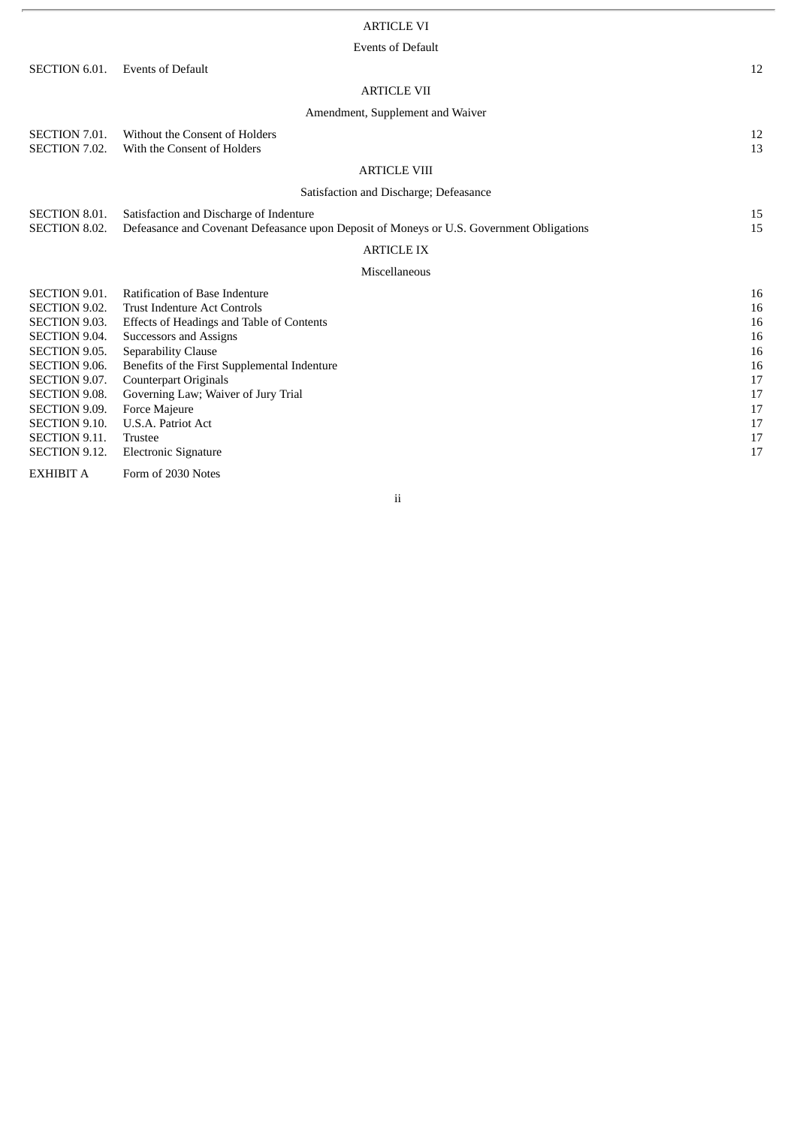# ARTICLE VI

## Events of Default

| <b>SECTION 6.01.</b>                                                                                                                                                                                                                                             | <b>Events of Default</b>                                                                                                                                                                                                                                                                                                                                                    | 12                                                                   |  |  |  |  |
|------------------------------------------------------------------------------------------------------------------------------------------------------------------------------------------------------------------------------------------------------------------|-----------------------------------------------------------------------------------------------------------------------------------------------------------------------------------------------------------------------------------------------------------------------------------------------------------------------------------------------------------------------------|----------------------------------------------------------------------|--|--|--|--|
| <b>ARTICLE VII</b>                                                                                                                                                                                                                                               |                                                                                                                                                                                                                                                                                                                                                                             |                                                                      |  |  |  |  |
| Amendment, Supplement and Waiver                                                                                                                                                                                                                                 |                                                                                                                                                                                                                                                                                                                                                                             |                                                                      |  |  |  |  |
| <b>SECTION 7.01.</b><br>SECTION 7.02.                                                                                                                                                                                                                            | Without the Consent of Holders<br>With the Consent of Holders                                                                                                                                                                                                                                                                                                               | 12<br>13                                                             |  |  |  |  |
|                                                                                                                                                                                                                                                                  | <b>ARTICLE VIII</b>                                                                                                                                                                                                                                                                                                                                                         |                                                                      |  |  |  |  |
|                                                                                                                                                                                                                                                                  | Satisfaction and Discharge; Defeasance                                                                                                                                                                                                                                                                                                                                      |                                                                      |  |  |  |  |
| <b>SECTION 8.01.</b><br>SECTION 8.02.                                                                                                                                                                                                                            | Satisfaction and Discharge of Indenture<br>Defeasance and Covenant Defeasance upon Deposit of Moneys or U.S. Government Obligations                                                                                                                                                                                                                                         | 15<br>15                                                             |  |  |  |  |
|                                                                                                                                                                                                                                                                  | <b>ARTICLE IX</b>                                                                                                                                                                                                                                                                                                                                                           |                                                                      |  |  |  |  |
|                                                                                                                                                                                                                                                                  | Miscellaneous                                                                                                                                                                                                                                                                                                                                                               |                                                                      |  |  |  |  |
| SECTION 9.01.<br><b>SECTION 9.02.</b><br><b>SECTION 9.03.</b><br><b>SECTION 9.04.</b><br><b>SECTION 9.05.</b><br>SECTION 9.06.<br>SECTION 9.07.<br><b>SECTION 9.08.</b><br><b>SECTION 9.09.</b><br><b>SECTION 9.10.</b><br><b>SECTION 9.11.</b><br>SECTION 9.12. | <b>Ratification of Base Indenture</b><br><b>Trust Indenture Act Controls</b><br>Effects of Headings and Table of Contents<br>Successors and Assigns<br>Separability Clause<br>Benefits of the First Supplemental Indenture<br><b>Counterpart Originals</b><br>Governing Law; Waiver of Jury Trial<br>Force Majeure<br>U.S.A. Patriot Act<br>Trustee<br>Electronic Signature | 16<br>16<br>16<br>16<br>16<br>16<br>17<br>17<br>17<br>17<br>17<br>17 |  |  |  |  |
| <b>EXHIBIT A</b>                                                                                                                                                                                                                                                 | Form of 2030 Notes                                                                                                                                                                                                                                                                                                                                                          |                                                                      |  |  |  |  |

ii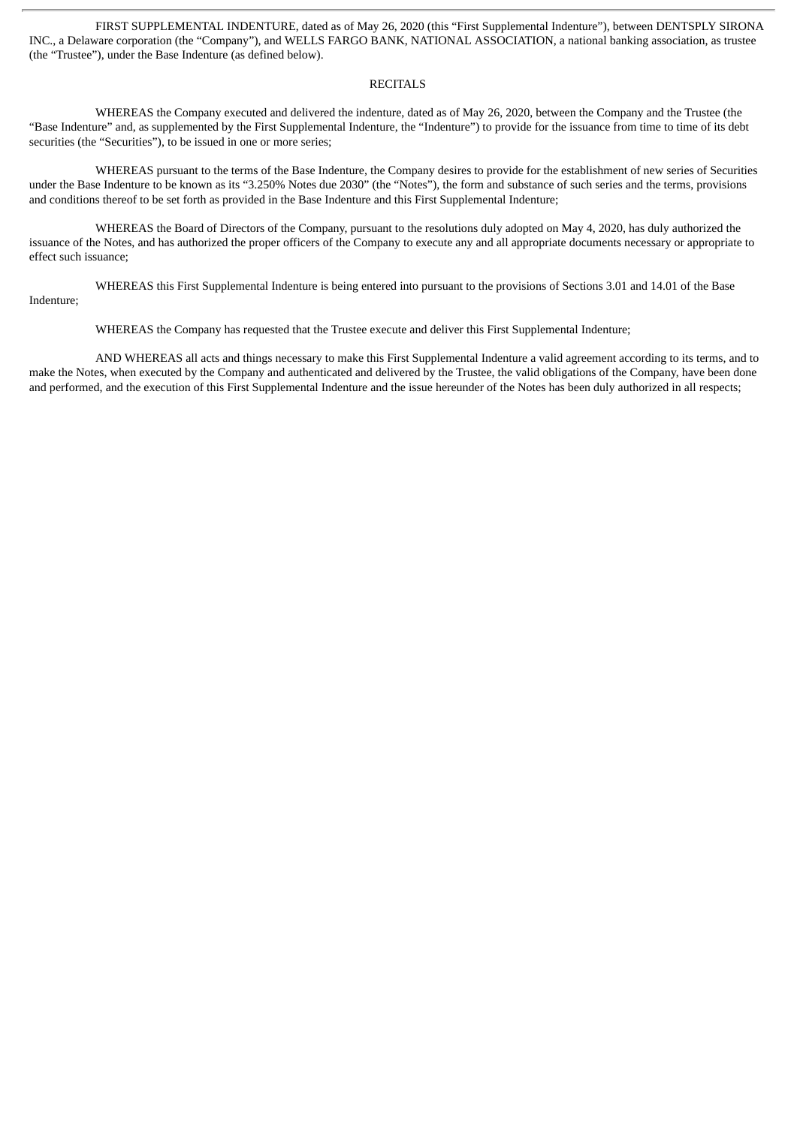FIRST SUPPLEMENTAL INDENTURE, dated as of May 26, 2020 (this "First Supplemental Indenture"), between DENTSPLY SIRONA INC., a Delaware corporation (the "Company"), and WELLS FARGO BANK, NATIONAL ASSOCIATION, a national banking association, as trustee (the "Trustee"), under the Base Indenture (as defined below).

## RECITALS

WHEREAS the Company executed and delivered the indenture, dated as of May 26, 2020, between the Company and the Trustee (the "Base Indenture" and, as supplemented by the First Supplemental Indenture, the "Indenture") to provide for the issuance from time to time of its debt securities (the "Securities"), to be issued in one or more series;

WHEREAS pursuant to the terms of the Base Indenture, the Company desires to provide for the establishment of new series of Securities under the Base Indenture to be known as its "3.250% Notes due 2030" (the "Notes"), the form and substance of such series and the terms, provisions and conditions thereof to be set forth as provided in the Base Indenture and this First Supplemental Indenture;

WHEREAS the Board of Directors of the Company, pursuant to the resolutions duly adopted on May 4, 2020, has duly authorized the issuance of the Notes, and has authorized the proper officers of the Company to execute any and all appropriate documents necessary or appropriate to effect such issuance;

WHEREAS this First Supplemental Indenture is being entered into pursuant to the provisions of Sections 3.01 and 14.01 of the Base Indenture;

WHEREAS the Company has requested that the Trustee execute and deliver this First Supplemental Indenture;

AND WHEREAS all acts and things necessary to make this First Supplemental Indenture a valid agreement according to its terms, and to make the Notes, when executed by the Company and authenticated and delivered by the Trustee, the valid obligations of the Company, have been done and performed, and the execution of this First Supplemental Indenture and the issue hereunder of the Notes has been duly authorized in all respects;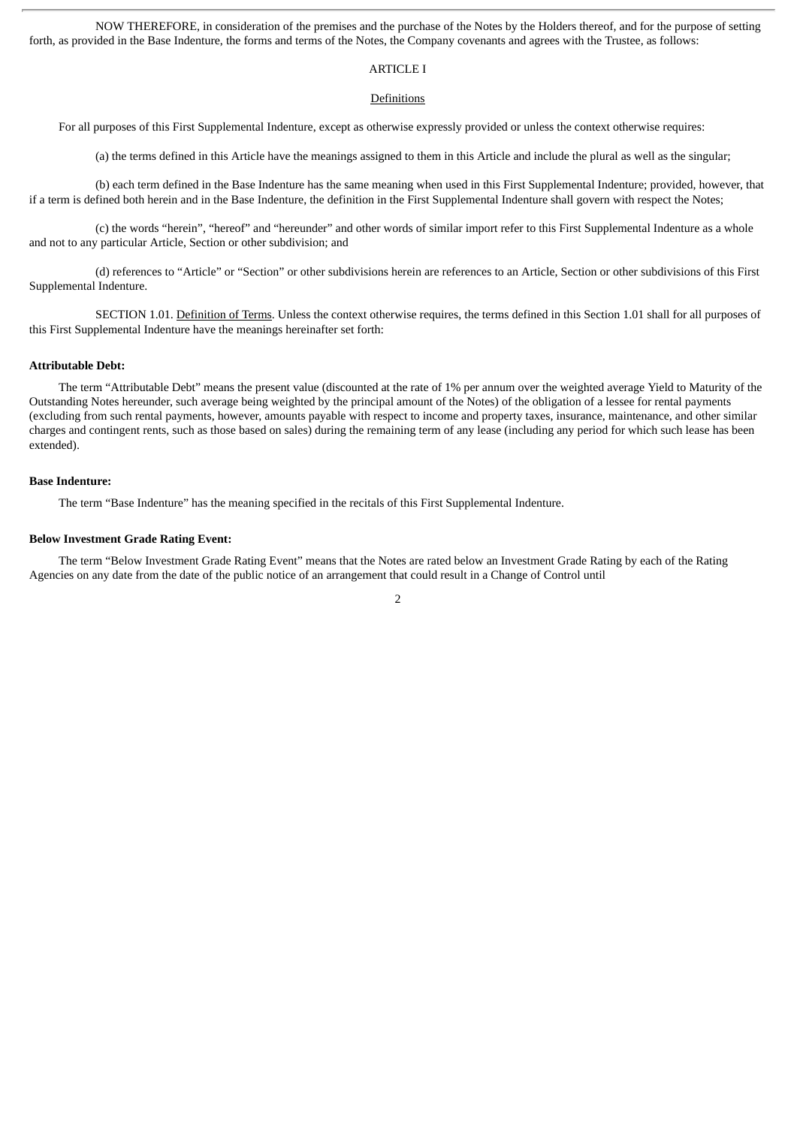NOW THEREFORE, in consideration of the premises and the purchase of the Notes by the Holders thereof, and for the purpose of setting forth, as provided in the Base Indenture, the forms and terms of the Notes, the Company covenants and agrees with the Trustee, as follows:

## ARTICLE I

#### Definitions

For all purposes of this First Supplemental Indenture, except as otherwise expressly provided or unless the context otherwise requires:

(a) the terms defined in this Article have the meanings assigned to them in this Article and include the plural as well as the singular;

(b) each term defined in the Base Indenture has the same meaning when used in this First Supplemental Indenture; provided, however, that if a term is defined both herein and in the Base Indenture, the definition in the First Supplemental Indenture shall govern with respect the Notes;

(c) the words "herein", "hereof" and "hereunder" and other words of similar import refer to this First Supplemental Indenture as a whole and not to any particular Article, Section or other subdivision; and

(d) references to "Article" or "Section" or other subdivisions herein are references to an Article, Section or other subdivisions of this First Supplemental Indenture.

SECTION 1.01. Definition of Terms. Unless the context otherwise requires, the terms defined in this Section 1.01 shall for all purposes of this First Supplemental Indenture have the meanings hereinafter set forth:

#### **Attributable Debt:**

The term "Attributable Debt" means the present value (discounted at the rate of 1% per annum over the weighted average Yield to Maturity of the Outstanding Notes hereunder, such average being weighted by the principal amount of the Notes) of the obligation of a lessee for rental payments (excluding from such rental payments, however, amounts payable with respect to income and property taxes, insurance, maintenance, and other similar charges and contingent rents, such as those based on sales) during the remaining term of any lease (including any period for which such lease has been extended).

#### **Base Indenture:**

The term "Base Indenture" has the meaning specified in the recitals of this First Supplemental Indenture.

#### **Below Investment Grade Rating Event:**

The term "Below Investment Grade Rating Event" means that the Notes are rated below an Investment Grade Rating by each of the Rating Agencies on any date from the date of the public notice of an arrangement that could result in a Change of Control until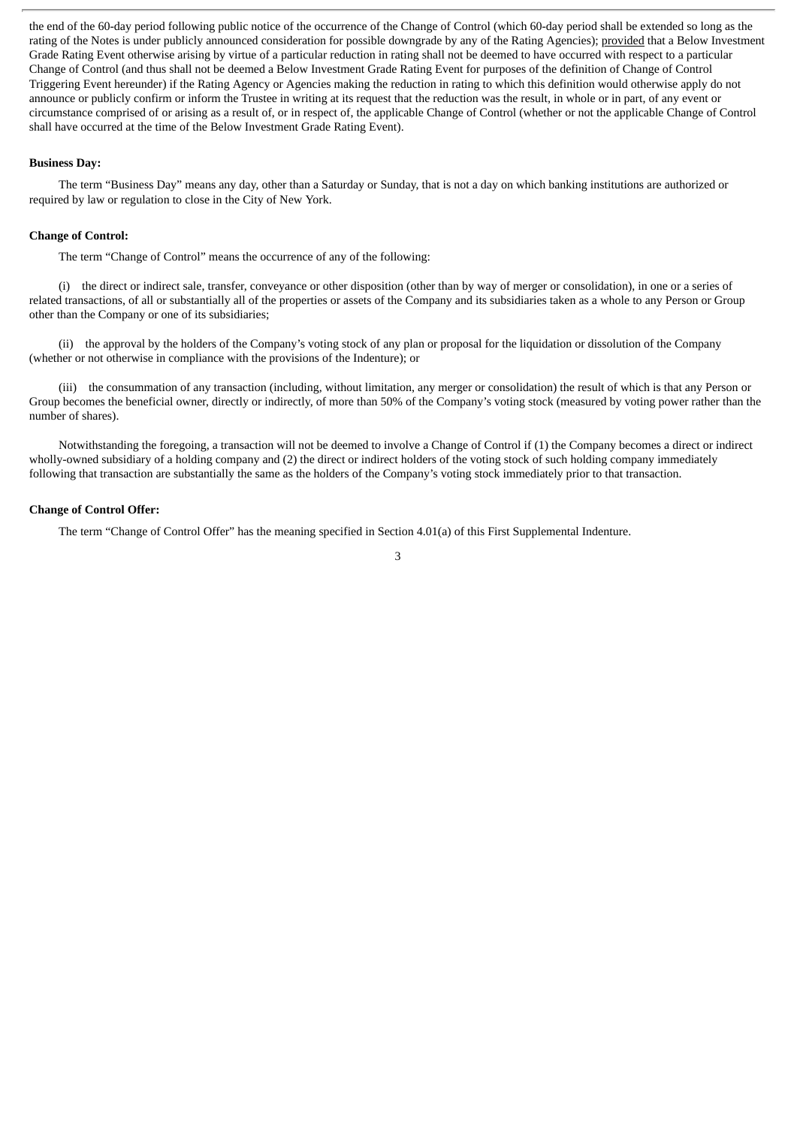the end of the 60-day period following public notice of the occurrence of the Change of Control (which 60-day period shall be extended so long as the rating of the Notes is under publicly announced consideration for possible downgrade by any of the Rating Agencies); provided that a Below Investment Grade Rating Event otherwise arising by virtue of a particular reduction in rating shall not be deemed to have occurred with respect to a particular Change of Control (and thus shall not be deemed a Below Investment Grade Rating Event for purposes of the definition of Change of Control Triggering Event hereunder) if the Rating Agency or Agencies making the reduction in rating to which this definition would otherwise apply do not announce or publicly confirm or inform the Trustee in writing at its request that the reduction was the result, in whole or in part, of any event or circumstance comprised of or arising as a result of, or in respect of, the applicable Change of Control (whether or not the applicable Change of Control shall have occurred at the time of the Below Investment Grade Rating Event).

#### **Business Day:**

The term "Business Day" means any day, other than a Saturday or Sunday, that is not a day on which banking institutions are authorized or required by law or regulation to close in the City of New York.

### **Change of Control:**

The term "Change of Control" means the occurrence of any of the following:

(i) the direct or indirect sale, transfer, conveyance or other disposition (other than by way of merger or consolidation), in one or a series of related transactions, of all or substantially all of the properties or assets of the Company and its subsidiaries taken as a whole to any Person or Group other than the Company or one of its subsidiaries;

(ii) the approval by the holders of the Company's voting stock of any plan or proposal for the liquidation or dissolution of the Company (whether or not otherwise in compliance with the provisions of the Indenture); or

(iii) the consummation of any transaction (including, without limitation, any merger or consolidation) the result of which is that any Person or Group becomes the beneficial owner, directly or indirectly, of more than 50% of the Company's voting stock (measured by voting power rather than the number of shares).

Notwithstanding the foregoing, a transaction will not be deemed to involve a Change of Control if (1) the Company becomes a direct or indirect wholly-owned subsidiary of a holding company and (2) the direct or indirect holders of the voting stock of such holding company immediately following that transaction are substantially the same as the holders of the Company's voting stock immediately prior to that transaction.

## **Change of Control Offer:**

The term "Change of Control Offer" has the meaning specified in Section 4.01(a) of this First Supplemental Indenture.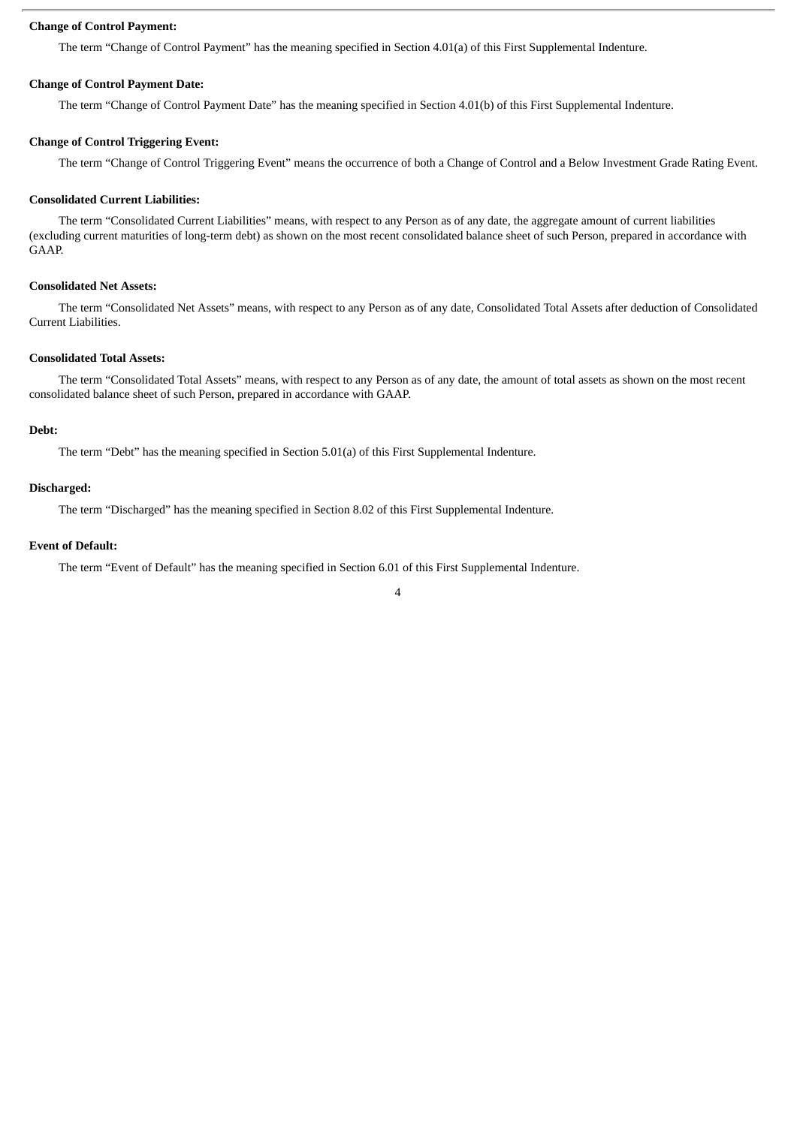### **Change of Control Payment:**

The term "Change of Control Payment" has the meaning specified in Section 4.01(a) of this First Supplemental Indenture.

## **Change of Control Payment Date:**

The term "Change of Control Payment Date" has the meaning specified in Section 4.01(b) of this First Supplemental Indenture.

#### **Change of Control Triggering Event:**

The term "Change of Control Triggering Event" means the occurrence of both a Change of Control and a Below Investment Grade Rating Event.

#### **Consolidated Current Liabilities:**

The term "Consolidated Current Liabilities" means, with respect to any Person as of any date, the aggregate amount of current liabilities (excluding current maturities of long-term debt) as shown on the most recent consolidated balance sheet of such Person, prepared in accordance with GAAP.

## **Consolidated Net Assets:**

The term "Consolidated Net Assets" means, with respect to any Person as of any date, Consolidated Total Assets after deduction of Consolidated Current Liabilities.

## **Consolidated Total Assets:**

The term "Consolidated Total Assets" means, with respect to any Person as of any date, the amount of total assets as shown on the most recent consolidated balance sheet of such Person, prepared in accordance with GAAP.

#### **Debt:**

The term "Debt" has the meaning specified in Section 5.01(a) of this First Supplemental Indenture.

## **Discharged:**

The term "Discharged" has the meaning specified in Section 8.02 of this First Supplemental Indenture.

#### **Event of Default:**

The term "Event of Default" has the meaning specified in Section 6.01 of this First Supplemental Indenture.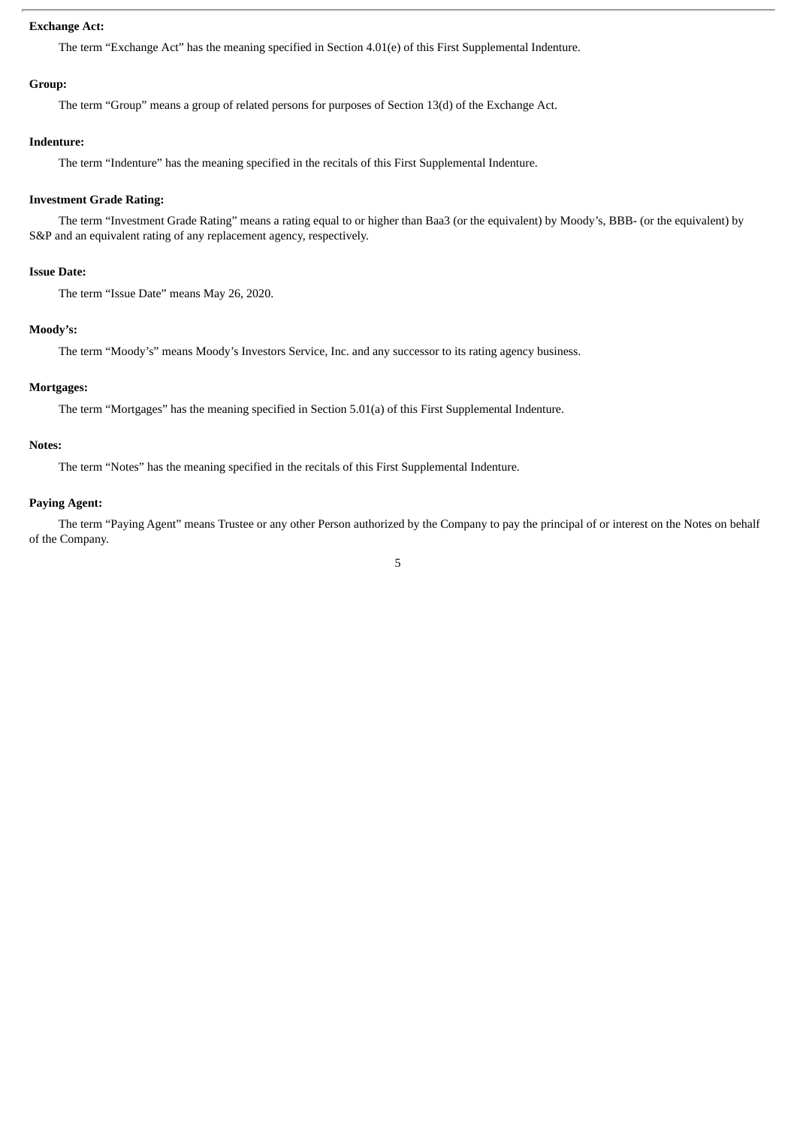## **Exchange Act:**

The term "Exchange Act" has the meaning specified in Section 4.01(e) of this First Supplemental Indenture.

#### **Group:**

The term "Group" means a group of related persons for purposes of Section 13(d) of the Exchange Act.

## **Indenture:**

The term "Indenture" has the meaning specified in the recitals of this First Supplemental Indenture.

## **Investment Grade Rating:**

The term "Investment Grade Rating" means a rating equal to or higher than Baa3 (or the equivalent) by Moody's, BBB- (or the equivalent) by S&P and an equivalent rating of any replacement agency, respectively.

### **Issue Date:**

The term "Issue Date" means May 26, 2020.

### **Moody's:**

The term "Moody's" means Moody's Investors Service, Inc. and any successor to its rating agency business.

## **Mortgages:**

The term "Mortgages" has the meaning specified in Section 5.01(a) of this First Supplemental Indenture.

## **Notes:**

The term "Notes" has the meaning specified in the recitals of this First Supplemental Indenture.

### **Paying Agent:**

The term "Paying Agent" means Trustee or any other Person authorized by the Company to pay the principal of or interest on the Notes on behalf of the Company.

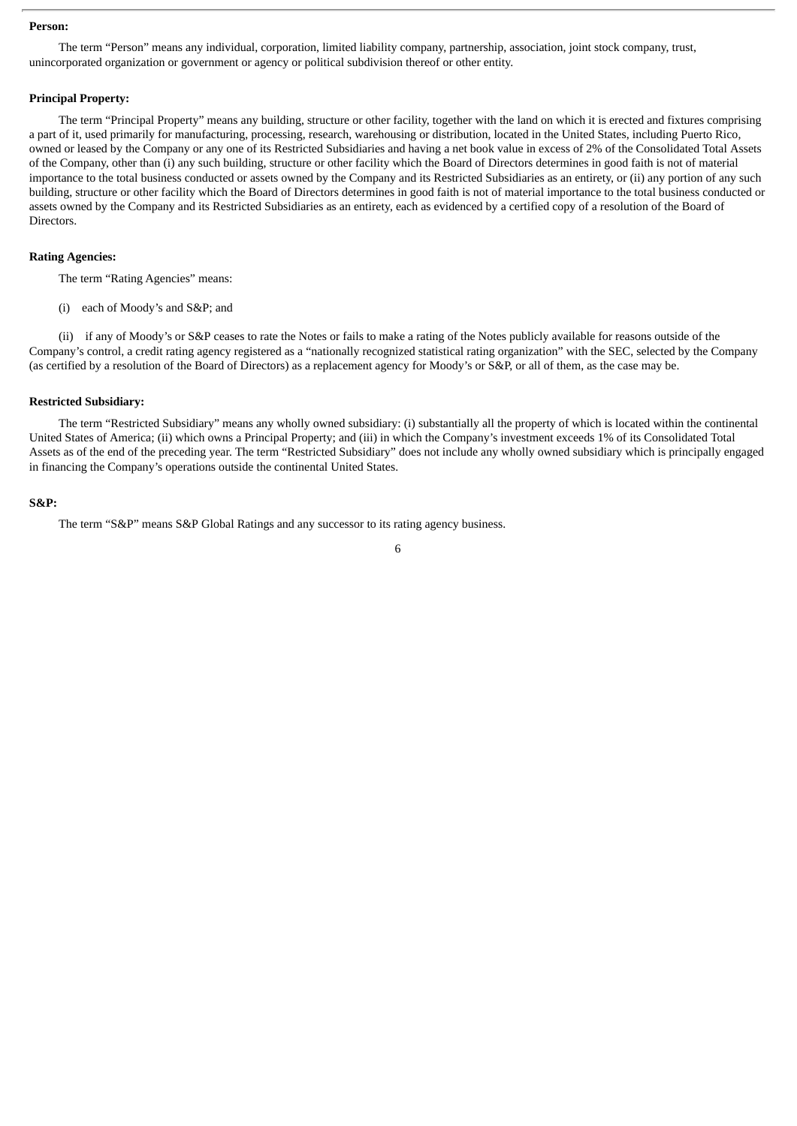#### **Person:**

The term "Person" means any individual, corporation, limited liability company, partnership, association, joint stock company, trust, unincorporated organization or government or agency or political subdivision thereof or other entity.

## **Principal Property:**

The term "Principal Property" means any building, structure or other facility, together with the land on which it is erected and fixtures comprising a part of it, used primarily for manufacturing, processing, research, warehousing or distribution, located in the United States, including Puerto Rico, owned or leased by the Company or any one of its Restricted Subsidiaries and having a net book value in excess of 2% of the Consolidated Total Assets of the Company, other than (i) any such building, structure or other facility which the Board of Directors determines in good faith is not of material importance to the total business conducted or assets owned by the Company and its Restricted Subsidiaries as an entirety, or (ii) any portion of any such building, structure or other facility which the Board of Directors determines in good faith is not of material importance to the total business conducted or assets owned by the Company and its Restricted Subsidiaries as an entirety, each as evidenced by a certified copy of a resolution of the Board of Directors.

#### **Rating Agencies:**

The term "Rating Agencies" means:

(i) each of Moody's and S&P; and

(ii) if any of Moody's or S&P ceases to rate the Notes or fails to make a rating of the Notes publicly available for reasons outside of the Company's control, a credit rating agency registered as a "nationally recognized statistical rating organization" with the SEC, selected by the Company (as certified by a resolution of the Board of Directors) as a replacement agency for Moody's or S&P, or all of them, as the case may be.

#### **Restricted Subsidiary:**

The term "Restricted Subsidiary" means any wholly owned subsidiary: (i) substantially all the property of which is located within the continental United States of America; (ii) which owns a Principal Property; and (iii) in which the Company's investment exceeds 1% of its Consolidated Total Assets as of the end of the preceding year. The term "Restricted Subsidiary" does not include any wholly owned subsidiary which is principally engaged in financing the Company's operations outside the continental United States.

#### **S&P:**

The term "S&P" means S&P Global Ratings and any successor to its rating agency business.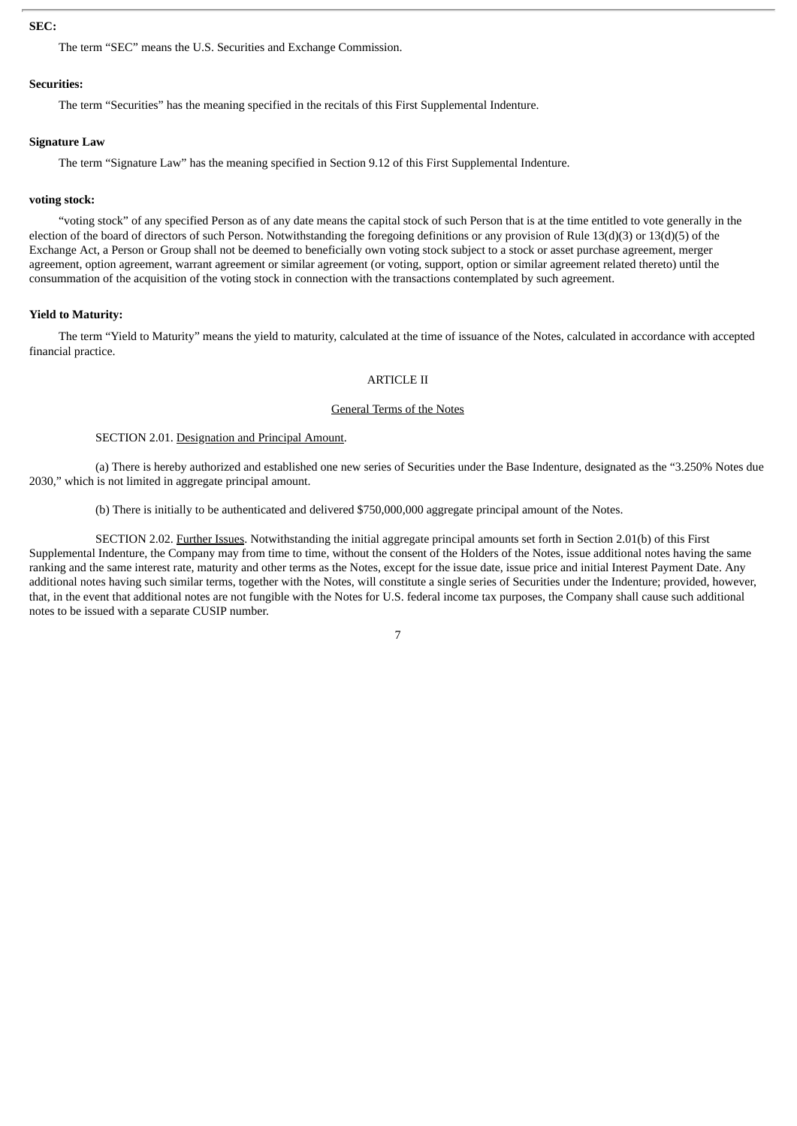### **SEC:**

The term "SEC" means the U.S. Securities and Exchange Commission.

#### **Securities:**

The term "Securities" has the meaning specified in the recitals of this First Supplemental Indenture.

#### **Signature Law**

The term "Signature Law" has the meaning specified in Section 9.12 of this First Supplemental Indenture.

#### **voting stock:**

"voting stock" of any specified Person as of any date means the capital stock of such Person that is at the time entitled to vote generally in the election of the board of directors of such Person. Notwithstanding the foregoing definitions or any provision of Rule 13(d)(3) or 13(d)(5) of the Exchange Act, a Person or Group shall not be deemed to beneficially own voting stock subject to a stock or asset purchase agreement, merger agreement, option agreement, warrant agreement or similar agreement (or voting, support, option or similar agreement related thereto) until the consummation of the acquisition of the voting stock in connection with the transactions contemplated by such agreement.

## **Yield to Maturity:**

The term "Yield to Maturity" means the yield to maturity, calculated at the time of issuance of the Notes, calculated in accordance with accepted financial practice.

### ARTICLE II

#### General Terms of the Notes

#### SECTION 2.01. Designation and Principal Amount.

(a) There is hereby authorized and established one new series of Securities under the Base Indenture, designated as the "3.250% Notes due 2030," which is not limited in aggregate principal amount.

(b) There is initially to be authenticated and delivered \$750,000,000 aggregate principal amount of the Notes.

SECTION 2.02. Further Issues. Notwithstanding the initial aggregate principal amounts set forth in Section 2.01(b) of this First Supplemental Indenture, the Company may from time to time, without the consent of the Holders of the Notes, issue additional notes having the same ranking and the same interest rate, maturity and other terms as the Notes, except for the issue date, issue price and initial Interest Payment Date. Any additional notes having such similar terms, together with the Notes, will constitute a single series of Securities under the Indenture; provided, however, that, in the event that additional notes are not fungible with the Notes for U.S. federal income tax purposes, the Company shall cause such additional notes to be issued with a separate CUSIP number.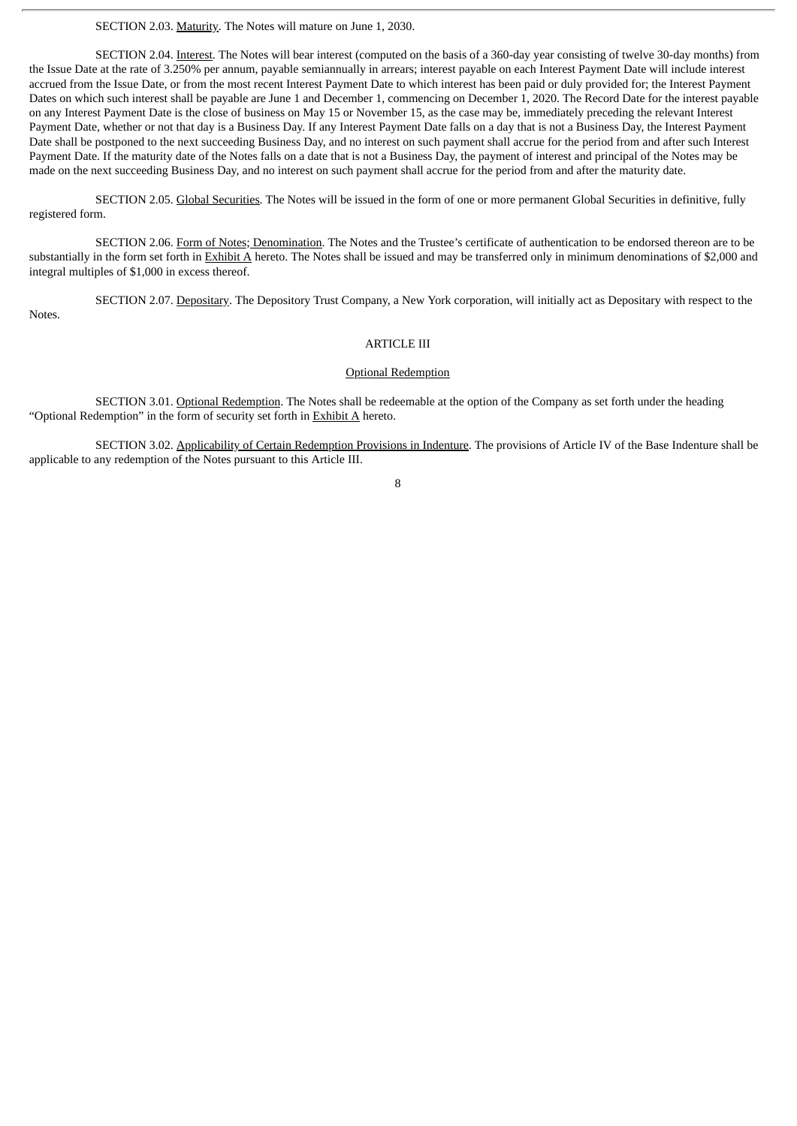SECTION 2.03. Maturity. The Notes will mature on June 1, 2030.

SECTION 2.04. Interest. The Notes will bear interest (computed on the basis of a 360-day year consisting of twelve 30-day months) from the Issue Date at the rate of 3.250% per annum, payable semiannually in arrears; interest payable on each Interest Payment Date will include interest accrued from the Issue Date, or from the most recent Interest Payment Date to which interest has been paid or duly provided for; the Interest Payment Dates on which such interest shall be payable are June 1 and December 1, commencing on December 1, 2020. The Record Date for the interest payable on any Interest Payment Date is the close of business on May 15 or November 15, as the case may be, immediately preceding the relevant Interest Payment Date, whether or not that day is a Business Day. If any Interest Payment Date falls on a day that is not a Business Day, the Interest Payment Date shall be postponed to the next succeeding Business Day, and no interest on such payment shall accrue for the period from and after such Interest Payment Date. If the maturity date of the Notes falls on a date that is not a Business Day, the payment of interest and principal of the Notes may be made on the next succeeding Business Day, and no interest on such payment shall accrue for the period from and after the maturity date.

SECTION 2.05. Global Securities. The Notes will be issued in the form of one or more permanent Global Securities in definitive, fully registered form.

SECTION 2.06. Form of Notes; Denomination. The Notes and the Trustee's certificate of authentication to be endorsed thereon are to be substantially in the form set forth in Exhibit A hereto. The Notes shall be issued and may be transferred only in minimum denominations of \$2,000 and integral multiples of \$1,000 in excess thereof.

SECTION 2.07. Depositary. The Depository Trust Company, a New York corporation, will initially act as Depositary with respect to the Notes.

## ARTICLE III

### Optional Redemption

SECTION 3.01. Optional Redemption. The Notes shall be redeemable at the option of the Company as set forth under the heading "Optional Redemption" in the form of security set forth in  $Exhibit A$  hereto.

SECTION 3.02. Applicability of Certain Redemption Provisions in Indenture. The provisions of Article IV of the Base Indenture shall be applicable to any redemption of the Notes pursuant to this Article III.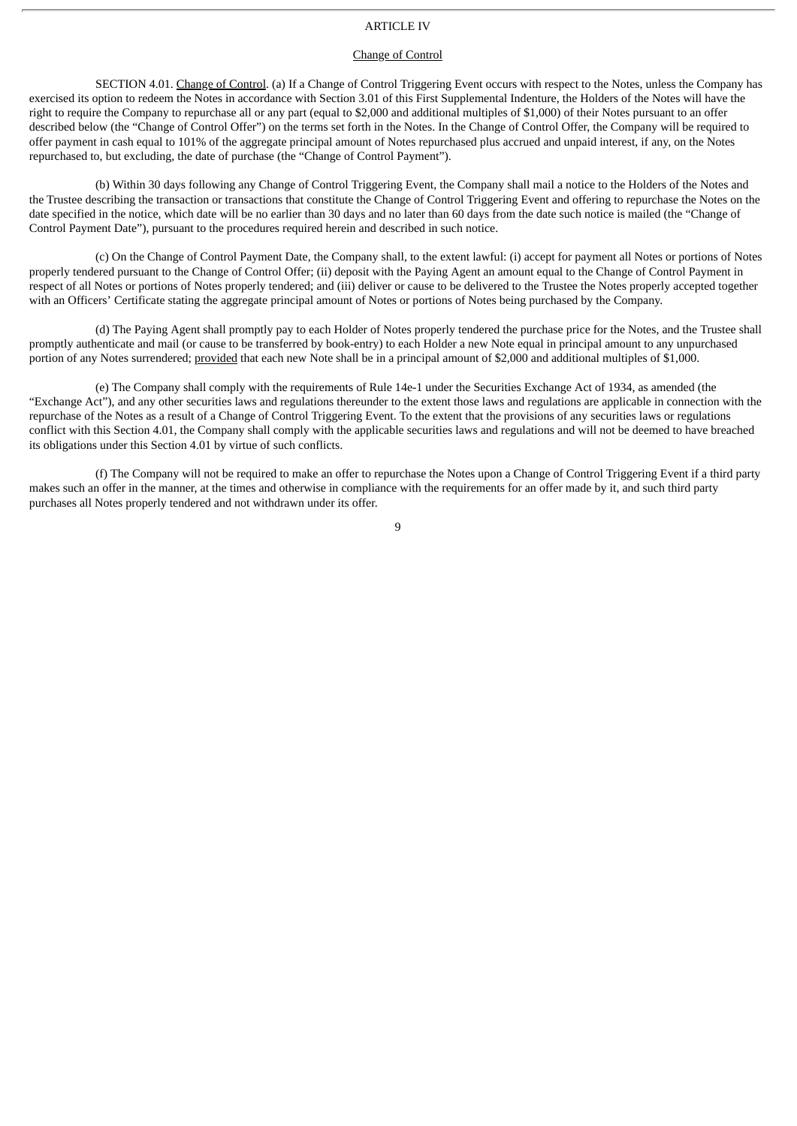## ARTICLE IV

### Change of Control

SECTION 4.01. Change of Control. (a) If a Change of Control Triggering Event occurs with respect to the Notes, unless the Company has exercised its option to redeem the Notes in accordance with Section 3.01 of this First Supplemental Indenture, the Holders of the Notes will have the right to require the Company to repurchase all or any part (equal to \$2,000 and additional multiples of \$1,000) of their Notes pursuant to an offer described below (the "Change of Control Offer") on the terms set forth in the Notes. In the Change of Control Offer, the Company will be required to offer payment in cash equal to 101% of the aggregate principal amount of Notes repurchased plus accrued and unpaid interest, if any, on the Notes repurchased to, but excluding, the date of purchase (the "Change of Control Payment").

(b) Within 30 days following any Change of Control Triggering Event, the Company shall mail a notice to the Holders of the Notes and the Trustee describing the transaction or transactions that constitute the Change of Control Triggering Event and offering to repurchase the Notes on the date specified in the notice, which date will be no earlier than 30 days and no later than 60 days from the date such notice is mailed (the "Change of Control Payment Date"), pursuant to the procedures required herein and described in such notice.

(c) On the Change of Control Payment Date, the Company shall, to the extent lawful: (i) accept for payment all Notes or portions of Notes properly tendered pursuant to the Change of Control Offer; (ii) deposit with the Paying Agent an amount equal to the Change of Control Payment in respect of all Notes or portions of Notes properly tendered; and (iii) deliver or cause to be delivered to the Trustee the Notes properly accepted together with an Officers' Certificate stating the aggregate principal amount of Notes or portions of Notes being purchased by the Company.

(d) The Paying Agent shall promptly pay to each Holder of Notes properly tendered the purchase price for the Notes, and the Trustee shall promptly authenticate and mail (or cause to be transferred by book-entry) to each Holder a new Note equal in principal amount to any unpurchased portion of any Notes surrendered; provided that each new Note shall be in a principal amount of \$2,000 and additional multiples of \$1,000.

(e) The Company shall comply with the requirements of Rule 14e-1 under the Securities Exchange Act of 1934, as amended (the "Exchange Act"), and any other securities laws and regulations thereunder to the extent those laws and regulations are applicable in connection with the repurchase of the Notes as a result of a Change of Control Triggering Event. To the extent that the provisions of any securities laws or regulations conflict with this Section 4.01, the Company shall comply with the applicable securities laws and regulations and will not be deemed to have breached its obligations under this Section 4.01 by virtue of such conflicts.

(f) The Company will not be required to make an offer to repurchase the Notes upon a Change of Control Triggering Event if a third party makes such an offer in the manner, at the times and otherwise in compliance with the requirements for an offer made by it, and such third party purchases all Notes properly tendered and not withdrawn under its offer.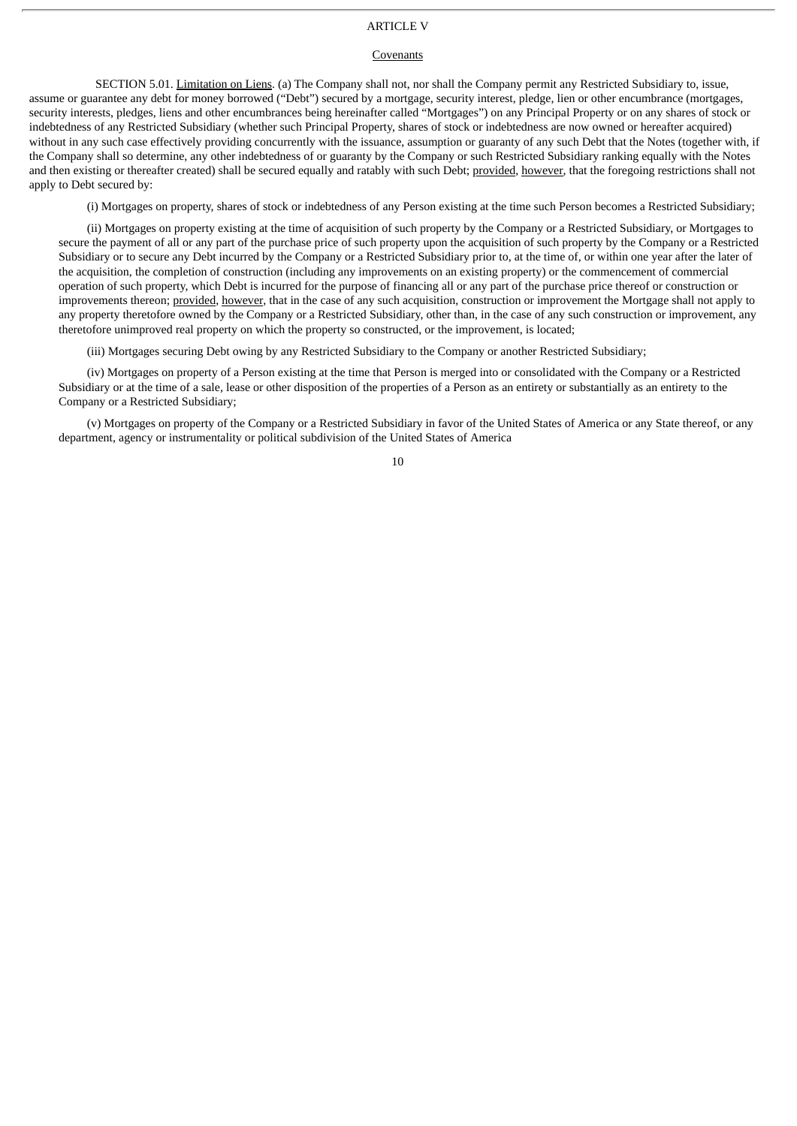## ARTICLE V

#### Covenants

SECTION 5.01. Limitation on Liens. (a) The Company shall not, nor shall the Company permit any Restricted Subsidiary to, issue, assume or guarantee any debt for money borrowed ("Debt") secured by a mortgage, security interest, pledge, lien or other encumbrance (mortgages, security interests, pledges, liens and other encumbrances being hereinafter called "Mortgages") on any Principal Property or on any shares of stock or indebtedness of any Restricted Subsidiary (whether such Principal Property, shares of stock or indebtedness are now owned or hereafter acquired) without in any such case effectively providing concurrently with the issuance, assumption or guaranty of any such Debt that the Notes (together with, if the Company shall so determine, any other indebtedness of or guaranty by the Company or such Restricted Subsidiary ranking equally with the Notes and then existing or thereafter created) shall be secured equally and ratably with such Debt; provided, however, that the foregoing restrictions shall not apply to Debt secured by:

(i) Mortgages on property, shares of stock or indebtedness of any Person existing at the time such Person becomes a Restricted Subsidiary;

(ii) Mortgages on property existing at the time of acquisition of such property by the Company or a Restricted Subsidiary, or Mortgages to secure the payment of all or any part of the purchase price of such property upon the acquisition of such property by the Company or a Restricted Subsidiary or to secure any Debt incurred by the Company or a Restricted Subsidiary prior to, at the time of, or within one year after the later of the acquisition, the completion of construction (including any improvements on an existing property) or the commencement of commercial operation of such property, which Debt is incurred for the purpose of financing all or any part of the purchase price thereof or construction or improvements thereon; provided, however, that in the case of any such acquisition, construction or improvement the Mortgage shall not apply to any property theretofore owned by the Company or a Restricted Subsidiary, other than, in the case of any such construction or improvement, any theretofore unimproved real property on which the property so constructed, or the improvement, is located;

(iii) Mortgages securing Debt owing by any Restricted Subsidiary to the Company or another Restricted Subsidiary;

(iv) Mortgages on property of a Person existing at the time that Person is merged into or consolidated with the Company or a Restricted Subsidiary or at the time of a sale, lease or other disposition of the properties of a Person as an entirety or substantially as an entirety to the Company or a Restricted Subsidiary;

(v) Mortgages on property of the Company or a Restricted Subsidiary in favor of the United States of America or any State thereof, or any department, agency or instrumentality or political subdivision of the United States of America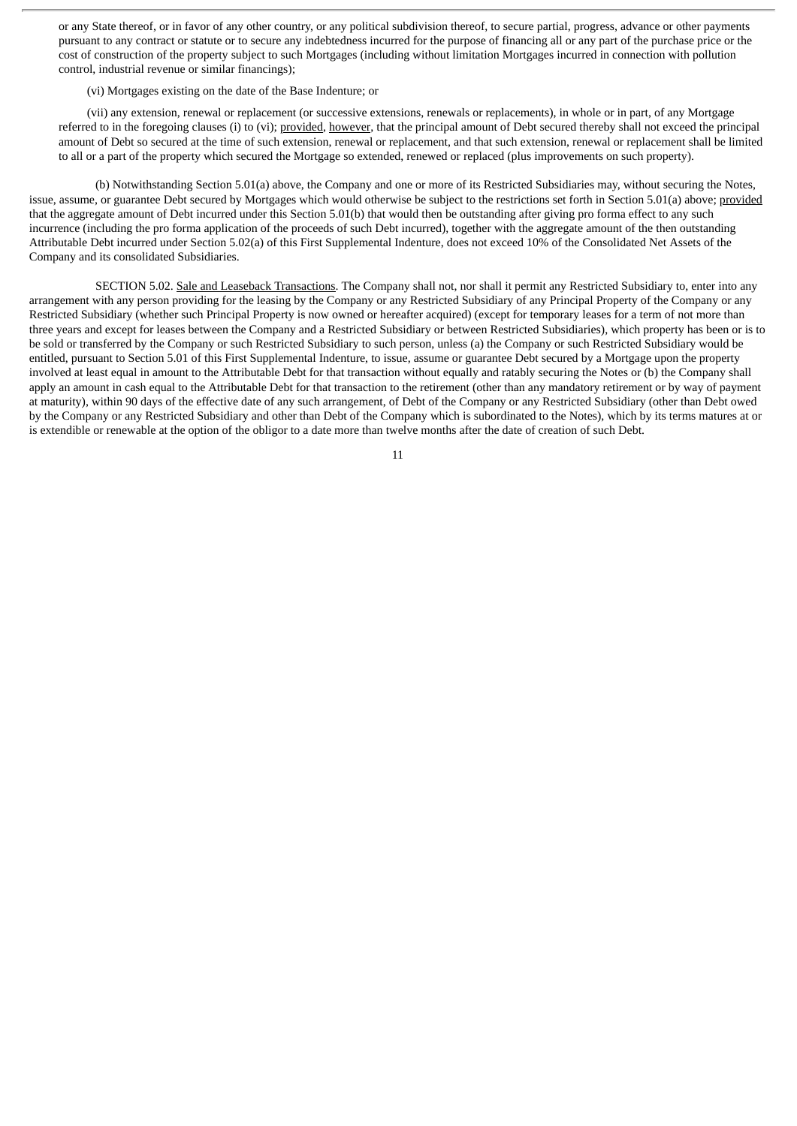or any State thereof, or in favor of any other country, or any political subdivision thereof, to secure partial, progress, advance or other payments pursuant to any contract or statute or to secure any indebtedness incurred for the purpose of financing all or any part of the purchase price or the cost of construction of the property subject to such Mortgages (including without limitation Mortgages incurred in connection with pollution control, industrial revenue or similar financings);

(vi) Mortgages existing on the date of the Base Indenture; or

(vii) any extension, renewal or replacement (or successive extensions, renewals or replacements), in whole or in part, of any Mortgage referred to in the foregoing clauses (i) to (vi); provided, however, that the principal amount of Debt secured thereby shall not exceed the principal amount of Debt so secured at the time of such extension, renewal or replacement, and that such extension, renewal or replacement shall be limited to all or a part of the property which secured the Mortgage so extended, renewed or replaced (plus improvements on such property).

(b) Notwithstanding Section 5.01(a) above, the Company and one or more of its Restricted Subsidiaries may, without securing the Notes, issue, assume, or guarantee Debt secured by Mortgages which would otherwise be subject to the restrictions set forth in Section 5.01(a) above; provided that the aggregate amount of Debt incurred under this Section 5.01(b) that would then be outstanding after giving pro forma effect to any such incurrence (including the pro forma application of the proceeds of such Debt incurred), together with the aggregate amount of the then outstanding Attributable Debt incurred under Section 5.02(a) of this First Supplemental Indenture, does not exceed 10% of the Consolidated Net Assets of the Company and its consolidated Subsidiaries.

SECTION 5.02. Sale and Leaseback Transactions. The Company shall not, nor shall it permit any Restricted Subsidiary to, enter into any arrangement with any person providing for the leasing by the Company or any Restricted Subsidiary of any Principal Property of the Company or any Restricted Subsidiary (whether such Principal Property is now owned or hereafter acquired) (except for temporary leases for a term of not more than three years and except for leases between the Company and a Restricted Subsidiary or between Restricted Subsidiaries), which property has been or is to be sold or transferred by the Company or such Restricted Subsidiary to such person, unless (a) the Company or such Restricted Subsidiary would be entitled, pursuant to Section 5.01 of this First Supplemental Indenture, to issue, assume or guarantee Debt secured by a Mortgage upon the property involved at least equal in amount to the Attributable Debt for that transaction without equally and ratably securing the Notes or (b) the Company shall apply an amount in cash equal to the Attributable Debt for that transaction to the retirement (other than any mandatory retirement or by way of payment at maturity), within 90 days of the effective date of any such arrangement, of Debt of the Company or any Restricted Subsidiary (other than Debt owed by the Company or any Restricted Subsidiary and other than Debt of the Company which is subordinated to the Notes), which by its terms matures at or is extendible or renewable at the option of the obligor to a date more than twelve months after the date of creation of such Debt.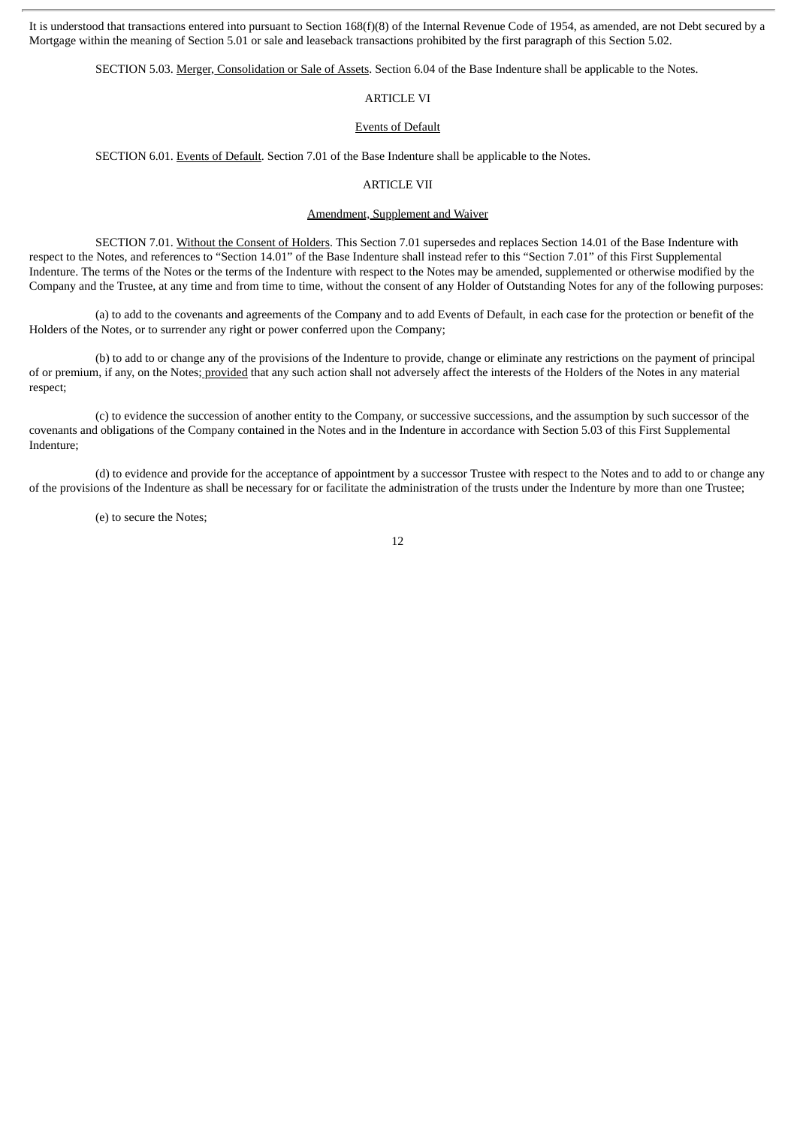It is understood that transactions entered into pursuant to Section 168(f)(8) of the Internal Revenue Code of 1954, as amended, are not Debt secured by a Mortgage within the meaning of Section 5.01 or sale and leaseback transactions prohibited by the first paragraph of this Section 5.02.

SECTION 5.03. Merger, Consolidation or Sale of Assets. Section 6.04 of the Base Indenture shall be applicable to the Notes.

## ARTICLE VI

### Events of Default

SECTION 6.01. Events of Default. Section 7.01 of the Base Indenture shall be applicable to the Notes.

## ARTICLE VII

## Amendment, Supplement and Waiver

SECTION 7.01. Without the Consent of Holders. This Section 7.01 supersedes and replaces Section 14.01 of the Base Indenture with respect to the Notes, and references to "Section 14.01" of the Base Indenture shall instead refer to this "Section 7.01" of this First Supplemental Indenture. The terms of the Notes or the terms of the Indenture with respect to the Notes may be amended, supplemented or otherwise modified by the Company and the Trustee, at any time and from time to time, without the consent of any Holder of Outstanding Notes for any of the following purposes:

(a) to add to the covenants and agreements of the Company and to add Events of Default, in each case for the protection or benefit of the Holders of the Notes, or to surrender any right or power conferred upon the Company;

(b) to add to or change any of the provisions of the Indenture to provide, change or eliminate any restrictions on the payment of principal of or premium, if any, on the Notes; provided that any such action shall not adversely affect the interests of the Holders of the Notes in any material respect;

(c) to evidence the succession of another entity to the Company, or successive successions, and the assumption by such successor of the covenants and obligations of the Company contained in the Notes and in the Indenture in accordance with Section 5.03 of this First Supplemental Indenture;

(d) to evidence and provide for the acceptance of appointment by a successor Trustee with respect to the Notes and to add to or change any of the provisions of the Indenture as shall be necessary for or facilitate the administration of the trusts under the Indenture by more than one Trustee;

(e) to secure the Notes;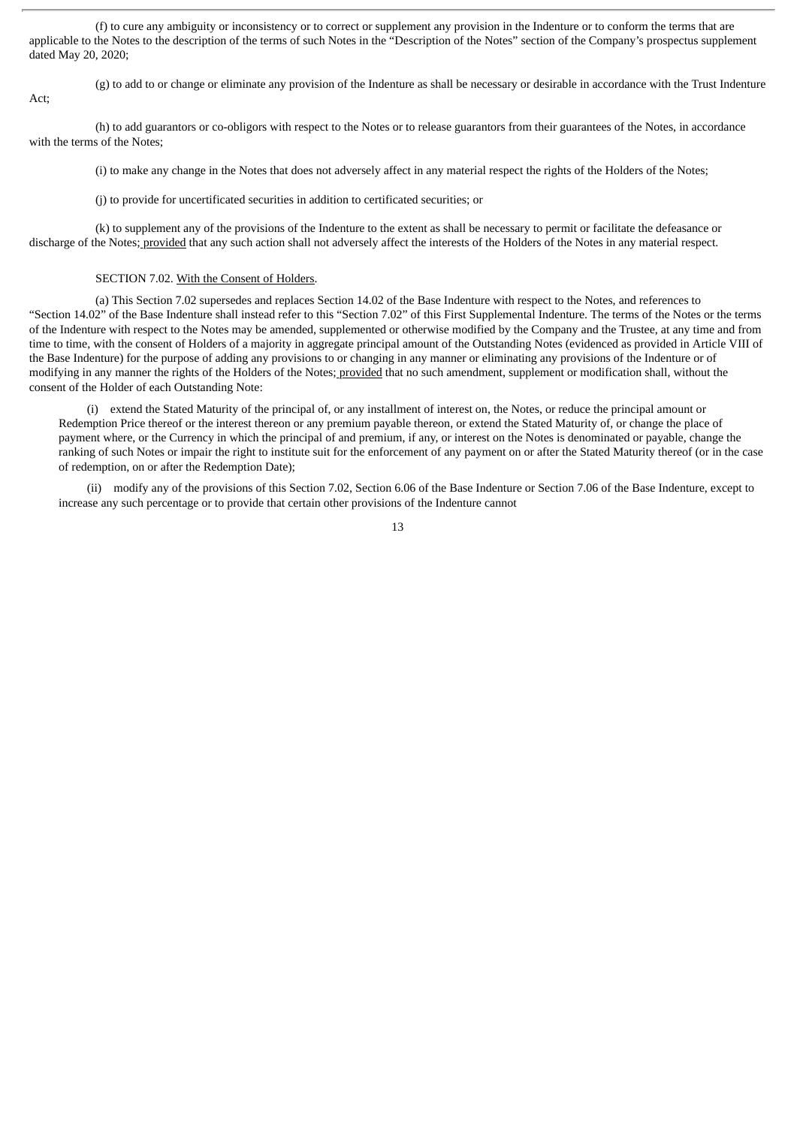(f) to cure any ambiguity or inconsistency or to correct or supplement any provision in the Indenture or to conform the terms that are applicable to the Notes to the description of the terms of such Notes in the "Description of the Notes" section of the Company's prospectus supplement dated May 20, 2020;

Act;

(g) to add to or change or eliminate any provision of the Indenture as shall be necessary or desirable in accordance with the Trust Indenture

(h) to add guarantors or co-obligors with respect to the Notes or to release guarantors from their guarantees of the Notes, in accordance with the terms of the Notes;

(i) to make any change in the Notes that does not adversely affect in any material respect the rights of the Holders of the Notes;

(j) to provide for uncertificated securities in addition to certificated securities; or

(k) to supplement any of the provisions of the Indenture to the extent as shall be necessary to permit or facilitate the defeasance or discharge of the Notes; provided that any such action shall not adversely affect the interests of the Holders of the Notes in any material respect.

### SECTION 7.02. With the Consent of Holders.

(a) This Section 7.02 supersedes and replaces Section 14.02 of the Base Indenture with respect to the Notes, and references to "Section 14.02" of the Base Indenture shall instead refer to this "Section 7.02" of this First Supplemental Indenture. The terms of the Notes or the terms of the Indenture with respect to the Notes may be amended, supplemented or otherwise modified by the Company and the Trustee, at any time and from time to time, with the consent of Holders of a majority in aggregate principal amount of the Outstanding Notes (evidenced as provided in Article VIII of the Base Indenture) for the purpose of adding any provisions to or changing in any manner or eliminating any provisions of the Indenture or of modifying in any manner the rights of the Holders of the Notes; provided that no such amendment, supplement or modification shall, without the consent of the Holder of each Outstanding Note:

(i) extend the Stated Maturity of the principal of, or any installment of interest on, the Notes, or reduce the principal amount or Redemption Price thereof or the interest thereon or any premium payable thereon, or extend the Stated Maturity of, or change the place of payment where, or the Currency in which the principal of and premium, if any, or interest on the Notes is denominated or payable, change the ranking of such Notes or impair the right to institute suit for the enforcement of any payment on or after the Stated Maturity thereof (or in the case of redemption, on or after the Redemption Date);

(ii) modify any of the provisions of this Section 7.02, Section 6.06 of the Base Indenture or Section 7.06 of the Base Indenture, except to increase any such percentage or to provide that certain other provisions of the Indenture cannot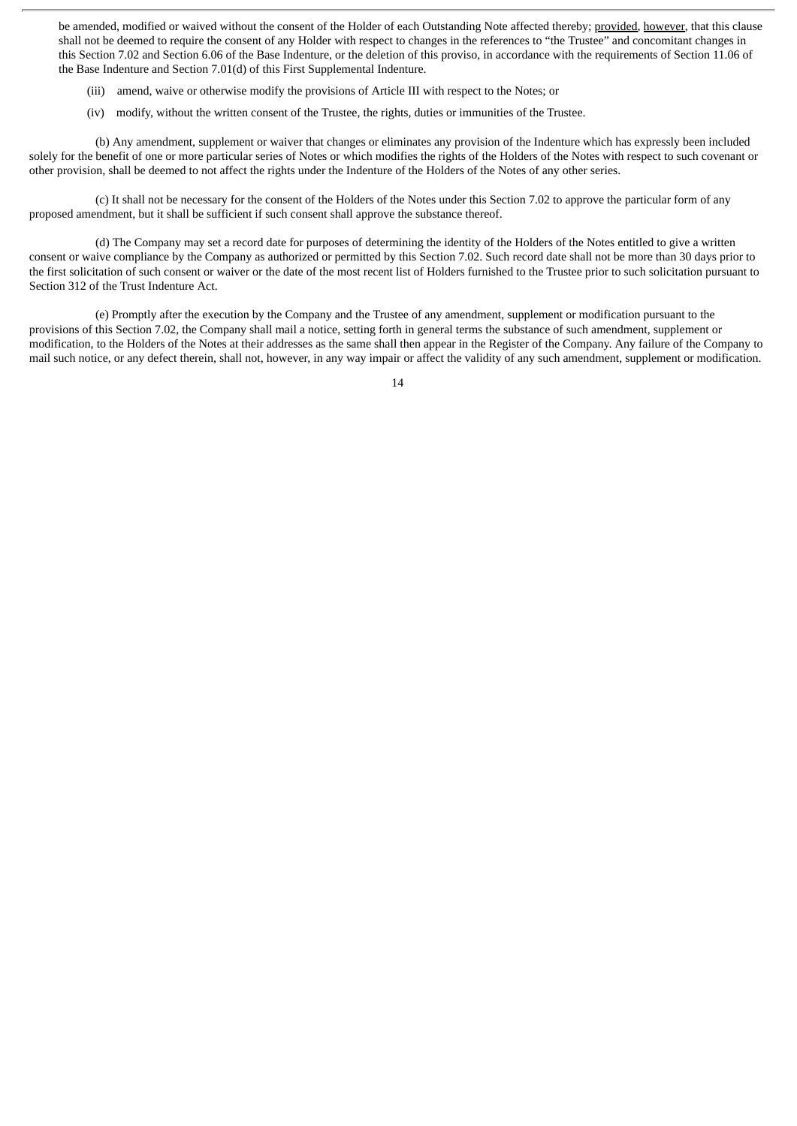be amended, modified or waived without the consent of the Holder of each Outstanding Note affected thereby; provided, however, that this clause shall not be deemed to require the consent of any Holder with respect to changes in the references to "the Trustee" and concomitant changes in this Section 7.02 and Section 6.06 of the Base Indenture, or the deletion of this proviso, in accordance with the requirements of Section 11.06 of the Base Indenture and Section 7.01(d) of this First Supplemental Indenture.

- (iii) amend, waive or otherwise modify the provisions of Article III with respect to the Notes; or
- (iv) modify, without the written consent of the Trustee, the rights, duties or immunities of the Trustee.

(b) Any amendment, supplement or waiver that changes or eliminates any provision of the Indenture which has expressly been included solely for the benefit of one or more particular series of Notes or which modifies the rights of the Holders of the Notes with respect to such covenant or other provision, shall be deemed to not affect the rights under the Indenture of the Holders of the Notes of any other series.

(c) It shall not be necessary for the consent of the Holders of the Notes under this Section 7.02 to approve the particular form of any proposed amendment, but it shall be sufficient if such consent shall approve the substance thereof.

(d) The Company may set a record date for purposes of determining the identity of the Holders of the Notes entitled to give a written consent or waive compliance by the Company as authorized or permitted by this Section 7.02. Such record date shall not be more than 30 days prior to the first solicitation of such consent or waiver or the date of the most recent list of Holders furnished to the Trustee prior to such solicitation pursuant to Section 312 of the Trust Indenture Act.

(e) Promptly after the execution by the Company and the Trustee of any amendment, supplement or modification pursuant to the provisions of this Section 7.02, the Company shall mail a notice, setting forth in general terms the substance of such amendment, supplement or modification, to the Holders of the Notes at their addresses as the same shall then appear in the Register of the Company. Any failure of the Company to mail such notice, or any defect therein, shall not, however, in any way impair or affect the validity of any such amendment, supplement or modification.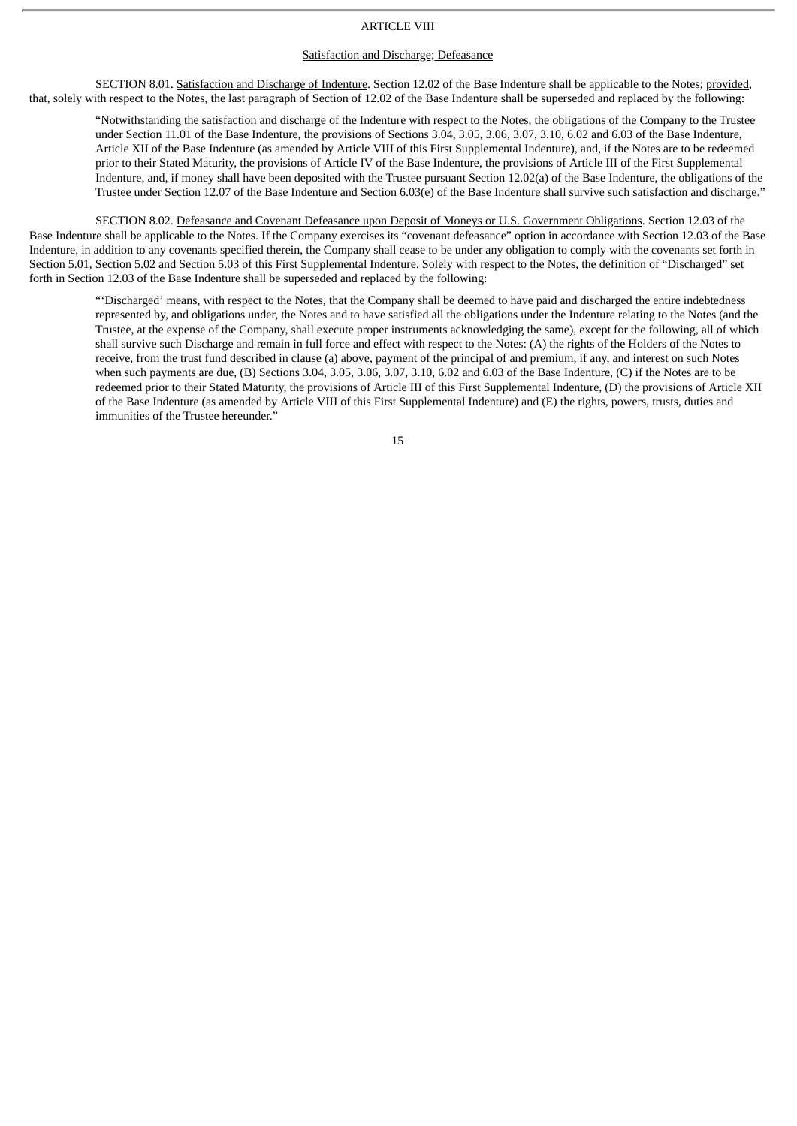#### ARTICLE VIII

#### Satisfaction and Discharge; Defeasance

SECTION 8.01. Satisfaction and Discharge of Indenture. Section 12.02 of the Base Indenture shall be applicable to the Notes; provided, that, solely with respect to the Notes, the last paragraph of Section of 12.02 of the Base Indenture shall be superseded and replaced by the following:

"Notwithstanding the satisfaction and discharge of the Indenture with respect to the Notes, the obligations of the Company to the Trustee under Section 11.01 of the Base Indenture, the provisions of Sections 3.04, 3.05, 3.06, 3.07, 3.10, 6.02 and 6.03 of the Base Indenture, Article XII of the Base Indenture (as amended by Article VIII of this First Supplemental Indenture), and, if the Notes are to be redeemed prior to their Stated Maturity, the provisions of Article IV of the Base Indenture, the provisions of Article III of the First Supplemental Indenture, and, if money shall have been deposited with the Trustee pursuant Section 12.02(a) of the Base Indenture, the obligations of the Trustee under Section 12.07 of the Base Indenture and Section 6.03(e) of the Base Indenture shall survive such satisfaction and discharge."

SECTION 8.02. Defeasance and Covenant Defeasance upon Deposit of Moneys or U.S. Government Obligations. Section 12.03 of the Base Indenture shall be applicable to the Notes. If the Company exercises its "covenant defeasance" option in accordance with Section 12.03 of the Base Indenture, in addition to any covenants specified therein, the Company shall cease to be under any obligation to comply with the covenants set forth in Section 5.01, Section 5.02 and Section 5.03 of this First Supplemental Indenture. Solely with respect to the Notes, the definition of "Discharged" set forth in Section 12.03 of the Base Indenture shall be superseded and replaced by the following:

"'Discharged' means, with respect to the Notes, that the Company shall be deemed to have paid and discharged the entire indebtedness represented by, and obligations under, the Notes and to have satisfied all the obligations under the Indenture relating to the Notes (and the Trustee, at the expense of the Company, shall execute proper instruments acknowledging the same), except for the following, all of which shall survive such Discharge and remain in full force and effect with respect to the Notes: (A) the rights of the Holders of the Notes to receive, from the trust fund described in clause (a) above, payment of the principal of and premium, if any, and interest on such Notes when such payments are due, (B) Sections 3.04, 3.05, 3.06, 3.07, 3.10, 6.02 and 6.03 of the Base Indenture, (C) if the Notes are to be redeemed prior to their Stated Maturity, the provisions of Article III of this First Supplemental Indenture, (D) the provisions of Article XII of the Base Indenture (as amended by Article VIII of this First Supplemental Indenture) and (E) the rights, powers, trusts, duties and immunities of the Trustee hereunder."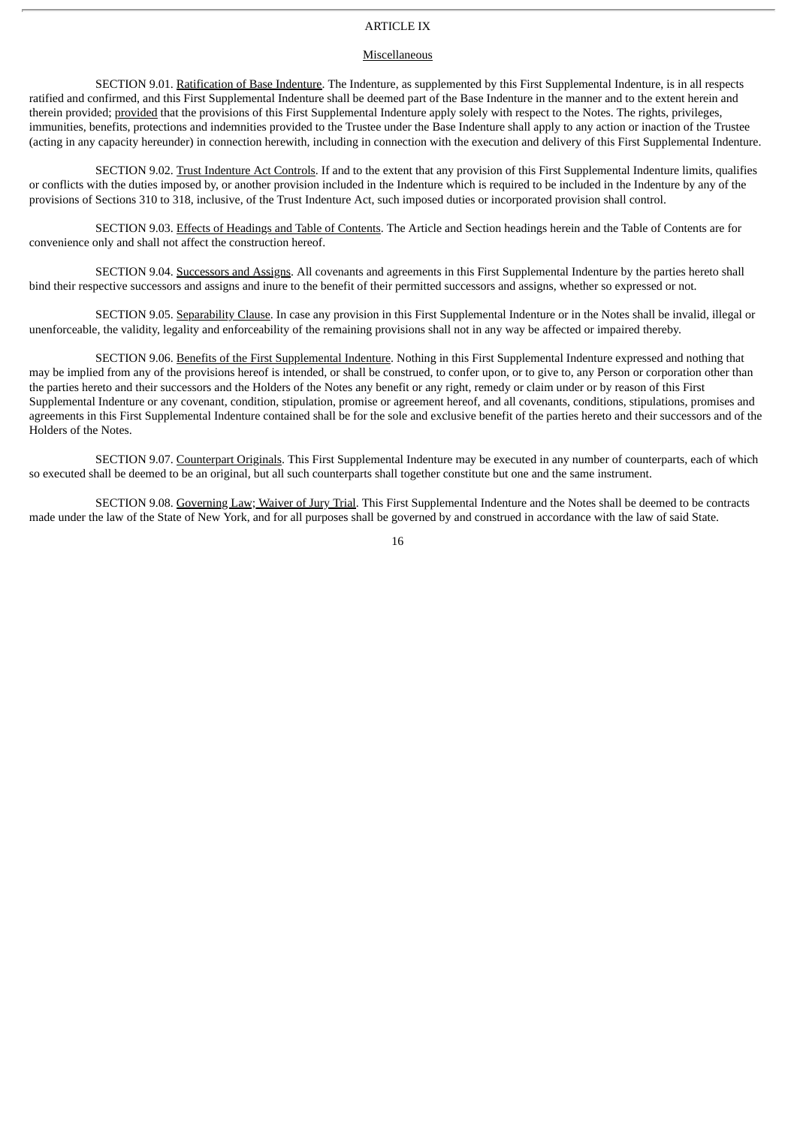## ARTICLE IX

#### Miscellaneous

SECTION 9.01. Ratification of Base Indenture. The Indenture, as supplemented by this First Supplemental Indenture, is in all respects ratified and confirmed, and this First Supplemental Indenture shall be deemed part of the Base Indenture in the manner and to the extent herein and therein provided; provided that the provisions of this First Supplemental Indenture apply solely with respect to the Notes. The rights, privileges, immunities, benefits, protections and indemnities provided to the Trustee under the Base Indenture shall apply to any action or inaction of the Trustee (acting in any capacity hereunder) in connection herewith, including in connection with the execution and delivery of this First Supplemental Indenture.

SECTION 9.02. Trust Indenture Act Controls. If and to the extent that any provision of this First Supplemental Indenture limits, qualifies or conflicts with the duties imposed by, or another provision included in the Indenture which is required to be included in the Indenture by any of the provisions of Sections 310 to 318, inclusive, of the Trust Indenture Act, such imposed duties or incorporated provision shall control.

SECTION 9.03. Effects of Headings and Table of Contents. The Article and Section headings herein and the Table of Contents are for convenience only and shall not affect the construction hereof.

SECTION 9.04. Successors and Assigns. All covenants and agreements in this First Supplemental Indenture by the parties hereto shall bind their respective successors and assigns and inure to the benefit of their permitted successors and assigns, whether so expressed or not.

SECTION 9.05. Separability Clause. In case any provision in this First Supplemental Indenture or in the Notes shall be invalid, illegal or unenforceable, the validity, legality and enforceability of the remaining provisions shall not in any way be affected or impaired thereby.

SECTION 9.06. Benefits of the First Supplemental Indenture. Nothing in this First Supplemental Indenture expressed and nothing that may be implied from any of the provisions hereof is intended, or shall be construed, to confer upon, or to give to, any Person or corporation other than the parties hereto and their successors and the Holders of the Notes any benefit or any right, remedy or claim under or by reason of this First Supplemental Indenture or any covenant, condition, stipulation, promise or agreement hereof, and all covenants, conditions, stipulations, promises and agreements in this First Supplemental Indenture contained shall be for the sole and exclusive benefit of the parties hereto and their successors and of the Holders of the Notes.

SECTION 9.07. Counterpart Originals. This First Supplemental Indenture may be executed in any number of counterparts, each of which so executed shall be deemed to be an original, but all such counterparts shall together constitute but one and the same instrument.

SECTION 9.08. Governing Law; Waiver of Jury Trial. This First Supplemental Indenture and the Notes shall be deemed to be contracts made under the law of the State of New York, and for all purposes shall be governed by and construed in accordance with the law of said State.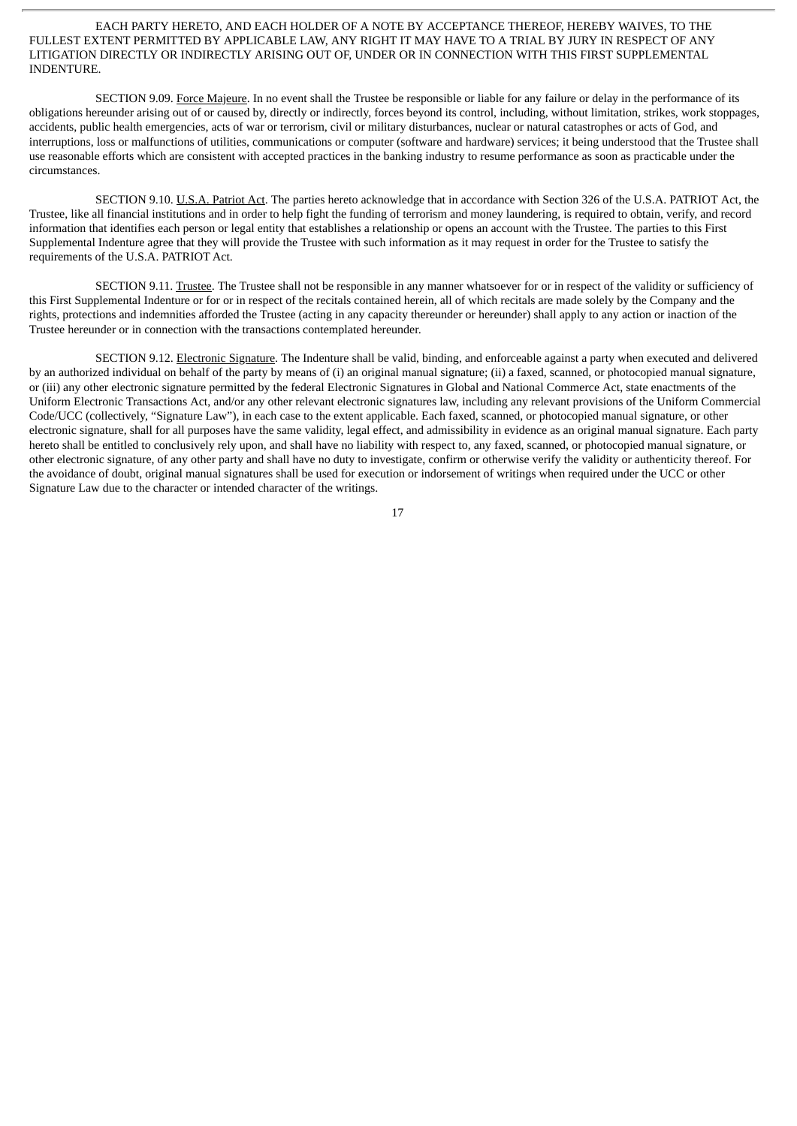## EACH PARTY HERETO, AND EACH HOLDER OF A NOTE BY ACCEPTANCE THEREOF, HEREBY WAIVES, TO THE FULLEST EXTENT PERMITTED BY APPLICABLE LAW, ANY RIGHT IT MAY HAVE TO A TRIAL BY JURY IN RESPECT OF ANY LITIGATION DIRECTLY OR INDIRECTLY ARISING OUT OF, UNDER OR IN CONNECTION WITH THIS FIRST SUPPLEMENTAL INDENTURE.

SECTION 9.09. Force Majeure. In no event shall the Trustee be responsible or liable for any failure or delay in the performance of its obligations hereunder arising out of or caused by, directly or indirectly, forces beyond its control, including, without limitation, strikes, work stoppages, accidents, public health emergencies, acts of war or terrorism, civil or military disturbances, nuclear or natural catastrophes or acts of God, and interruptions, loss or malfunctions of utilities, communications or computer (software and hardware) services; it being understood that the Trustee shall use reasonable efforts which are consistent with accepted practices in the banking industry to resume performance as soon as practicable under the circumstances.

SECTION 9.10. U.S.A. Patriot Act. The parties hereto acknowledge that in accordance with Section 326 of the U.S.A. PATRIOT Act, the Trustee, like all financial institutions and in order to help fight the funding of terrorism and money laundering, is required to obtain, verify, and record information that identifies each person or legal entity that establishes a relationship or opens an account with the Trustee. The parties to this First Supplemental Indenture agree that they will provide the Trustee with such information as it may request in order for the Trustee to satisfy the requirements of the U.S.A. PATRIOT Act.

SECTION 9.11. Trustee. The Trustee shall not be responsible in any manner whatsoever for or in respect of the validity or sufficiency of this First Supplemental Indenture or for or in respect of the recitals contained herein, all of which recitals are made solely by the Company and the rights, protections and indemnities afforded the Trustee (acting in any capacity thereunder or hereunder) shall apply to any action or inaction of the Trustee hereunder or in connection with the transactions contemplated hereunder.

SECTION 9.12. Electronic Signature. The Indenture shall be valid, binding, and enforceable against a party when executed and delivered by an authorized individual on behalf of the party by means of (i) an original manual signature; (ii) a faxed, scanned, or photocopied manual signature, or (iii) any other electronic signature permitted by the federal Electronic Signatures in Global and National Commerce Act, state enactments of the Uniform Electronic Transactions Act, and/or any other relevant electronic signatures law, including any relevant provisions of the Uniform Commercial Code/UCC (collectively, "Signature Law"), in each case to the extent applicable. Each faxed, scanned, or photocopied manual signature, or other electronic signature, shall for all purposes have the same validity, legal effect, and admissibility in evidence as an original manual signature. Each party hereto shall be entitled to conclusively rely upon, and shall have no liability with respect to, any faxed, scanned, or photocopied manual signature, or other electronic signature, of any other party and shall have no duty to investigate, confirm or otherwise verify the validity or authenticity thereof. For the avoidance of doubt, original manual signatures shall be used for execution or indorsement of writings when required under the UCC or other Signature Law due to the character or intended character of the writings.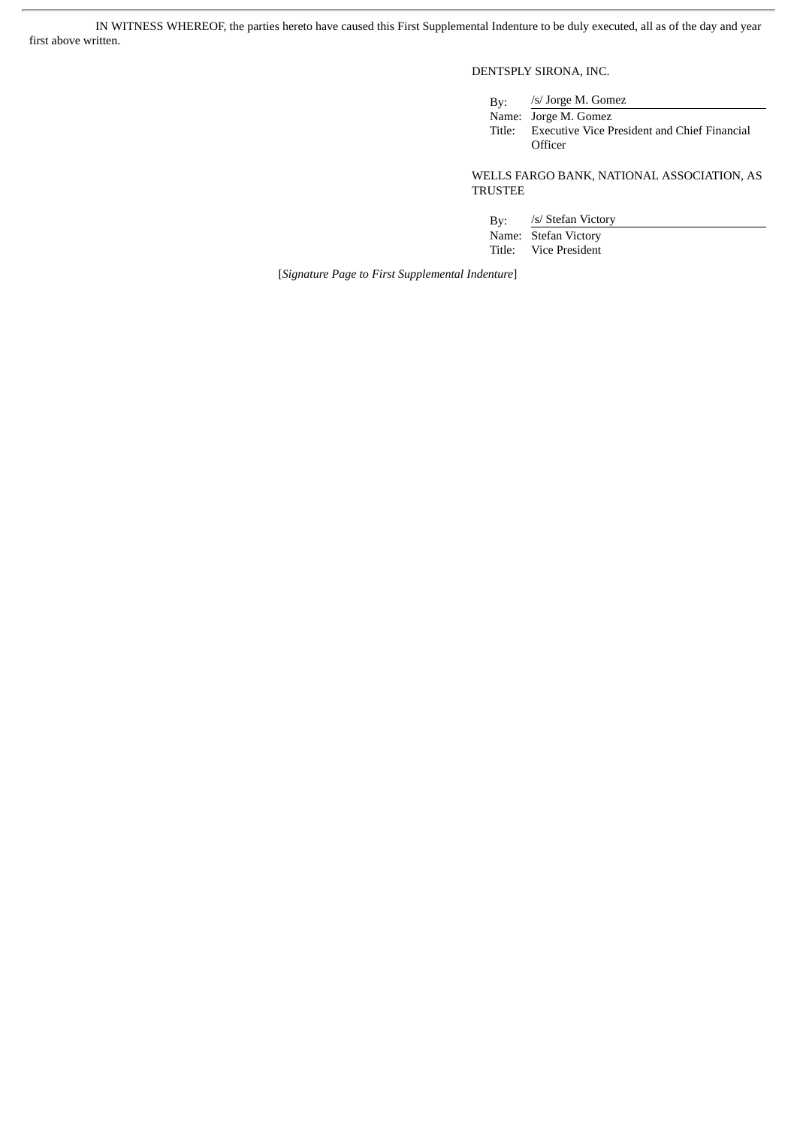IN WITNESS WHEREOF, the parties hereto have caused this First Supplemental Indenture to be duly executed, all as of the day and year first above written.

## DENTSPLY SIRONA, INC.

| Bv:    | /s/ Jorge M. Gomez                                  |
|--------|-----------------------------------------------------|
|        | Name: Jorge M. Gomez                                |
| Title: | <b>Executive Vice President and Chief Financial</b> |
|        | Officer                                             |

WELLS FARGO BANK, NATIONAL ASSOCIATION, AS TRUSTEE

By: /s/ Stefan Victory Name: Stefan Victory<br>Title: Vice President Vice President

[*Signature Page to First Supplemental Indenture*]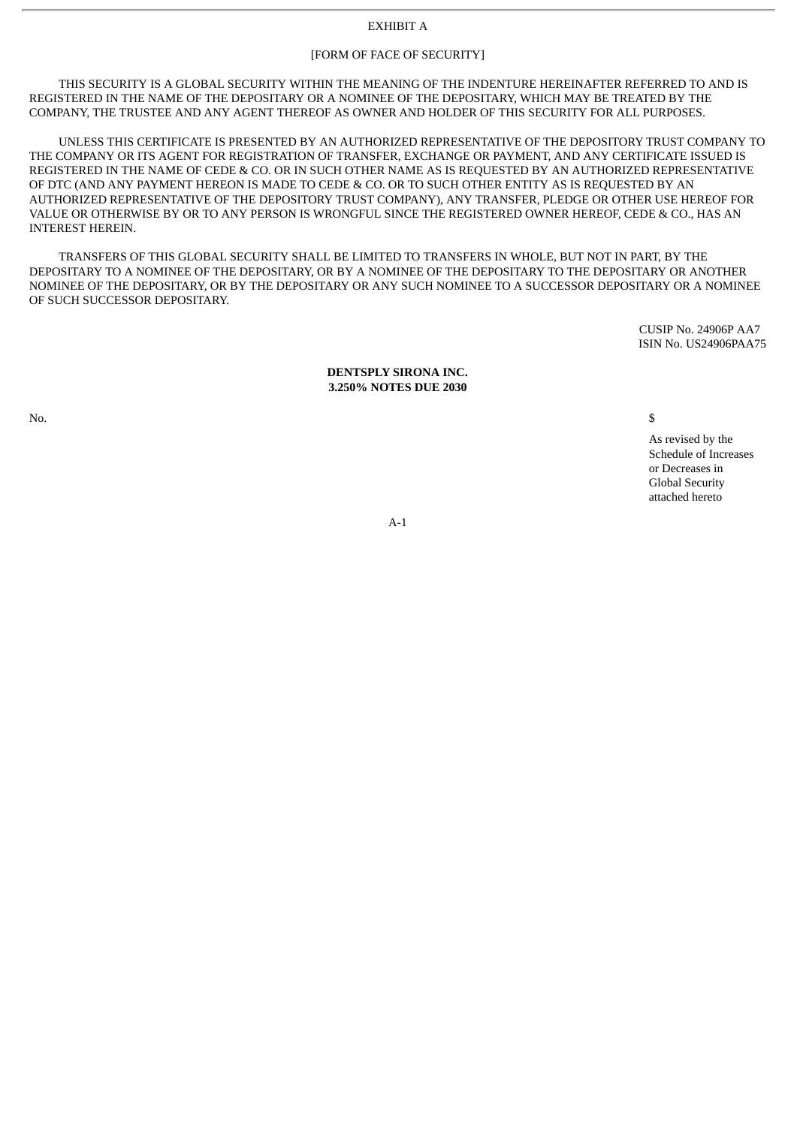## EXHIBIT A

## [FORM OF FACE OF SECURITY]

THIS SECURITY IS A GLOBAL SECURITY WITHIN THE MEANING OF THE INDENTURE HEREINAFTER REFERRED TO AND IS REGISTERED IN THE NAME OF THE DEPOSITARY OR A NOMINEE OF THE DEPOSITARY, WHICH MAY BE TREATED BY THE COMPANY, THE TRUSTEE AND ANY AGENT THEREOF AS OWNER AND HOLDER OF THIS SECURITY FOR ALL PURPOSES.

UNLESS THIS CERTIFICATE IS PRESENTED BY AN AUTHORIZED REPRESENTATIVE OF THE DEPOSITORY TRUST COMPANY TO THE COMPANY OR ITS AGENT FOR REGISTRATION OF TRANSFER, EXCHANGE OR PAYMENT, AND ANY CERTIFICATE ISSUED IS REGISTERED IN THE NAME OF CEDE & CO. OR IN SUCH OTHER NAME AS IS REQUESTED BY AN AUTHORIZED REPRESENTATIVE OF DTC (AND ANY PAYMENT HEREON IS MADE TO CEDE & CO. OR TO SUCH OTHER ENTITY AS IS REQUESTED BY AN AUTHORIZED REPRESENTATIVE OF THE DEPOSITORY TRUST COMPANY), ANY TRANSFER, PLEDGE OR OTHER USE HEREOF FOR VALUE OR OTHERWISE BY OR TO ANY PERSON IS WRONGFUL SINCE THE REGISTERED OWNER HEREOF, CEDE & CO., HAS AN INTEREST HEREIN.

TRANSFERS OF THIS GLOBAL SECURITY SHALL BE LIMITED TO TRANSFERS IN WHOLE, BUT NOT IN PART, BY THE DEPOSITARY TO A NOMINEE OF THE DEPOSITARY, OR BY A NOMINEE OF THE DEPOSITARY TO THE DEPOSITARY OR ANOTHER NOMINEE OF THE DEPOSITARY, OR BY THE DEPOSITARY OR ANY SUCH NOMINEE TO A SUCCESSOR DEPOSITARY OR A NOMINEE OF SUCH SUCCESSOR DEPOSITARY.

> CUSIP No. 24906P AA7 ISIN No. US24906PAA75

#### **DENTSPLY SIRONA INC. 3.250% NOTES DUE 2030**

No.  $\sim$ 

As revised by the Schedule of Increases or Decreases in Global Security attached hereto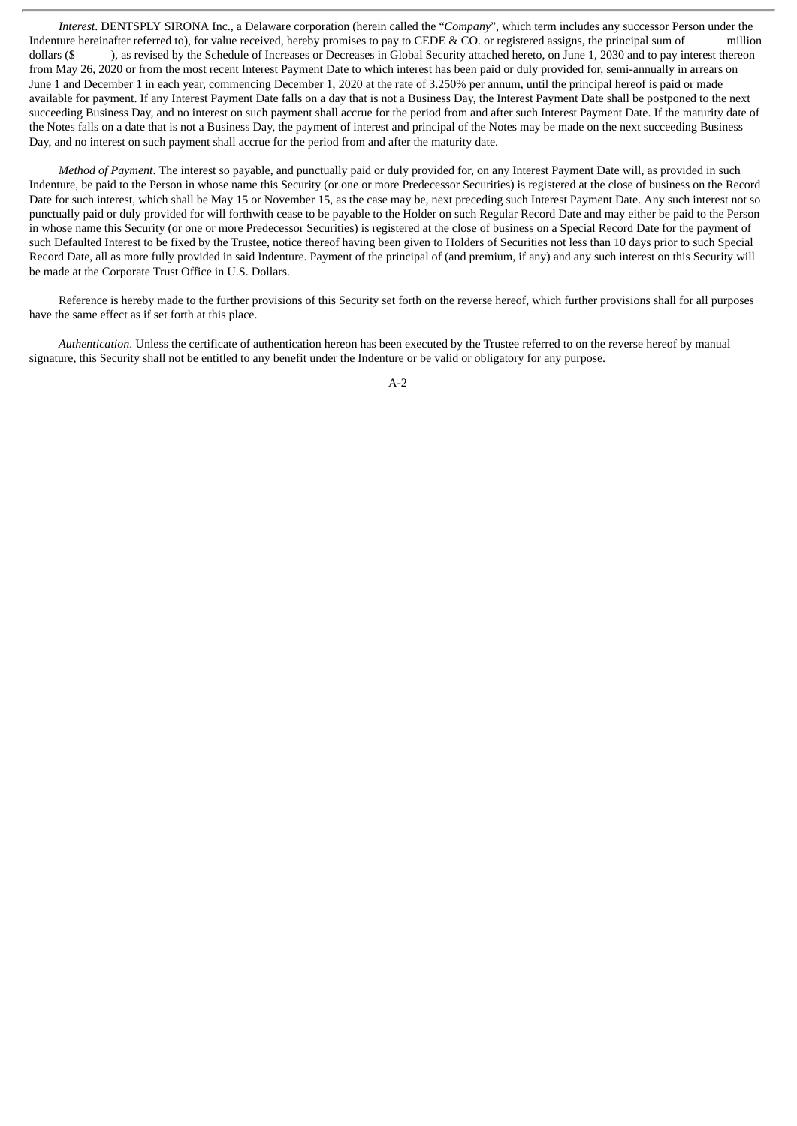*Interest*. DENTSPLY SIRONA Inc., a Delaware corporation (herein called the "*Company*", which term includes any successor Person under the Indenture hereinafter referred to), for value received, hereby promises to pay to CEDE & CO. or registered assigns, the principal sum of million dollars (\$), as revised by the Schedule of Increases or Decreases in Global Security attached hereto, on June 1, 2030 and to pay interest thereon from May 26, 2020 or from the most recent Interest Payment Date to which interest has been paid or duly provided for, semi-annually in arrears on June 1 and December 1 in each year, commencing December 1, 2020 at the rate of 3.250% per annum, until the principal hereof is paid or made available for payment. If any Interest Payment Date falls on a day that is not a Business Day, the Interest Payment Date shall be postponed to the next succeeding Business Day, and no interest on such payment shall accrue for the period from and after such Interest Payment Date. If the maturity date of the Notes falls on a date that is not a Business Day, the payment of interest and principal of the Notes may be made on the next succeeding Business Day, and no interest on such payment shall accrue for the period from and after the maturity date.

*Method of Payment*. The interest so payable, and punctually paid or duly provided for, on any Interest Payment Date will, as provided in such Indenture, be paid to the Person in whose name this Security (or one or more Predecessor Securities) is registered at the close of business on the Record Date for such interest, which shall be May 15 or November 15, as the case may be, next preceding such Interest Payment Date. Any such interest not so punctually paid or duly provided for will forthwith cease to be payable to the Holder on such Regular Record Date and may either be paid to the Person in whose name this Security (or one or more Predecessor Securities) is registered at the close of business on a Special Record Date for the payment of such Defaulted Interest to be fixed by the Trustee, notice thereof having been given to Holders of Securities not less than 10 days prior to such Special Record Date, all as more fully provided in said Indenture. Payment of the principal of (and premium, if any) and any such interest on this Security will be made at the Corporate Trust Office in U.S. Dollars.

Reference is hereby made to the further provisions of this Security set forth on the reverse hereof, which further provisions shall for all purposes have the same effect as if set forth at this place.

*Authentication*. Unless the certificate of authentication hereon has been executed by the Trustee referred to on the reverse hereof by manual signature, this Security shall not be entitled to any benefit under the Indenture or be valid or obligatory for any purpose.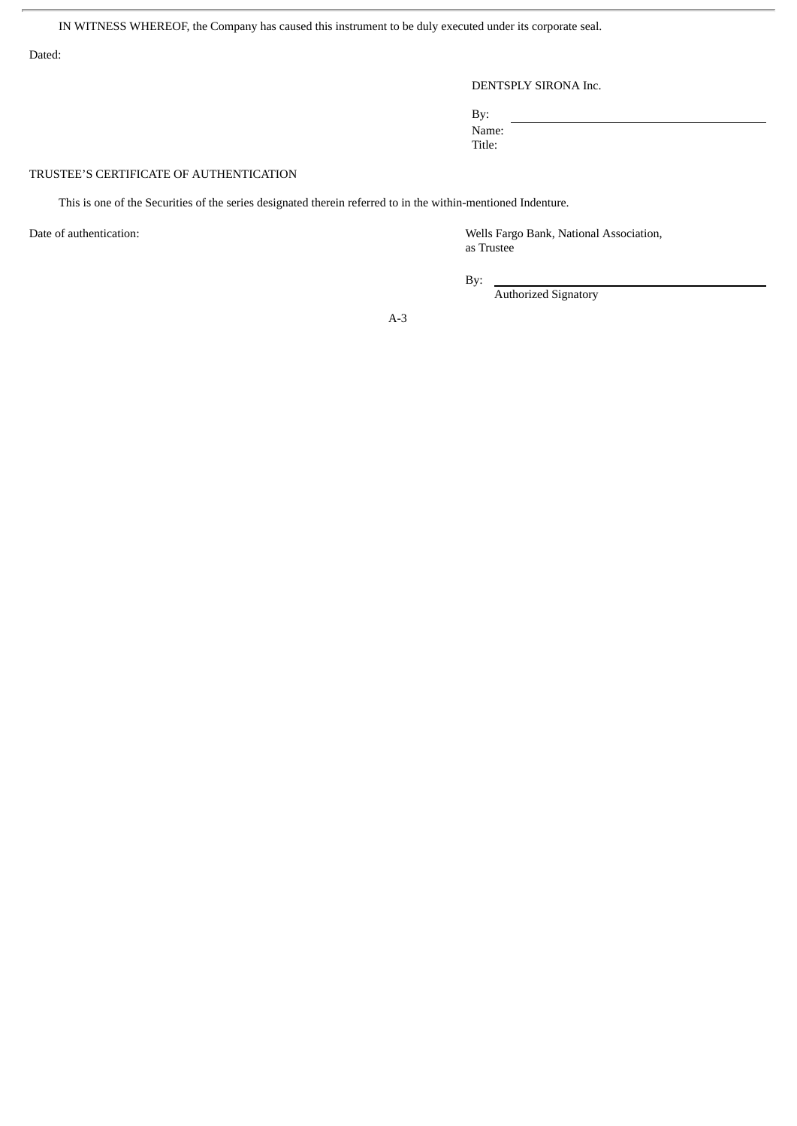IN WITNESS WHEREOF, the Company has caused this instrument to be duly executed under its corporate seal.

Dated:

## DENTSPLY SIRONA Inc.

By: Name:

Title:

## TRUSTEE'S CERTIFICATE OF AUTHENTICATION

This is one of the Securities of the series designated therein referred to in the within-mentioned Indenture.

Date of authentication: Wells Fargo Bank, National Association, as Trustee

By:

Authorized Signatory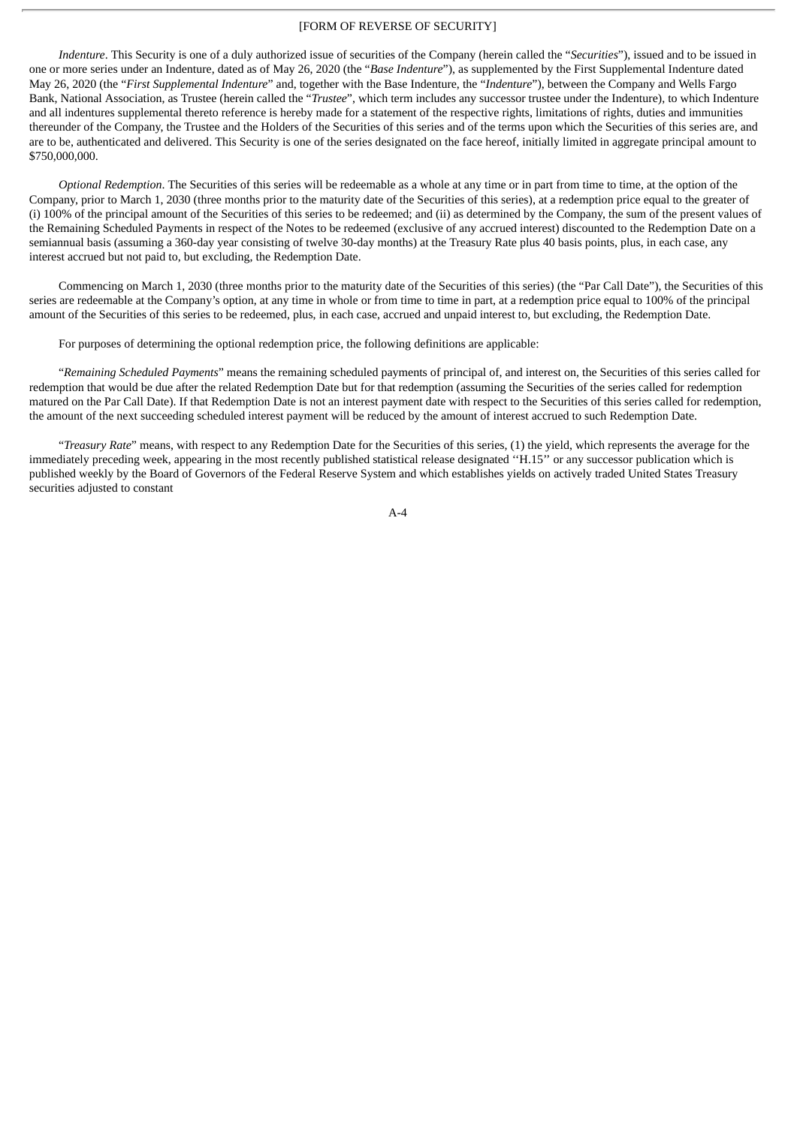### [FORM OF REVERSE OF SECURITY]

*Indenture*. This Security is one of a duly authorized issue of securities of the Company (herein called the "*Securities*"), issued and to be issued in one or more series under an Indenture, dated as of May 26, 2020 (the "*Base Indenture*"), as supplemented by the First Supplemental Indenture dated May 26, 2020 (the "*First Supplemental Indenture*" and, together with the Base Indenture, the "*Indenture*"), between the Company and Wells Fargo Bank, National Association, as Trustee (herein called the "*Trustee*", which term includes any successor trustee under the Indenture), to which Indenture and all indentures supplemental thereto reference is hereby made for a statement of the respective rights, limitations of rights, duties and immunities thereunder of the Company, the Trustee and the Holders of the Securities of this series and of the terms upon which the Securities of this series are, and are to be, authenticated and delivered. This Security is one of the series designated on the face hereof, initially limited in aggregate principal amount to \$750,000,000.

*Optional Redemption*. The Securities of this series will be redeemable as a whole at any time or in part from time to time, at the option of the Company, prior to March 1, 2030 (three months prior to the maturity date of the Securities of this series), at a redemption price equal to the greater of (i) 100% of the principal amount of the Securities of this series to be redeemed; and (ii) as determined by the Company, the sum of the present values of the Remaining Scheduled Payments in respect of the Notes to be redeemed (exclusive of any accrued interest) discounted to the Redemption Date on a semiannual basis (assuming a 360-day year consisting of twelve 30-day months) at the Treasury Rate plus 40 basis points, plus, in each case, any interest accrued but not paid to, but excluding, the Redemption Date.

Commencing on March 1, 2030 (three months prior to the maturity date of the Securities of this series) (the "Par Call Date"), the Securities of this series are redeemable at the Company's option, at any time in whole or from time to time in part, at a redemption price equal to 100% of the principal amount of the Securities of this series to be redeemed, plus, in each case, accrued and unpaid interest to, but excluding, the Redemption Date.

For purposes of determining the optional redemption price, the following definitions are applicable:

"*Remaining Scheduled Payments*" means the remaining scheduled payments of principal of, and interest on, the Securities of this series called for redemption that would be due after the related Redemption Date but for that redemption (assuming the Securities of the series called for redemption matured on the Par Call Date). If that Redemption Date is not an interest payment date with respect to the Securities of this series called for redemption, the amount of the next succeeding scheduled interest payment will be reduced by the amount of interest accrued to such Redemption Date.

"*Treasury Rate*" means, with respect to any Redemption Date for the Securities of this series, (1) the yield, which represents the average for the immediately preceding week, appearing in the most recently published statistical release designated ''H.15'' or any successor publication which is published weekly by the Board of Governors of the Federal Reserve System and which establishes yields on actively traded United States Treasury securities adjusted to constant

 $\Delta - A$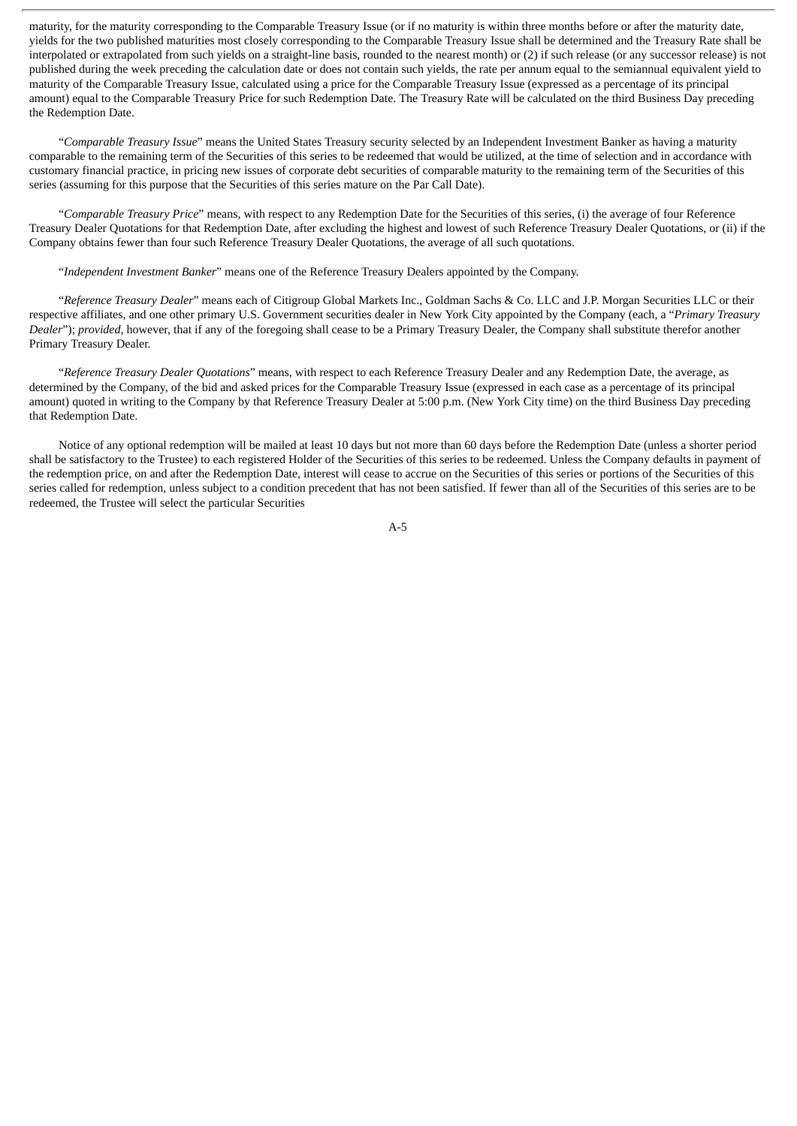maturity, for the maturity corresponding to the Comparable Treasury Issue (or if no maturity is within three months before or after the maturity date, yields for the two published maturities most closely corresponding to the Comparable Treasury Issue shall be determined and the Treasury Rate shall be interpolated or extrapolated from such yields on a straight-line basis, rounded to the nearest month) or (2) if such release (or any successor release) is not published during the week preceding the calculation date or does not contain such yields, the rate per annum equal to the semiannual equivalent yield to maturity of the Comparable Treasury Issue, calculated using a price for the Comparable Treasury Issue (expressed as a percentage of its principal amount) equal to the Comparable Treasury Price for such Redemption Date. The Treasury Rate will be calculated on the third Business Day preceding the Redemption Date.

"*Comparable Treasury Issue*" means the United States Treasury security selected by an Independent Investment Banker as having a maturity comparable to the remaining term of the Securities of this series to be redeemed that would be utilized, at the time of selection and in accordance with customary financial practice, in pricing new issues of corporate debt securities of comparable maturity to the remaining term of the Securities of this series (assuming for this purpose that the Securities of this series mature on the Par Call Date).

"*Comparable Treasury Price*" means, with respect to any Redemption Date for the Securities of this series, (i) the average of four Reference Treasury Dealer Quotations for that Redemption Date, after excluding the highest and lowest of such Reference Treasury Dealer Quotations, or (ii) if the Company obtains fewer than four such Reference Treasury Dealer Quotations, the average of all such quotations.

"*Independent Investment Banker*" means one of the Reference Treasury Dealers appointed by the Company.

"*Reference Treasury Dealer*" means each of Citigroup Global Markets Inc., Goldman Sachs & Co. LLC and J.P. Morgan Securities LLC or their respective affiliates, and one other primary U.S. Government securities dealer in New York City appointed by the Company (each, a "*Primary Treasury Dealer*"); *provided*, however, that if any of the foregoing shall cease to be a Primary Treasury Dealer, the Company shall substitute therefor another Primary Treasury Dealer.

"*Reference Treasury Dealer Quotations*" means, with respect to each Reference Treasury Dealer and any Redemption Date, the average, as determined by the Company, of the bid and asked prices for the Comparable Treasury Issue (expressed in each case as a percentage of its principal amount) quoted in writing to the Company by that Reference Treasury Dealer at 5:00 p.m. (New York City time) on the third Business Day preceding that Redemption Date.

Notice of any optional redemption will be mailed at least 10 days but not more than 60 days before the Redemption Date (unless a shorter period shall be satisfactory to the Trustee) to each registered Holder of the Securities of this series to be redeemed. Unless the Company defaults in payment of the redemption price, on and after the Redemption Date, interest will cease to accrue on the Securities of this series or portions of the Securities of this series called for redemption, unless subject to a condition precedent that has not been satisfied. If fewer than all of the Securities of this series are to be redeemed, the Trustee will select the particular Securities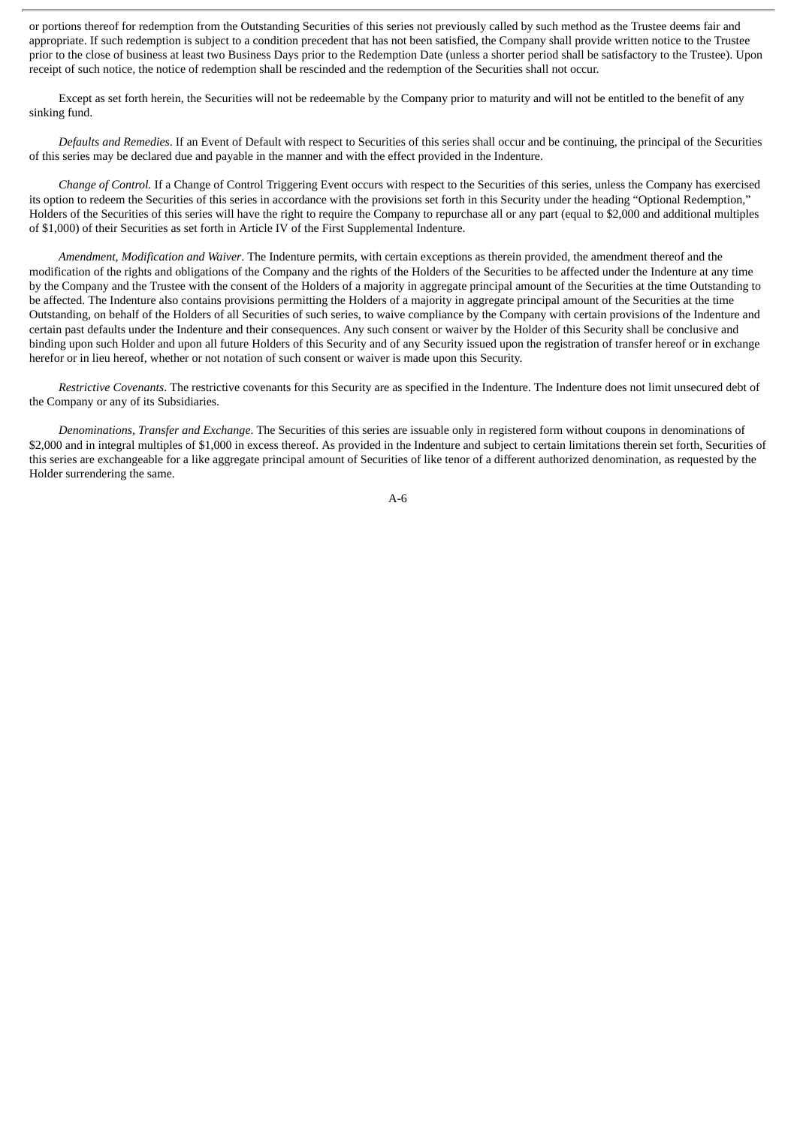or portions thereof for redemption from the Outstanding Securities of this series not previously called by such method as the Trustee deems fair and appropriate. If such redemption is subject to a condition precedent that has not been satisfied, the Company shall provide written notice to the Trustee prior to the close of business at least two Business Days prior to the Redemption Date (unless a shorter period shall be satisfactory to the Trustee). Upon receipt of such notice, the notice of redemption shall be rescinded and the redemption of the Securities shall not occur.

Except as set forth herein, the Securities will not be redeemable by the Company prior to maturity and will not be entitled to the benefit of any sinking fund.

*Defaults and Remedies*. If an Event of Default with respect to Securities of this series shall occur and be continuing, the principal of the Securities of this series may be declared due and payable in the manner and with the effect provided in the Indenture.

*Change of Control.* If a Change of Control Triggering Event occurs with respect to the Securities of this series, unless the Company has exercised its option to redeem the Securities of this series in accordance with the provisions set forth in this Security under the heading "Optional Redemption," Holders of the Securities of this series will have the right to require the Company to repurchase all or any part (equal to \$2,000 and additional multiples of \$1,000) of their Securities as set forth in Article IV of the First Supplemental Indenture.

*Amendment, Modification and Waiver*. The Indenture permits, with certain exceptions as therein provided, the amendment thereof and the modification of the rights and obligations of the Company and the rights of the Holders of the Securities to be affected under the Indenture at any time by the Company and the Trustee with the consent of the Holders of a majority in aggregate principal amount of the Securities at the time Outstanding to be affected. The Indenture also contains provisions permitting the Holders of a majority in aggregate principal amount of the Securities at the time Outstanding, on behalf of the Holders of all Securities of such series, to waive compliance by the Company with certain provisions of the Indenture and certain past defaults under the Indenture and their consequences. Any such consent or waiver by the Holder of this Security shall be conclusive and binding upon such Holder and upon all future Holders of this Security and of any Security issued upon the registration of transfer hereof or in exchange herefor or in lieu hereof, whether or not notation of such consent or waiver is made upon this Security.

*Restrictive Covenants*. The restrictive covenants for this Security are as specified in the Indenture. The Indenture does not limit unsecured debt of the Company or any of its Subsidiaries.

*Denominations, Transfer and Exchange*. The Securities of this series are issuable only in registered form without coupons in denominations of \$2,000 and in integral multiples of \$1,000 in excess thereof. As provided in the Indenture and subject to certain limitations therein set forth, Securities of this series are exchangeable for a like aggregate principal amount of Securities of like tenor of a different authorized denomination, as requested by the Holder surrendering the same.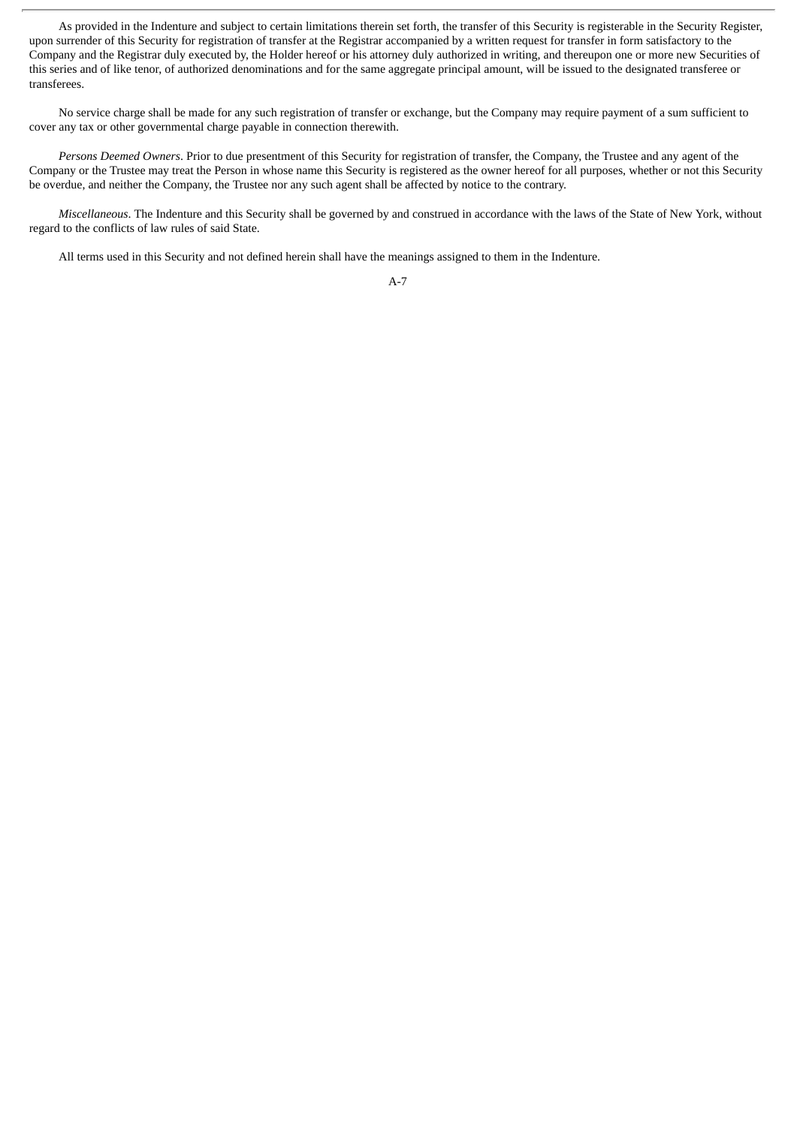As provided in the Indenture and subject to certain limitations therein set forth, the transfer of this Security is registerable in the Security Register, upon surrender of this Security for registration of transfer at the Registrar accompanied by a written request for transfer in form satisfactory to the Company and the Registrar duly executed by, the Holder hereof or his attorney duly authorized in writing, and thereupon one or more new Securities of this series and of like tenor, of authorized denominations and for the same aggregate principal amount, will be issued to the designated transferee or transferees.

No service charge shall be made for any such registration of transfer or exchange, but the Company may require payment of a sum sufficient to cover any tax or other governmental charge payable in connection therewith.

*Persons Deemed Owners*. Prior to due presentment of this Security for registration of transfer, the Company, the Trustee and any agent of the Company or the Trustee may treat the Person in whose name this Security is registered as the owner hereof for all purposes, whether or not this Security be overdue, and neither the Company, the Trustee nor any such agent shall be affected by notice to the contrary.

*Miscellaneous*. The Indenture and this Security shall be governed by and construed in accordance with the laws of the State of New York, without regard to the conflicts of law rules of said State.

All terms used in this Security and not defined herein shall have the meanings assigned to them in the Indenture.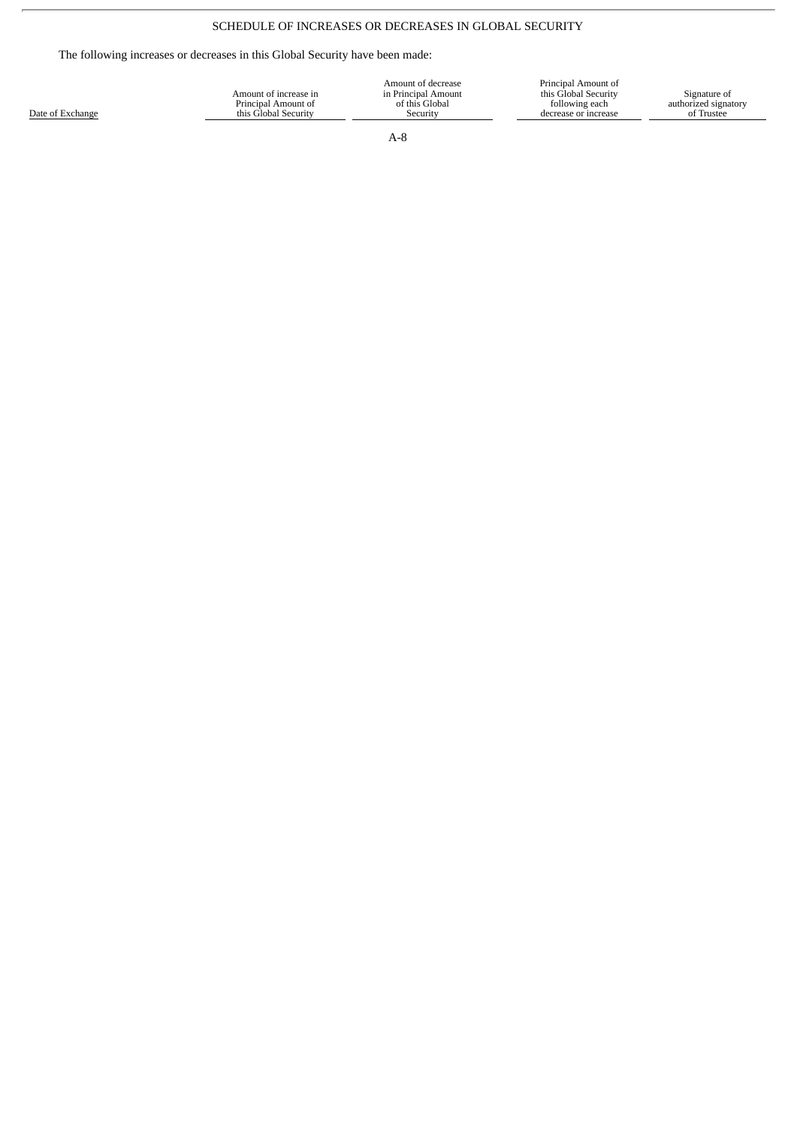# SCHEDULE OF INCREASES OR DECREASES IN GLOBAL SECURITY

The following increases or decreases in this Global Security have been made:

| Date of Exchange | Amount of increase in<br>Principal Amount of<br>this Global Security | Amount of decrease<br>in Principal Amount<br>of this Global<br>Security | Principal Amount of<br>this Global Security<br>following each<br>decrease or increase | Signature of<br>authorized signatory<br>of Trustee |
|------------------|----------------------------------------------------------------------|-------------------------------------------------------------------------|---------------------------------------------------------------------------------------|----------------------------------------------------|
|                  |                                                                      |                                                                         |                                                                                       |                                                    |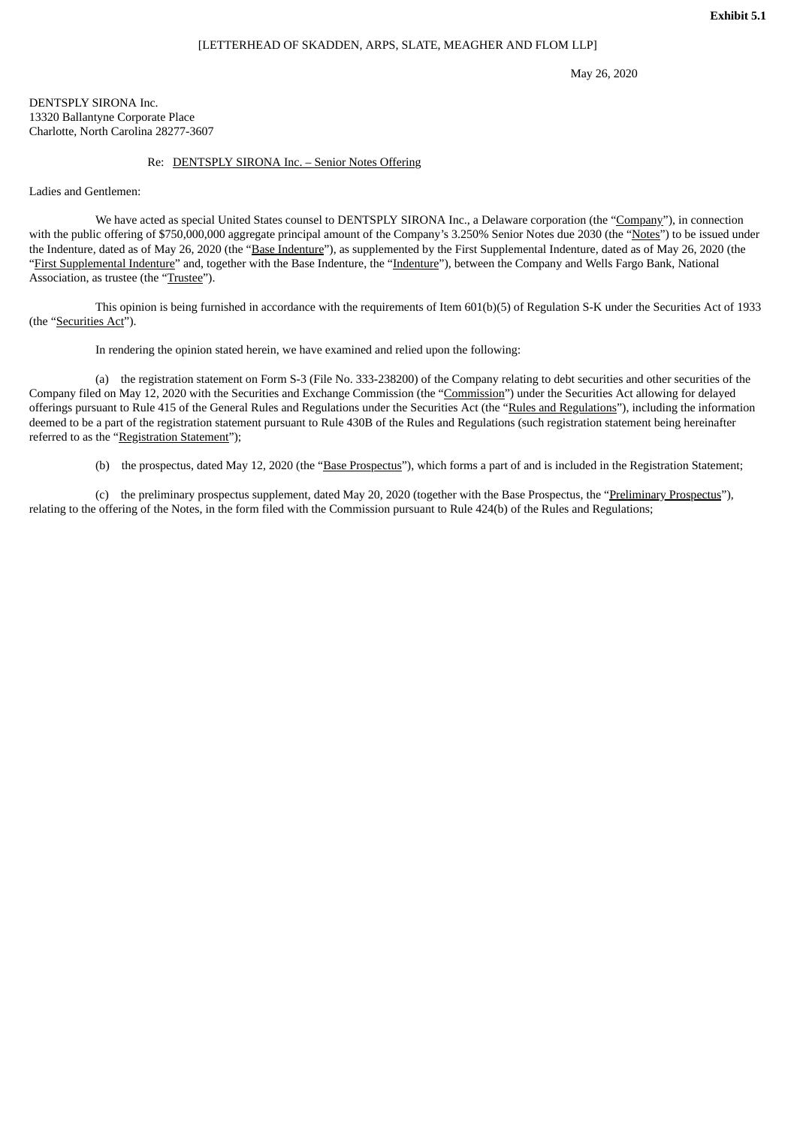May 26, 2020

DENTSPLY SIRONA Inc. 13320 Ballantyne Corporate Place Charlotte, North Carolina 28277-3607

#### Re: DENTSPLY SIRONA Inc. – Senior Notes Offering

Ladies and Gentlemen:

We have acted as special United States counsel to DENTSPLY SIRONA Inc., a Delaware corporation (the "Company"), in connection with the public offering of \$750,000,000 aggregate principal amount of the Company's 3.250% Senior Notes due 2030 (the "Notes") to be issued under the Indenture, dated as of May 26, 2020 (the "Base Indenture"), as supplemented by the First Supplemental Indenture, dated as of May 26, 2020 (the "First Supplemental Indenture" and, together with the Base Indenture, the "Indenture"), between the Company and Wells Fargo Bank, National Association, as trustee (the "Trustee").

This opinion is being furnished in accordance with the requirements of Item 601(b)(5) of Regulation S-K under the Securities Act of 1933 (the "Securities Act").

In rendering the opinion stated herein, we have examined and relied upon the following:

(a) the registration statement on Form S-3 (File No. 333-238200) of the Company relating to debt securities and other securities of the Company filed on May 12, 2020 with the Securities and Exchange Commission (the "Commission") under the Securities Act allowing for delayed offerings pursuant to Rule 415 of the General Rules and Regulations under the Securities Act (the "Rules and Regulations"), including the information deemed to be a part of the registration statement pursuant to Rule 430B of the Rules and Regulations (such registration statement being hereinafter referred to as the "Registration Statement");

(b) the prospectus, dated May 12, 2020 (the "Base Prospectus"), which forms a part of and is included in the Registration Statement;

(c) the preliminary prospectus supplement, dated May 20, 2020 (together with the Base Prospectus, the "Preliminary Prospectus"), relating to the offering of the Notes, in the form filed with the Commission pursuant to Rule 424(b) of the Rules and Regulations;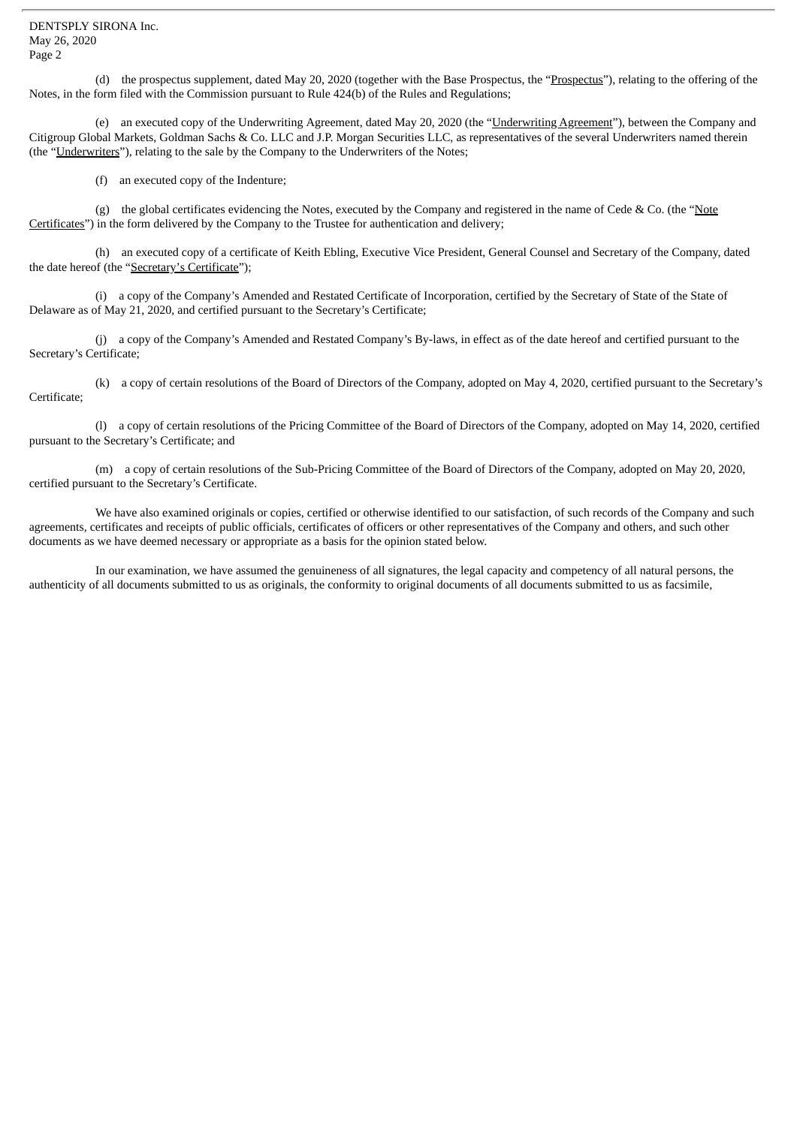(d) the prospectus supplement, dated May 20, 2020 (together with the Base Prospectus, the "Prospectus"), relating to the offering of the Notes, in the form filed with the Commission pursuant to Rule 424(b) of the Rules and Regulations;

(e) an executed copy of the Underwriting Agreement, dated May 20, 2020 (the "Underwriting Agreement"), between the Company and Citigroup Global Markets, Goldman Sachs & Co. LLC and J.P. Morgan Securities LLC, as representatives of the several Underwriters named therein (the "Underwriters"), relating to the sale by the Company to the Underwriters of the Notes;

(f) an executed copy of the Indenture;

(g) the global certificates evidencing the Notes, executed by the Company and registered in the name of Cede & Co. (the "Note Certificates") in the form delivered by the Company to the Trustee for authentication and delivery;

(h) an executed copy of a certificate of Keith Ebling, Executive Vice President, General Counsel and Secretary of the Company, dated the date hereof (the "Secretary's Certificate");

(i) a copy of the Company's Amended and Restated Certificate of Incorporation, certified by the Secretary of State of the State of Delaware as of May 21, 2020, and certified pursuant to the Secretary's Certificate;

(j) a copy of the Company's Amended and Restated Company's By-laws, in effect as of the date hereof and certified pursuant to the Secretary's Certificate;

(k) a copy of certain resolutions of the Board of Directors of the Company, adopted on May 4, 2020, certified pursuant to the Secretary's Certificate;

(l) a copy of certain resolutions of the Pricing Committee of the Board of Directors of the Company, adopted on May 14, 2020, certified pursuant to the Secretary's Certificate; and

(m) a copy of certain resolutions of the Sub-Pricing Committee of the Board of Directors of the Company, adopted on May 20, 2020, certified pursuant to the Secretary's Certificate.

We have also examined originals or copies, certified or otherwise identified to our satisfaction, of such records of the Company and such agreements, certificates and receipts of public officials, certificates of officers or other representatives of the Company and others, and such other documents as we have deemed necessary or appropriate as a basis for the opinion stated below.

In our examination, we have assumed the genuineness of all signatures, the legal capacity and competency of all natural persons, the authenticity of all documents submitted to us as originals, the conformity to original documents of all documents submitted to us as facsimile,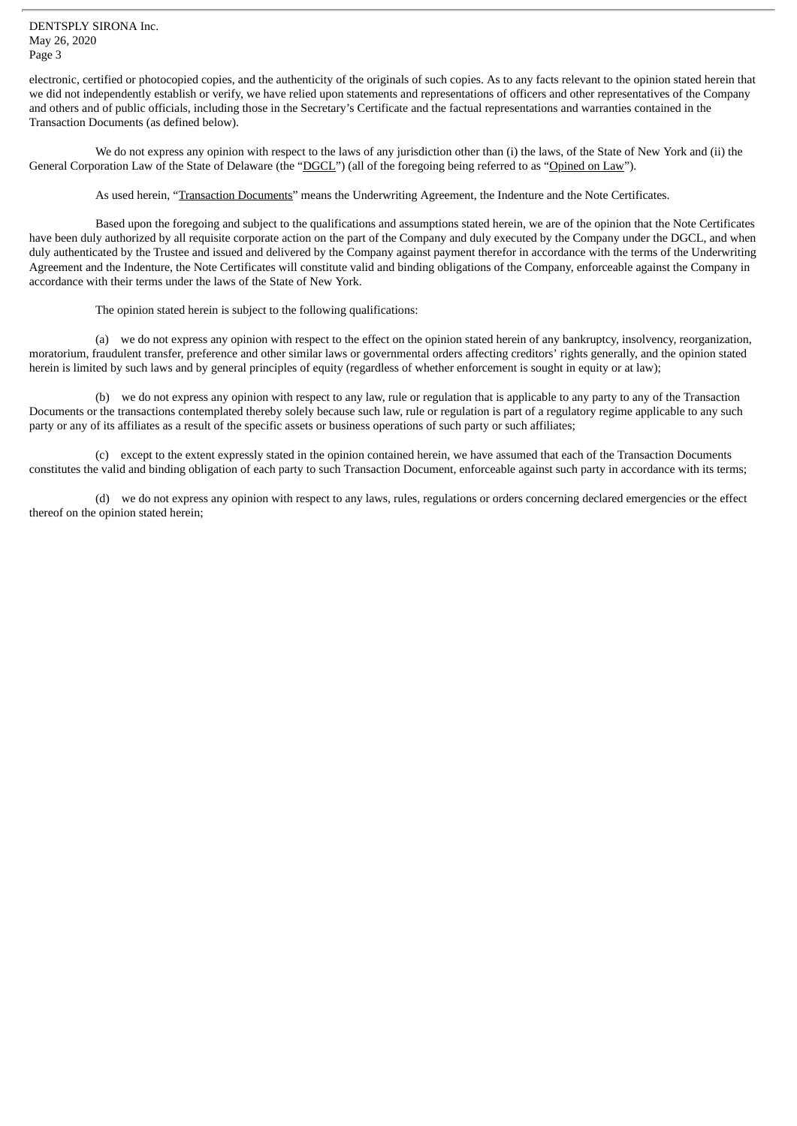DENTSPLY SIRONA Inc. May 26, 2020 Page 3

electronic, certified or photocopied copies, and the authenticity of the originals of such copies. As to any facts relevant to the opinion stated herein that we did not independently establish or verify, we have relied upon statements and representations of officers and other representatives of the Company and others and of public officials, including those in the Secretary's Certificate and the factual representations and warranties contained in the Transaction Documents (as defined below).

We do not express any opinion with respect to the laws of any jurisdiction other than (i) the laws, of the State of New York and (ii) the General Corporation Law of the State of Delaware (the "DGCL") (all of the foregoing being referred to as "Opined on Law").

As used herein, "Transaction Documents" means the Underwriting Agreement, the Indenture and the Note Certificates.

Based upon the foregoing and subject to the qualifications and assumptions stated herein, we are of the opinion that the Note Certificates have been duly authorized by all requisite corporate action on the part of the Company and duly executed by the Company under the DGCL, and when duly authenticated by the Trustee and issued and delivered by the Company against payment therefor in accordance with the terms of the Underwriting Agreement and the Indenture, the Note Certificates will constitute valid and binding obligations of the Company, enforceable against the Company in accordance with their terms under the laws of the State of New York.

The opinion stated herein is subject to the following qualifications:

(a) we do not express any opinion with respect to the effect on the opinion stated herein of any bankruptcy, insolvency, reorganization, moratorium, fraudulent transfer, preference and other similar laws or governmental orders affecting creditors' rights generally, and the opinion stated herein is limited by such laws and by general principles of equity (regardless of whether enforcement is sought in equity or at law);

(b) we do not express any opinion with respect to any law, rule or regulation that is applicable to any party to any of the Transaction Documents or the transactions contemplated thereby solely because such law, rule or regulation is part of a regulatory regime applicable to any such party or any of its affiliates as a result of the specific assets or business operations of such party or such affiliates;

(c) except to the extent expressly stated in the opinion contained herein, we have assumed that each of the Transaction Documents constitutes the valid and binding obligation of each party to such Transaction Document, enforceable against such party in accordance with its terms;

(d) we do not express any opinion with respect to any laws, rules, regulations or orders concerning declared emergencies or the effect thereof on the opinion stated herein;